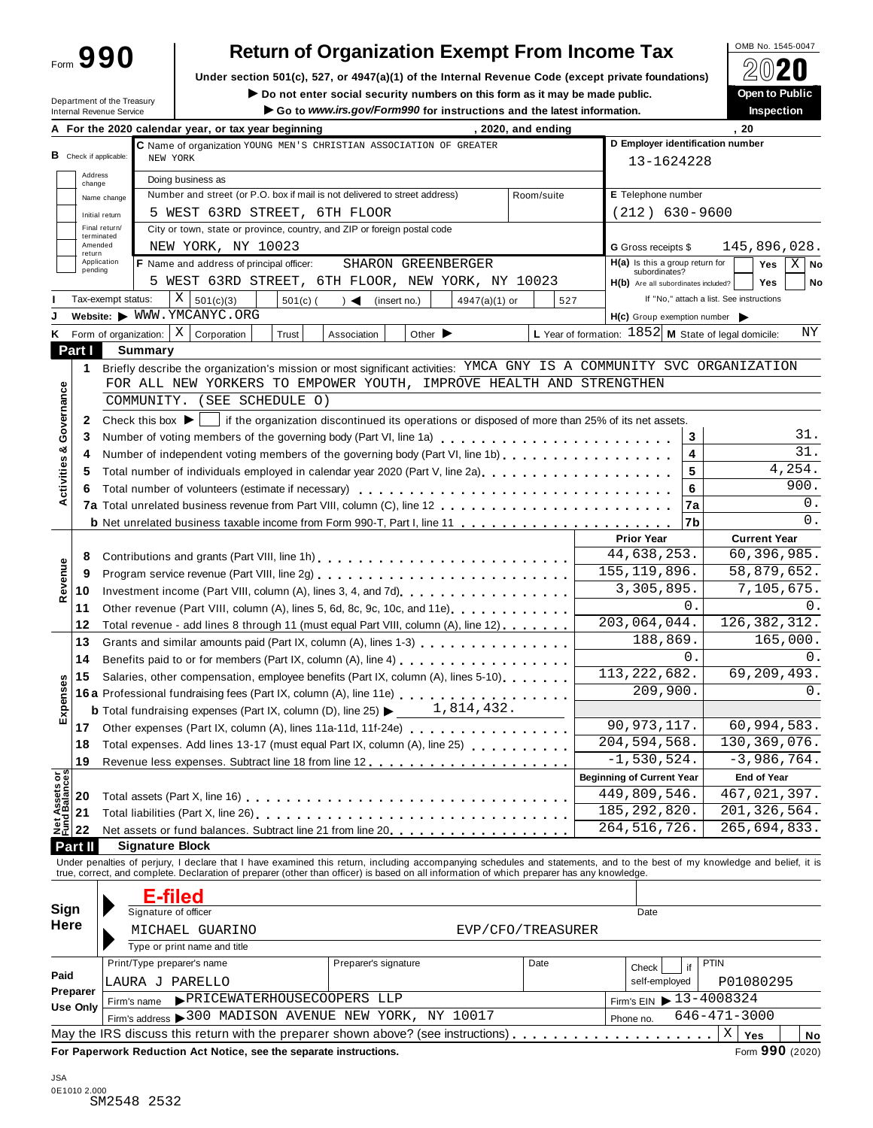| Form 990 |
|----------|
|----------|

# Return of Organization Exempt From Income Tax  $\sqrt{\frac{6 \text{ Me N e. }1545-0047}{\text{ Me N e.}}}$

Under section 501(c), 527, or 4947(a)(1) of the Internal Revenue Code (except private foundations)  $\Box$  △**∪∠**<br>► Do not enter social security numbers on this form as it may be made public. ● ● ● ● ● ● ● ● ● ● ● ● ● ● ● ●

**IDEPARTMENT OF ORES AND SET OF ORES AND SET OF CONSUMING THE OPEN TO PUBLIC CONSUMING THE OPEN TO PUBLIC CONSULTS ON OPEN TO PUBLIC DEAL OPEN TO PUBLIC DEAL OPEN TO PUBLIC DEAL OPEN TO PUBLIC DEAL OPEN TO PUBLIC ACT OF CO** 

|                                                     | Department of the Treasury<br>Internal Revenue Service | Go to www.irs.gov/Form990 for instructions and the latest information.                                                                                                                                                                     |     |                                                      | <b>Inspection</b>                                      | <b>Open to Public</b> |
|-----------------------------------------------------|--------------------------------------------------------|--------------------------------------------------------------------------------------------------------------------------------------------------------------------------------------------------------------------------------------------|-----|------------------------------------------------------|--------------------------------------------------------|-----------------------|
|                                                     |                                                        | A For the 2020 calendar year, or tax year beginning<br>, 2020, and ending                                                                                                                                                                  |     |                                                      | .20                                                    |                       |
|                                                     |                                                        | C Name of organization YOUNG MEN'S CHRISTIAN ASSOCIATION OF GREATER                                                                                                                                                                        |     |                                                      | D Employer identification number                       |                       |
| <b>B</b> Check if applicable:                       |                                                        | NEW YORK                                                                                                                                                                                                                                   |     | 13-1624228                                           |                                                        |                       |
| Address<br>change                                   |                                                        | Doing business as                                                                                                                                                                                                                          |     |                                                      |                                                        |                       |
|                                                     | Name change                                            | Number and street (or P.O. box if mail is not delivered to street address)<br>Room/suite                                                                                                                                                   |     | E Telephone number                                   |                                                        |                       |
| Initial return                                      |                                                        | 5 WEST 63RD STREET, 6TH FLOOR                                                                                                                                                                                                              |     | $(212)$ 630-9600                                     |                                                        |                       |
| Final return/                                       |                                                        | City or town, state or province, country, and ZIP or foreign postal code                                                                                                                                                                   |     |                                                      |                                                        |                       |
| terminated<br>Amended                               |                                                        | NEW YORK, NY 10023                                                                                                                                                                                                                         |     | G Gross receipts \$                                  | 145,896,028.                                           |                       |
| return<br>Application                               |                                                        | F Name and address of principal officer:<br>SHARON GREENBERGER                                                                                                                                                                             |     | $H(a)$ is this a group return for                    | Yes                                                    | ΧI<br><b>No</b>       |
| pending                                             |                                                        | 5 WEST 63RD STREET, 6TH FLOOR, NEW YORK, NY 10023                                                                                                                                                                                          |     | subordinates?<br>H(b) Are all subordinates included? | <b>Yes</b>                                             | No                    |
|                                                     | Tax-exempt status:                                     | X   501(c)(3)<br>$501(c)$ (<br>$\rightarrow$<br>4947(a)(1) or<br>(insert no.)                                                                                                                                                              | 527 |                                                      | If "No," attach a list. See instructions               |                       |
|                                                     |                                                        | Website: WWW.YMCANYC.ORG                                                                                                                                                                                                                   |     | H(c) Group exemption number                          |                                                        |                       |
|                                                     | Form of organization:                                  | $X \vert$ Corporation<br>Other $\blacktriangleright$<br>Trust<br>Association                                                                                                                                                               |     |                                                      | L Year of formation: $1852$ M State of legal domicile: | ΝY                    |
| Part I                                              | <b>Summary</b>                                         |                                                                                                                                                                                                                                            |     |                                                      |                                                        |                       |
|                                                     |                                                        | Briefly describe the organization's mission or most significant activities: YMCA GNY IS A COMMUNITY SVC ORGANIZATION                                                                                                                       |     |                                                      |                                                        |                       |
| 1                                                   |                                                        | FOR ALL NEW YORKERS TO EMPOWER YOUTH, IMPROVE HEALTH AND STRENGTHEN                                                                                                                                                                        |     |                                                      |                                                        |                       |
| Governance                                          |                                                        | COMMUNITY. (SEE SCHEDULE O)                                                                                                                                                                                                                |     |                                                      |                                                        |                       |
|                                                     |                                                        |                                                                                                                                                                                                                                            |     |                                                      |                                                        |                       |
| 2                                                   | Check this box $\blacktriangleright$                   | if the organization discontinued its operations or disposed of more than 25% of its net assets.                                                                                                                                            |     |                                                      |                                                        |                       |
| 3                                                   |                                                        | Number of voting members of the governing body (Part VI, line 1a)                                                                                                                                                                          |     |                                                      | 3                                                      | 31.<br>31.            |
| 4                                                   |                                                        | Number of independent voting members of the governing body (Part VI, line 1b)                                                                                                                                                              |     |                                                      | 4                                                      |                       |
| 5                                                   |                                                        | Total number of individuals employed in calendar year 2020 (Part V, line 2a)                                                                                                                                                               |     |                                                      | 5                                                      | 4,254.                |
| Activities &<br>6                                   |                                                        |                                                                                                                                                                                                                                            |     |                                                      | 6                                                      | 900.                  |
|                                                     |                                                        |                                                                                                                                                                                                                                            |     |                                                      | <b>7a</b>                                              | 0.                    |
|                                                     |                                                        |                                                                                                                                                                                                                                            |     |                                                      | 7b                                                     | 0.                    |
|                                                     |                                                        |                                                                                                                                                                                                                                            |     | <b>Prior Year</b>                                    | <b>Current Year</b>                                    |                       |
| 8                                                   |                                                        |                                                                                                                                                                                                                                            |     | 44,638,253.                                          | 60,396,985.                                            |                       |
| 9                                                   |                                                        |                                                                                                                                                                                                                                            |     | 155, 119, 896.                                       | 58,879,652.                                            |                       |
| Revenue<br>10                                       |                                                        |                                                                                                                                                                                                                                            |     | 3,305,895.                                           | 7,105,675.                                             |                       |
| 11                                                  |                                                        | Other revenue (Part VIII, column (A), lines 5, 6d, 8c, 9c, 10c, and 11e)                                                                                                                                                                   |     |                                                      | 0.                                                     | 0.                    |
| 12                                                  |                                                        | Total revenue - add lines 8 through 11 (must equal Part VIII, column (A), line 12)                                                                                                                                                         |     | 203,064,044.                                         | 126, 382, 312.                                         |                       |
| 13                                                  |                                                        | Grants and similar amounts paid (Part IX, column (A), lines 1-3)                                                                                                                                                                           |     | 188,869.                                             | 165,000.                                               |                       |
| 14                                                  |                                                        | Benefits paid to or for members (Part IX, column (A), line 4) [10] cases is a contract to or for members (Part IX, column (A), line 4) [10] $\sim$ 2000 [10] $\sim$ 2000 [10] $\sim$ 2000 [10] $\sim$ 2000 [10] $\sim$ 2000 [10] $\sim$ 20 |     |                                                      | 0.                                                     | 0.                    |
| 15                                                  |                                                        | Salaries, other compensation, employee benefits (Part IX, column (A), lines 5-10)                                                                                                                                                          |     | 113, 222, 682.                                       | 69,209,493.                                            |                       |
|                                                     |                                                        | 16a Professional fundraising fees (Part IX, column (A), line 11e)                                                                                                                                                                          |     | 209,900.                                             |                                                        | 0.                    |
| Expenses                                            |                                                        | 1,814,432.<br><b>b</b> Total fundraising expenses (Part IX, column (D), line 25) $\blacktriangleright$                                                                                                                                     |     |                                                      |                                                        |                       |
| 17                                                  |                                                        | Other expenses (Part IX, column (A), lines 11a-11d, 11f-24e)                                                                                                                                                                               |     | 90, 973, 117.                                        | 60,994,583.                                            |                       |
| 18                                                  |                                                        | Total expenses. Add lines 13-17 (must equal Part IX, column (A), line 25)                                                                                                                                                                  |     | 204, 594, 568.                                       | 130, 369, 076.                                         |                       |
| 19                                                  |                                                        |                                                                                                                                                                                                                                            |     | $-1,530,524.$                                        | $-3,986,764.$                                          |                       |
|                                                     |                                                        |                                                                                                                                                                                                                                            |     | <b>Beginning of Current Year</b>                     | <b>End of Year</b>                                     |                       |
| <b>Net Assets or<br/>Fund Balances</b><br>20        |                                                        |                                                                                                                                                                                                                                            |     | $\overline{449}$ , 809, 546.                         | 467,021,397.                                           |                       |
| 21                                                  |                                                        |                                                                                                                                                                                                                                            |     | 185, 292, 820.                                       | 201, 326, 564.                                         |                       |
| 22                                                  |                                                        | Net assets or fund balances. Subtract line 21 from line 20 [11, 11, 11, 11, 11, 11, 11, 11]                                                                                                                                                |     | 264, 516, 726.                                       | 265,694,833.                                           |                       |
| Part II                                             | <b>Signature Block</b>                                 |                                                                                                                                                                                                                                            |     |                                                      |                                                        |                       |
|                                                     |                                                        | Under penalties of perjury, I declare that I have examined this return, including accompanying schedules and statements, and to the best of my knowledge and belief, it is true, correct, and complete. Declaration of prepare             |     |                                                      |                                                        |                       |
|                                                     |                                                        |                                                                                                                                                                                                                                            |     |                                                      |                                                        |                       |
|                                                     |                                                        |                                                                                                                                                                                                                                            |     |                                                      |                                                        |                       |
|                                                     |                                                        |                                                                                                                                                                                                                                            |     |                                                      |                                                        |                       |
|                                                     |                                                        | <b>E-filed</b>                                                                                                                                                                                                                             |     | Date                                                 |                                                        |                       |
|                                                     |                                                        | Signature of officer                                                                                                                                                                                                                       |     |                                                      |                                                        |                       |
|                                                     |                                                        | MICHAEL GUARINO<br>EVP/CFO/TREASURER                                                                                                                                                                                                       |     |                                                      |                                                        |                       |
|                                                     |                                                        | Type or print name and title                                                                                                                                                                                                               |     |                                                      |                                                        |                       |
|                                                     | Print/Type preparer's name                             | Preparer's signature<br>Date                                                                                                                                                                                                               |     | Check                                                | <b>PTIN</b><br>if                                      |                       |
|                                                     | LAURA J PARELLO                                        |                                                                                                                                                                                                                                            |     | self-employed                                        | P01080295                                              |                       |
| Sign<br>Here<br>Paid<br>Preparer<br><b>Use Only</b> | Firm's name                                            | PRICEWATERHOUSECOOPERS LLP                                                                                                                                                                                                                 |     | Firm's EIN $\triangleright$ 13-4008324               |                                                        |                       |
|                                                     |                                                        | Firm's address > 300 MADISON AVENUE NEW YORK, NY 10017                                                                                                                                                                                     |     | Phone no.                                            | $646 - 471 - 3000$<br>$\mathbf X$<br>Yes               | No                    |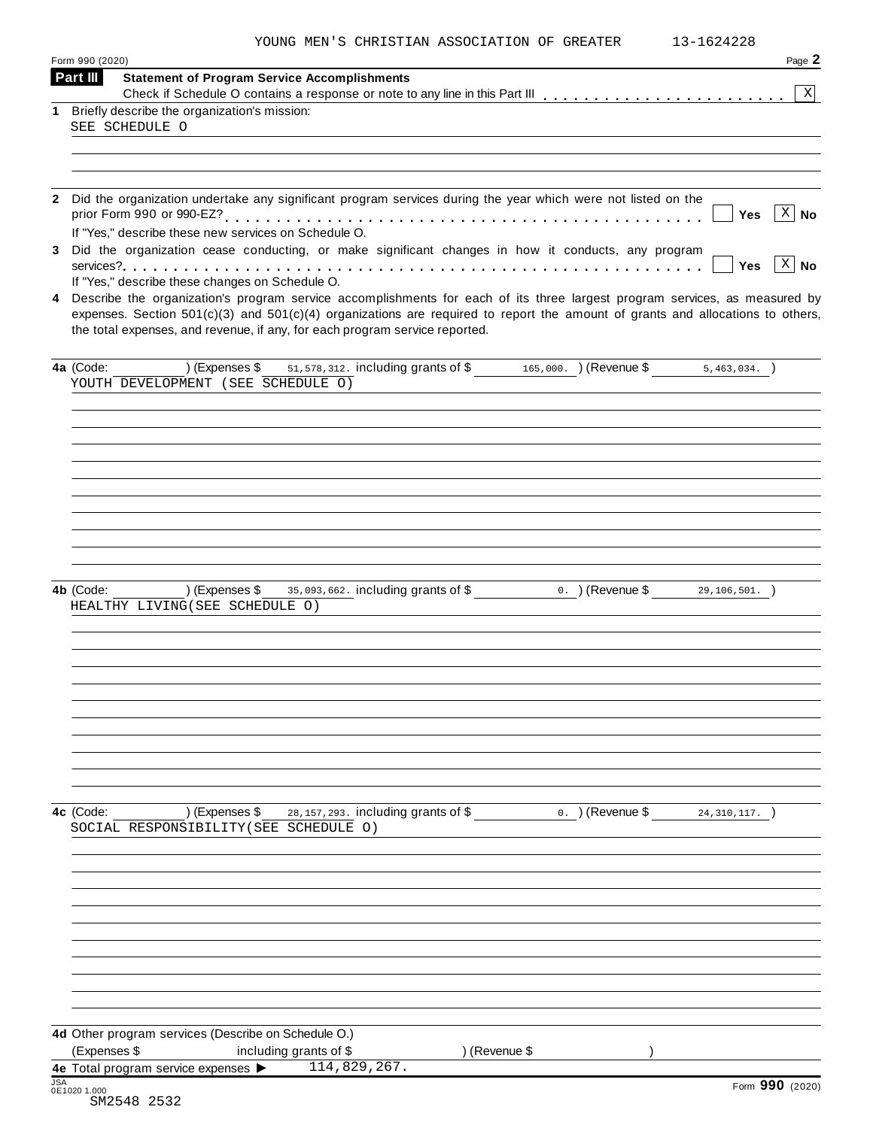| YOUNG MEN'S CHRISTIAN ASSOCIATION OF GREATER |  |
|----------------------------------------------|--|
|----------------------------------------------|--|

| Form 990 (2020) |                                                                                                                |                |                                      |  |                    |                                                                                                                                    | Page 2                       |
|-----------------|----------------------------------------------------------------------------------------------------------------|----------------|--------------------------------------|--|--------------------|------------------------------------------------------------------------------------------------------------------------------------|------------------------------|
| Part III        | <b>Statement of Program Service Accomplishments</b>                                                            |                |                                      |  |                    |                                                                                                                                    |                              |
|                 | 1 Briefly describe the organization's mission:                                                                 |                |                                      |  |                    |                                                                                                                                    | $\mathbf X$                  |
|                 | SEE SCHEDULE O                                                                                                 |                |                                      |  |                    |                                                                                                                                    |                              |
|                 |                                                                                                                |                |                                      |  |                    |                                                                                                                                    |                              |
|                 |                                                                                                                |                |                                      |  |                    |                                                                                                                                    |                              |
|                 |                                                                                                                |                |                                      |  |                    |                                                                                                                                    |                              |
|                 | 2 Did the organization undertake any significant program services during the year which were not listed on the |                |                                      |  |                    | Yes                                                                                                                                | $\overline{\mathbf{x}}$   No |
|                 | If "Yes," describe these new services on Schedule O.                                                           |                |                                      |  |                    |                                                                                                                                    |                              |
|                 | 3 Did the organization cease conducting, or make significant changes in how it conducts, any program           |                |                                      |  |                    |                                                                                                                                    |                              |
|                 |                                                                                                                |                |                                      |  |                    | Yes                                                                                                                                | $X \mid No$                  |
|                 | If "Yes," describe these changes on Schedule O.                                                                |                |                                      |  |                    | 4 Describe the organization's program service accomplishments for each of its three largest program services, as measured by       |                              |
|                 | the total expenses, and revenue, if any, for each program service reported.                                    |                |                                      |  |                    | expenses. Section $501(c)(3)$ and $501(c)(4)$ organizations are required to report the amount of grants and allocations to others, |                              |
| 4a (Code:       | (Expenses \$                                                                                                   |                |                                      |  |                    | 51, 578, 312. including grants of \$165, 000. (Revenue \$5, 463, 034.)                                                             |                              |
|                 | YOUTH DEVELOPMENT (SEE SCHEDULE O)                                                                             |                |                                      |  |                    |                                                                                                                                    |                              |
|                 |                                                                                                                |                |                                      |  |                    |                                                                                                                                    |                              |
|                 |                                                                                                                |                |                                      |  |                    |                                                                                                                                    |                              |
|                 |                                                                                                                |                |                                      |  |                    |                                                                                                                                    |                              |
|                 |                                                                                                                |                |                                      |  |                    |                                                                                                                                    |                              |
|                 |                                                                                                                |                |                                      |  |                    |                                                                                                                                    |                              |
|                 |                                                                                                                |                |                                      |  |                    |                                                                                                                                    |                              |
|                 |                                                                                                                |                |                                      |  |                    |                                                                                                                                    |                              |
|                 |                                                                                                                |                |                                      |  |                    |                                                                                                                                    |                              |
|                 |                                                                                                                |                |                                      |  |                    |                                                                                                                                    |                              |
| 4b (Code:       | ) (Expenses \$                                                                                                 |                | 35,093,662. including grants of \$   |  | $0.$ ) (Revenue \$ | 29,106,501.                                                                                                                        |                              |
|                 | HEALTHY LIVING (SEE SCHEDULE O)                                                                                |                |                                      |  |                    |                                                                                                                                    |                              |
|                 |                                                                                                                |                |                                      |  |                    |                                                                                                                                    |                              |
|                 |                                                                                                                |                |                                      |  |                    |                                                                                                                                    |                              |
|                 |                                                                                                                |                |                                      |  |                    |                                                                                                                                    |                              |
|                 |                                                                                                                |                |                                      |  |                    |                                                                                                                                    |                              |
|                 |                                                                                                                |                |                                      |  |                    |                                                                                                                                    |                              |
|                 |                                                                                                                |                |                                      |  |                    |                                                                                                                                    |                              |
|                 |                                                                                                                |                |                                      |  |                    |                                                                                                                                    |                              |
|                 |                                                                                                                |                |                                      |  |                    |                                                                                                                                    |                              |
|                 |                                                                                                                |                |                                      |  |                    |                                                                                                                                    |                              |
|                 |                                                                                                                |                |                                      |  |                    |                                                                                                                                    |                              |
| 4c (Code:       |                                                                                                                | ) (Expenses \$ | 28, 157, 293. including grants of \$ |  | $0.$ ) (Revenue \$ | 24, 310, 117.                                                                                                                      |                              |
|                 | SOCIAL RESPONSIBILITY (SEE SCHEDULE O)                                                                         |                |                                      |  |                    |                                                                                                                                    |                              |
|                 |                                                                                                                |                |                                      |  |                    |                                                                                                                                    |                              |
|                 |                                                                                                                |                |                                      |  |                    |                                                                                                                                    |                              |
|                 |                                                                                                                |                |                                      |  |                    |                                                                                                                                    |                              |
|                 |                                                                                                                |                |                                      |  |                    |                                                                                                                                    |                              |
|                 |                                                                                                                |                |                                      |  |                    |                                                                                                                                    |                              |
|                 |                                                                                                                |                |                                      |  |                    |                                                                                                                                    |                              |
|                 |                                                                                                                |                |                                      |  |                    |                                                                                                                                    |                              |
|                 |                                                                                                                |                |                                      |  |                    |                                                                                                                                    |                              |
|                 |                                                                                                                |                |                                      |  |                    |                                                                                                                                    |                              |
|                 |                                                                                                                |                |                                      |  |                    |                                                                                                                                    |                              |
|                 | 4d Other program services (Describe on Schedule O.)                                                            |                |                                      |  |                    |                                                                                                                                    |                              |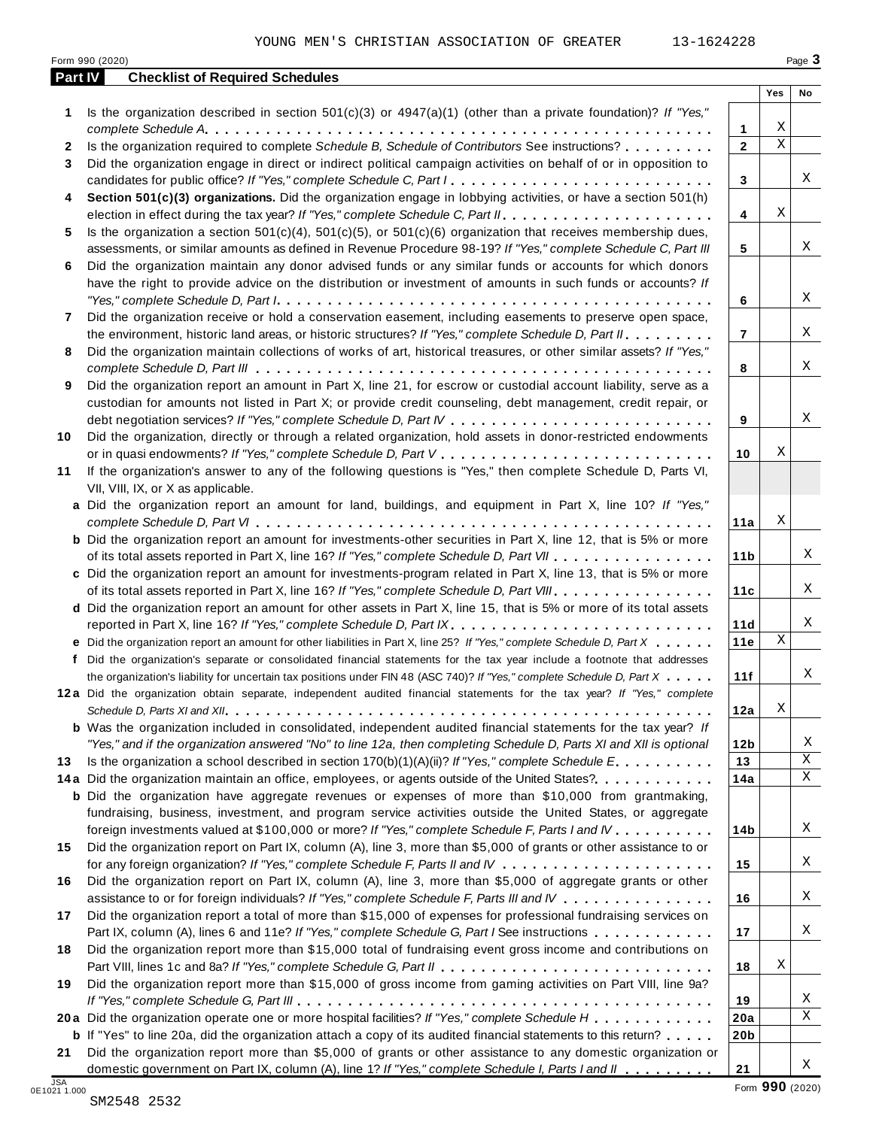|  | 1624228 |  |
|--|---------|--|
|  |         |  |

| Part IV      | Form 990 (2020)<br><b>Checklist of Required Schedules</b>                                                                                                                                                                                   |                     |             | Page 3 |
|--------------|---------------------------------------------------------------------------------------------------------------------------------------------------------------------------------------------------------------------------------------------|---------------------|-------------|--------|
|              |                                                                                                                                                                                                                                             |                     | Yes         | No     |
| 1            | Is the organization described in section $501(c)(3)$ or $4947(a)(1)$ (other than a private foundation)? If "Yes,"                                                                                                                           |                     | Χ           |        |
| $\mathbf{2}$ | Is the organization required to complete Schedule B, Schedule of Contributors See instructions?                                                                                                                                             | 1<br>$\overline{2}$ | $\mathbf X$ |        |
|              |                                                                                                                                                                                                                                             |                     |             |        |
| 3            | Did the organization engage in direct or indirect political campaign activities on behalf of or in opposition to<br>candidates for public office? If "Yes," complete Schedule C, Part I                                                     | 3                   |             | Χ      |
| 4            | Section 501(c)(3) organizations. Did the organization engage in lobbying activities, or have a section 501(h)                                                                                                                               | 4                   | Χ           |        |
| 5.           | Is the organization a section $501(c)(4)$ , $501(c)(5)$ , or $501(c)(6)$ organization that receives membership dues,<br>assessments, or similar amounts as defined in Revenue Procedure 98-19? If "Yes," complete Schedule C, Part III      | 5                   |             | X      |
| 6            | Did the organization maintain any donor advised funds or any similar funds or accounts for which donors                                                                                                                                     |                     |             |        |
|              | have the right to provide advice on the distribution or investment of amounts in such funds or accounts? If                                                                                                                                 | 6                   |             | Χ      |
| 7            | Did the organization receive or hold a conservation easement, including easements to preserve open space,                                                                                                                                   |                     |             |        |
|              | the environment, historic land areas, or historic structures? If "Yes," complete Schedule D, Part II.                                                                                                                                       | $\overline{7}$      |             | Χ      |
| 8            | Did the organization maintain collections of works of art, historical treasures, or other similar assets? If "Yes,"                                                                                                                         | 8                   |             | Χ      |
| 9            | Did the organization report an amount in Part X, line 21, for escrow or custodial account liability, serve as a                                                                                                                             |                     |             |        |
|              | custodian for amounts not listed in Part X; or provide credit counseling, debt management, credit repair, or                                                                                                                                |                     |             |        |
|              |                                                                                                                                                                                                                                             | 9                   |             | Χ      |
| 10           | Did the organization, directly or through a related organization, hold assets in donor-restricted endowments                                                                                                                                | 10                  | Χ           |        |
| 11           | If the organization's answer to any of the following questions is "Yes," then complete Schedule D, Parts VI,<br>VII, VIII, IX, or X as applicable.                                                                                          |                     |             |        |
|              | a Did the organization report an amount for land, buildings, and equipment in Part X, line 10? If "Yes,"                                                                                                                                    |                     |             |        |
|              | <b>b</b> Did the organization report an amount for investments-other securities in Part X, line 12, that is 5% or more                                                                                                                      | 11a                 | Χ           |        |
|              | of its total assets reported in Part X, line 16? If "Yes," complete Schedule D, Part VII                                                                                                                                                    | 11 <sub>b</sub>     |             | Χ      |
|              | c Did the organization report an amount for investments-program related in Part X, line 13, that is 5% or more<br>of its total assets reported in Part X, line 16? If "Yes," complete Schedule D, Part VIII                                 | 11c                 |             | Χ      |
|              | d Did the organization report an amount for other assets in Part X, line 15, that is 5% or more of its total assets                                                                                                                         |                     |             |        |
|              | reported in Part X, line 16? If "Yes," complete Schedule D, Part IX.                                                                                                                                                                        | 11d                 | $\mathbf X$ | Χ      |
|              | e Did the organization report an amount for other liabilities in Part X, line 25? If "Yes," complete Schedule D, Part X                                                                                                                     | 11e                 |             |        |
|              | f Did the organization's separate or consolidated financial statements for the tax year include a footnote that addresses                                                                                                                   |                     |             |        |
|              | the organization's liability for uncertain tax positions under FIN 48 (ASC 740)? If "Yes," complete Schedule D, Part X                                                                                                                      | 11f                 |             | Χ      |
|              | 12a Did the organization obtain separate, independent audited financial statements for the tax year? If "Yes," complete                                                                                                                     | 12a                 | Χ           |        |
|              | <b>b</b> Was the organization included in consolidated, independent audited financial statements for the tax year? If<br>"Yes," and if the organization answered "No" to line 12a, then completing Schedule D, Parts XI and XII is optional | 12 <sub>b</sub>     |             | Χ      |
| 13           | Is the organization a school described in section $170(b)(1)(A)(ii)?$ If "Yes," complete Schedule E                                                                                                                                         | 13                  |             | Χ      |
|              | 14a Did the organization maintain an office, employees, or agents outside of the United States?                                                                                                                                             | 14a                 |             | Χ      |
|              | <b>b</b> Did the organization have aggregate revenues or expenses of more than \$10,000 from grantmaking,<br>fundraising, business, investment, and program service activities outside the United States, or aggregate                      |                     |             |        |
|              | foreign investments valued at \$100,000 or more? If "Yes," complete Schedule F, Parts I and IV<br>Did the organization report on Part IX, column (A), line 3, more than \$5,000 of grants or other assistance to or                         | 14b                 |             | X      |
| 15           |                                                                                                                                                                                                                                             | 15                  |             | X      |
| 16           | Did the organization report on Part IX, column (A), line 3, more than \$5,000 of aggregate grants or other<br>assistance to or for foreign individuals? If "Yes," complete Schedule F, Parts III and IV                                     | 16                  |             | X      |
| 17           | Did the organization report a total of more than \$15,000 of expenses for professional fundraising services on<br>Part IX, column (A), lines 6 and 11e? If "Yes," complete Schedule G, Part I See instructions                              | 17                  |             | X      |
| 18           | Did the organization report more than \$15,000 total of fundraising event gross income and contributions on                                                                                                                                 |                     |             |        |
| 19           | Did the organization report more than \$15,000 of gross income from gaming activities on Part VIII, line 9a?                                                                                                                                | 18                  | Χ           |        |
|              |                                                                                                                                                                                                                                             | 19                  |             | Χ      |
|              | 20a Did the organization operate one or more hospital facilities? If "Yes," complete Schedule H                                                                                                                                             | 20a                 |             | Χ      |
| 21           | <b>b</b> If "Yes" to line 20a, did the organization attach a copy of its audited financial statements to this return?<br>Did the organization report more than \$5,000 of grants or other assistance to any domestic organization or        | 20 <sub>b</sub>     |             |        |
|              | domestic government on Part IX, column (A), line 1? If "Yes," complete Schedule I, Parts I and II                                                                                                                                           | 21                  |             | Χ      |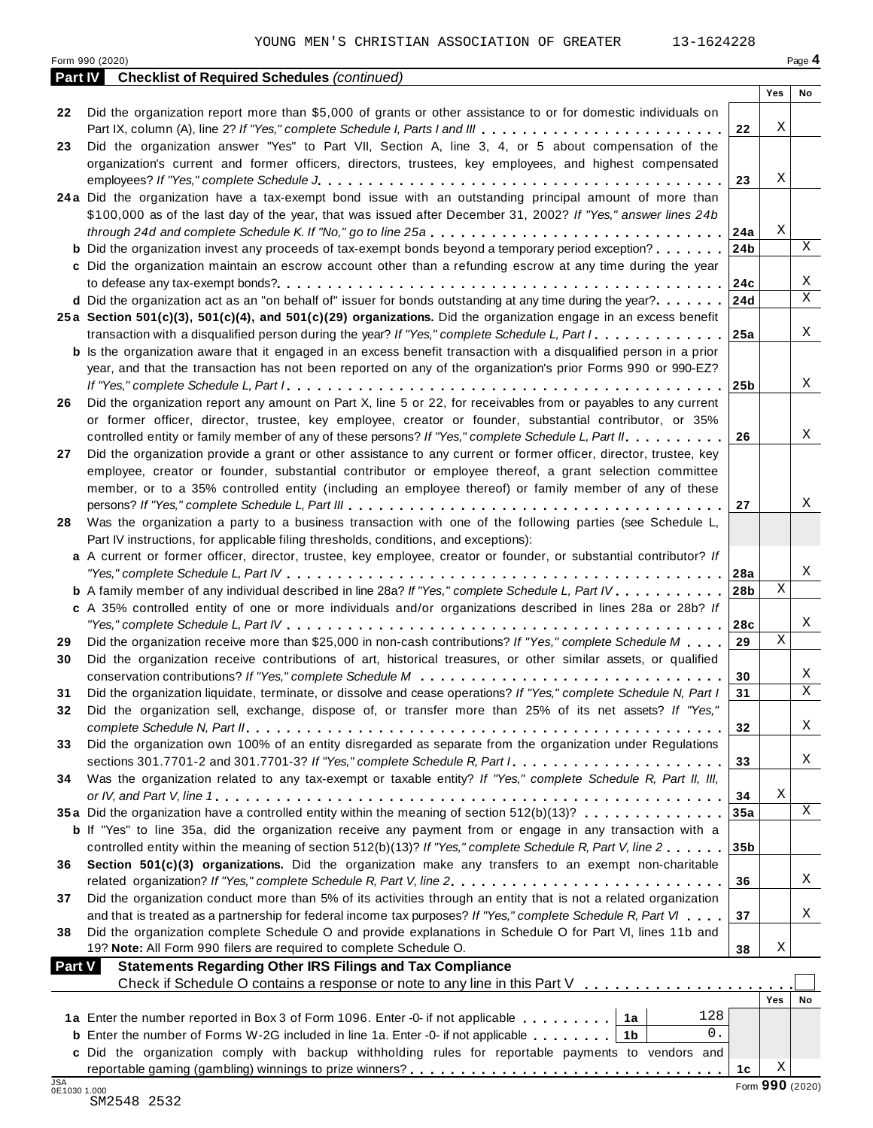|    | 13-1624228<br>YOUNG MEN'S CHRISTIAN ASSOCIATION OF GREATER<br>Form 990 (2020)                                                 |                 |             | Page 4 |
|----|-------------------------------------------------------------------------------------------------------------------------------|-----------------|-------------|--------|
|    | <b>Part IV</b> Checklist of Required Schedules (continued)                                                                    |                 |             |        |
|    |                                                                                                                               |                 | Yes         | No     |
| 22 | Did the organization report more than \$5,000 of grants or other assistance to or for domestic individuals on                 |                 |             |        |
|    | Part IX, column (A), line 2? If "Yes," complete Schedule I, Parts I and III                                                   | 22              | Χ           |        |
| 23 | Did the organization answer "Yes" to Part VII, Section A, line 3, 4, or 5 about compensation of the                           |                 |             |        |
|    | organization's current and former officers, directors, trustees, key employees, and highest compensated                       |                 |             |        |
|    |                                                                                                                               | 23              | Χ           |        |
|    | 24a Did the organization have a tax-exempt bond issue with an outstanding principal amount of more than                       |                 |             |        |
|    |                                                                                                                               |                 |             |        |
|    | \$100,000 as of the last day of the year, that was issued after December 31, 2002? If "Yes," answer lines 24b                 |                 | Χ           |        |
|    | through 24d and complete Schedule K. If "No," go to line 25a $\ldots \ldots \ldots \ldots \ldots \ldots \ldots \ldots \ldots$ |                 |             | X      |
|    | <b>b</b> Did the organization invest any proceeds of tax-exempt bonds beyond a temporary period exception?                    | 24 <sub>b</sub> |             |        |
|    | c Did the organization maintain an escrow account other than a refunding escrow at any time during the year                   |                 |             |        |
|    |                                                                                                                               | 24с             |             | Χ      |
|    | d Did the organization act as an "on behalf of" issuer for bonds outstanding at any time during the year?                     | 24d             |             | X      |
|    | 25a Section 501(c)(3), 501(c)(4), and 501(c)(29) organizations. Did the organization engage in an excess benefit              |                 |             |        |
|    | transaction with a disqualified person during the year? If "Yes," complete Schedule L, Part I                                 | 25a             |             | Χ      |
|    | <b>b</b> Is the organization aware that it engaged in an excess benefit transaction with a disqualified person in a prior     |                 |             |        |
|    | year, and that the transaction has not been reported on any of the organization's prior Forms 990 or 990-EZ?                  |                 |             |        |
|    |                                                                                                                               | 25b             |             | Χ      |
| 26 | Did the organization report any amount on Part X, line 5 or 22, for receivables from or payables to any current               |                 |             |        |
|    | or former officer, director, trustee, key employee, creator or founder, substantial contributor, or 35%                       |                 |             |        |
|    | controlled entity or family member of any of these persons? If "Yes," complete Schedule L, Part II.                           | 26              |             | Χ      |
| 27 | Did the organization provide a grant or other assistance to any current or former officer, director, trustee, key             |                 |             |        |
|    | employee, creator or founder, substantial contributor or employee thereof, a grant selection committee                        |                 |             |        |
|    | member, or to a 35% controlled entity (including an employee thereof) or family member of any of these                        |                 |             |        |
|    |                                                                                                                               | 27              |             | Χ      |
|    | Was the organization a party to a business transaction with one of the following parties (see Schedule L,                     |                 |             |        |
| 28 | Part IV instructions, for applicable filing thresholds, conditions, and exceptions):                                          |                 |             |        |
|    | a A current or former officer, director, trustee, key employee, creator or founder, or substantial contributor? If            |                 |             |        |
|    |                                                                                                                               |                 |             | Χ      |
|    |                                                                                                                               | 28a             | $\mathbf X$ |        |
|    | <b>b</b> A family member of any individual described in line 28a? If "Yes," complete Schedule L, Part IV.                     | 28 <sub>b</sub> |             |        |
|    | c A 35% controlled entity of one or more individuals and/or organizations described in lines 28a or 28b? If                   |                 |             |        |
|    |                                                                                                                               | 28c             |             | Χ      |
|    | Did the organization receive more than \$25,000 in non-cash contributions? If "Yes," complete Schedule M                      | 29              | $\mathbf X$ |        |
|    | Did the organization receive contributions of art, historical treasures, or other similar assets, or qualified                |                 |             |        |
|    |                                                                                                                               | 30              |             | Χ      |
|    | Did the organization liquidate, terminate, or dissolve and cease operations? If "Yes," complete Schedule N, Part I            | 31              |             | Χ      |
| 32 | Did the organization sell, exchange, dispose of, or transfer more than 25% of its net assets? If "Yes,"                       |                 |             |        |
|    |                                                                                                                               | 32              |             | Χ      |
|    | Did the organization own 100% of an entity disregarded as separate from the organization under Regulations                    |                 |             |        |
|    | sections 301.7701-2 and 301.7701-3? If "Yes," complete Schedule R, Part /                                                     | 33              |             | Χ      |
| 34 | Was the organization related to any tax-exempt or taxable entity? If "Yes," complete Schedule R, Part II, III,                |                 |             |        |
|    |                                                                                                                               | 34              | Χ           |        |
|    | 35a Did the organization have a controlled entity within the meaning of section 512(b)(13)?                                   | 35a             |             | Χ      |
|    | b If "Yes" to line 35a, did the organization receive any payment from or engage in any transaction with a                     |                 |             |        |
|    | controlled entity within the meaning of section 512(b)(13)? If "Yes," complete Schedule R, Part V, line 2                     | 35 <sub>b</sub> |             |        |
| 36 | Section 501(c)(3) organizations. Did the organization make any transfers to an exempt non-charitable                          |                 |             |        |
|    |                                                                                                                               | 36              |             | Χ      |
|    | Did the organization conduct more than 5% of its activities through an entity that is not a related organization              |                 |             |        |
| 37 |                                                                                                                               |                 |             | Χ      |
|    | and that is treated as a partnership for federal income tax purposes? If "Yes," complete Schedule R, Part VI                  | 37              |             |        |
|    | Did the organization complete Schedule O and provide explanations in Schedule O for Part VI, lines 11b and                    |                 |             |        |
|    | 19? Note: All Form 990 filers are required to complete Schedule O.                                                            | 38              | Χ           |        |
|    | <b>Statements Regarding Other IRS Filings and Tax Compliance</b><br><b>Part V</b>                                             |                 |             |        |
|    | Check if Schedule O contains a response or note to any line in this Part V $\ldots$ ,                                         |                 |             |        |
|    |                                                                                                                               |                 | Yes         | No     |
|    | 128                                                                                                                           |                 |             |        |
|    | $0$ .<br><b>b</b> Enter the number of Forms W-2G included in line 1a. Enter -0- if not applicable $\ldots \ldots$ ,           |                 |             |        |
|    |                                                                                                                               |                 |             |        |
|    | c Did the organization comply with backup withholding rules for reportable payments to vendors and                            |                 | Χ           |        |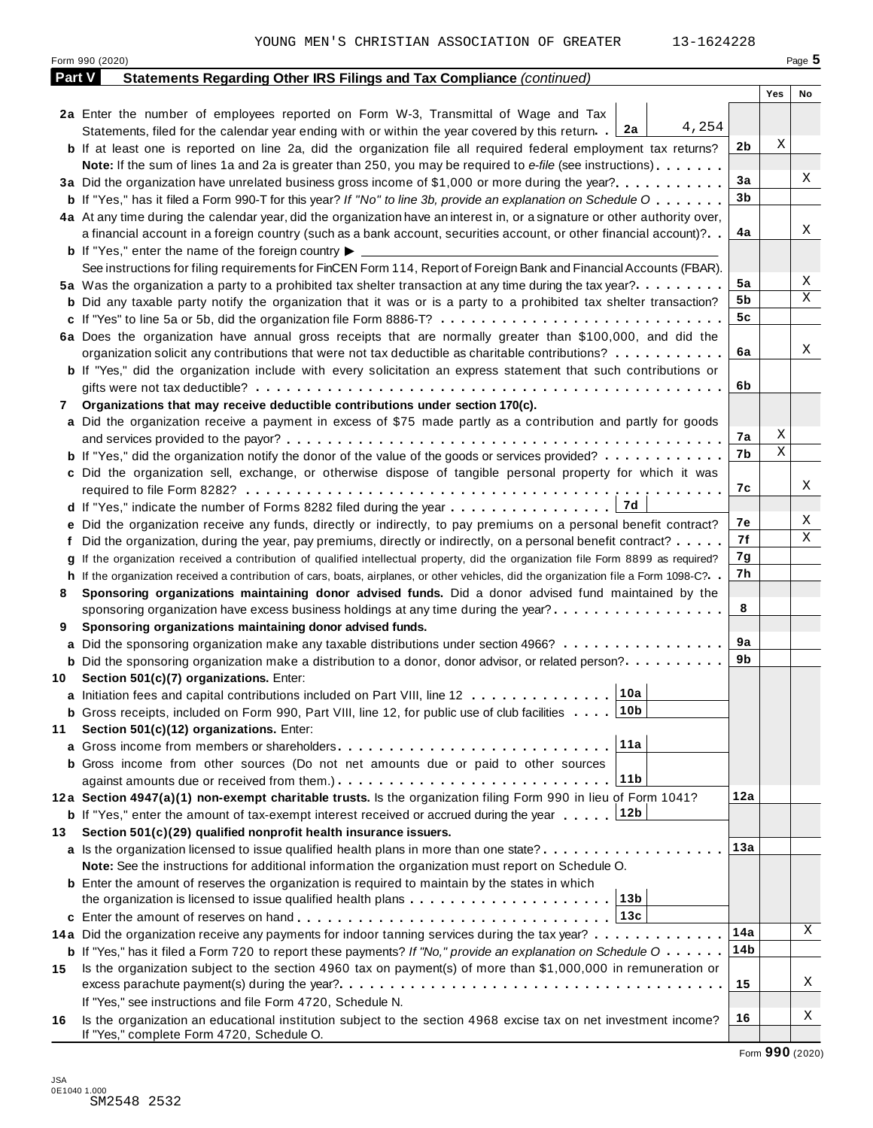|               | YOUNG MEN'S CHRISTIAN ASSOCIATION OF GREATER<br>13-1624228<br>Form 990 (2020)                                                                                |     |     | Page $5$ |
|---------------|--------------------------------------------------------------------------------------------------------------------------------------------------------------|-----|-----|----------|
| <b>Part V</b> | Statements Regarding Other IRS Filings and Tax Compliance (continued)                                                                                        |     |     |          |
|               |                                                                                                                                                              |     | Yes | No       |
|               | 2a Enter the number of employees reported on Form W-3, Transmittal of Wage and Tax                                                                           |     |     |          |
|               | 4,254<br>Statements, filed for the calendar year ending with or within the year covered by this return. 2a                                                   |     |     |          |
|               | <b>b</b> If at least one is reported on line 2a, did the organization file all required federal employment tax returns?                                      | 2b  | Χ   |          |
|               | Note: If the sum of lines 1a and 2a is greater than 250, you may be required to e-file (see instructions)                                                    |     |     |          |
|               | 3a Did the organization have unrelated business gross income of \$1,000 or more during the year?                                                             | 3a  |     | Χ        |
|               | <b>b</b> If "Yes," has it filed a Form 990-T for this year? If "No" to line 3b, provide an explanation on Schedule O                                         | 3b  |     |          |
|               | 4a At any time during the calendar year, did the organization have an interest in, or a signature or other authority over,                                   |     |     |          |
|               | a financial account in a foreign country (such as a bank account, securities account, or other financial account)?                                           | 4a  |     | Χ        |
|               | <b>b</b> If "Yes," enter the name of the foreign country $\blacktriangleright$                                                                               |     |     |          |
|               | See instructions for filing requirements for FinCEN Form 114, Report of Foreign Bank and Financial Accounts (FBAR).                                          |     |     |          |
|               | 5a Was the organization a party to a prohibited tax shelter transaction at any time during the tax year?                                                     | 5a  |     | Χ        |
|               | <b>b</b> Did any taxable party notify the organization that it was or is a party to a prohibited tax shelter transaction?                                    | 5b  |     | X        |
|               |                                                                                                                                                              | 5c  |     |          |
|               | 6a Does the organization have annual gross receipts that are normally greater than \$100,000, and did the                                                    |     |     |          |
|               | organization solicit any contributions that were not tax deductible as charitable contributions?                                                             | 6a  |     | Χ        |
|               | <b>b</b> If "Yes," did the organization include with every solicitation an express statement that such contributions or                                      |     |     |          |
|               |                                                                                                                                                              | 6b  |     |          |
| 7             | Organizations that may receive deductible contributions under section 170(c).                                                                                |     |     |          |
|               | a Did the organization receive a payment in excess of \$75 made partly as a contribution and partly for goods                                                |     |     |          |
|               |                                                                                                                                                              | 7а  | Χ   |          |
|               | <b>b</b> If "Yes," did the organization notify the donor of the value of the goods or services provided?                                                     | 7b  | X   |          |
|               | c Did the organization sell, exchange, or otherwise dispose of tangible personal property for which it was                                                   |     |     |          |
|               |                                                                                                                                                              | 7с  |     | Χ        |
|               |                                                                                                                                                              |     |     |          |
|               | e Did the organization receive any funds, directly or indirectly, to pay premiums on a personal benefit contract?                                            | 7е  |     | Χ        |
|               | f Did the organization, during the year, pay premiums, directly or indirectly, on a personal benefit contract?                                               | 7f  |     | Χ        |
| g             | If the organization received a contribution of qualified intellectual property, did the organization file Form 8899 as required?                             | 7g  |     |          |
|               | h If the organization received a contribution of cars, boats, airplanes, or other vehicles, did the organization file a Form 1098-C?. .                      | 7h  |     |          |
| 8             | Sponsoring organizations maintaining donor advised funds. Did a donor advised fund maintained by the                                                         |     |     |          |
|               | sponsoring organization have excess business holdings at any time during the year?                                                                           | 8   |     |          |
| 9             | Sponsoring organizations maintaining donor advised funds.                                                                                                    |     |     |          |
|               | a Did the sponsoring organization make any taxable distributions under section 4966?                                                                         | 9a  |     |          |
|               | <b>b</b> Did the sponsoring organization make a distribution to a donor, donor advisor, or related person?                                                   | 9b  |     |          |
| 10            | Section 501(c)(7) organizations. Enter:                                                                                                                      |     |     |          |
|               | 10a<br>a Initiation fees and capital contributions included on Part VIII, line 12                                                                            |     |     |          |
|               | 10 <sub>b</sub><br><b>b</b> Gross receipts, included on Form 990, Part VIII, line 12, for public use of club facilities                                      |     |     |          |
| 11            | Section 501(c)(12) organizations. Enter:                                                                                                                     |     |     |          |
| a             | 11a                                                                                                                                                          |     |     |          |
|               | <b>b</b> Gross income from other sources (Do not net amounts due or paid to other sources                                                                    |     |     |          |
|               | 11b                                                                                                                                                          |     |     |          |
|               | 12a Section 4947(a)(1) non-exempt charitable trusts. Is the organization filing Form 990 in lieu of Form 1041?                                               | 12a |     |          |
|               | <b>b</b> If "Yes," enter the amount of tax-exempt interest received or accrued during the year 12b                                                           |     |     |          |
| 13            | Section 501(c)(29) qualified nonprofit health insurance issuers.                                                                                             |     |     |          |
|               | a Is the organization licensed to issue qualified health plans in more than one state?                                                                       | 13а |     |          |
|               | Note: See the instructions for additional information the organization must report on Schedule O.                                                            |     |     |          |
|               | <b>b</b> Enter the amount of reserves the organization is required to maintain by the states in which                                                        |     |     |          |
|               | 13 <sub>b</sub><br>the organization is licensed to issue qualified health plans                                                                              |     |     |          |
|               | 13c<br>c Enter the amount of reserves on hand                                                                                                                |     |     | Χ        |
|               | 14a Did the organization receive any payments for indoor tanning services during the tax year?                                                               | 14a |     |          |
|               | <b>b</b> If "Yes," has it filed a Form 720 to report these payments? If "No," provide an explanation on Schedule $0 \cdot \cdot \cdot \cdot$                 | 14b |     |          |
| 15            | Is the organization subject to the section 4960 tax on payment(s) of more than \$1,000,000 in remuneration or                                                |     |     | Χ        |
|               | If "Yes," see instructions and file Form 4720, Schedule N.                                                                                                   | 15  |     |          |
|               |                                                                                                                                                              | 16  |     | Χ        |
| 16            | Is the organization an educational institution subject to the section 4968 excise tax on net investment income?<br>If "Yes," complete Form 4720, Schedule O. |     |     |          |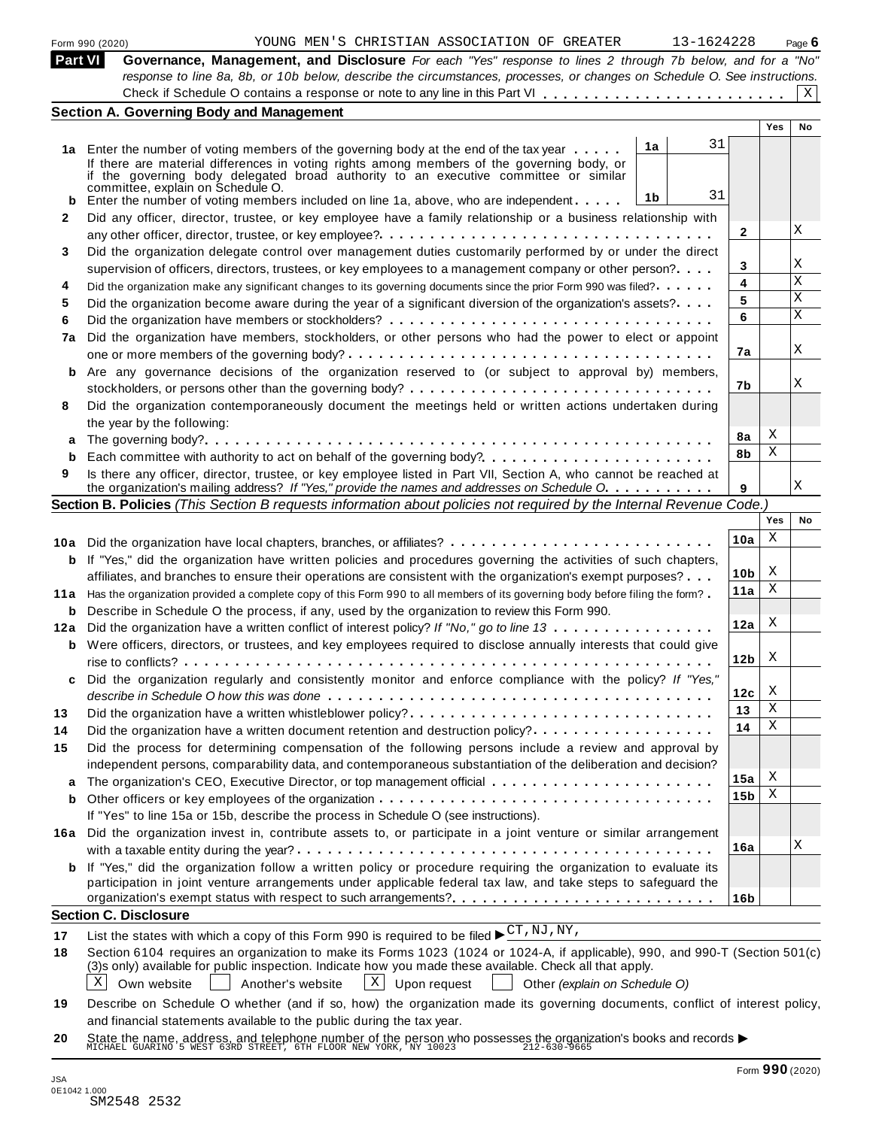|  | Form 990 (2020) |
|--|-----------------|

|                 | Section A. Governing Body and Management                                                                                                                                                                                                |                                              |            |        |
|-----------------|-----------------------------------------------------------------------------------------------------------------------------------------------------------------------------------------------------------------------------------------|----------------------------------------------|------------|--------|
|                 | Governance, Management, and Disclosure For each "Yes" response to lines 2 through 7b below, and for a "No"<br>response to line 8a, 8b, or 10b below, describe the circumstances, processes, or changes on Schedule O. See instructions. |                                              |            |        |
| Part VI         |                                                                                                                                                                                                                                         |                                              |            |        |
| Form 990 (2020) |                                                                                                                                                                                                                                         | YOUNG MEN'S CHRISTIAN ASSOCIATION OF GREATER | 13-1624228 | Page 6 |
|                 |                                                                                                                                                                                                                                         |                                              |            |        |

| <b>Part VI</b> | Governance, Management, and Disclosure For each "Yes" response to lines 2 through 7b below, and for a "No"                            |                 |     |              |
|----------------|---------------------------------------------------------------------------------------------------------------------------------------|-----------------|-----|--------------|
|                | response to line 8a, 8b, or 10b below, describe the circumstances, processes, or changes on Schedule O. See instructions.             |                 |     |              |
|                |                                                                                                                                       |                 |     | $\mathbf{X}$ |
|                | <b>Section A. Governing Body and Management</b>                                                                                       |                 |     |              |
|                |                                                                                                                                       |                 | Yes | No           |
|                | 31<br>1a<br>1a Enter the number of voting members of the governing body at the end of the tax year                                    |                 |     |              |
|                | If there are material differences in voting rights among members of the governing body, or                                            |                 |     |              |
|                | if the governing body delegated broad authority to an executive committee or similar<br>committee, explain on Schedule O.             |                 |     |              |
| b              | 31<br>1b<br>Enter the number of voting members included on line 1a, above, who are independent                                        |                 |     |              |
| 2              | Did any officer, director, trustee, or key employee have a family relationship or a business relationship with                        |                 |     |              |
|                |                                                                                                                                       | $\mathbf{2}$    |     | Χ            |
| 3              | Did the organization delegate control over management duties customarily performed by or under the direct                             |                 |     |              |
|                | supervision of officers, directors, trustees, or key employees to a management company or other person?                               | 3               |     | Χ            |
| 4              | Did the organization make any significant changes to its governing documents since the prior Form 990 was filed?                      | 4               |     | $\mathbf X$  |
| 5              | Did the organization become aware during the year of a significant diversion of the organization's assets?                            | 5               |     | X            |
| 6              |                                                                                                                                       | 6               |     | X            |
| 7a             | Did the organization have members, stockholders, or other persons who had the power to elect or appoint                               |                 |     |              |
|                |                                                                                                                                       | 7a              |     | Χ            |
| b              | Are any governance decisions of the organization reserved to (or subject to approval by) members,                                     |                 |     |              |
|                |                                                                                                                                       | 7b              |     | Χ            |
| 8              | Did the organization contemporaneously document the meetings held or written actions undertaken during                                |                 |     |              |
|                | the year by the following:                                                                                                            |                 |     |              |
| а              |                                                                                                                                       | 8a              | Χ   |              |
| b              | Each committee with authority to act on behalf of the governing body?                                                                 | 8b              | Χ   |              |
| 9              | Is there any officer, director, trustee, or key employee listed in Part VII, Section A, who cannot be reached at                      |                 |     |              |
|                | the organization's mailing address? If "Yes," provide the names and addresses on Schedule O.                                          | 9               |     | Χ            |
|                | Section B. Policies (This Section B requests information about policies not required by the Internal Revenue Code.)                   |                 |     |              |
|                |                                                                                                                                       |                 | Yes | No           |
|                |                                                                                                                                       | 10a             | Χ   |              |
|                | 10a Did the organization have local chapters, branches, or affiliates?                                                                |                 |     |              |
| b              | If "Yes," did the organization have written policies and procedures governing the activities of such chapters,                        | 10 <sub>b</sub> | Χ   |              |
|                | affiliates, and branches to ensure their operations are consistent with the organization's exempt purposes?                           | 11a             | Χ   |              |
| 11a            | Has the organization provided a complete copy of this Form 990 to all members of its governing body before filing the form?           |                 |     |              |
| b              | Describe in Schedule O the process, if any, used by the organization to review this Form 990.                                         | 12a             | Χ   |              |
| 12a            | Did the organization have a written conflict of interest policy? If "No," go to line 13                                               |                 |     |              |
| b              | Were officers, directors, or trustees, and key employees required to disclose annually interests that could give                      | 12 <sub>b</sub> | X   |              |
|                |                                                                                                                                       |                 |     |              |
| c              | Did the organization regularly and consistently monitor and enforce compliance with the policy? If "Yes,"                             | 12c             | х   |              |
|                | describe in Schedule O how this was done $\ldots \ldots \ldots \ldots \ldots \ldots \ldots \ldots \ldots \ldots \ldots \ldots \ldots$ | 13              | Χ   |              |
| 13             |                                                                                                                                       | 14              | Χ   |              |
| 14             | Did the organization have a written document retention and destruction policy?                                                        |                 |     |              |
| 15             | Did the process for determining compensation of the following persons include a review and approval by                                |                 |     |              |
|                | independent persons, comparability data, and contemporaneous substantiation of the deliberation and decision?                         | 15a             | X   |              |
| a              | The organization's CEO, Executive Director, or top management official                                                                | 15 <sub>b</sub> | Χ   |              |
| b              |                                                                                                                                       |                 |     |              |
|                | If "Yes" to line 15a or 15b, describe the process in Schedule O (see instructions).                                                   |                 |     |              |
| 16a            | Did the organization invest in, contribute assets to, or participate in a joint venture or similar arrangement                        |                 |     | Χ            |
|                |                                                                                                                                       | 16a             |     |              |
|                | If "Yes," did the organization follow a written policy or procedure requiring the organization to evaluate its                        |                 |     |              |
|                | participation in joint venture arrangements under applicable federal tax law, and take steps to safeguard the                         |                 |     |              |
|                |                                                                                                                                       | 16 <sub>b</sub> |     |              |
|                | <b>Section C. Disclosure</b>                                                                                                          |                 |     |              |
| 17             | List the states with which a copy of this Form 990 is required to be filed $\blacktriangleright^{\mathrm{CT}}$ , NJ, NY,              |                 |     |              |
| 18             | Section 6104 requires an organization to make its Forms 1023 (1024 or 1024-A, if applicable), 990, and 990-T (Section 501(c)          |                 |     |              |

**18** (3)s only) available for public inspection. Indicate how you made these available. Check all that apply. on 6104 requires an organization to make its Forms 1023 (1024 or 1024-A, if applicable), 990, and 9<br>nly) available for public inspection. Indicate how you made these available. Check all that apply.<br>Own website <u>Another's </u>

 $\boxed{\text{X}}$  Own website  $\boxed{\text{X}}$  Another's website  $\boxed{\text{X}}$  Upon request

**19** Describe on Schedule O whether (and if so, how) the organization made its governing documents, conflict of interest policy, and financial statements available to the public during the tax year.

**20** and infancial statements available to the public during the tax year.<br>State the name, address, and telephone number of the person who possesses the organization's books and records<br>MICHAEL GUARINO 5 WEST 63RD STREET, 6TH F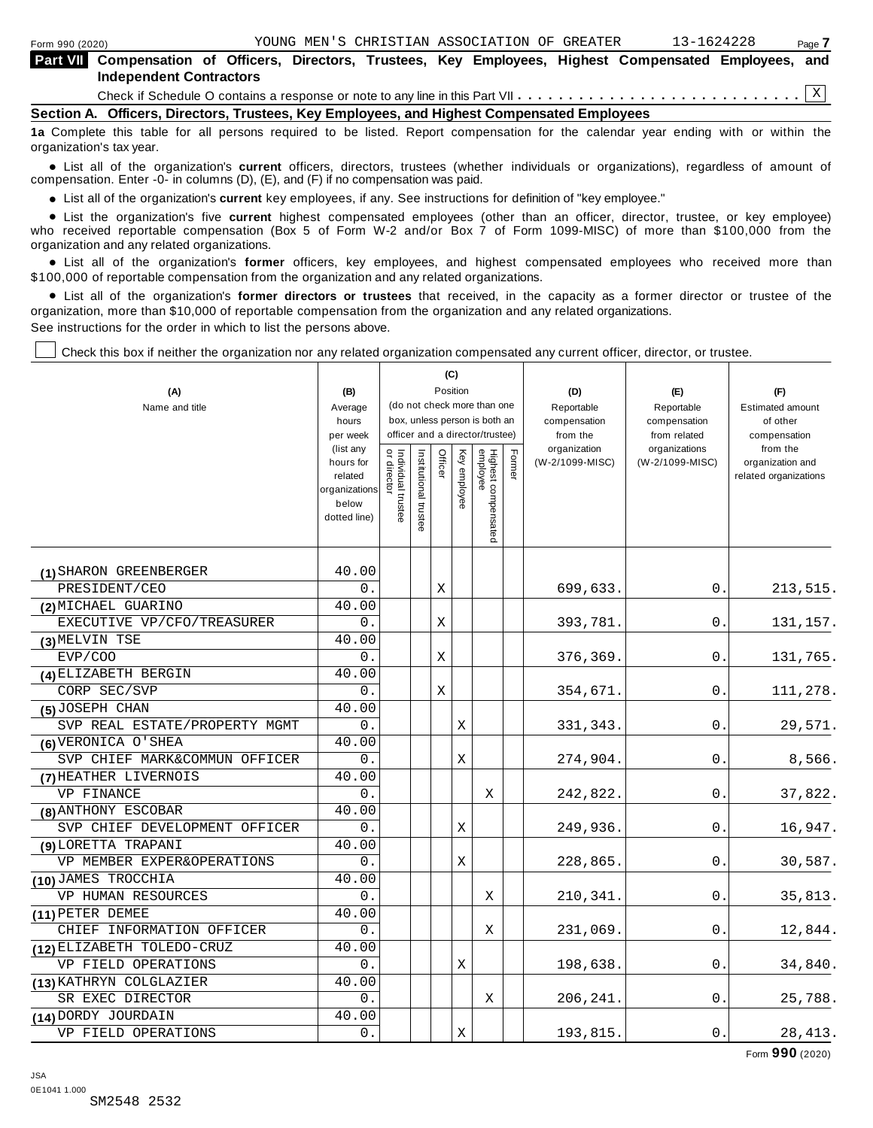| Form 990 (2020)                                                                                                                             |                                                                                            |  | YOUNG MEN'S CHRISTIAN ASSOCIATION OF GREATER |  | 13-1624228 | Page 7 |  |  |  |  |
|---------------------------------------------------------------------------------------------------------------------------------------------|--------------------------------------------------------------------------------------------|--|----------------------------------------------|--|------------|--------|--|--|--|--|
| Part VII Compensation of Officers, Directors, Trustees, Key Employees, Highest Compensated Employees, and<br><b>Independent Contractors</b> |                                                                                            |  |                                              |  |            |        |  |  |  |  |
|                                                                                                                                             |                                                                                            |  |                                              |  |            |        |  |  |  |  |
|                                                                                                                                             | Section A. Officers, Directors, Trustees, Key Employees, and Highest Compensated Employees |  |                                              |  |            |        |  |  |  |  |
| da Associate tite takie fes ali sessono sembesi te ke Ketal. Desem sessonogethe fes the seleccion mas sembes mither the                     |                                                                                            |  |                                              |  |            |        |  |  |  |  |

**1a** Complete this table for all persons required to be listed. Report compensation for the calendar year ending with or within the organization's tax year.

anization's lax year.<br>● List all of the organization's **current** officers, directors, trustees (whether individuals or organizations), regardless of amount of<br>nnensation Enter -0- in columns (D) (E) and (E) if no compensa compensation. Enter -0- in columns (D), (E), and (F) if no compensation was paid.

• List all of the organization's current key employees, if any. See instructions for definition of "key employee."

■ List all of the organization's current key employees, if any. See instructions for definition of "key employee."<br>■ List the organization's five current highest compensated employees (other than an officer, director, tru who received reportable compensation (Box 5 of Form W-2 and/or Box 7 of Form 1099-MISC) of more than \$100,000 from the organization and any related organizations.

organization and any related organizations.<br>• List all of the organization's **former** officers, key employees, and highest compensated employees who received more than<br>\$1.00.000 of reportable componention from the erganiza \$100,000 of reportable compensation from the organization and any related organizations.

% List all of the organization's **former directors or trustees** that received, in the capacity as a former director or trustee of the organization, more than \$10,000 of reportable compensation from the organization and any related organizations. See instructions for the order in which to list the persons above.

Check this box if neither the organization nor any related organization compensated any current officer, director, or trustee.

|                               |                       |                                   |                       | (C)      |          |                                 |        |                          |                               |                          |
|-------------------------------|-----------------------|-----------------------------------|-----------------------|----------|----------|---------------------------------|--------|--------------------------|-------------------------------|--------------------------|
| (A)                           | (B)                   |                                   |                       | Position |          |                                 |        | (D)                      | (E)                           | (F)                      |
| Name and title                | Average               |                                   |                       |          |          | (do not check more than one     |        | Reportable               | Reportable                    | <b>Estimated amount</b>  |
|                               | hours                 |                                   |                       |          |          | box, unless person is both an   |        | compensation             | compensation                  | of other                 |
|                               | per week<br>(list any |                                   |                       |          |          | officer and a director/trustee) |        | from the<br>organization | from related<br>organizations | compensation<br>from the |
|                               | hours for             | Individual trustee<br>or director | Institutional trustee | Officer  | Key      |                                 | Former | (W-2/1099-MISC)          | (W-2/1099-MISC)               | organization and         |
|                               | related               |                                   |                       |          | employee |                                 |        |                          |                               | related organizations    |
|                               | organizations         |                                   |                       |          |          |                                 |        |                          |                               |                          |
|                               | below<br>dotted line) |                                   |                       |          |          |                                 |        |                          |                               |                          |
|                               |                       |                                   |                       |          |          | Highest compensated<br>employee |        |                          |                               |                          |
|                               |                       |                                   |                       |          |          |                                 |        |                          |                               |                          |
| (1) SHARON GREENBERGER        | 40.00                 |                                   |                       |          |          |                                 |        |                          |                               |                          |
| PRESIDENT/CEO                 | 0.                    |                                   |                       | Χ        |          |                                 |        | 699,633.                 | 0.                            | 213,515.                 |
| (2) MICHAEL GUARINO           | 40.00                 |                                   |                       |          |          |                                 |        |                          |                               |                          |
| EXECUTIVE VP/CFO/TREASURER    | 0.                    |                                   |                       | X        |          |                                 |        | 393,781.                 | 0.                            | 131,157.                 |
| (3) MELVIN TSE                | 40.00                 |                                   |                       |          |          |                                 |        |                          |                               |                          |
| EVP/COO                       | 0.                    |                                   |                       | X        |          |                                 |        | 376,369                  | 0.                            | 131,765.                 |
| (4) ELIZABETH BERGIN          | 40.00                 |                                   |                       |          |          |                                 |        |                          |                               |                          |
| CORP SEC/SVP                  | 0.                    |                                   |                       | Χ        |          |                                 |        | 354,671.                 | 0.                            | 111,278.                 |
| (5) JOSEPH CHAN               | 40.00                 |                                   |                       |          |          |                                 |        |                          |                               |                          |
| SVP REAL ESTATE/PROPERTY MGMT | 0.                    |                                   |                       |          | Χ        |                                 |        | 331,343.                 | 0.                            | 29,571.                  |
| (6) VERONICA O'SHEA           | 40.00                 |                                   |                       |          |          |                                 |        |                          |                               |                          |
| SVP CHIEF MARK&COMMUN OFFICER | 0.                    |                                   |                       |          | Χ        |                                 |        | 274,904.                 | $\mathbf{0}$ .                | 8,566.                   |
| (7) HEATHER LIVERNOIS         | 40.00                 |                                   |                       |          |          |                                 |        |                          |                               |                          |
| VP FINANCE                    | 0.                    |                                   |                       |          |          | X                               |        | 242,822.                 | 0.                            | 37,822.                  |
| (8) ANTHONY ESCOBAR           | 40.00                 |                                   |                       |          |          |                                 |        |                          |                               |                          |
| SVP CHIEF DEVELOPMENT OFFICER | 0.                    |                                   |                       |          | Χ        |                                 |        | 249,936.                 | 0.                            | 16,947.                  |
| (9) LORETTA TRAPANI           | 40.00                 |                                   |                       |          |          |                                 |        |                          |                               |                          |
| VP MEMBER EXPER&OPERATIONS    | 0.                    |                                   |                       |          | Χ        |                                 |        | 228,865.                 | 0.                            | 30,587.                  |
| (10) JAMES TROCCHIA           | 40.00                 |                                   |                       |          |          |                                 |        |                          |                               |                          |
| VP HUMAN RESOURCES            | 0.                    |                                   |                       |          |          | X                               |        | 210,341.                 | $\overline{0}$ .              | 35,813.                  |
| (11) PETER DEMEE              | 40.00                 |                                   |                       |          |          |                                 |        |                          |                               |                          |
| CHIEF INFORMATION OFFICER     | 0.                    |                                   |                       |          |          | X                               |        | 231,069.                 | $0$ .                         | 12,844.                  |
| (12) ELIZABETH TOLEDO-CRUZ    | 40.00                 |                                   |                       |          |          |                                 |        |                          |                               |                          |
| VP FIELD OPERATIONS           | 0.                    |                                   |                       |          | Χ        |                                 |        | 198,638.                 | 0.                            | 34,840.                  |
| (13) KATHRYN COLGLAZIER       | 40.00                 |                                   |                       |          |          |                                 |        |                          |                               |                          |
| SR EXEC DIRECTOR              | 0.                    |                                   |                       |          |          | Χ                               |        | 206,241.                 | $0$ .                         | 25,788.                  |
| (14) DORDY JOURDAIN           | 40.00                 |                                   |                       |          |          |                                 |        |                          |                               |                          |
| VP FIELD OPERATIONS           | 0.                    |                                   |                       |          | Χ        |                                 |        | 193,815.                 | 0.                            | 28, 413.                 |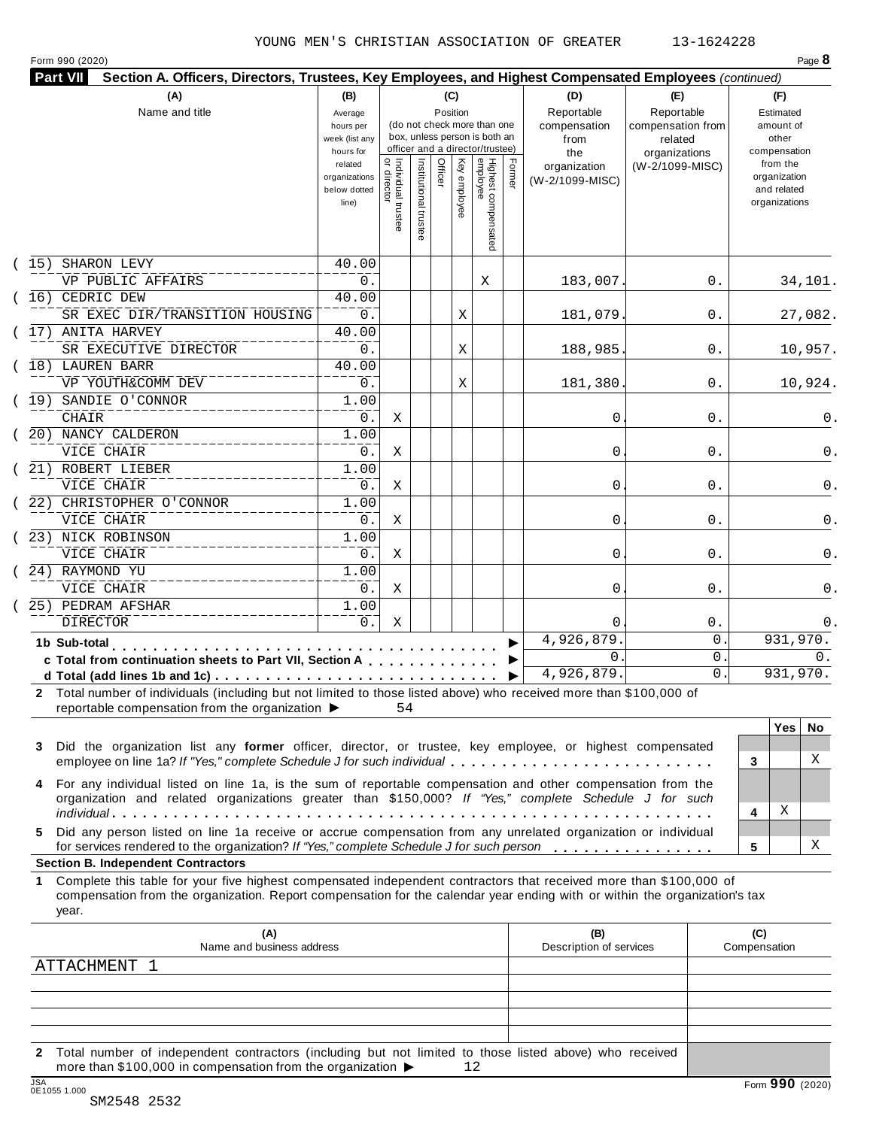|      |                                                                                                                                                                                                                                                                                                        |                                                                |                                     |                       |                 |              |                                                                    |        | Section A. Officers, Directors, Trustees, Key Employees, and Highest Compensated Employees (continued) |                                                   |                     |                                                                          |
|------|--------------------------------------------------------------------------------------------------------------------------------------------------------------------------------------------------------------------------------------------------------------------------------------------------------|----------------------------------------------------------------|-------------------------------------|-----------------------|-----------------|--------------|--------------------------------------------------------------------|--------|--------------------------------------------------------------------------------------------------------|---------------------------------------------------|---------------------|--------------------------------------------------------------------------|
|      | (A)<br>Name and title                                                                                                                                                                                                                                                                                  | (B)<br>Average<br>hours per<br>week (list any                  |                                     |                       | (C)<br>Position |              | (do not check more than one<br>box, unless person is both an       |        | (D)<br>Reportable<br>compensation<br>from                                                              | (E)<br>Reportable<br>compensation from<br>related |                     | (F)<br>Estimated<br>amount of<br>other                                   |
|      |                                                                                                                                                                                                                                                                                                        | hours for<br>related<br>organizations<br>below dotted<br>line) | Individual trustee<br>  or director | Institutional trustee | Officer         | Key employee | officer and a director/trustee)<br>Highest compensated<br>employee | Former | the<br>organization<br>(W-2/1099-MISC)                                                                 | organizations<br>(W-2/1099-MISC)                  |                     | compensation<br>from the<br>organization<br>and related<br>organizations |
| (15) | SHARON LEVY                                                                                                                                                                                                                                                                                            | 40.00                                                          |                                     |                       |                 |              |                                                                    |        |                                                                                                        |                                                   |                     |                                                                          |
|      | VP PUBLIC AFFAIRS                                                                                                                                                                                                                                                                                      | 0.                                                             |                                     |                       |                 |              | Χ                                                                  |        | 183,007.                                                                                               | 0.                                                |                     | 34,101.                                                                  |
|      | (16) CEDRIC DEW                                                                                                                                                                                                                                                                                        | 40.00                                                          |                                     |                       |                 |              |                                                                    |        |                                                                                                        |                                                   |                     |                                                                          |
|      | SR EXEC DIR/TRANSITION HOUSING                                                                                                                                                                                                                                                                         | 0.                                                             |                                     |                       |                 | Χ            |                                                                    |        | 181,079                                                                                                | 0.                                                |                     | 27,082.                                                                  |
|      | (17) ANITA HARVEY                                                                                                                                                                                                                                                                                      | 40.00                                                          |                                     |                       |                 |              |                                                                    |        |                                                                                                        |                                                   |                     |                                                                          |
|      | SR EXECUTIVE DIRECTOR                                                                                                                                                                                                                                                                                  | 0.                                                             |                                     |                       |                 | Χ            |                                                                    |        | 188,985                                                                                                | 0.                                                |                     | 10,957.                                                                  |
|      | (18) LAUREN BARR                                                                                                                                                                                                                                                                                       | 40.00                                                          |                                     |                       |                 |              |                                                                    |        |                                                                                                        |                                                   |                     |                                                                          |
|      | VP YOUTH&COMM DEV                                                                                                                                                                                                                                                                                      | 0.                                                             |                                     |                       |                 | Χ            |                                                                    |        | 181,380                                                                                                | 0.                                                |                     | 10,924.                                                                  |
|      | (19) SANDIE O'CONNOR                                                                                                                                                                                                                                                                                   | 1.00                                                           |                                     |                       |                 |              |                                                                    |        |                                                                                                        |                                                   |                     |                                                                          |
|      | CHAIR                                                                                                                                                                                                                                                                                                  | 0.                                                             | Χ                                   |                       |                 |              |                                                                    |        | 0                                                                                                      | 0.                                                |                     | 0.                                                                       |
|      | (20) NANCY CALDERON                                                                                                                                                                                                                                                                                    | 1.00                                                           |                                     |                       |                 |              |                                                                    |        |                                                                                                        |                                                   |                     |                                                                          |
|      | VICE CHAIR                                                                                                                                                                                                                                                                                             | 0.                                                             | Χ                                   |                       |                 |              |                                                                    |        | 0                                                                                                      | 0.                                                |                     | 0.                                                                       |
|      | (21) ROBERT LIEBER                                                                                                                                                                                                                                                                                     | 1.00                                                           |                                     |                       |                 |              |                                                                    |        |                                                                                                        |                                                   |                     |                                                                          |
|      | VICE CHAIR                                                                                                                                                                                                                                                                                             | 0.                                                             | Χ                                   |                       |                 |              |                                                                    |        | 0                                                                                                      | 0.                                                |                     | 0.                                                                       |
|      | (22) CHRISTOPHER O'CONNOR                                                                                                                                                                                                                                                                              | 1.00                                                           |                                     |                       |                 |              |                                                                    |        |                                                                                                        |                                                   |                     |                                                                          |
|      | VICE CHAIR                                                                                                                                                                                                                                                                                             | 0.                                                             | Χ                                   |                       |                 |              |                                                                    |        | 0                                                                                                      | 0.                                                |                     | 0.                                                                       |
|      | (23) NICK ROBINSON                                                                                                                                                                                                                                                                                     | 1.00                                                           |                                     |                       |                 |              |                                                                    |        |                                                                                                        |                                                   |                     |                                                                          |
|      | VICE CHAIR                                                                                                                                                                                                                                                                                             | 0.                                                             | Χ                                   |                       |                 |              |                                                                    |        | 0                                                                                                      | 0.                                                |                     | 0.                                                                       |
|      | (24) RAYMOND YU                                                                                                                                                                                                                                                                                        | 1.00                                                           |                                     |                       |                 |              |                                                                    |        |                                                                                                        |                                                   |                     |                                                                          |
|      | VICE CHAIR                                                                                                                                                                                                                                                                                             | $0$ .                                                          | Χ                                   |                       |                 |              |                                                                    |        | 0                                                                                                      | 0.                                                |                     | 0.                                                                       |
|      | 25) PEDRAM AFSHAR                                                                                                                                                                                                                                                                                      | 1.00                                                           |                                     |                       |                 |              |                                                                    |        |                                                                                                        |                                                   |                     |                                                                          |
|      | <b>DIRECTOR</b>                                                                                                                                                                                                                                                                                        | $0$ .                                                          | Χ                                   |                       |                 |              |                                                                    |        | $\Omega$                                                                                               | $0$ .                                             |                     | 0.                                                                       |
|      |                                                                                                                                                                                                                                                                                                        |                                                                |                                     |                       |                 |              |                                                                    |        | 4,926,879                                                                                              | 0                                                 |                     | 931,970.                                                                 |
|      | 1b Sub-total<br>$\mathbf{r}$ , and $\mathbf{r}$ , and $\mathbf{r}$ , and $\mathbf{r}$                                                                                                                                                                                                                  |                                                                |                                     |                       |                 |              |                                                                    |        | $\mathbf{0}$                                                                                           | 0                                                 |                     | $0$ .                                                                    |
|      | c Total from continuation sheets to Part VII, Section A                                                                                                                                                                                                                                                |                                                                |                                     |                       |                 |              |                                                                    |        | 4,926,879.                                                                                             | $\mathsf{O}$ .                                    |                     | 931,970.                                                                 |
|      |                                                                                                                                                                                                                                                                                                        |                                                                |                                     |                       |                 |              |                                                                    |        |                                                                                                        |                                                   |                     |                                                                          |
|      | 2 Total number of individuals (including but not limited to those listed above) who received more than \$100,000 of                                                                                                                                                                                    |                                                                |                                     |                       |                 |              |                                                                    |        |                                                                                                        |                                                   |                     |                                                                          |
|      | reportable compensation from the organization $\blacktriangleright$                                                                                                                                                                                                                                    |                                                                | 54                                  |                       |                 |              |                                                                    |        |                                                                                                        |                                                   |                     |                                                                          |
|      |                                                                                                                                                                                                                                                                                                        |                                                                |                                     |                       |                 |              |                                                                    |        |                                                                                                        |                                                   |                     | Yes<br>No.                                                               |
| 3    | Did the organization list any former officer, director, or trustee, key employee, or highest compensated                                                                                                                                                                                               |                                                                |                                     |                       |                 |              |                                                                    |        |                                                                                                        |                                                   |                     |                                                                          |
|      | employee on line 1a? If "Yes," complete Schedule J for such individual                                                                                                                                                                                                                                 |                                                                |                                     |                       |                 |              |                                                                    |        |                                                                                                        |                                                   | 3                   | X                                                                        |
| 4    | For any individual listed on line 1a, is the sum of reportable compensation and other compensation from the<br>organization and related organizations greater than \$150,000? If "Yes," complete Schedule J for such                                                                                   |                                                                |                                     |                       |                 |              |                                                                    |        |                                                                                                        |                                                   |                     |                                                                          |
| 5.   | Did any person listed on line 1a receive or accrue compensation from any unrelated organization or individual                                                                                                                                                                                          |                                                                |                                     |                       |                 |              |                                                                    |        |                                                                                                        |                                                   | 4                   | Χ<br>X                                                                   |
|      | for services rendered to the organization? If "Yes," complete Schedule J for such person                                                                                                                                                                                                               |                                                                |                                     |                       |                 |              |                                                                    |        |                                                                                                        |                                                   | 5                   |                                                                          |
| 1    | <b>Section B. Independent Contractors</b><br>Complete this table for your five highest compensated independent contractors that received more than \$100,000 of<br>compensation from the organization. Report compensation for the calendar year ending with or within the organization's tax<br>year. |                                                                |                                     |                       |                 |              |                                                                    |        |                                                                                                        |                                                   |                     |                                                                          |
|      | (A)<br>Name and business address                                                                                                                                                                                                                                                                       |                                                                |                                     |                       |                 |              |                                                                    |        | (B)<br>Description of services                                                                         |                                                   | (C)<br>Compensation |                                                                          |

**2** Total number of independent contractors (including but not limited to those listed above) who received more than \$100,000 in compensation from the organization  $\blacktriangleright$  12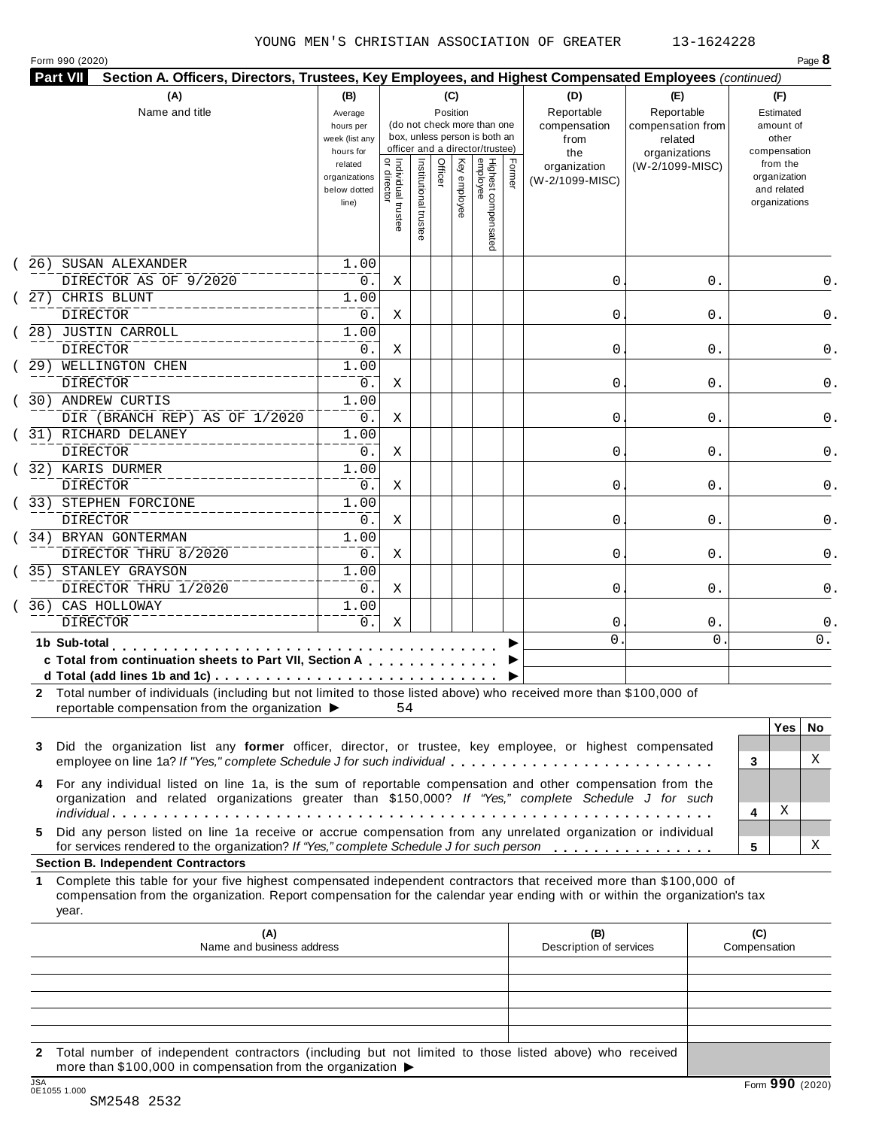| <b>Part VII</b><br>Section A. Officers, Directors, Trustees, Key Employees, and Highest Compensated Employees (continued)<br>(A)                                                                                                                                | (B)                                                                                                      |                                     |                       | (C)                 |              |                                                                                                                                    |        | (D)                                                                          | (E)                                                                            |   | (F)                                                                                                         |     |
|-----------------------------------------------------------------------------------------------------------------------------------------------------------------------------------------------------------------------------------------------------------------|----------------------------------------------------------------------------------------------------------|-------------------------------------|-----------------------|---------------------|--------------|------------------------------------------------------------------------------------------------------------------------------------|--------|------------------------------------------------------------------------------|--------------------------------------------------------------------------------|---|-------------------------------------------------------------------------------------------------------------|-----|
| Name and title                                                                                                                                                                                                                                                  | Average<br>hours per<br>week (list any<br>hours for<br>related<br>organizations<br>below dotted<br>line) | Individual trustee<br>  or director | Institutional trustee | Position<br>Officer | Key employee | (do not check more than one<br>box, unless person is both an<br>officer and a director/trustee)<br>Highest compensated<br>employee | Former | Reportable<br>compensation<br>from<br>the<br>organization<br>(W-2/1099-MISC) | Reportable<br>compensation from<br>related<br>organizations<br>(W-2/1099-MISC) |   | Estimated<br>amount of<br>other<br>compensation<br>from the<br>organization<br>and related<br>organizations |     |
|                                                                                                                                                                                                                                                                 |                                                                                                          |                                     |                       |                     |              |                                                                                                                                    |        |                                                                              |                                                                                |   |                                                                                                             |     |
| SUSAN ALEXANDER<br>26)                                                                                                                                                                                                                                          | 1.00                                                                                                     |                                     |                       |                     |              |                                                                                                                                    |        |                                                                              |                                                                                |   |                                                                                                             |     |
| DIRECTOR AS OF 9/2020                                                                                                                                                                                                                                           | 0.                                                                                                       | Χ                                   |                       |                     |              |                                                                                                                                    |        | 0                                                                            | 0.                                                                             |   |                                                                                                             | 0.  |
| 27) CHRIS BLUNT<br><b>DIRECTOR</b>                                                                                                                                                                                                                              | 1.00<br>0.                                                                                               | Χ                                   |                       |                     |              |                                                                                                                                    |        | 0                                                                            | 0.                                                                             |   |                                                                                                             | 0.  |
| 28) JUSTIN CARROLL                                                                                                                                                                                                                                              | 1.00                                                                                                     |                                     |                       |                     |              |                                                                                                                                    |        |                                                                              |                                                                                |   |                                                                                                             |     |
| <b>DIRECTOR</b>                                                                                                                                                                                                                                                 | 0.                                                                                                       | Χ                                   |                       |                     |              |                                                                                                                                    |        | 0                                                                            | 0.                                                                             |   |                                                                                                             | 0.  |
| WELLINGTON CHEN<br>29)                                                                                                                                                                                                                                          | 1.00                                                                                                     |                                     |                       |                     |              |                                                                                                                                    |        |                                                                              |                                                                                |   |                                                                                                             |     |
| DIRECTOR                                                                                                                                                                                                                                                        | 0.                                                                                                       | Χ                                   |                       |                     |              |                                                                                                                                    |        | 0                                                                            | 0.                                                                             |   |                                                                                                             | 0.  |
| 30) ANDREW CURTIS                                                                                                                                                                                                                                               | 1.00                                                                                                     |                                     |                       |                     |              |                                                                                                                                    |        |                                                                              |                                                                                |   |                                                                                                             |     |
| DIR (BRANCH REP) AS OF 1/2020                                                                                                                                                                                                                                   | 0.                                                                                                       | Χ                                   |                       |                     |              |                                                                                                                                    |        | 0                                                                            | 0.                                                                             |   |                                                                                                             | 0.  |
| 31) RICHARD DELANEY                                                                                                                                                                                                                                             | 1.00                                                                                                     |                                     |                       |                     |              |                                                                                                                                    |        |                                                                              |                                                                                |   |                                                                                                             |     |
| <b>DIRECTOR</b>                                                                                                                                                                                                                                                 | 0.                                                                                                       | Χ                                   |                       |                     |              |                                                                                                                                    |        | 0                                                                            | 0.                                                                             |   |                                                                                                             | 0.  |
| 32) KARIS DURMER                                                                                                                                                                                                                                                | 1.00                                                                                                     |                                     |                       |                     |              |                                                                                                                                    |        |                                                                              |                                                                                |   |                                                                                                             |     |
| <b>DIRECTOR</b>                                                                                                                                                                                                                                                 | 0.                                                                                                       | Χ                                   |                       |                     |              |                                                                                                                                    |        | 0                                                                            | 0.                                                                             |   |                                                                                                             | 0.  |
| 33) STEPHEN FORCIONE                                                                                                                                                                                                                                            | 1.00                                                                                                     |                                     |                       |                     |              |                                                                                                                                    |        |                                                                              |                                                                                |   |                                                                                                             |     |
| DIRECTOR                                                                                                                                                                                                                                                        | 0.                                                                                                       | Χ                                   |                       |                     |              |                                                                                                                                    |        | 0                                                                            | 0.                                                                             |   |                                                                                                             | 0.  |
| 34) BRYAN GONTERMAN                                                                                                                                                                                                                                             | 1.00                                                                                                     |                                     |                       |                     |              |                                                                                                                                    |        |                                                                              |                                                                                |   |                                                                                                             |     |
| DIRECTOR THRU 8/2020                                                                                                                                                                                                                                            | 0.                                                                                                       | Χ                                   |                       |                     |              |                                                                                                                                    |        | 0                                                                            | 0.                                                                             |   |                                                                                                             | 0.  |
| 35) STANLEY GRAYSON                                                                                                                                                                                                                                             | 1.00                                                                                                     |                                     |                       |                     |              |                                                                                                                                    |        |                                                                              |                                                                                |   |                                                                                                             |     |
| DIRECTOR THRU 1/2020                                                                                                                                                                                                                                            | 0.                                                                                                       | Χ                                   |                       |                     |              |                                                                                                                                    |        | 0                                                                            | 0.                                                                             |   |                                                                                                             | 0.  |
| 36) CAS HOLLOWAY                                                                                                                                                                                                                                                | 1.00                                                                                                     |                                     |                       |                     |              |                                                                                                                                    |        |                                                                              |                                                                                |   |                                                                                                             |     |
| <b>DIRECTOR</b>                                                                                                                                                                                                                                                 | 0.                                                                                                       | Χ                                   |                       |                     |              |                                                                                                                                    |        | 0                                                                            | $0$ .                                                                          |   |                                                                                                             | 0.  |
| 1b Sub-total<br>.                                                                                                                                                                                                                                               |                                                                                                          |                                     |                       |                     |              |                                                                                                                                    |        | 0                                                                            | $\mathbf 0$                                                                    |   |                                                                                                             | 0.  |
| c Total from continuation sheets to Part VII, Section A                                                                                                                                                                                                         |                                                                                                          |                                     |                       |                     |              |                                                                                                                                    |        |                                                                              |                                                                                |   |                                                                                                             |     |
|                                                                                                                                                                                                                                                                 |                                                                                                          |                                     |                       |                     |              |                                                                                                                                    |        |                                                                              |                                                                                |   |                                                                                                             |     |
| 2 Total number of individuals (including but not limited to those listed above) who received more than \$100,000 of                                                                                                                                             |                                                                                                          |                                     |                       |                     |              |                                                                                                                                    |        |                                                                              |                                                                                |   |                                                                                                             |     |
| reportable compensation from the organization $\blacktriangleright$                                                                                                                                                                                             |                                                                                                          | 54                                  |                       |                     |              |                                                                                                                                    |        |                                                                              |                                                                                |   |                                                                                                             |     |
|                                                                                                                                                                                                                                                                 |                                                                                                          |                                     |                       |                     |              |                                                                                                                                    |        |                                                                              |                                                                                |   | <b>Yes</b>                                                                                                  | No. |
| Did the organization list any former officer, director, or trustee, key employee, or highest compensated<br>3                                                                                                                                                   |                                                                                                          |                                     |                       |                     |              |                                                                                                                                    |        |                                                                              |                                                                                |   |                                                                                                             | X   |
| employee on line 1a? If "Yes," complete Schedule J for such individual                                                                                                                                                                                          |                                                                                                          |                                     |                       |                     |              |                                                                                                                                    |        |                                                                              |                                                                                | 3 |                                                                                                             |     |
| For any individual listed on line 1a, is the sum of reportable compensation and other compensation from the<br>4<br>organization and related organizations greater than \$150,000? If "Yes," complete Schedule J for such                                       |                                                                                                          |                                     |                       |                     |              |                                                                                                                                    |        |                                                                              |                                                                                | 4 | Χ                                                                                                           |     |
| Did any person listed on line 1a receive or accrue compensation from any unrelated organization or individual<br>5.                                                                                                                                             |                                                                                                          |                                     |                       |                     |              |                                                                                                                                    |        |                                                                              |                                                                                |   |                                                                                                             |     |
| for services rendered to the organization? If "Yes," complete Schedule J for such person                                                                                                                                                                        |                                                                                                          |                                     |                       |                     |              |                                                                                                                                    |        |                                                                              |                                                                                | 5 |                                                                                                             | Χ   |
| <b>Section B. Independent Contractors</b>                                                                                                                                                                                                                       |                                                                                                          |                                     |                       |                     |              |                                                                                                                                    |        |                                                                              |                                                                                |   |                                                                                                             |     |
| Complete this table for your five highest compensated independent contractors that received more than \$100,000 of<br>1.<br>compensation from the organization. Report compensation for the calendar year ending with or within the organization's tax<br>year. |                                                                                                          |                                     |                       |                     |              |                                                                                                                                    |        |                                                                              |                                                                                |   |                                                                                                             |     |

| (A)<br>Name and business address                                                                                                                                                                                                                                                                                                              | (B)<br>Description of services | (C)<br>Compensation |
|-----------------------------------------------------------------------------------------------------------------------------------------------------------------------------------------------------------------------------------------------------------------------------------------------------------------------------------------------|--------------------------------|---------------------|
|                                                                                                                                                                                                                                                                                                                                               |                                |                     |
|                                                                                                                                                                                                                                                                                                                                               |                                |                     |
|                                                                                                                                                                                                                                                                                                                                               |                                |                     |
|                                                                                                                                                                                                                                                                                                                                               |                                |                     |
|                                                                                                                                                                                                                                                                                                                                               |                                |                     |
| 2 Total number of independent contractors (including but not limited to those listed above) who received<br>$\mathcal{A}$ . A respectively in the contract of the contract of the contract of the contract of the contract of the contract of the contract of the contract of the contract of the contract of the contract of the contract of |                                |                     |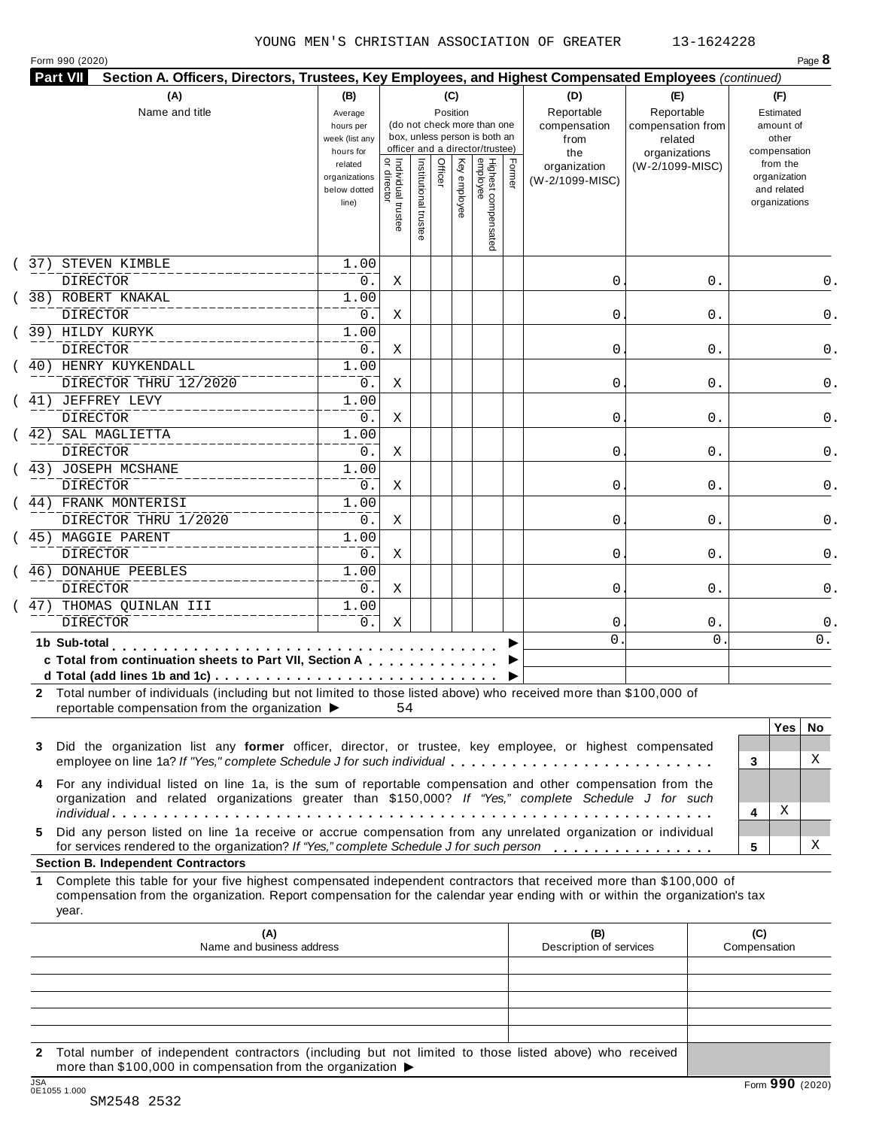Form 990 (2020) Page **8**

|   | (A)<br>Name and title                                                                                                                                                                                                | (B)<br>Average<br>hours per                       |                                |               | (C)     |              |                                                                                                 |        | (D)                                    | (E)                                        | (F)                                                      |
|---|----------------------------------------------------------------------------------------------------------------------------------------------------------------------------------------------------------------------|---------------------------------------------------|--------------------------------|---------------|---------|--------------|-------------------------------------------------------------------------------------------------|--------|----------------------------------------|--------------------------------------------|----------------------------------------------------------|
|   |                                                                                                                                                                                                                      |                                                   |                                |               |         |              |                                                                                                 |        |                                        |                                            |                                                          |
|   |                                                                                                                                                                                                                      | week (list any<br>hours for                       |                                |               |         | Position     | (do not check more than one<br>box, unless person is both an<br>officer and a director/trustee) |        | Reportable<br>compensation<br>from     | Reportable<br>compensation from<br>related | Estimated<br>amount of<br>other<br>compensation          |
|   |                                                                                                                                                                                                                      | related<br>organizations<br>below dotted<br>line) | Individual trustee<br>director | Institutional | Officer | Key employee | Highest compensated<br>employee                                                                 | Former | the<br>organization<br>(W-2/1099-MISC) | organizations<br>(W-2/1099-MISC)           | from the<br>organization<br>and related<br>organizations |
|   | 37) STEVEN KIMBLE<br><b>DIRECTOR</b>                                                                                                                                                                                 | 1.00<br>0.                                        | Χ                              |               |         |              |                                                                                                 |        | 0                                      | 0.                                         | $0$ .                                                    |
|   | 38) ROBERT KNAKAL<br><b>DIRECTOR</b>                                                                                                                                                                                 | 1.00<br>$0$ .                                     | Χ                              |               |         |              |                                                                                                 |        | 0                                      | 0.                                         | $0$ .                                                    |
|   | 39) HILDY KURYK                                                                                                                                                                                                      | 1.00                                              |                                |               |         |              |                                                                                                 |        |                                        |                                            | $0$ .                                                    |
|   | <b>DIRECTOR</b><br>(40) HENRY KUYKENDALL                                                                                                                                                                             | $0$ .<br>1.00                                     | Χ                              |               |         |              |                                                                                                 |        | 0                                      | 0.                                         |                                                          |
|   | DIRECTOR THRU 12/2020<br>( 41) JEFFREY LEVY                                                                                                                                                                          | 0.<br>1.00                                        | Χ                              |               |         |              |                                                                                                 |        | 0                                      | 0.                                         |                                                          |
|   | <b>DIRECTOR</b>                                                                                                                                                                                                      | 0.                                                | Χ                              |               |         |              |                                                                                                 |        | 0                                      | 0.                                         |                                                          |
|   | (42) SAL MAGLIETTA<br><b>DIRECTOR</b>                                                                                                                                                                                | 1.00<br>0.                                        | Χ                              |               |         |              |                                                                                                 |        | 0                                      | 0.                                         |                                                          |
|   | (43) JOSEPH MCSHANE<br><b>DIRECTOR</b>                                                                                                                                                                               | 1.00<br>0.                                        | Χ                              |               |         |              |                                                                                                 |        | 0                                      | 0.                                         |                                                          |
|   | ( 44) FRANK MONTERISI<br>DIRECTOR THRU 1/2020                                                                                                                                                                        | 1.00<br>0.                                        | Χ                              |               |         |              |                                                                                                 |        | 0                                      | 0.                                         |                                                          |
|   | ( 45) MAGGIE PARENT<br><b>DIRECTOR</b>                                                                                                                                                                               | 1.00<br>0.                                        | Χ                              |               |         |              |                                                                                                 |        | 0                                      | 0.                                         |                                                          |
|   | (46) DONAHUE PEEBLES<br><b>DIRECTOR</b>                                                                                                                                                                              | 1.00<br>0.                                        | Χ                              |               |         |              |                                                                                                 |        | 0                                      | 0.                                         |                                                          |
|   | 47) THOMAS QUINLAN III<br><b>DIRECTOR</b>                                                                                                                                                                            | 1.00<br>0.                                        | Χ                              |               |         |              |                                                                                                 |        | 0                                      | 0.                                         |                                                          |
|   | 1b Sub-total<br>.                                                                                                                                                                                                    |                                                   |                                |               |         |              |                                                                                                 |        | 0                                      | $\Omega$                                   | 0.                                                       |
|   | c Total from continuation sheets to Part VII, Section A                                                                                                                                                              |                                                   |                                |               |         |              |                                                                                                 |        |                                        |                                            |                                                          |
|   | 2 Total number of individuals (including but not limited to those listed above) who received more than \$100,000 of<br>reportable compensation from the organization $\blacktriangleright$ 54                        |                                                   |                                |               |         |              |                                                                                                 |        |                                        |                                            |                                                          |
| 3 | Did the organization list any former officer, director, or trustee, key employee, or highest compensated<br>employee on line 1a? If "Yes," complete Schedule J for such individual                                   |                                                   |                                |               |         |              |                                                                                                 |        |                                        |                                            | Yes   No<br>Χ<br>3                                       |
|   | For any individual listed on line 1a, is the sum of reportable compensation and other compensation from the<br>organization and related organizations greater than \$150,000? If "Yes," complete Schedule J for such |                                                   |                                |               |         |              |                                                                                                 |        |                                        |                                            | X<br>4                                                   |
|   | Did any person listed on line 1a receive or accrue compensation from any unrelated organization or individual<br>for services rendered to the organization? If "Yes," complete Schedule J for such person            |                                                   |                                |               |         |              |                                                                                                 |        |                                        |                                            | Χ<br>5                                                   |

#### **Section B. Independent Contractors**

**1** Complete this table for your five highest compensated independent contractors that received more than \$100,000 of compensation from the organization. Report compensation for the calendar year ending with or within the organization's tax year.

|     | (A)<br>Name and business address                                                                                                                                                            | (B)<br>Description of services | (C)<br>Compensation |
|-----|---------------------------------------------------------------------------------------------------------------------------------------------------------------------------------------------|--------------------------------|---------------------|
|     |                                                                                                                                                                                             |                                |                     |
|     |                                                                                                                                                                                             |                                |                     |
|     |                                                                                                                                                                                             |                                |                     |
|     |                                                                                                                                                                                             |                                |                     |
|     |                                                                                                                                                                                             |                                |                     |
|     | 2 Total number of independent contractors (including but not limited to those listed above) who received<br>more than \$100,000 in compensation from the organization $\blacktriangleright$ |                                |                     |
| 10A |                                                                                                                                                                                             |                                | $\sim$ $\sim$       |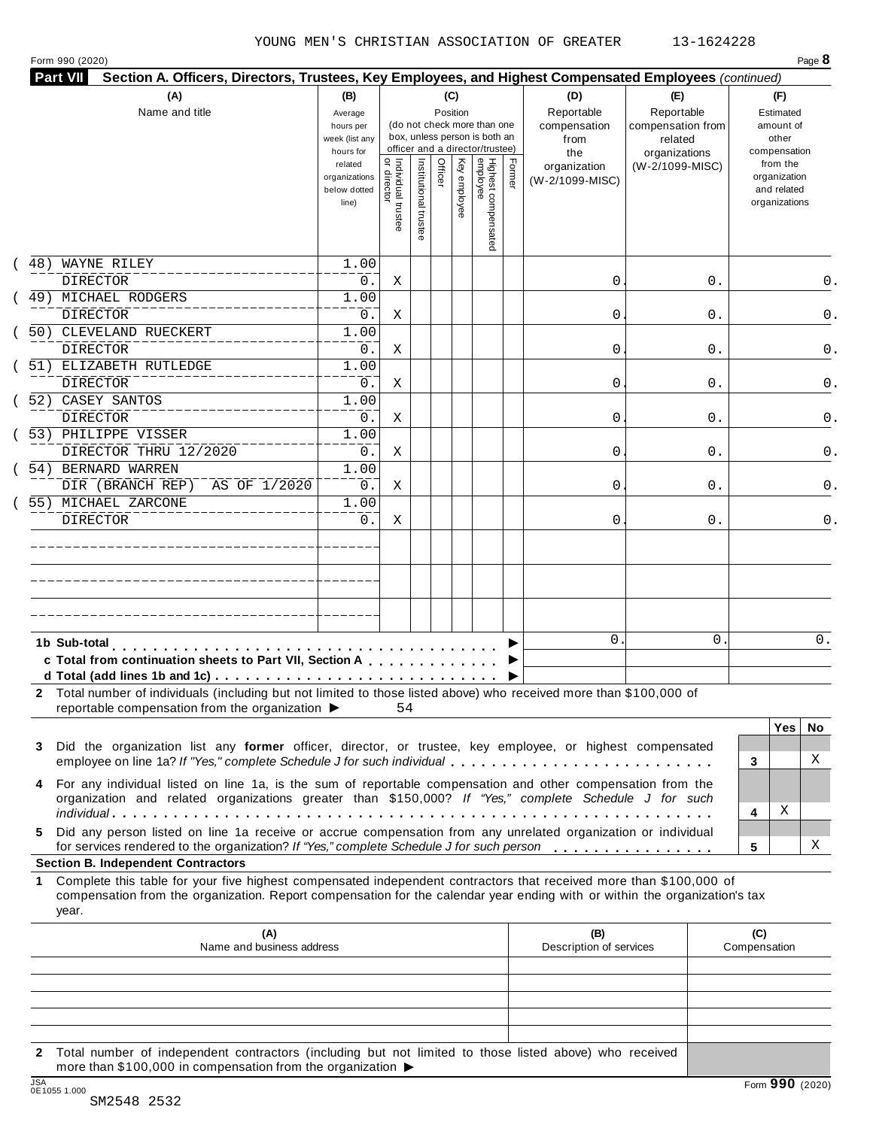Form 990 (2020) Page **8**

| Part VII     | Section A. Officers, Directors, Trustees, Key Employees, and Highest Compensated Employees (continued)                                                                                                                                                                                        |                                                            |                                |                    |         |                 |                                                                                                 |        |                                                  |                                                                    |    |                                                          |
|--------------|-----------------------------------------------------------------------------------------------------------------------------------------------------------------------------------------------------------------------------------------------------------------------------------------------|------------------------------------------------------------|--------------------------------|--------------------|---------|-----------------|-------------------------------------------------------------------------------------------------|--------|--------------------------------------------------|--------------------------------------------------------------------|----|----------------------------------------------------------|
|              | (A)<br>Name and title                                                                                                                                                                                                                                                                         | (B)<br>Average<br>hours per<br>week (list any<br>hours for |                                |                    |         | (C)<br>Position | (do not check more than one<br>box, unless person is both an<br>officer and a director/trustee) |        | (D)<br>Reportable<br>compensation<br>from<br>the | (E)<br>Reportable<br>compensation from<br>related<br>organizations |    | (F)<br>Estimated<br>amount of<br>other<br>compensation   |
|              |                                                                                                                                                                                                                                                                                               | related<br>organizations<br>below dotted<br>line)          | Individual trustee<br>director | Institutional trus | Officer | Key employee    | Highest compensated<br>employee                                                                 | Former | organization<br>(W-2/1099-MISC)                  | (W-2/1099-MISC)                                                    |    | from the<br>organization<br>and related<br>organizations |
|              | 48) WAYNE RILEY<br><b>DIRECTOR</b>                                                                                                                                                                                                                                                            | 1.00<br>0.                                                 | Χ                              |                    |         |                 |                                                                                                 |        | 0                                                |                                                                    | 0. |                                                          |
|              | 49) MICHAEL RODGERS<br><b>DIRECTOR</b>                                                                                                                                                                                                                                                        | 1.00<br>0.                                                 | Χ                              |                    |         |                 |                                                                                                 |        | 0                                                |                                                                    | 0. |                                                          |
|              | 50) CLEVELAND RUECKERT<br><b>DIRECTOR</b>                                                                                                                                                                                                                                                     | 1.00<br>0.                                                 | Χ                              |                    |         |                 |                                                                                                 |        | 0                                                |                                                                    | 0. |                                                          |
|              | 51) ELIZABETH RUTLEDGE<br><b>DIRECTOR</b>                                                                                                                                                                                                                                                     | 1.00<br>0.                                                 | Χ                              |                    |         |                 |                                                                                                 |        | 0                                                |                                                                    | 0. |                                                          |
|              | 52) CASEY SANTOS<br><b>DIRECTOR</b>                                                                                                                                                                                                                                                           | 1.00<br>0.                                                 | Χ                              |                    |         |                 |                                                                                                 |        | 0                                                |                                                                    | 0. |                                                          |
|              | 53) PHILIPPE VISSER<br>DIRECTOR THRU 12/2020                                                                                                                                                                                                                                                  | 1.00<br>0.                                                 | Χ                              |                    |         |                 |                                                                                                 |        | 0                                                |                                                                    | 0. |                                                          |
|              | 54) BERNARD WARREN<br>DIR (BRANCH REP)<br>AS OF 1/2020                                                                                                                                                                                                                                        | 1.00<br>0.                                                 | Χ                              |                    |         |                 |                                                                                                 |        | 0                                                |                                                                    | 0. |                                                          |
|              | 55) MICHAEL ZARCONE<br><b>DIRECTOR</b>                                                                                                                                                                                                                                                        | 1.00<br>0.                                                 | Χ                              |                    |         |                 |                                                                                                 |        | 0                                                |                                                                    | 0. |                                                          |
|              |                                                                                                                                                                                                                                                                                               |                                                            |                                |                    |         |                 |                                                                                                 |        |                                                  |                                                                    |    |                                                          |
|              |                                                                                                                                                                                                                                                                                               |                                                            |                                |                    |         |                 |                                                                                                 |        |                                                  |                                                                    |    |                                                          |
|              |                                                                                                                                                                                                                                                                                               |                                                            |                                |                    |         |                 |                                                                                                 |        |                                                  |                                                                    |    |                                                          |
| 1b Sub-total | c Total from continuation sheets to Part VII, Section A                                                                                                                                                                                                                                       |                                                            |                                |                    |         |                 |                                                                                                 |        | 0.                                               |                                                                    | 0  | 0.                                                       |
|              | 2 Total number of individuals (including but not limited to those listed above) who received more than \$100,000 of<br>reportable compensation from the organization ▶ 54                                                                                                                     |                                                            |                                |                    |         |                 |                                                                                                 |        |                                                  |                                                                    |    |                                                          |
| 3            | Did the organization list any former officer, director, or trustee, key employee, or highest compensated<br>employee on line 1a? If "Yes," complete Schedule J for such individual                                                                                                            |                                                            |                                |                    |         |                 |                                                                                                 |        |                                                  |                                                                    |    | Yes  <br>No<br>Χ<br>3                                    |
|              | For any individual listed on line 1a, is the sum of reportable compensation and other compensation from the<br>organization and related organizations greater than \$150,000? If "Yes," complete Schedule J for such                                                                          |                                                            |                                |                    |         |                 |                                                                                                 |        |                                                  |                                                                    |    | Χ<br>4                                                   |
| 5.           | Did any person listed on line 1a receive or accrue compensation from any unrelated organization or individual<br>for services rendered to the organization? If "Yes," complete Schedule J for such person                                                                                     |                                                            |                                |                    |         |                 |                                                                                                 |        |                                                  |                                                                    |    | Χ<br>5                                                   |
| 1<br>year.   | <b>Section B. Independent Contractors</b><br>Complete this table for your five highest compensated independent contractors that received more than \$100,000 of<br>compensation from the organization. Report compensation for the calendar year ending with or within the organization's tax |                                                            |                                |                    |         |                 |                                                                                                 |        |                                                  |                                                                    |    |                                                          |
|              | (A)<br>Name and business address                                                                                                                                                                                                                                                              |                                                            |                                |                    |         |                 |                                                                                                 |        | (B)<br>Description of services                   |                                                                    |    | (C)<br>Compensation                                      |
|              |                                                                                                                                                                                                                                                                                               |                                                            |                                |                    |         |                 |                                                                                                 |        |                                                  |                                                                    |    |                                                          |
|              |                                                                                                                                                                                                                                                                                               |                                                            |                                |                    |         |                 |                                                                                                 |        |                                                  |                                                                    |    |                                                          |
|              |                                                                                                                                                                                                                                                                                               |                                                            |                                |                    |         |                 |                                                                                                 |        |                                                  |                                                                    |    |                                                          |

**2** Total number of independent contractors (including but not limited to those listed above) who received more than \$100,000 in compensation from the organization  $\triangleright$ <br>  $\frac{\text{JSA}}{0.051005}$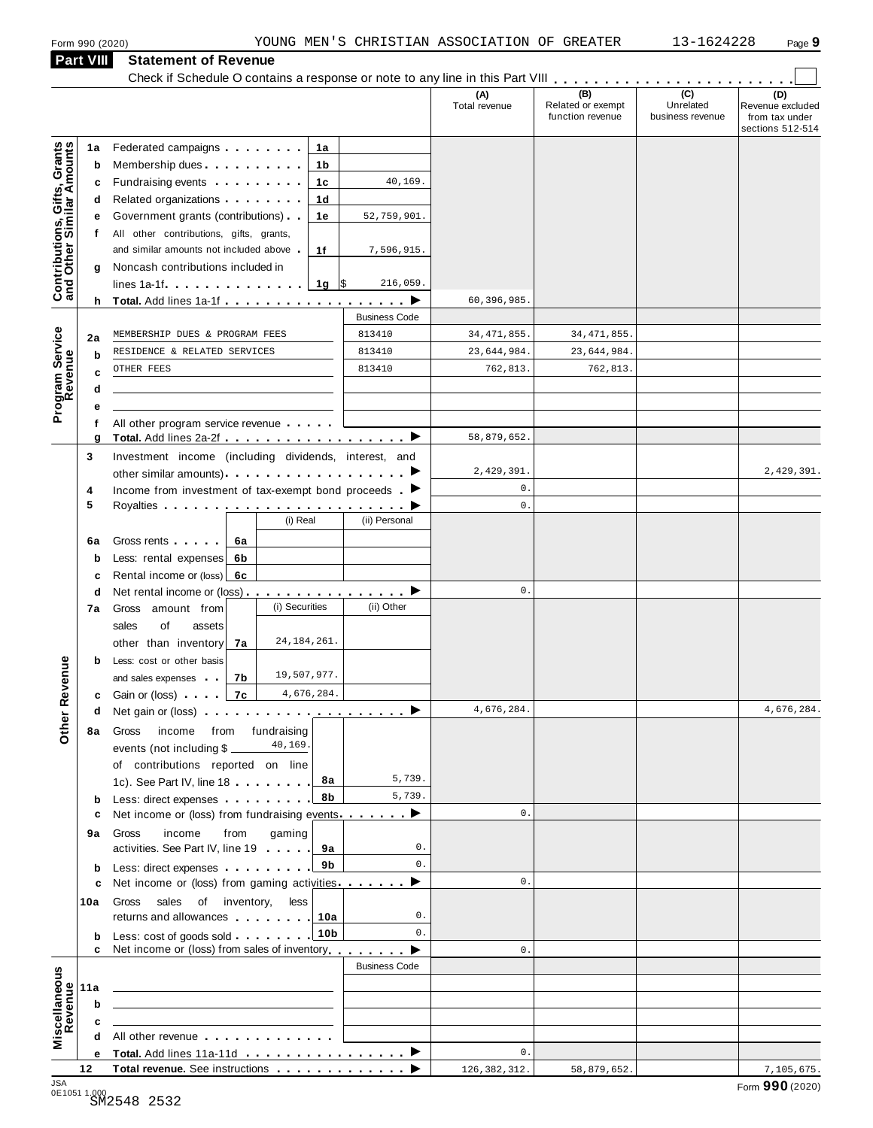|                                                           |           | Form 990 (2020)                                                                                                                                                                                                                      |                |                 |                      | YOUNG MEN'S CHRISTIAN ASSOCIATION OF GREATER |                                       | 13-1624228                    | Page 9                                                 |
|-----------------------------------------------------------|-----------|--------------------------------------------------------------------------------------------------------------------------------------------------------------------------------------------------------------------------------------|----------------|-----------------|----------------------|----------------------------------------------|---------------------------------------|-------------------------------|--------------------------------------------------------|
|                                                           | Part VIII | <b>Statement of Revenue</b>                                                                                                                                                                                                          |                |                 |                      |                                              |                                       |                               |                                                        |
|                                                           |           |                                                                                                                                                                                                                                      |                |                 |                      | (A)                                          | (B)                                   | $\overline{C}$                | (D)                                                    |
|                                                           |           |                                                                                                                                                                                                                                      |                |                 |                      | Total revenue                                | Related or exempt<br>function revenue | Unrelated<br>business revenue | Revenue excluded<br>from tax under<br>sections 512-514 |
|                                                           | 1a        | Federated campaigns <b>Federated</b>                                                                                                                                                                                                 |                | 1a              |                      |                                              |                                       |                               |                                                        |
| Contributions, Gifts, Grants<br>and Other Similar Amounts | b         | Membership dues <b>All Accords</b> Membership dues                                                                                                                                                                                   |                | 1b              |                      |                                              |                                       |                               |                                                        |
|                                                           | c         | Fundraising events <b>Fundraising</b>                                                                                                                                                                                                |                | 1c              | 40,169.              |                                              |                                       |                               |                                                        |
|                                                           | d         | Related organizations <b>and the set of the set of the set of the set of the set of the set of the set of the set of the set of the set of the set of the set of the set of the set of the set of the set of the set of the set </b> |                | 1 <sub>d</sub>  |                      |                                              |                                       |                               |                                                        |
|                                                           | е<br>f    | Government grants (contributions).<br>All other contributions, gifts, grants,                                                                                                                                                        |                | 1e              | 52,759,901.          |                                              |                                       |                               |                                                        |
|                                                           |           | and similar amounts not included above                                                                                                                                                                                               |                | 1f              | 7,596,915.           |                                              |                                       |                               |                                                        |
|                                                           | g         | Noncash contributions included in                                                                                                                                                                                                    |                |                 |                      |                                              |                                       |                               |                                                        |
|                                                           |           | lines $1a-1f$ $\ldots$ $\ldots$ $\ldots$ $\ldots$                                                                                                                                                                                    |                | 1g $\sqrt{5}$   | 216,059.             |                                              |                                       |                               |                                                        |
|                                                           |           |                                                                                                                                                                                                                                      |                |                 |                      | 60,396,985.                                  |                                       |                               |                                                        |
|                                                           |           |                                                                                                                                                                                                                                      |                |                 | <b>Business Code</b> |                                              |                                       |                               |                                                        |
| Program Service<br>Revenue                                | 2a        | MEMBERSHIP DUES & PROGRAM FEES<br>RESIDENCE & RELATED SERVICES                                                                                                                                                                       |                |                 | 813410<br>813410     | 34, 471, 855.<br>23,644,984.                 | 34, 471, 855.<br>23,644,984           |                               |                                                        |
|                                                           | b<br>c    | OTHER FEES                                                                                                                                                                                                                           |                |                 | 813410               | 762,813.                                     | 762,813.                              |                               |                                                        |
|                                                           | d         |                                                                                                                                                                                                                                      |                |                 |                      |                                              |                                       |                               |                                                        |
|                                                           | е         |                                                                                                                                                                                                                                      |                |                 |                      |                                              |                                       |                               |                                                        |
|                                                           | f         | All other program service revenue                                                                                                                                                                                                    |                |                 |                      |                                              |                                       |                               |                                                        |
|                                                           | g         |                                                                                                                                                                                                                                      |                |                 |                      | 58,879,652.                                  |                                       |                               |                                                        |
|                                                           | 3         | Investment income (including dividends, interest, and                                                                                                                                                                                |                |                 |                      | 2,429,391.                                   |                                       |                               | 2,429,391.                                             |
|                                                           | 4         | Income from investment of tax-exempt bond proceeds $\blacktriangleright$                                                                                                                                                             |                |                 |                      | $0$ .                                        |                                       |                               |                                                        |
|                                                           | 5         |                                                                                                                                                                                                                                      |                |                 |                      | $\mathbf{0}$ .                               |                                       |                               |                                                        |
|                                                           |           |                                                                                                                                                                                                                                      | (i) Real       |                 | (ii) Personal        |                                              |                                       |                               |                                                        |
|                                                           | 6a        | Gross rents<br>6a                                                                                                                                                                                                                    |                |                 |                      |                                              |                                       |                               |                                                        |
|                                                           | b         | Less: rental expenses<br>6b                                                                                                                                                                                                          |                |                 |                      |                                              |                                       |                               |                                                        |
|                                                           | c         | Rental income or (loss)<br>6с                                                                                                                                                                                                        |                |                 |                      | 0.                                           |                                       |                               |                                                        |
|                                                           | d<br>7a   | Gross amount from                                                                                                                                                                                                                    | (i) Securities |                 | (ii) Other           |                                              |                                       |                               |                                                        |
|                                                           |           | sales<br>of<br>assets                                                                                                                                                                                                                |                |                 |                      |                                              |                                       |                               |                                                        |
|                                                           |           | other than inventory<br>7a                                                                                                                                                                                                           | 24, 184, 261.  |                 |                      |                                              |                                       |                               |                                                        |
|                                                           | b         | Less: cost or other basis                                                                                                                                                                                                            |                |                 |                      |                                              |                                       |                               |                                                        |
| <b>Other Revenue</b>                                      |           | 7b<br>and sales expenses                                                                                                                                                                                                             | 19,507,977.    |                 |                      |                                              |                                       |                               |                                                        |
|                                                           | c         | Gain or (loss) 7c                                                                                                                                                                                                                    |                | 4,676,284.      |                      | 4,676,284.                                   |                                       |                               | 4,676,284.                                             |
|                                                           | d         | Net gain or (loss) $\cdots$ $\cdots$ $\cdots$ $\cdots$ $\cdots$ $\cdots$ $\cdots$                                                                                                                                                    |                |                 |                      |                                              |                                       |                               |                                                        |
|                                                           | 8а        | Gross<br>income from fundraising<br>events (not including \$                                                                                                                                                                         | 40,169         |                 |                      |                                              |                                       |                               |                                                        |
|                                                           |           | of contributions reported on line                                                                                                                                                                                                    |                |                 |                      |                                              |                                       |                               |                                                        |
|                                                           |           | 1c). See Part IV, line 18                                                                                                                                                                                                            |                | 8а              | 5,739.               |                                              |                                       |                               |                                                        |
|                                                           | b         | Less: direct expenses                                                                                                                                                                                                                |                | 8b              | 5,739.               |                                              |                                       |                               |                                                        |
|                                                           | c         | Net income or (loss) from fundraising events ▶                                                                                                                                                                                       |                |                 |                      | 0.                                           |                                       |                               |                                                        |
|                                                           | 9а        | Gross<br>income<br>from<br>activities. See Part IV, line 19                                                                                                                                                                          | gaming         | 9а              | 0.                   |                                              |                                       |                               |                                                        |
|                                                           | b         | Less: direct expenses extending the state of the state of the state of the state of the state of the state of the state of the state of the state of the state of the state of the state of the state of the state of the stat       |                | 9b              | 0.                   |                                              |                                       |                               |                                                        |
|                                                           | c         | Net income or (loss) from gaming activities ▶                                                                                                                                                                                        |                |                 |                      | 0.                                           |                                       |                               |                                                        |
|                                                           | 10a       | Gross<br>sales<br>of inventory,                                                                                                                                                                                                      | less           |                 |                      |                                              |                                       |                               |                                                        |
|                                                           |           | returns and allowances                                                                                                                                                                                                               |                | 10a             | $\mathsf{0}$ .       |                                              |                                       |                               |                                                        |
|                                                           | b         | Less: cost of goods sold                                                                                                                                                                                                             |                | 10 <sub>b</sub> | $\mathbf{0}$ .       |                                              |                                       |                               |                                                        |
|                                                           |           | Net income or (loss) from sales of inventory                                                                                                                                                                                         |                |                 | <b>Business Code</b> | 0.                                           |                                       |                               |                                                        |
|                                                           |           |                                                                                                                                                                                                                                      |                |                 |                      |                                              |                                       |                               |                                                        |
|                                                           | 11a<br>b  |                                                                                                                                                                                                                                      |                |                 |                      |                                              |                                       |                               |                                                        |
|                                                           | c         |                                                                                                                                                                                                                                      |                |                 |                      |                                              |                                       |                               |                                                        |
| Miscellaneous<br>Revenue                                  | d         | All other revenue                                                                                                                                                                                                                    |                |                 |                      |                                              |                                       |                               |                                                        |
|                                                           |           | Total. Add lines 11a-11d ▶                                                                                                                                                                                                           |                |                 |                      | 0.                                           |                                       |                               |                                                        |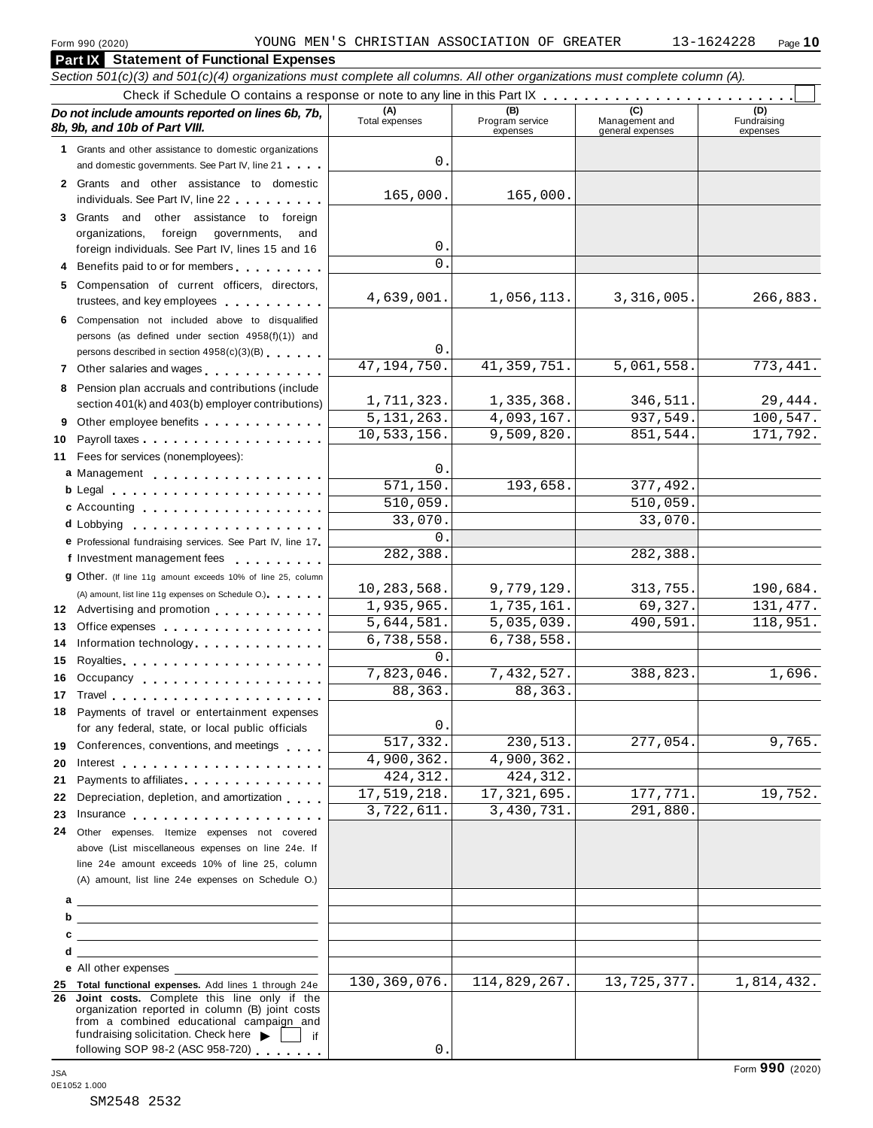| Form 990 (2020)                                                                                                                               |     |                          | YOUNG MEN'S CHRISTIAN ASSOCIATION OF GREATER |                                           | 13-1624228<br>Page 10          |
|-----------------------------------------------------------------------------------------------------------------------------------------------|-----|--------------------------|----------------------------------------------|-------------------------------------------|--------------------------------|
| <b>Part IX</b> Statement of Functional Expenses                                                                                               |     |                          |                                              |                                           |                                |
| Section 501(c)(3) and 501(c)(4) organizations must complete all columns. All other organizations must complete column (A).                    |     |                          |                                              |                                           |                                |
|                                                                                                                                               |     |                          |                                              |                                           |                                |
| Do not include amounts reported on lines 6b, 7b,<br>8b, 9b, and 10b of Part VIII.                                                             |     | (A)<br>Total expenses    | (B)<br>Program service<br>expenses           | (C)<br>Management and<br>general expenses | (D)<br>Fundraising<br>expenses |
| 1 Grants and other assistance to domestic organizations                                                                                       |     |                          |                                              |                                           |                                |
| and domestic governments. See Part IV, line 21                                                                                                |     | $\mathbf 0$ .            |                                              |                                           |                                |
| 2 Grants and other assistance to domestic<br>individuals. See Part IV, line 22                                                                |     | 165,000.                 | 165,000.                                     |                                           |                                |
| 3 Grants and other assistance to foreign                                                                                                      |     |                          |                                              |                                           |                                |
| foreign governments,<br>organizations,<br>foreign individuals. See Part IV, lines 15 and 16                                                   | and | 0.                       |                                              |                                           |                                |
| 4 Benefits paid to or for members                                                                                                             |     | $\Omega$                 |                                              |                                           |                                |
| 5 Compensation of current officers, directors,                                                                                                |     |                          |                                              |                                           |                                |
| trustees, and key employees expressed and the state of the state of the state of the state of the state of the                                |     | 4,639,001.               | 1,056,113.                                   | 3,316,005.                                | 266,883.                       |
| 6 Compensation not included above to disqualified<br>persons (as defined under section 4958(f)(1)) and                                        |     | $\mathsf{0}$ .           |                                              |                                           |                                |
| persons described in section 4958(c)(3)(B)                                                                                                    |     | 47, 194, 750.            | 41, 359, 751.                                | 5,061,558.                                | 773,441.                       |
| 7 Other salaries and wages<br>8 Pension plan accruals and contributions (include                                                              |     |                          |                                              |                                           |                                |
| section 401(k) and 403(b) employer contributions)                                                                                             |     | 1,711,323.               | 1,335,368.                                   | 346,511.                                  | 29,444.                        |
| Other employee benefits<br>9                                                                                                                  |     | 5, 131, 263.             | 4,093,167.                                   | 937,549.                                  | 100,547.                       |
| Payroll taxes<br>10                                                                                                                           |     | 10,533,156.              | 9,509,820.                                   | 851,544.                                  | 171,792.                       |
| 11 Fees for services (nonemployees):                                                                                                          |     |                          |                                              |                                           |                                |
| a Management experience and management                                                                                                        |     | $\mathbf 0$<br>571, 150. |                                              |                                           |                                |
|                                                                                                                                               |     | 510,059.                 | 193,658.                                     | 377,492.<br>510,059.                      |                                |
| c Accounting                                                                                                                                  |     | 33,070.                  |                                              | 33,070.                                   |                                |
| e Professional fundraising services. See Part IV, line 17                                                                                     |     | $\mathbf{0}$             |                                              |                                           |                                |
| f Investment management fees                                                                                                                  |     | 282,388.                 |                                              | 282,388.                                  |                                |
| <b>g</b> Other. (If line 11g amount exceeds 10% of line 25, column                                                                            |     |                          |                                              |                                           |                                |
| (A) amount, list line 11g expenses on Schedule O.).                                                                                           |     | 10,283,568.              | 9,779,129.                                   | 313,755.                                  | 190,684.                       |
| 12 Advertising and promotion                                                                                                                  |     | 1,935,965.               | 1,735,161.                                   | 69,327.                                   | 131, 477.                      |
| 13 Office expenses                                                                                                                            |     | 5,644,581.<br>6,738,558. | 5,035,039.<br>6,738,558.                     | 490,591.                                  | 118,951.                       |
| 14 Information technology<br>14 Information technology<br>1.                                                                                  |     | 0.                       |                                              |                                           |                                |
| 15<br>16<br>Occupancy experience and the control of the set of the set of the set of the set of the set of the set of the                     |     | 7,823,046.               | 7,432,527.                                   | 388,823.                                  | 1,696.                         |
| 17                                                                                                                                            |     | 88, 363.                 | 88,363.                                      |                                           |                                |
| Payments of travel or entertainment expenses<br>18                                                                                            |     |                          |                                              |                                           |                                |
| for any federal, state, or local public officials                                                                                             |     | $\mathbf 0$              |                                              |                                           |                                |
| Conferences, conventions, and meetings<br>19                                                                                                  |     | 517,332.                 | 230,513.                                     | 277,054.                                  | 9,765.                         |
| 20<br>Interest $\ldots$ , $\ldots$ , $\ldots$ , $\ldots$ , $\ldots$ , $\ldots$ , $\ldots$                                                     |     | 4,900,362.               | 4,900,362.                                   |                                           |                                |
| Payments to affiliates <b>All Accords</b> Payments to affiliates<br>21                                                                        |     | 424, 312.<br>17,519,218. | 424, 312.<br>17, 321, 695.                   | 177,771.                                  | 19,752.                        |
| Depreciation, depletion, and amortization<br>22                                                                                               |     | $\overline{3,722,611}$ . | 3,430,731.                                   | 291,880.                                  |                                |
| 23<br>Insurance<br>Other expenses. Itemize expenses not covered<br>24.                                                                        |     |                          |                                              |                                           |                                |
| above (List miscellaneous expenses on line 24e. If                                                                                            |     |                          |                                              |                                           |                                |
| line 24e amount exceeds 10% of line 25, column                                                                                                |     |                          |                                              |                                           |                                |
| (A) amount, list line 24e expenses on Schedule O.)                                                                                            |     |                          |                                              |                                           |                                |
| <u> 1980 - John Stone, Amerikaansk politiker (</u> † 1902)                                                                                    |     |                          |                                              |                                           |                                |
| <u> 1989 - Andrea Stadt Britain, amerikansk politik (</u><br>b                                                                                |     |                          |                                              |                                           |                                |
|                                                                                                                                               |     |                          |                                              |                                           |                                |
| e All other expenses                                                                                                                          |     |                          |                                              |                                           |                                |
| 25 Total functional expenses. Add lines 1 through 24e                                                                                         |     | 130, 369, 076.           | 114,829,267.                                 | 13,725,377.                               | 1,814,432.                     |
| 26 Joint costs. Complete this line only if the<br>organization reported in column (B) joint costs<br>from a combined educational campaign and |     |                          |                                              |                                           |                                |
| fundraising solicitation. Check here<br>following SOP 98-2 (ASC 958-720)                                                                      | if  | $\mathbf{0}$             |                                              |                                           |                                |
|                                                                                                                                               |     |                          |                                              |                                           | Form 990 (2020)                |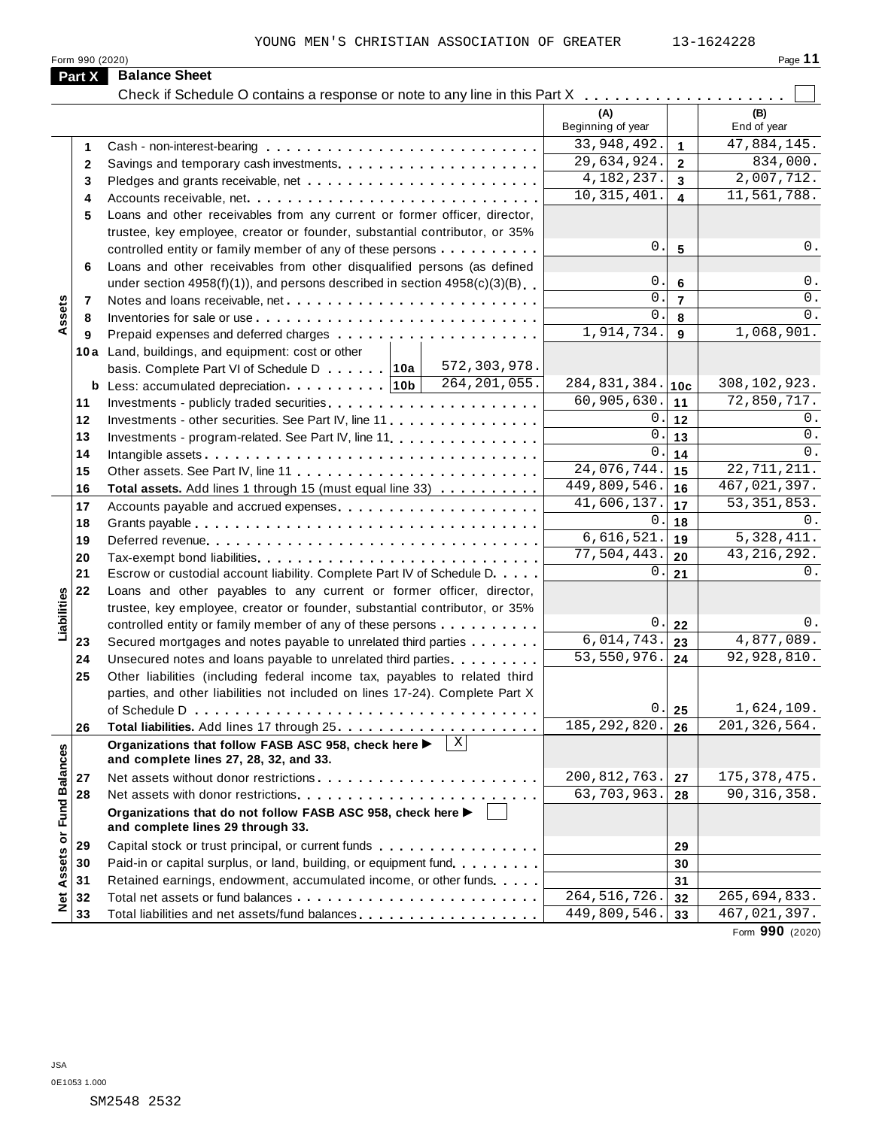| .<br>.,<br>٠ |  |
|--------------|--|

|              | YOUNG MEN'S CHRISTIAN ASSOCIATION OF GREATER<br>Form 990 (2020)                               |                          |                         | 13-1624228<br>Page 11     |
|--------------|-----------------------------------------------------------------------------------------------|--------------------------|-------------------------|---------------------------|
| Part X       | <b>Balance Sheet</b>                                                                          |                          |                         |                           |
|              | Check if Schedule O contains a response or note to any line in this Part X                    |                          |                         |                           |
|              |                                                                                               | (A)<br>Beginning of year |                         | (B)<br>End of year        |
| 1.           |                                                                                               | 33, 948, 492.            | $\mathbf{1}$            | 47,884,145.               |
| $\mathbf{2}$ |                                                                                               | 29,634,924.              | $\overline{2}$          | 834,000.                  |
| 3            |                                                                                               | 4, 182, 237.             | $\overline{\mathbf{3}}$ | 2,007,712.                |
| 4            |                                                                                               | 10, 315, 401.            | $\blacktriangle$        | 11,561,788.               |
| 5            | Loans and other receivables from any current or former officer, director,                     |                          |                         |                           |
|              | trustee, key employee, creator or founder, substantial contributor, or 35%                    |                          |                         |                           |
|              | controlled entity or family member of any of these persons                                    | 0.                       | 5                       | $0$ .                     |
| 6            | Loans and other receivables from other disqualified persons (as defined                       |                          |                         |                           |
|              | under section $4958(f)(1)$ , and persons described in section $4958(c)(3)(B)$                 | $\mathsf{0}$ .           | 6                       | 0.                        |
|              |                                                                                               | 0                        | $\overline{7}$          | $0$ .                     |
| 7<br>8       |                                                                                               | 0                        | 8                       | 0.                        |
|              |                                                                                               | 1,914,734.               | 9                       | 1,068,901.                |
| 9            | 10a Land, buildings, and equipment: cost or other                                             |                          |                         |                           |
|              | 572, 303, 978.<br>basis. Complete Part VI of Schedule D 10a                                   |                          |                         |                           |
|              | 264, 201, 055.<br><b>b</b> Less: accumulated depreciation. $\ldots$ , 10b                     | 284, 831, 384.           | 10c                     | 308,102,923.              |
| 11           |                                                                                               | 60,905,630.              | 11                      | 72,850,717.               |
| 12           | Investments - other securities. See Part IV, line 11                                          | 0.                       | 12                      | 0.                        |
| 13           | Investments - program-related. See Part IV, line 11 <b>All and Street Barnetts</b> - program- | $\mathsf{O}$ .           | 13                      | $0$ .                     |
| 14           |                                                                                               | 0                        | 14                      | 0.                        |
| 15           |                                                                                               | 24,076,744.              | 15                      | 22, 711, 211.             |
| 16           |                                                                                               | 449,809,546.             | 16                      | 467,021,397.              |
| 17           | Total assets. Add lines 1 through 15 (must equal line 33)                                     | 41,606,137.              | 17                      | $\overline{53,351,853}$ . |
|              |                                                                                               | $\mathsf{O}$             | 18                      | $0$ .                     |
| 18<br>19     |                                                                                               | 6,616,521.               | 19                      | 5,328,411.                |
|              |                                                                                               | 77,504,443.              | 20                      | 43, 216, 292.             |
| 20<br>21     | Escrow or custodial account liability. Complete Part IV of Schedule D.                        | 0                        | 21                      | $0$ .                     |
| 22           | Loans and other payables to any current or former officer, director,                          |                          |                         |                           |
|              | trustee, key employee, creator or founder, substantial contributor, or 35%                    |                          |                         |                           |
|              | controlled entity or family member of any of these persons                                    | 0.                       | 22                      | 0.                        |
| 23           | Secured mortgages and notes payable to unrelated third parties                                | 6,014,743.               | 23                      | 4,877,089.                |
| 24           | Unsecured notes and loans payable to unrelated third parties.                                 | 53, 550, 976.            | 24                      | 92,928,810.               |
| 25           | Other liabilities (including federal income tax, payables to related third                    |                          |                         |                           |
|              | parties, and other liabilities not included on lines 17-24). Complete Part X                  |                          |                         |                           |
|              |                                                                                               | 0.                       | 25                      | 1,624,109.                |
| 26           |                                                                                               | 185, 292, 820.           | 26                      | 201, 326, 564.            |
|              | Organizations that follow FASB ASC 958, check here ▶                                          |                          |                         |                           |
|              | and complete lines 27, 28, 32, and 33.                                                        |                          |                         |                           |
| 27           |                                                                                               | 200, 812, 763.           | 27                      | 175, 378, 475.            |
| 28           |                                                                                               | 63,703,963.              | 28                      | 90, 316, 358.             |
|              | Organizations that do not follow FASB ASC 958, check here ▶                                   |                          |                         |                           |
|              | and complete lines 29 through 33.                                                             |                          |                         |                           |
| 29           | Capital stock or trust principal, or current funds                                            |                          | 29                      |                           |
| 30           | Paid-in or capital surplus, or land, building, or equipment fund.                             |                          | 30                      |                           |
| 31           | Retained earnings, endowment, accumulated income, or other funds                              |                          | 31                      |                           |
| 32           |                                                                                               | 264, 516, 726.           | 32                      | 265,694,833.              |
| 33           | Total liabilities and net assets/fund balances                                                | 449,809,546.             | 33                      | 467,021,397.              |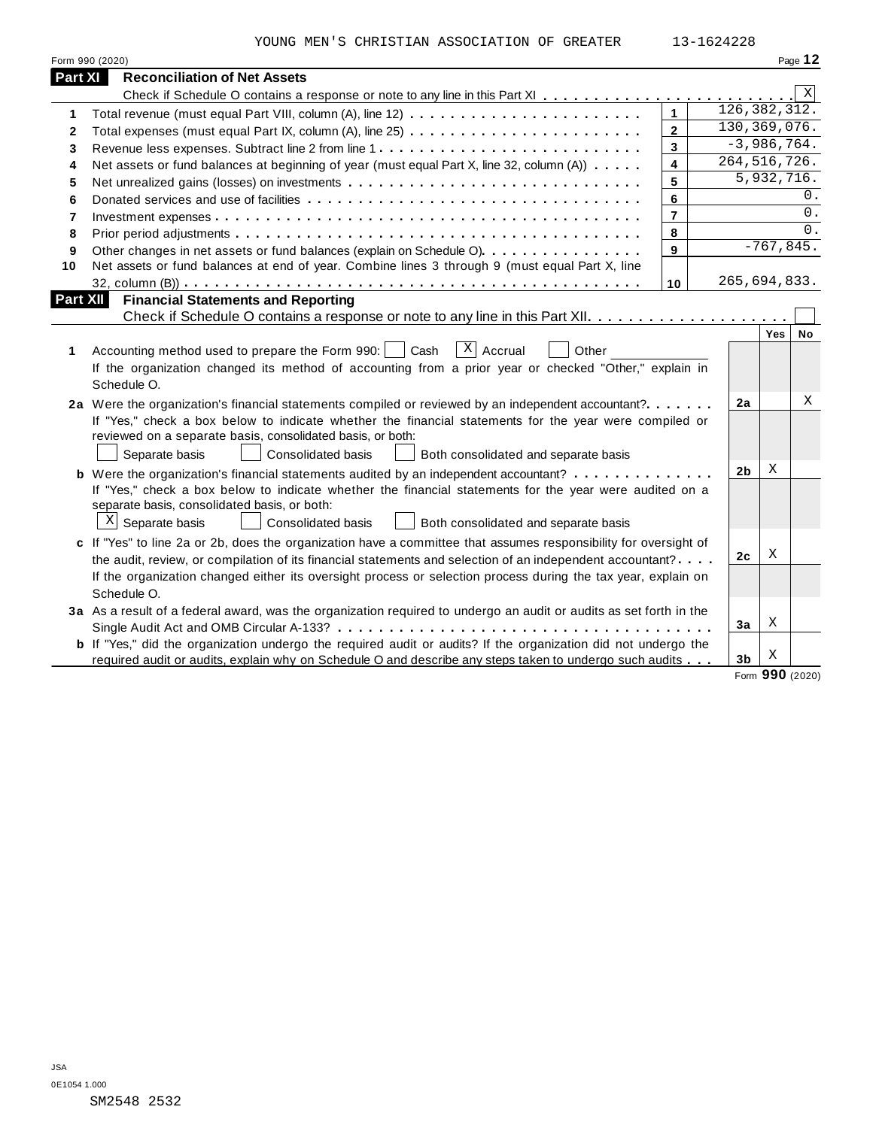|                | YOUNG MEN'S CHRISTIAN ASSOCIATION OF GREATER                                                                                                                                                                                                                                                                                                                  |                         | 13-1624228     |     |                |
|----------------|---------------------------------------------------------------------------------------------------------------------------------------------------------------------------------------------------------------------------------------------------------------------------------------------------------------------------------------------------------------|-------------------------|----------------|-----|----------------|
|                | Form 990 (2020)                                                                                                                                                                                                                                                                                                                                               |                         |                |     | Page 12        |
| <b>Part XI</b> | <b>Reconciliation of Net Assets</b>                                                                                                                                                                                                                                                                                                                           |                         |                |     |                |
|                |                                                                                                                                                                                                                                                                                                                                                               |                         |                |     | X              |
| 1              |                                                                                                                                                                                                                                                                                                                                                               | $\overline{1}$          |                |     | 126, 382, 312. |
| $\mathbf{2}$   |                                                                                                                                                                                                                                                                                                                                                               | $\overline{2}$          |                |     | 130, 369, 076. |
| 3              | Revenue less expenses. Subtract line 2 from line 1                                                                                                                                                                                                                                                                                                            | $\mathbf{3}$            |                |     | $-3,986,764.$  |
| 4              | Net assets or fund balances at beginning of year (must equal Part X, line 32, column (A))                                                                                                                                                                                                                                                                     | $\overline{\mathbf{4}}$ |                |     | 264, 516, 726. |
| 5              |                                                                                                                                                                                                                                                                                                                                                               | 5                       |                |     | 5,932,716.     |
| 6              |                                                                                                                                                                                                                                                                                                                                                               | 6                       |                |     | 0.             |
| $\overline{7}$ |                                                                                                                                                                                                                                                                                                                                                               | $\overline{7}$          |                |     | $0$ .          |
| 8              |                                                                                                                                                                                                                                                                                                                                                               | 8                       |                |     | $\Omega$ .     |
| 9              | Other changes in net assets or fund balances (explain on Schedule O)                                                                                                                                                                                                                                                                                          | 9                       |                |     | $-767,845.$    |
| 10             | Net assets or fund balances at end of year. Combine lines 3 through 9 (must equal Part X, line                                                                                                                                                                                                                                                                |                         |                |     |                |
|                |                                                                                                                                                                                                                                                                                                                                                               | 10                      |                |     | 265,694,833.   |
| 1              | $\overline{X}$ Accrual<br>Accounting method used to prepare the Form 990:<br>Cash<br>Other<br>If the organization changed its method of accounting from a prior year or checked "Other," explain in<br>Schedule O.                                                                                                                                            |                         |                | Yes | No             |
|                | 2a Were the organization's financial statements compiled or reviewed by an independent accountant?<br>If "Yes," check a box below to indicate whether the financial statements for the year were compiled or<br>reviewed on a separate basis, consolidated basis, or both:<br>Separate basis<br>Consolidated basis<br>Both consolidated and separate basis    |                         | 2a             |     | Χ              |
|                | <b>b</b> Were the organization's financial statements audited by an independent accountant?<br>If "Yes," check a box below to indicate whether the financial statements for the year were audited on a<br>separate basis, consolidated basis, or both:<br>$X$ Separate basis<br>Consolidated basis<br>Both consolidated and separate basis                    |                         | 2 <sub>b</sub> | X   |                |
|                | c If "Yes" to line 2a or 2b, does the organization have a committee that assumes responsibility for oversight of<br>the audit, review, or compilation of its financial statements and selection of an independent accountant?<br>If the organization changed either its oversight process or selection process during the tax year, explain on<br>Schedule O. |                         | 2c             | Χ   |                |
|                | 3a As a result of a federal award, was the organization required to undergo an audit or audits as set forth in the<br><b>b</b> If "Yes," did the organization undergo the required audit or audits? If the organization did not undergo the                                                                                                                   |                         | 3a             | Χ   |                |
|                | required audit or audits, explain why on Schedule O and describe any steps taken to undergo such audits                                                                                                                                                                                                                                                       |                         | 3 <sub>b</sub> | Χ   |                |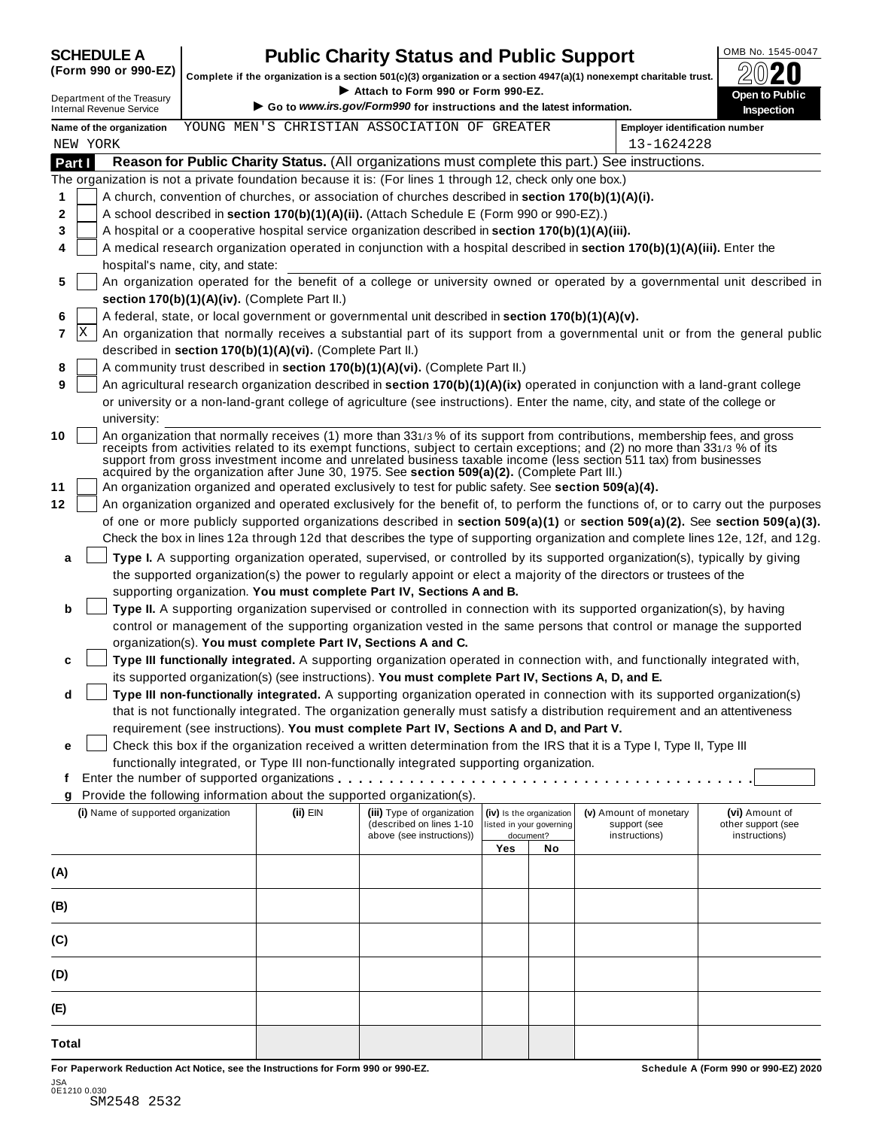## SCHEDULE A **Public Charity Status and Public Support**  $\frac{|\text{OMB No. 1545-0047}|}{\text{OMB No. 1545-0047}}$

Complete if the organization is a section 501(c)(3) organization or a section 4947(a)(1) nonexempt charitable trust.<br> **EX\Reference 1990 Attach to Form 990 or Form 990-EZ**. Attach to Form 990 or Form 990-EZ.

Department of the Treasury<br> **inspection** ● Go to *www.irs.gov/Form990* for instructions and the latest information. Inspection<br>
■ **Form 990** of instructions and the latest information. Inspection **Name of the organization Employer identification number** YOUNG MEN'S CHRISTIAN ASSOCIATION OF GREATER **Part I** Reason for Public Charity Status. (All organizations must complete this part.) See instructions. The organization is not a private foundation because it is: (For lines 1 through 12, check only one box.) **1 2 3 4 5 6 7** X **8 9 10 11 12** A church, convention of churches, or association of churches described in **section 170(b)(1)(A)(i).** A school described in **section 170(b)(1)(A)(ii).** (Attach Schedule E (Form 990 or 990-EZ).) A hospital or a cooperative hospital service organization described in **section 170(b)(1)(A)(iii).** A medical research organization operated in conjunction with a hospital described in **section 170(b)(1)(A)(iii).** Enter the hospital's name, city, and state: An organization operated for the benefit of a college or university owned or operated by a governmental unit described in **section 170(b)(1)(A)(iv).** (Complete Part II.) A federal, state, or local government or governmental unit described in **section 170(b)(1)(A)(v).** An organization that normally receives a substantial part of its support from a governmental unit or from the general public described in **section 170(b)(1)(A)(vi).** (Complete Part II.) A community trust described in **section 170(b)(1)(A)(vi).** (Complete Part II.) An agricultural research organization described in **section 170(b)(1)(A)(ix)** operated in conjunction with a land-grant college or university or a non-land-grant college of agriculture (see instructions). Enter the name, city, and state of the college or university: An organization that normally receives (1) more than 331/3 % of its support from contributions, membership fees, and gross university:<br>An organization that normally receives (1) more than 331/3 % of its support from contributions, membership fees, and gross<br>receipts from activities related to its exempt functions, subject to certain exceptions support from gross investment income and unrelated business taxable income (less section 511 tax) from businesses acquired by the organization after June 30, 1975. See **section 509(a)(2).** (Complete Part III.) An organization organized and operated exclusively to test for public safety. See **section 509(a)(4).** An organization organized and operated exclusively for the benefit of, to perform the functions of, or to carry out the purposes of one or more publicly supported organizations described in **section 509(a)(1)** or **section 509(a)(2).** See **section 509(a)(3).** Check the box in lines 12a through 12d that describes the type of supporting organization and complete lines 12e, 12f, and 12g. **a b c d e Type I.** A supporting organization operated, supervised, or controlled by its supported organization(s), typically by giving the supported organization(s) the power to regularly appoint or elect a majority of the directors or trustees of the supporting organization. **You must complete Part IV, Sections A and B. Type II.** A supporting organization supervised or controlled in connection with its supported organization(s), by having control or management of the supporting organization vested in the same persons that control or manage the supported organization(s). **You must complete Part IV, Sections A and C. Type III functionally integrated.** A supporting organization operated in connection with, and functionally integrated with, its supported organization(s) (see instructions). **You must complete Part IV, Sections A, D, and E. Type III non-functionally integrated.** A supporting organization operated in connection with its supported organization(s) that is not functionally integrated. The organization generally must satisfy a distribution requirement and an attentiveness requirement (see instructions). **You must complete Part IV, Sections A and D, and Part V.** Check this box if the organization received a written determination from the IRS that it is a Type I, Type II, Type III functionally integrated, or Type III non-functionally integrated supporting organization. **f g** Provide the following information about the supported organization(s). Enter the number of supported organizations tions). You must complete Part IV, Sections A, D, and E.<br>supporting organization operated in connection with its supported organiz<br>rganization generally must satisfy a distribution requirement and an attentive<br>tomplete Pa **(i)** Name of supported organization **(ii)** EIN **(iii)** Type of organization (described on lines 1-10 above (see instructions)) **(iv)** Is the organization listed in your governing **Yes No** document? **(v)** Amount of monetary support (see instructions) **(vi)** Amount of other support (see instructions) **(A) (B) (C) (D) (E) Total** NEW YORK 13-1624228

**For Paperwork Reduction Act Notice, see the Instructions for Form 990 or 990-EZ. Schedule A (Form 990 or 990-EZ) 2020**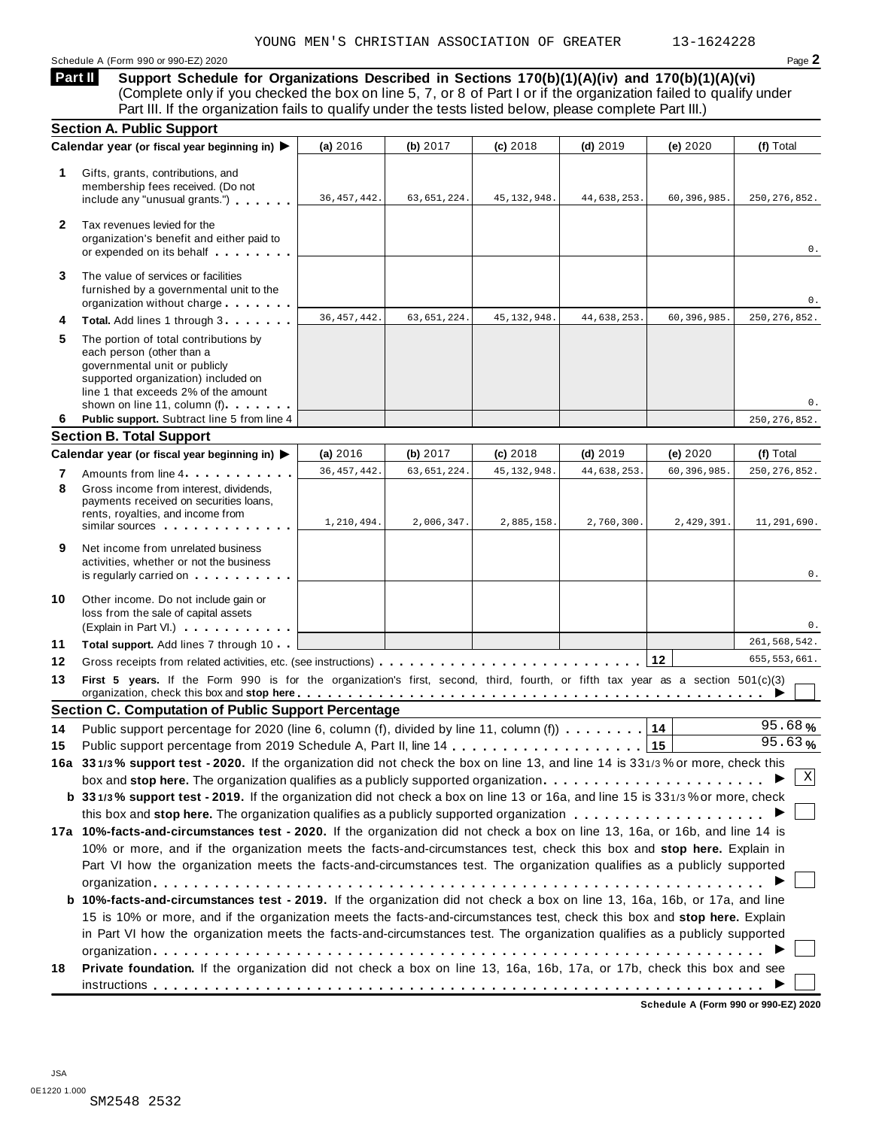Schedule A (Form 990 or 990-EZ) 2020 Page **2**

**Support Schedule for Organizations Described in Sections 170(b)(1)(A)(iv) and 170(b)(1)(A)(vi)** (Complete only if you checked the box on line 5, 7, or 8 of Part I or if the organization failed to qualify under **Part II** 

|              | Part III. If the organization fails to qualify under the tests listed below, please complete Part III.)                                                                                                                                                                                                                                                           |               |               |               |             |             |                |
|--------------|-------------------------------------------------------------------------------------------------------------------------------------------------------------------------------------------------------------------------------------------------------------------------------------------------------------------------------------------------------------------|---------------|---------------|---------------|-------------|-------------|----------------|
|              | <b>Section A. Public Support</b>                                                                                                                                                                                                                                                                                                                                  |               |               |               |             |             |                |
|              | Calendar year (or fiscal year beginning in) ▶                                                                                                                                                                                                                                                                                                                     | (a) 2016      | (b) 2017      | (c) 2018      | $(d)$ 2019  | (e) 2020    | (f) Total      |
| 1            | Gifts, grants, contributions, and<br>membership fees received. (Do not<br>include any "unusual grants.")                                                                                                                                                                                                                                                          | 36, 457, 442. | 63,651,224.   | 45, 132, 948. | 44,638,253. | 60,396,985. | 250, 276, 852. |
| $\mathbf{2}$ | Tax revenues levied for the<br>organization's benefit and either paid to<br>or expended on its behalf                                                                                                                                                                                                                                                             |               |               |               |             |             | 0.             |
| 3            | The value of services or facilities<br>furnished by a governmental unit to the<br>organization without charge                                                                                                                                                                                                                                                     |               |               |               |             |             | 0.             |
| 4            | Total. Add lines 1 through 3                                                                                                                                                                                                                                                                                                                                      | 36, 457, 442. | 63, 651, 224. | 45, 132, 948. | 44,638,253. | 60,396,985. | 250, 276, 852. |
| 5            | The portion of total contributions by<br>each person (other than a<br>governmental unit or publicly<br>supported organization) included on<br>line 1 that exceeds 2% of the amount<br>shown on line 11, column (f)                                                                                                                                                |               |               |               |             |             | 0.             |
| 6            | Public support. Subtract line 5 from line 4                                                                                                                                                                                                                                                                                                                       |               |               |               |             |             | 250, 276, 852. |
|              | <b>Section B. Total Support</b>                                                                                                                                                                                                                                                                                                                                   |               |               |               |             |             |                |
|              | Calendar year (or fiscal year beginning in) ▶                                                                                                                                                                                                                                                                                                                     | (a) 2016      | (b) 2017      | (c) 2018      | $(d)$ 2019  | (e) 2020    | (f) Total      |
| 7<br>8       | Amounts from line 4<br>Gross income from interest, dividends,<br>payments received on securities loans,                                                                                                                                                                                                                                                           | 36, 457, 442. | 63, 651, 224. | 45, 132, 948. | 44,638,253  | 60,396,985. | 250, 276, 852. |
|              | rents, royalties, and income from<br>similar sources experiences                                                                                                                                                                                                                                                                                                  | 1,210,494.    | 2,006,347.    | 2,885,158.    | 2,760,300.  | 2,429,391.  | 11,291,690.    |
| 9            | Net income from unrelated business<br>activities, whether or not the business<br>is regularly carried on the control of the set of the set of the set of the set of the set of the set of the s                                                                                                                                                                   |               |               |               |             |             | 0.             |
| 10           | Other income. Do not include gain or<br>loss from the sale of capital assets<br>(Explain in Part VI.)                                                                                                                                                                                                                                                             |               |               |               |             |             | 0.             |
| 11           | Total support. Add lines 7 through 10                                                                                                                                                                                                                                                                                                                             |               |               |               |             |             | 261,568,542.   |
| 12           |                                                                                                                                                                                                                                                                                                                                                                   |               |               |               |             | 12          | 655, 553, 661. |
| 13           | First 5 years. If the Form 990 is for the organization's first, second, third, fourth, or fifth tax year as a section 501(c)(3)<br>organization, check this box and stop here entitled and contact the contact of the contact of the contact of the contact of the contact of the contact of the contact of the contact of the contact of the contact of the cont |               |               |               |             |             |                |
|              | <b>Section C. Computation of Public Support Percentage</b>                                                                                                                                                                                                                                                                                                        |               |               |               |             |             |                |
| 14           | Public support percentage for 2020 (line 6, column (f), divided by line 11, column (f) $\ldots \ldots$                                                                                                                                                                                                                                                            |               |               |               |             |             | 95.68%         |
| 15           |                                                                                                                                                                                                                                                                                                                                                                   |               |               |               |             |             | 95.63%         |
|              | 16a 331/3% support test - 2020. If the organization did not check the box on line 13, and line 14 is 331/3% or more, check this                                                                                                                                                                                                                                   |               |               |               |             |             |                |
|              | box and stop here. The organization qualifies as a publicly supported organization                                                                                                                                                                                                                                                                                |               |               |               |             |             | Χ              |
|              | b 331/3% support test - 2019. If the organization did not check a box on line 13 or 16a, and line 15 is 331/3% or more, check                                                                                                                                                                                                                                     |               |               |               |             |             |                |
|              |                                                                                                                                                                                                                                                                                                                                                                   |               |               |               |             |             |                |
|              | 17a 10%-facts-and-circumstances test - 2020. If the organization did not check a box on line 13, 16a, or 16b, and line 14 is                                                                                                                                                                                                                                      |               |               |               |             |             |                |
|              | 10% or more, and if the organization meets the facts-and-circumstances test, check this box and stop here. Explain in<br>Part VI how the organization meets the facts-and-circumstances test. The organization qualifies as a publicly supported                                                                                                                  |               |               |               |             |             |                |
|              |                                                                                                                                                                                                                                                                                                                                                                   |               |               |               |             |             |                |
|              | <b>b 10%-facts-and-circumstances test - 2019.</b> If the organization did not check a box on line 13, 16a, 16b, or 17a, and line                                                                                                                                                                                                                                  |               |               |               |             |             |                |
|              | 15 is 10% or more, and if the organization meets the facts-and-circumstances test, check this box and stop here. Explain                                                                                                                                                                                                                                          |               |               |               |             |             |                |
|              | in Part VI how the organization meets the facts-and-circumstances test. The organization qualifies as a publicly supported                                                                                                                                                                                                                                        |               |               |               |             |             |                |
|              |                                                                                                                                                                                                                                                                                                                                                                   |               |               |               |             |             |                |
| 18           | Private foundation. If the organization did not check a box on line 13, 16a, 16b, 17a, or 17b, check this box and see                                                                                                                                                                                                                                             |               |               |               |             |             |                |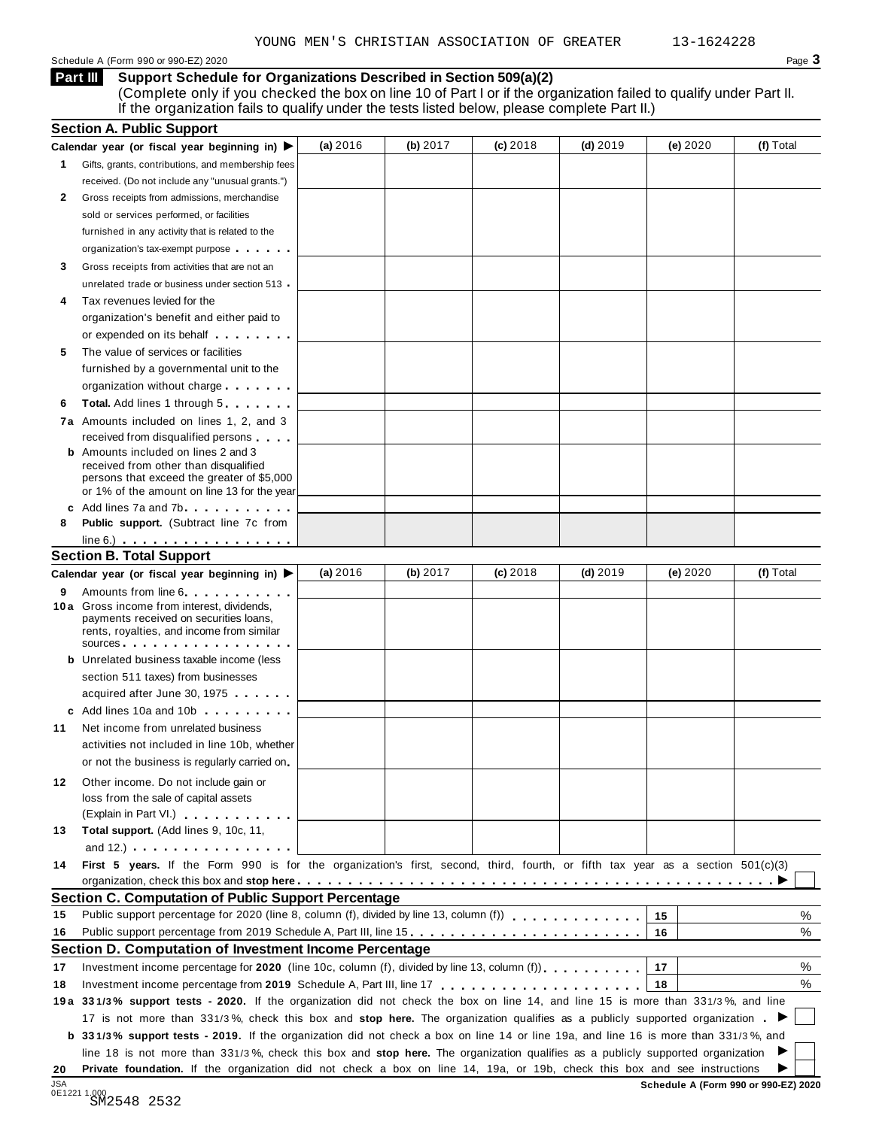Schedule A (Form 990 or 990-EZ) 2020 Page  $3$ 

**Support Schedule for Organizations Described in Section 509(a)(2) Part III** 

(Complete only if you checked the box on line 10 of Part I or if the organization failed to qualify under Part II. If the organization fails to qualify under the tests listed below, please complete Part II.)

|            | <b>Section A. Public Support</b>                                                                                                                                                                                                     |          |          |            |            |          |                                      |
|------------|--------------------------------------------------------------------------------------------------------------------------------------------------------------------------------------------------------------------------------------|----------|----------|------------|------------|----------|--------------------------------------|
|            | Calendar year (or fiscal year beginning in) $\blacktriangleright$                                                                                                                                                                    | (a) 2016 | (b) 2017 | $(c)$ 2018 | $(d)$ 2019 | (e) 2020 | (f) Total                            |
| 1.         | Gifts, grants, contributions, and membership fees                                                                                                                                                                                    |          |          |            |            |          |                                      |
|            | received. (Do not include any "unusual grants.")                                                                                                                                                                                     |          |          |            |            |          |                                      |
| 2          | Gross receipts from admissions, merchandise                                                                                                                                                                                          |          |          |            |            |          |                                      |
|            | sold or services performed, or facilities                                                                                                                                                                                            |          |          |            |            |          |                                      |
|            | furnished in any activity that is related to the                                                                                                                                                                                     |          |          |            |            |          |                                      |
|            | organization's tax-exempt purpose                                                                                                                                                                                                    |          |          |            |            |          |                                      |
| 3          | Gross receipts from activities that are not an                                                                                                                                                                                       |          |          |            |            |          |                                      |
|            | unrelated trade or business under section 513                                                                                                                                                                                        |          |          |            |            |          |                                      |
| 4          | Tax revenues levied for the                                                                                                                                                                                                          |          |          |            |            |          |                                      |
|            | organization's benefit and either paid to                                                                                                                                                                                            |          |          |            |            |          |                                      |
|            | or expended on its behalf <b>contains the set of the set of the set of the set of the set of the set of the set of the set of the set of the set of the set of the set of the set of the set of the set of the set of the set of</b> |          |          |            |            |          |                                      |
| 5          | The value of services or facilities                                                                                                                                                                                                  |          |          |            |            |          |                                      |
|            | furnished by a governmental unit to the                                                                                                                                                                                              |          |          |            |            |          |                                      |
|            | organization without charge                                                                                                                                                                                                          |          |          |            |            |          |                                      |
| 6          | <b>Total.</b> Add lines 1 through 5                                                                                                                                                                                                  |          |          |            |            |          |                                      |
|            | 7a Amounts included on lines 1, 2, and 3                                                                                                                                                                                             |          |          |            |            |          |                                      |
|            | received from disqualified persons                                                                                                                                                                                                   |          |          |            |            |          |                                      |
|            | <b>b</b> Amounts included on lines 2 and 3                                                                                                                                                                                           |          |          |            |            |          |                                      |
|            | received from other than disqualified<br>persons that exceed the greater of \$5,000                                                                                                                                                  |          |          |            |            |          |                                      |
|            | or 1% of the amount on line 13 for the year                                                                                                                                                                                          |          |          |            |            |          |                                      |
|            | c Add lines 7a and 7b                                                                                                                                                                                                                |          |          |            |            |          |                                      |
| 8          | <b>Public support.</b> (Subtract line 7c from                                                                                                                                                                                        |          |          |            |            |          |                                      |
|            |                                                                                                                                                                                                                                      |          |          |            |            |          |                                      |
|            | <b>Section B. Total Support</b>                                                                                                                                                                                                      |          |          |            |            |          |                                      |
|            | Calendar year (or fiscal year beginning in) ▶                                                                                                                                                                                        | (a) 2016 | (b) 2017 | $(c)$ 2018 | $(d)$ 2019 | (e) 2020 | (f) Total                            |
| 9          | Amounts from line 6 <b>Amounts</b> from line 6                                                                                                                                                                                       |          |          |            |            |          |                                      |
|            | 10 a Gross income from interest, dividends,<br>payments received on securities loans,<br>rents, royalties, and income from similar<br>sources                                                                                        |          |          |            |            |          |                                      |
|            | <b>b</b> Unrelated business taxable income (less                                                                                                                                                                                     |          |          |            |            |          |                                      |
|            | section 511 taxes) from businesses                                                                                                                                                                                                   |          |          |            |            |          |                                      |
|            | acquired after June 30, 1975                                                                                                                                                                                                         |          |          |            |            |          |                                      |
|            | c Add lines 10a and 10b                                                                                                                                                                                                              |          |          |            |            |          |                                      |
| 11         | Net income from unrelated business                                                                                                                                                                                                   |          |          |            |            |          |                                      |
|            | activities not included in line 10b, whether                                                                                                                                                                                         |          |          |            |            |          |                                      |
|            | or not the business is regularly carried on                                                                                                                                                                                          |          |          |            |            |          |                                      |
| 12         | Other income. Do not include gain or                                                                                                                                                                                                 |          |          |            |            |          |                                      |
|            | loss from the sale of capital assets                                                                                                                                                                                                 |          |          |            |            |          |                                      |
|            | (Explain in Part VI.) <b>All Accords</b>                                                                                                                                                                                             |          |          |            |            |          |                                      |
| 13         | Total support. (Add lines 9, 10c, 11,                                                                                                                                                                                                |          |          |            |            |          |                                      |
|            | and $12.$ ) $\cdots$ $\cdots$ $\cdots$ $\cdots$ $\cdots$                                                                                                                                                                             |          |          |            |            |          |                                      |
| 14         | First 5 years. If the Form 990 is for the organization's first, second, third, fourth, or fifth tax year as a section 501(c)(3)                                                                                                      |          |          |            |            |          |                                      |
|            |                                                                                                                                                                                                                                      |          |          |            |            |          |                                      |
|            | <b>Section C. Computation of Public Support Percentage</b>                                                                                                                                                                           |          |          |            |            |          |                                      |
| 15         | Public support percentage for 2020 (line 8, column (f), divided by line 13, column (f)                                                                                                                                               |          |          |            |            | 15       | %                                    |
| 16         | Public support percentage from 2019 Schedule A, Part III, line 15.                                                                                                                                                                   |          |          |            |            | 16       | %                                    |
|            | Section D. Computation of Investment Income Percentage                                                                                                                                                                               |          |          |            |            |          |                                      |
| 17         | Investment income percentage for 2020 (line 10c, column (f), divided by line 13, column (f) $\ldots$ ,                                                                                                                               |          |          |            |            | 17       | %                                    |
| 18         | Investment income percentage from 2019 Schedule A, Part III, line 17                                                                                                                                                                 |          |          |            |            | 18       | %                                    |
|            | 19a 331/3% support tests - 2020. If the organization did not check the box on line 14, and line 15 is more than 331/3%, and line                                                                                                     |          |          |            |            |          |                                      |
|            | 17 is not more than 331/3%, check this box and stop here. The organization qualifies as a publicly supported organization                                                                                                            |          |          |            |            |          |                                      |
|            | <b>b</b> 331/3% support tests - 2019. If the organization did not check a box on line 14 or line 19a, and line 16 is more than 331/3%, and                                                                                           |          |          |            |            |          |                                      |
|            | line 18 is not more than 331/3%, check this box and stop here. The organization qualifies as a publicly supported organization                                                                                                       |          |          |            |            |          |                                      |
| 20         | Private foundation. If the organization did not check a box on line 14, 19a, or 19b, check this box and see instructions                                                                                                             |          |          |            |            |          |                                      |
| <b>JSA</b> |                                                                                                                                                                                                                                      |          |          |            |            |          | Schedule A (Form 990 or 990-F7) 2020 |

0E1221 1.000 SM2548 2532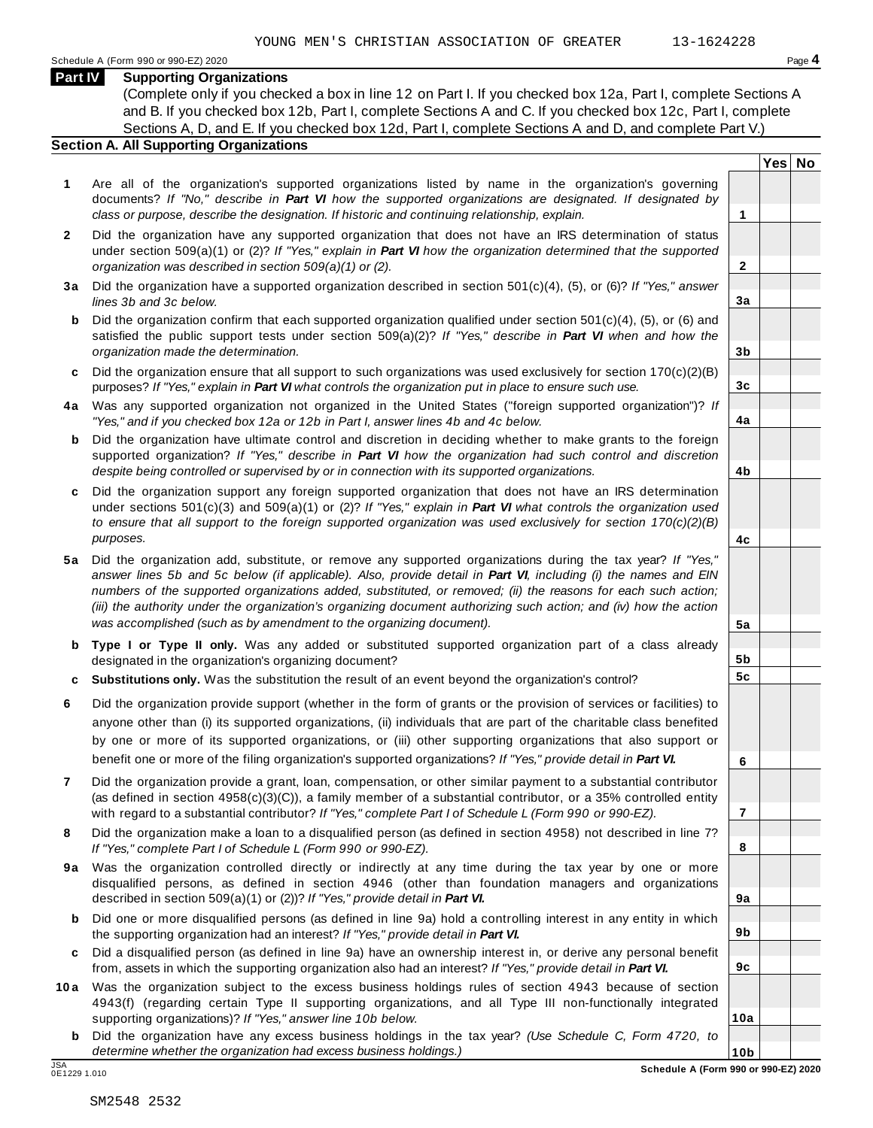#### **Part IV Supporting Organizations**

(Complete only if you checked a box in line 12 on Part I. If you checked box 12a, Part I, complete Sections A and B. If you checked box 12b, Part I, complete Sections A and C. If you checked box 12c, Part I, complete Sections A, D, and E. If you checked box 12d, Part I, complete Sections A and D, and complete Part V.)

### **Section A. All Supporting Organizations**

- **1** Are all of the organization's supported organizations listed by name in the organization's governing documents? *If "No," describe in Part VI how the supported organizations are designated. If designated by class or purpose, describe the designation. If historic and continuing relationship, explain.* **1**
- **2** Did the organization have any supported organization that does not have an IRS determination of status under section 509(a)(1) or (2)? *If "Yes," explain in Part VI how the organization determined that the supported organization was described in section 509(a)(1) or (2).*
- **3 a** Did the organization have a supported organization described in section 501(c)(4), (5), or (6)? *If "Yes," answer lines 3b and 3c below.*
- **b** Did the organization confirm that each supported organization qualified under section 501(c)(4), (5), or (6) and | satisfied the public support tests under section 509(a)(2)? *If "Yes," describe in Part VI when and how the organization made the determination.*
- **c** Did the organization ensure that all support to such organizations was used exclusively for section 170(c)(2)(B) purposes? *If "Yes," explain in Part VI what controls the organization put in place to ensure such use.*
- **4 a** Was any supported organization not organized in the United States ("foreign supported organization")? *If "Yes," and if you checked box 12a or 12b in Part I, answer lines 4b and 4c below.*
- **b** Did the organization have ultimate control and discretion in deciding whether to make grants to the foreign | supported organization? *If "Yes," describe in Part VI how the organization had such control and discretion despite being controlled or supervised by or in connection with its supported organizations.*
- **c** Did the organization support any foreign supported organization that does not have an IRS determination | under sections 501(c)(3) and 509(a)(1) or (2)? *If "Yes," explain in Part VI what controls the organization used to ensure that all support to the foreign supported organization was used exclusively for section 170(c)(2)(B) purposes.*
- **5 a** Did the organization add, substitute, or remove any supported organizations during the tax year? *If "Yes," answer lines 5b and 5c below (if applicable). Also, provide detail in Part VI, including (i) the names and EIN numbers of the supported organizations added, substituted, or removed; (ii) the reasons for each such action; (iii) the authority under the organization's organizing document authorizing such action; and (iv) how the action was accomplished (such as by amendment to the organizing document).*
- **b** Type I or Type II only. Was any added or substituted supported organization part of a class already | designated in the organization's organizing document?
- **c Substitutions only.** Was the substitution the result of an event beyond the organization's control?
- **6** Did the organization provide support (whether in the form of grants or the provision of services or facilities) to anyone other than (i) its supported organizations, (ii) individuals that are part of the charitable class benefited by one or more of its supported organizations, or (iii) other supporting organizations that also support or benefit one or more of the filing organization's supported organizations? *If "Yes," provide detail in Part VI.*
- **7** Did the organization provide a grant, loan, compensation, or other similar payment to a substantial contributor (as defined in section 4958(c)(3)(C)), a family member of a substantial contributor, or a 35% controlled entity with regard to a substantial contributor? *If "Yes," complete Part I of Schedule L (Form 990 or 990-EZ).*
- **8** Did the organization make a loan to a disqualified person (as defined in section 4958) not described in line 7? *If "Yes," complete Part I of Schedule L (Form 990 or 990-EZ).*
- **9a** Was the organization controlled directly or indirectly at any time during the tax year by one or more | disqualified persons, as defined in section 4946 (other than foundation managers and organizations described in section 509(a)(1) or (2))? *If "Yes," provide detail in Part VI.*
- **b** Did one or more disqualified persons (as defined in line 9a) hold a controlling interest in any entity in which | the supporting organization had an interest? *If "Yes," provide detail in Part VI.*
- **c** Did a disqualified person (as defined in line 9a) have an ownership interest in, or derive any personal benefit from, assets in which the supporting organization also had an interest? *If "Yes," provide detail in Part VI.*
- **10a** Was the organization subject to the excess business holdings rules of section 4943 because of section | 4943(f) (regarding certain Type II supporting organizations, and all Type III non-functionally integrated supporting organizations)? *If "Yes," answer line 10b below.*
	- **b** Did the organization have any excess business holdings in the tax year? *(Use Schedule C, Form 4720, to determine whether the organization had excess business holdings.)*

**Yes No**

**2**

**3a**

**3b**

**3c**

**4a**

**4b**

**4c**

**5a**

**5b 5c**

**6**

**7**

**8**

**9a**

**9b**

**9c**

**10a**

**10b**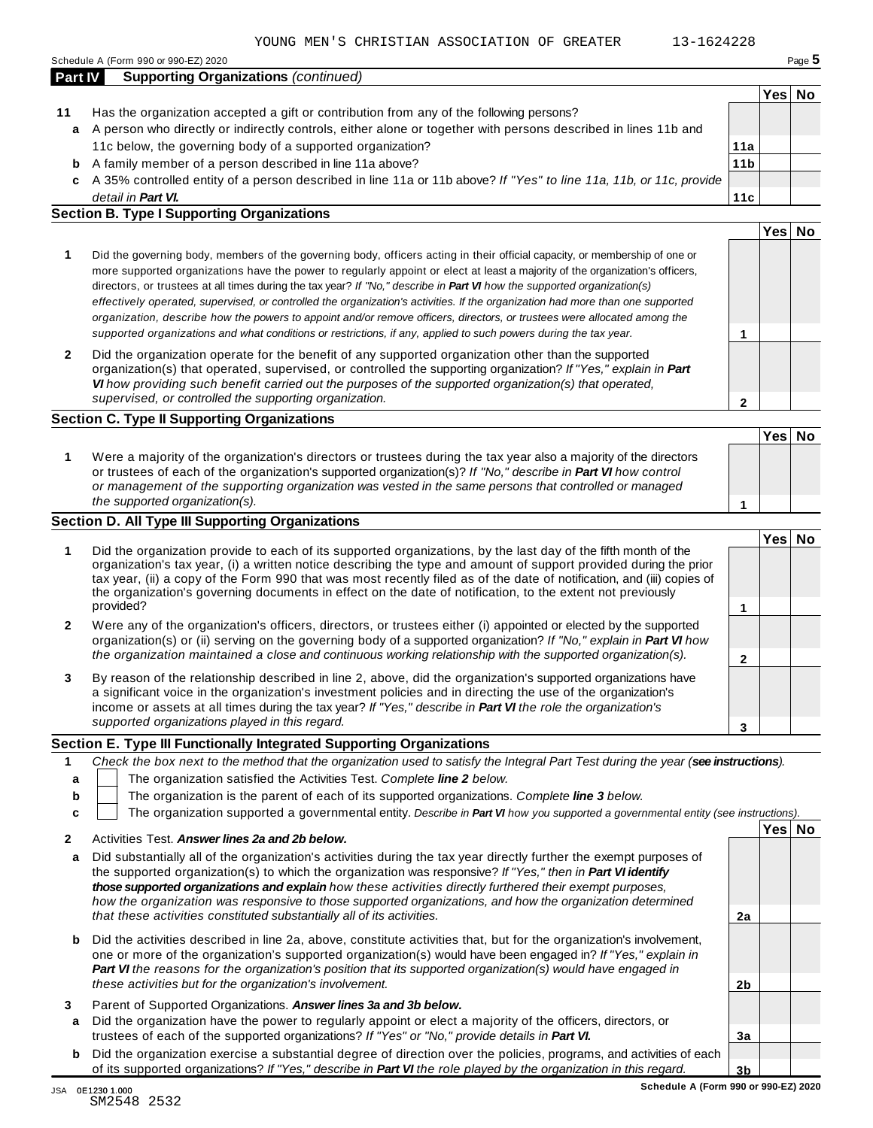|  |  |  |  | $-$ | . | $ -$ |  |  |
|--|--|--|--|-----|---|------|--|--|

- **11** Has the organization accepted a gift or contribution from any of the following persons? A person who directly or indirectly controls, either alone or together with persons described in lines 11b and **a** 11c below, the governing body of a supported organization?
	- A family member of a person described in line 11a above? **b**
	- A 35% controlled entity of a person described in line 11a or 11b above? *If "Yes" to line 11a, 11b, or 11c, provide* **c** *detail in Part VI.*

#### **Section B. Type I Supporting Organizations**

**Part IV Supporting Organizations** *(continued)*

- **1 1** Did the governing body, members of the governing body, officers acting in their official capacity, or membership of one or more supported organizations have the power to regularly appoint or elect at least a majority of the organization's officers, directors, or trustees at all times during the tax year? *If "No," describe in Part VI how the supported organization(s) effectively operated, supervised, or controlled the organization's activities. If the organization had more than one supported organization, describe how the powers to appoint and/or remove officers, directors, or trustees were allocated among the supported organizations and what conditions or restrictions, if any, applied to such powers during the tax year.*
- **2** Did the organization operate for the benefit of any supported organization other than the supported organization(s) that operated, supervised, or controlled the supporting organization? *If "Yes," explain in Part VI how providing such benefit carried out the purposes of the supported organization(s) that operated, supervised, or controlled the supporting organization.*

### **Section C. Type II Supporting Organizations**

**1 Yes No 1** Were a majority of the organization's directors or trustees during the tax year also a majority of the directors or trustees of each of the organization's supported organization(s)? *If "No," describe in Part VI how control or management of the supporting organization was vested in the same persons that controlled or managed the supported organization(s).*

### **Section D. All Type III Supporting Organizations**

**1 2 3 Yes No 1** Did the organization provide to each of its supported organizations, by the last day of the fifth month of the organization's tax year, (i) a written notice describing the type and amount of support provided during the prior tax year, (ii) a copy of the Form 990 that was most recently filed as of the date of notification, and (iii) copies of the organization's governing documents in effect on the date of notification, to the extent not previously provided? **2** Were any of the organization's officers, directors, or trustees either (i) appointed or elected by the supported organization(s) or (ii) serving on the governing body of a supported organization? *If "No," explain in Part VI how the organization maintained a close and continuous working relationship with the supported organization(s).* **3** By reason of the relationship described in line 2, above, did the organization's supported organizations have a significant voice in the organization's investment policies and in directing the use of the organization's income or assets at all times during the tax year? *If "Yes," describe in Part VI the role the organization's supported organizations played in this regard.*

### **Section E. Type III Functionally Integrated Supporting Organizations**

|   | Check the box next to the method that the organization used to satisfy the Integral Part Test during the year (see instructions). |  |  |  |  |  |  |  |  |  |
|---|-----------------------------------------------------------------------------------------------------------------------------------|--|--|--|--|--|--|--|--|--|
|   | The organization satisfied the Activities Test. Complete line 2 below.                                                            |  |  |  |  |  |  |  |  |  |
| b | The organization is the parent of each of its supported organizations. Complete line 3 below.                                     |  |  |  |  |  |  |  |  |  |
|   | The organization supported a governmental entity. Describe in Part VI how you supported a governmental entity (see instructions). |  |  |  |  |  |  |  |  |  |
|   | Yes No<br>Activities Test. Answer lines 2a and 2b below.                                                                          |  |  |  |  |  |  |  |  |  |

| 2      | Activities Test. Answer lines 2a and 2b below.                                                                                                                                                                                                                                                                                                                                                                                                                                                                                             |                |  |
|--------|--------------------------------------------------------------------------------------------------------------------------------------------------------------------------------------------------------------------------------------------------------------------------------------------------------------------------------------------------------------------------------------------------------------------------------------------------------------------------------------------------------------------------------------------|----------------|--|
| a      | Did substantially all of the organization's activities during the tax year directly further the exempt purposes of<br>the supported organization(s) to which the organization was responsive? If "Yes," then in <b>Part VI identify</b><br>those supported organizations and explain how these activities directly furthered their exempt purposes.<br>how the organization was responsive to those supported organizations, and how the organization determined<br>that these activities constituted substantially all of its activities. | 2a             |  |
| b      | Did the activities described in line 2a, above, constitute activities that, but for the organization's involvement,<br>one or more of the organization's supported organization(s) would have been engaged in? If "Yes," explain in<br><b>Part VI</b> the reasons for the organization's position that its supported organization(s) would have engaged in<br>these activities but for the organization's involvement.                                                                                                                     | 2 <sub>b</sub> |  |
| 3<br>a | Parent of Supported Organizations. Answer lines 3a and 3b below.<br>Did the organization have the power to regularly appoint or elect a majority of the officers, directors, or<br>trustees of each of the supported organizations? If "Yes" or "No," provide details in Part VI.                                                                                                                                                                                                                                                          | 3a             |  |
| b      | Did the organization exercise a substantial degree of direction over the policies, programs, and activities of each<br>of its supported organizations? If "Yes," describe in <b>Part VI</b> the role played by the organization in this regard.                                                                                                                                                                                                                                                                                            | 3 <sub>b</sub> |  |

**11a 11b**

**11c**

**Yes No**

**Yes No**

# **2**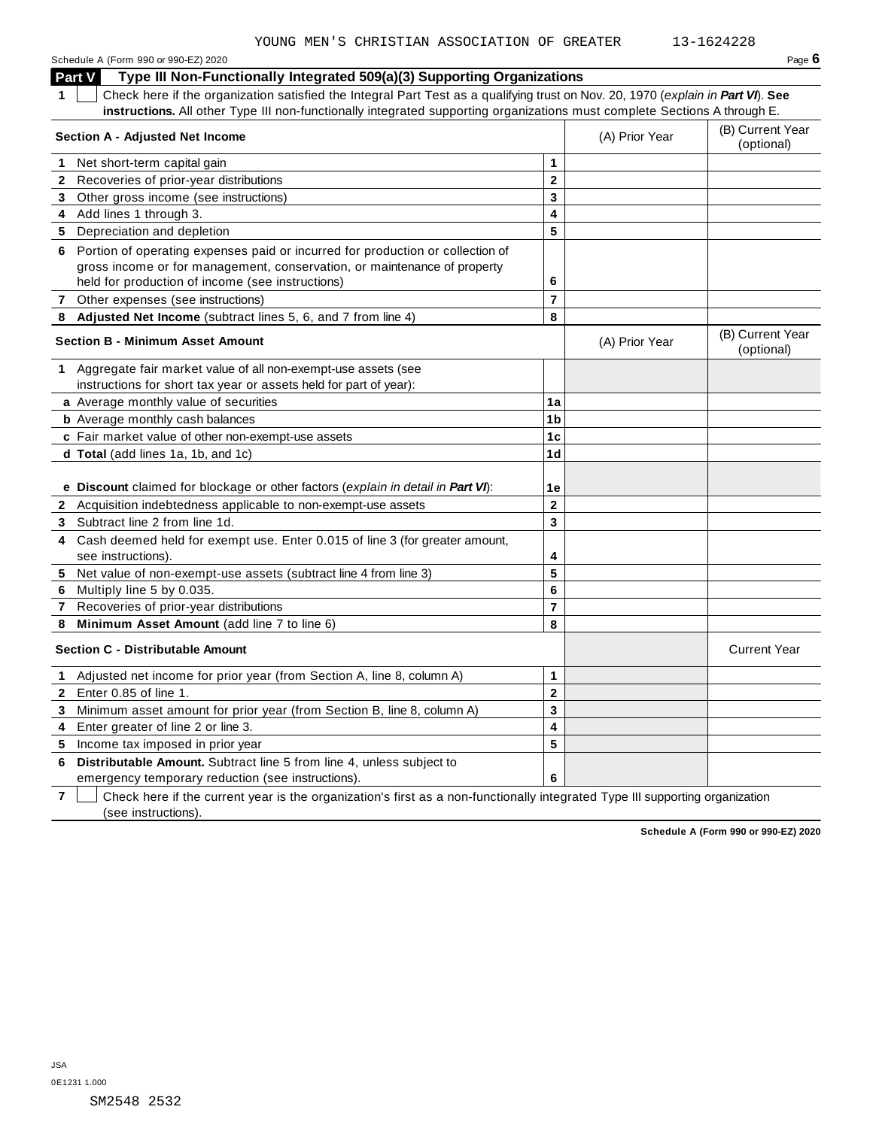Schedule A (Form 990 or 990-EZ) 2020 Page **6**

**Part V** Type III Non-Functionally Integrated 509(a)(3) Supporting Organizations

**1** Check here if the organization satisfied the Integral Part Test as a qualifying trust on Nov. 20, 1970 (*explain in Part VI*). **See instructions.** All other Type III non-functionally integrated supporting organizations must complete Sections A through E. Check here if the organization satisfied the integral Part Test as a qualifying trust on Nov. 20, 1970 (explain in Part Vi). See<br>
instructions. All other Type III non-functionally integrated supporting organizations must c

|              | Section A - Adjusted Net Income                                                                                           |                          | (A) Prior Year | (B) Current Year<br>(optional) |
|--------------|---------------------------------------------------------------------------------------------------------------------------|--------------------------|----------------|--------------------------------|
| 1            | Net short-term capital gain                                                                                               | 1                        |                |                                |
|              | 2 Recoveries of prior-year distributions                                                                                  | $\overline{2}$           |                |                                |
|              | 3 Other gross income (see instructions)                                                                                   | 3                        |                |                                |
|              | 4 Add lines 1 through 3.                                                                                                  | 4                        |                |                                |
|              | 5 Depreciation and depletion                                                                                              | 5                        |                |                                |
|              | 6 Portion of operating expenses paid or incurred for production or collection of                                          |                          |                |                                |
|              | gross income or for management, conservation, or maintenance of property                                                  |                          |                |                                |
|              | held for production of income (see instructions)                                                                          | 6                        |                |                                |
| $\mathbf{7}$ | Other expenses (see instructions)                                                                                         | $\overline{7}$           |                |                                |
| 8            | Adjusted Net Income (subtract lines 5, 6, and 7 from line 4)                                                              | 8                        |                |                                |
|              | <b>Section B - Minimum Asset Amount</b>                                                                                   |                          | (A) Prior Year | (B) Current Year<br>(optional) |
|              | 1 Aggregate fair market value of all non-exempt-use assets (see                                                           |                          |                |                                |
|              | instructions for short tax year or assets held for part of year):                                                         |                          |                |                                |
|              | a Average monthly value of securities                                                                                     | 1a                       |                |                                |
|              | <b>b</b> Average monthly cash balances                                                                                    | 1 <sub>b</sub>           |                |                                |
|              | c Fair market value of other non-exempt-use assets                                                                        | 1 <sub>c</sub>           |                |                                |
|              | d Total (add lines 1a, 1b, and 1c)                                                                                        | 1 <sub>d</sub>           |                |                                |
|              | e Discount claimed for blockage or other factors (explain in detail in Part VI):                                          | 1e                       |                |                                |
|              | 2 Acquisition indebtedness applicable to non-exempt-use assets                                                            | $\mathbf{2}$             |                |                                |
|              | 3 Subtract line 2 from line 1d.                                                                                           | 3                        |                |                                |
|              | 4 Cash deemed held for exempt use. Enter 0.015 of line 3 (for greater amount,<br>see instructions).                       | 4                        |                |                                |
| 5            | Net value of non-exempt-use assets (subtract line 4 from line 3)                                                          | 5                        |                |                                |
| 6            | Multiply line 5 by 0.035.                                                                                                 | 6                        |                |                                |
| 7            | Recoveries of prior-year distributions                                                                                    | $\overline{\phantom{a}}$ |                |                                |
| 8            | Minimum Asset Amount (add line 7 to line 6)                                                                               | 8                        |                |                                |
|              | <b>Section C - Distributable Amount</b>                                                                                   |                          |                | <b>Current Year</b>            |
| 1            | Adjusted net income for prior year (from Section A, line 8, column A)                                                     | 1                        |                |                                |
| $\mathbf{2}$ | Enter 0.85 of line 1.                                                                                                     | $\mathbf 2$              |                |                                |
| 3            | Minimum asset amount for prior year (from Section B, line 8, column A)                                                    | 3                        |                |                                |
| 4            | Enter greater of line 2 or line 3.                                                                                        | 4                        |                |                                |
|              | 5 Income tax imposed in prior year                                                                                        | 5                        |                |                                |
| 6            | Distributable Amount. Subtract line 5 from line 4, unless subject to<br>emergency temporary reduction (see instructions). | 6                        |                |                                |

**7** Check here if the current year is the organization's first as a non-functionally integrated Type III supporting organization (see instructions).

**Schedule A (Form 990 or 990-EZ) 2020**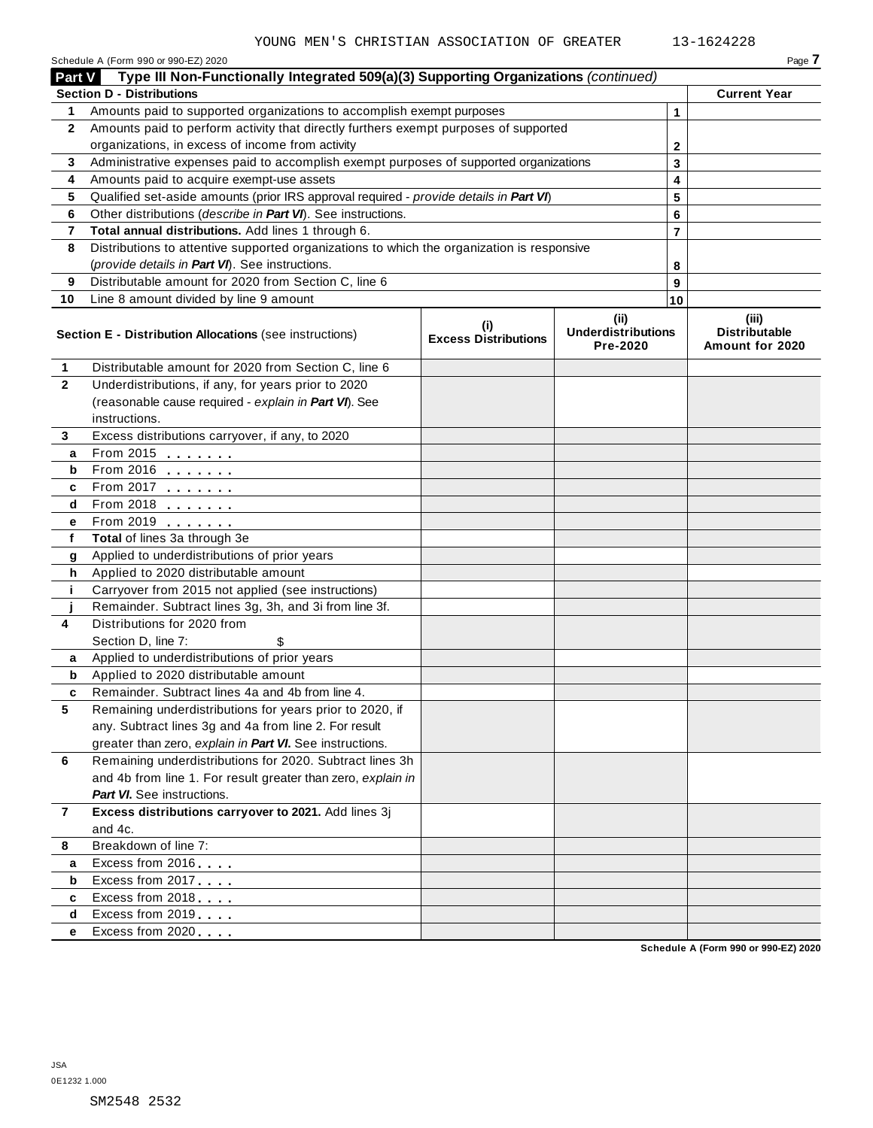|                | Schedule A (Form 990 or 990-EZ) 2020                                                       |                                    |                                               |                | Page 7                                           |
|----------------|--------------------------------------------------------------------------------------------|------------------------------------|-----------------------------------------------|----------------|--------------------------------------------------|
| Part V         | Type III Non-Functionally Integrated 509(a)(3) Supporting Organizations (continued)        |                                    |                                               |                |                                                  |
|                | <b>Section D - Distributions</b>                                                           |                                    |                                               |                | <b>Current Year</b>                              |
| 1              | Amounts paid to supported organizations to accomplish exempt purposes                      |                                    |                                               | 1              |                                                  |
| $\mathbf{2}$   | Amounts paid to perform activity that directly furthers exempt purposes of supported       |                                    |                                               |                |                                                  |
|                | organizations, in excess of income from activity                                           |                                    |                                               | $\mathbf{2}$   |                                                  |
| 3              | Administrative expenses paid to accomplish exempt purposes of supported organizations      |                                    |                                               |                |                                                  |
| 4              | Amounts paid to acquire exempt-use assets                                                  |                                    |                                               | 4              |                                                  |
| 5              | Qualified set-aside amounts (prior IRS approval required - provide details in Part VI)     |                                    |                                               |                |                                                  |
| 6              | Other distributions (describe in Part VI). See instructions.                               |                                    |                                               | 6              |                                                  |
| 7              | Total annual distributions. Add lines 1 through 6.                                         |                                    |                                               | $\overline{7}$ |                                                  |
| 8              | Distributions to attentive supported organizations to which the organization is responsive |                                    |                                               |                |                                                  |
|                | (provide details in Part VI). See instructions.                                            |                                    |                                               | 8              |                                                  |
| 9              | Distributable amount for 2020 from Section C, line 6                                       |                                    |                                               | 9              |                                                  |
| 10             | Line 8 amount divided by line 9 amount                                                     |                                    |                                               | 10             |                                                  |
|                | Section E - Distribution Allocations (see instructions)                                    | (i)<br><b>Excess Distributions</b> | (ii)<br><b>Underdistributions</b><br>Pre-2020 |                | (iii)<br><b>Distributable</b><br>Amount for 2020 |
| 1              | Distributable amount for 2020 from Section C, line 6                                       |                                    |                                               |                |                                                  |
| $\overline{2}$ | Underdistributions, if any, for years prior to 2020                                        |                                    |                                               |                |                                                  |
|                | (reasonable cause required - explain in Part VI). See                                      |                                    |                                               |                |                                                  |
|                | instructions.                                                                              |                                    |                                               |                |                                                  |
| 3              | Excess distributions carryover, if any, to 2020                                            |                                    |                                               |                |                                                  |
| a              | From 2015                                                                                  |                                    |                                               |                |                                                  |
| b              | From 2016 $\frac{1}{\sqrt{2}}$                                                             |                                    |                                               |                |                                                  |
| c              | From 2017 $\frac{1}{2}$                                                                    |                                    |                                               |                |                                                  |
| d              | From 2018                                                                                  |                                    |                                               |                |                                                  |
| е              | From 2019                                                                                  |                                    |                                               |                |                                                  |
| f              | Total of lines 3a through 3e                                                               |                                    |                                               |                |                                                  |
| g              | Applied to underdistributions of prior years                                               |                                    |                                               |                |                                                  |
| h              | Applied to 2020 distributable amount                                                       |                                    |                                               |                |                                                  |
| j.             | Carryover from 2015 not applied (see instructions)                                         |                                    |                                               |                |                                                  |
|                | Remainder. Subtract lines 3g, 3h, and 3i from line 3f.                                     |                                    |                                               |                |                                                  |
| 4              | Distributions for 2020 from                                                                |                                    |                                               |                |                                                  |
|                | Section D, line 7:                                                                         |                                    |                                               |                |                                                  |
| a              | Applied to underdistributions of prior years                                               |                                    |                                               |                |                                                  |
| b              | Applied to 2020 distributable amount                                                       |                                    |                                               |                |                                                  |
|                | Remainder. Subtract lines 4a and 4b from line 4.                                           |                                    |                                               |                |                                                  |
| 5              | Remaining underdistributions for years prior to 2020, if                                   |                                    |                                               |                |                                                  |
|                | any. Subtract lines 3g and 4a from line 2. For result                                      |                                    |                                               |                |                                                  |
|                | greater than zero, explain in Part VI. See instructions.                                   |                                    |                                               |                |                                                  |
| 6              | Remaining underdistributions for 2020. Subtract lines 3h                                   |                                    |                                               |                |                                                  |
|                | and 4b from line 1. For result greater than zero, explain in                               |                                    |                                               |                |                                                  |
|                | <b>Part VI.</b> See instructions.                                                          |                                    |                                               |                |                                                  |
| 7              | Excess distributions carryover to 2021. Add lines 3j                                       |                                    |                                               |                |                                                  |
|                | and 4c.                                                                                    |                                    |                                               |                |                                                  |
| 8              | Breakdown of line 7:                                                                       |                                    |                                               |                |                                                  |
| a              | Excess from 2016                                                                           |                                    |                                               |                |                                                  |
| b              | Excess from 2017                                                                           |                                    |                                               |                |                                                  |
| c              | Excess from 2018                                                                           |                                    |                                               |                |                                                  |
| d              | Excess from 2019                                                                           |                                    |                                               |                |                                                  |
| е              | Excess from 2020                                                                           |                                    |                                               |                |                                                  |
|                |                                                                                            |                                    |                                               |                | Schedule A (Form 990 or 990-EZ) 2020             |
|                |                                                                                            |                                    |                                               |                |                                                  |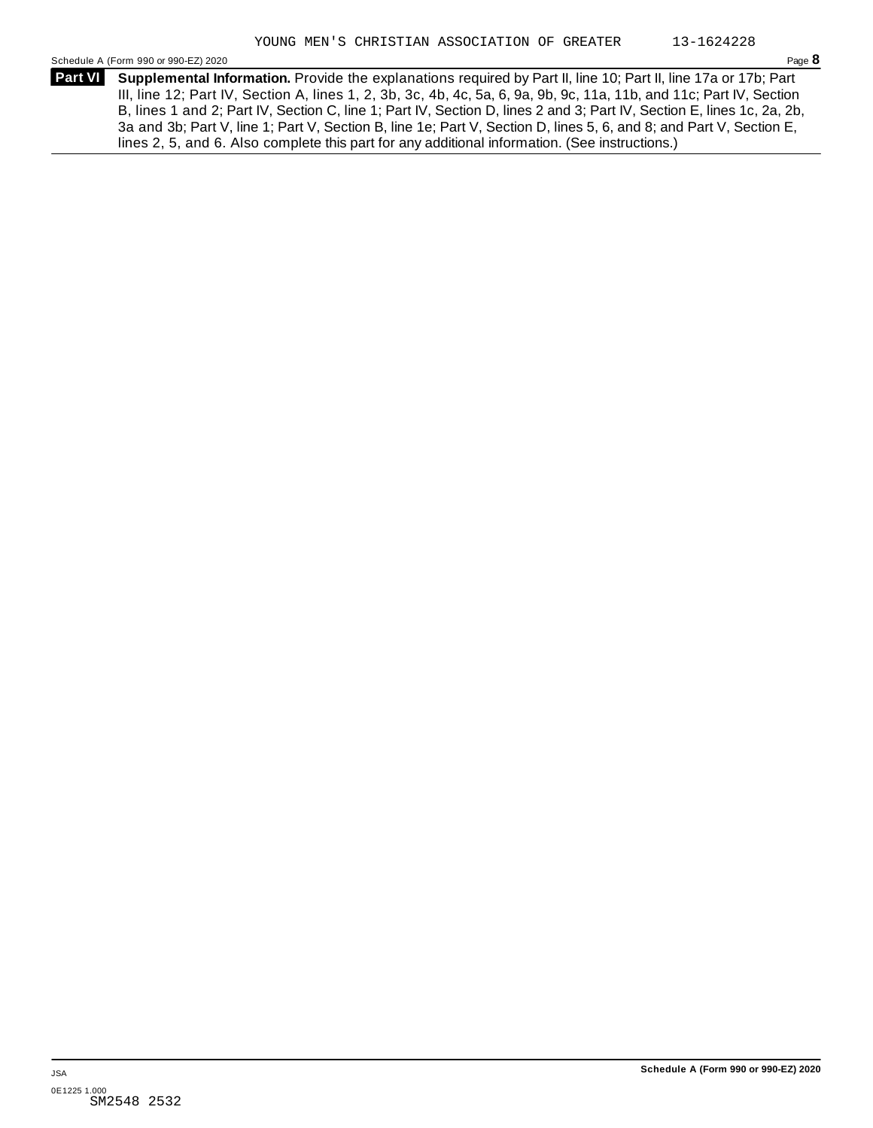Schedule A (Form 990 or 990-EZ) 2020 Page **8**

**Supplemental Information.** Provide the explanations required by Part II, line 10; Part II, line 17a or 17b; Part **Part VI**  III, line 12; Part IV, Section A, lines 1, 2, 3b, 3c, 4b, 4c, 5a, 6, 9a, 9b, 9c, 11a, 11b, and 11c; Part IV, Section B, lines 1 and 2; Part IV, Section C, line 1; Part IV, Section D, lines 2 and 3; Part IV, Section E, lines 1c, 2a, 2b, 3a and 3b; Part V, line 1; Part V, Section B, line 1e; Part V, Section D, lines 5, 6, and 8; and Part V, Section E, lines 2, 5, and 6. Also complete this part for any additional information. (See instructions.)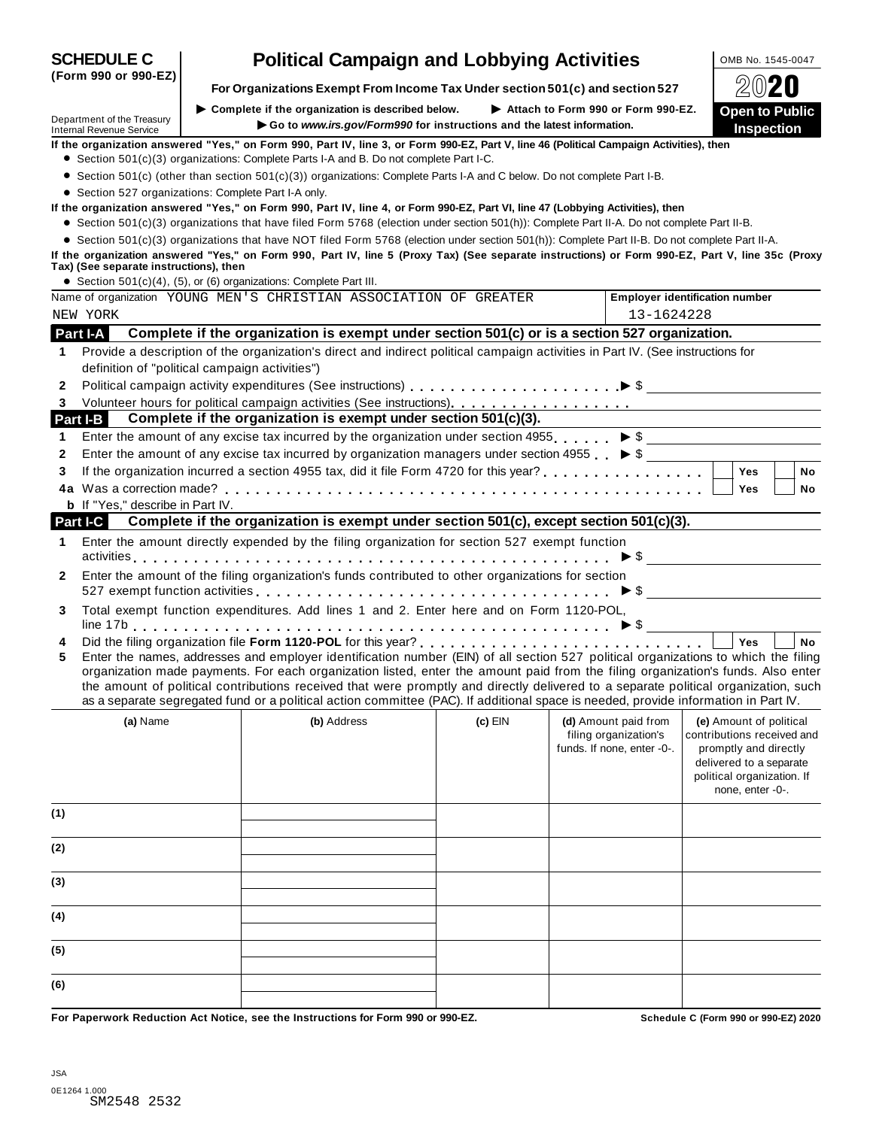| (Form 990 or 990-EZ)                                          | For Organizations Exempt From Income Tax Under section 501(c) and section 527                                                                                                                                                                                                                                                                                                                                                                                                                                                                        |         |                                                                             |                                                                                                                                                             |
|---------------------------------------------------------------|------------------------------------------------------------------------------------------------------------------------------------------------------------------------------------------------------------------------------------------------------------------------------------------------------------------------------------------------------------------------------------------------------------------------------------------------------------------------------------------------------------------------------------------------------|---------|-----------------------------------------------------------------------------|-------------------------------------------------------------------------------------------------------------------------------------------------------------|
|                                                               | Complete if the organization is described below.                                                                                                                                                                                                                                                                                                                                                                                                                                                                                                     |         | Attach to Form 990 or Form 990-EZ.                                          | <b>Open to Public</b>                                                                                                                                       |
| Department of the Treasury<br><b>Internal Revenue Service</b> | Go to www.irs.gov/Form990 for instructions and the latest information.                                                                                                                                                                                                                                                                                                                                                                                                                                                                               |         |                                                                             | <b>Inspection</b>                                                                                                                                           |
|                                                               | If the organization answered "Yes," on Form 990, Part IV, line 3, or Form 990-EZ, Part V, line 46 (Political Campaign Activities), then                                                                                                                                                                                                                                                                                                                                                                                                              |         |                                                                             |                                                                                                                                                             |
|                                                               | • Section 501(c)(3) organizations: Complete Parts I-A and B. Do not complete Part I-C.                                                                                                                                                                                                                                                                                                                                                                                                                                                               |         |                                                                             |                                                                                                                                                             |
|                                                               | • Section 501(c) (other than section 501(c)(3)) organizations: Complete Parts I-A and C below. Do not complete Part I-B.                                                                                                                                                                                                                                                                                                                                                                                                                             |         |                                                                             |                                                                                                                                                             |
|                                                               | • Section 527 organizations: Complete Part I-A only.                                                                                                                                                                                                                                                                                                                                                                                                                                                                                                 |         |                                                                             |                                                                                                                                                             |
|                                                               | If the organization answered "Yes," on Form 990, Part IV, line 4, or Form 990-EZ, Part VI, line 47 (Lobbying Activities), then<br>• Section 501(c)(3) organizations that have filed Form 5768 (election under section 501(h)): Complete Part II-A. Do not complete Part II-B.                                                                                                                                                                                                                                                                        |         |                                                                             |                                                                                                                                                             |
|                                                               | • Section 501(c)(3) organizations that have NOT filed Form 5768 (election under section 501(h)): Complete Part II-B. Do not complete Part II-A.                                                                                                                                                                                                                                                                                                                                                                                                      |         |                                                                             |                                                                                                                                                             |
| Tax) (See separate instructions), then                        | If the organization answered "Yes," on Form 990, Part IV, line 5 (Proxy Tax) (See separate instructions) or Form 990-EZ, Part V, line 35c (Proxy                                                                                                                                                                                                                                                                                                                                                                                                     |         |                                                                             |                                                                                                                                                             |
|                                                               | • Section $501(c)(4)$ , $(5)$ , or $(6)$ organizations: Complete Part III.                                                                                                                                                                                                                                                                                                                                                                                                                                                                           |         |                                                                             |                                                                                                                                                             |
|                                                               | Name of organization YOUNG MEN'S CHRISTIAN ASSOCIATION OF GREATER                                                                                                                                                                                                                                                                                                                                                                                                                                                                                    |         |                                                                             | <b>Employer identification number</b>                                                                                                                       |
| NEW YORK                                                      |                                                                                                                                                                                                                                                                                                                                                                                                                                                                                                                                                      |         | 13-1624228                                                                  |                                                                                                                                                             |
| Part I-A                                                      | Complete if the organization is exempt under section 501(c) or is a section 527 organization.                                                                                                                                                                                                                                                                                                                                                                                                                                                        |         |                                                                             |                                                                                                                                                             |
| 1                                                             | Provide a description of the organization's direct and indirect political campaign activities in Part IV. (See instructions for                                                                                                                                                                                                                                                                                                                                                                                                                      |         |                                                                             |                                                                                                                                                             |
|                                                               | definition of "political campaign activities")                                                                                                                                                                                                                                                                                                                                                                                                                                                                                                       |         |                                                                             |                                                                                                                                                             |
| $\mathbf{2}$                                                  |                                                                                                                                                                                                                                                                                                                                                                                                                                                                                                                                                      |         |                                                                             |                                                                                                                                                             |
| 3                                                             |                                                                                                                                                                                                                                                                                                                                                                                                                                                                                                                                                      |         |                                                                             |                                                                                                                                                             |
| <b>Part I-B</b>                                               | Complete if the organization is exempt under section 501(c)(3).                                                                                                                                                                                                                                                                                                                                                                                                                                                                                      |         |                                                                             |                                                                                                                                                             |
| 1                                                             | Enter the amount of any excise tax incurred by the organization under section 4955. $\triangleright$ \$                                                                                                                                                                                                                                                                                                                                                                                                                                              |         |                                                                             |                                                                                                                                                             |
| 2                                                             | Enter the amount of any excise tax incurred by organization managers under section 4955 $\triangleright$ \$<br>If the organization incurred a section 4955 tax, did it file Form 4720 for this year?<br>                                                                                                                                                                                                                                                                                                                                             |         |                                                                             |                                                                                                                                                             |
| 3                                                             |                                                                                                                                                                                                                                                                                                                                                                                                                                                                                                                                                      |         |                                                                             | <b>Yes</b><br><b>No</b>                                                                                                                                     |
| <b>b</b> If "Yes," describe in Part IV.                       |                                                                                                                                                                                                                                                                                                                                                                                                                                                                                                                                                      |         |                                                                             | <b>Yes</b><br>No                                                                                                                                            |
| Part I-C                                                      | Complete if the organization is exempt under section 501(c), except section 501(c)(3).                                                                                                                                                                                                                                                                                                                                                                                                                                                               |         |                                                                             |                                                                                                                                                             |
|                                                               |                                                                                                                                                                                                                                                                                                                                                                                                                                                                                                                                                      |         |                                                                             |                                                                                                                                                             |
| 1.                                                            | Enter the amount directly expended by the filing organization for section 527 exempt function                                                                                                                                                                                                                                                                                                                                                                                                                                                        |         |                                                                             |                                                                                                                                                             |
|                                                               | Enter the amount of the filing organization's funds contributed to other organizations for section                                                                                                                                                                                                                                                                                                                                                                                                                                                   |         |                                                                             |                                                                                                                                                             |
| 2                                                             |                                                                                                                                                                                                                                                                                                                                                                                                                                                                                                                                                      |         |                                                                             |                                                                                                                                                             |
| 3                                                             | Total exempt function expenditures. Add lines 1 and 2. Enter here and on Form 1120-POL,                                                                                                                                                                                                                                                                                                                                                                                                                                                              |         |                                                                             |                                                                                                                                                             |
|                                                               |                                                                                                                                                                                                                                                                                                                                                                                                                                                                                                                                                      |         |                                                                             |                                                                                                                                                             |
| 4                                                             |                                                                                                                                                                                                                                                                                                                                                                                                                                                                                                                                                      |         |                                                                             | <b>No</b><br>Yes                                                                                                                                            |
| 5                                                             | Enter the names, addresses and employer identification number (EIN) of all section 527 political organizations to which the filing<br>organization made payments. For each organization listed, enter the amount paid from the filing organization's funds. Also enter<br>the amount of political contributions received that were promptly and directly delivered to a separate political organization, such<br>as a separate segregated fund or a political action committee (PAC). If additional space is needed, provide information in Part IV. |         |                                                                             |                                                                                                                                                             |
| (a) Name                                                      | (b) Address                                                                                                                                                                                                                                                                                                                                                                                                                                                                                                                                          | (c) EIN | (d) Amount paid from<br>filing organization's<br>funds. If none, enter -0-. | (e) Amount of political<br>contributions received and<br>promptly and directly<br>delivered to a separate<br>political organization. If<br>none, enter -0-. |
| (1)                                                           |                                                                                                                                                                                                                                                                                                                                                                                                                                                                                                                                                      |         |                                                                             |                                                                                                                                                             |
| (2)                                                           |                                                                                                                                                                                                                                                                                                                                                                                                                                                                                                                                                      |         |                                                                             |                                                                                                                                                             |
| (3)                                                           |                                                                                                                                                                                                                                                                                                                                                                                                                                                                                                                                                      |         |                                                                             |                                                                                                                                                             |
| (4)                                                           |                                                                                                                                                                                                                                                                                                                                                                                                                                                                                                                                                      |         |                                                                             |                                                                                                                                                             |
| (5)                                                           |                                                                                                                                                                                                                                                                                                                                                                                                                                                                                                                                                      |         |                                                                             |                                                                                                                                                             |
| (6)                                                           |                                                                                                                                                                                                                                                                                                                                                                                                                                                                                                                                                      |         |                                                                             |                                                                                                                                                             |
|                                                               | Ear Panarwark Paduation, Act Notice, see the Instructions for Ferm 000 or 000 FZ                                                                                                                                                                                                                                                                                                                                                                                                                                                                     |         |                                                                             | Sebedule C (Ferm 000 er 000 EZ) 2020                                                                                                                        |

**SCHEDULE C Political Campaign and Lobbying Activities OMB No. 1545-0047** 

**For Paperwork Reduction Act Notice, see the Instructions for Form 990 or 990-EZ. Schedule C (Form 990 or 990-EZ) 2020**

**(Form 990 or 990-EZ)**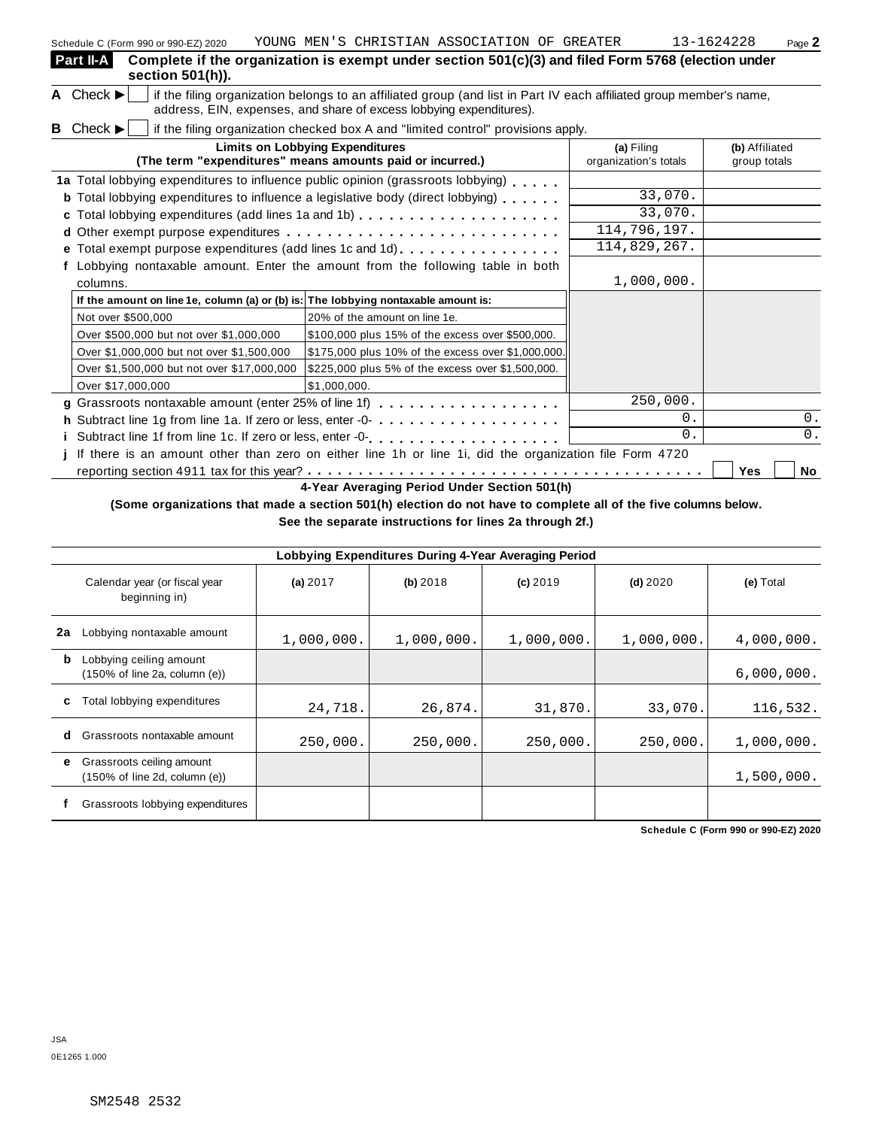| Schedule C (Form 990 or 990-EZ) 2020                                               | IOUNG MEN S CHRISIIAN ASSOCIATION OF GREATER                                                                                                                                                                                       |                                     | 13-1024228<br>Page $\angle$    |
|------------------------------------------------------------------------------------|------------------------------------------------------------------------------------------------------------------------------------------------------------------------------------------------------------------------------------|-------------------------------------|--------------------------------|
| Part II-A<br>section 501(h)).                                                      | Complete if the organization is exempt under section 501(c)(3) and filed Form 5768 (election under                                                                                                                                 |                                     |                                |
| A Check ►                                                                          | if the filing organization belongs to an affiliated group (and list in Part IV each affiliated group member's name,<br>address, EIN, expenses, and share of excess lobbying expenditures).                                         |                                     |                                |
| <b>B</b> Check $\blacktriangleright$                                               | if the filing organization checked box A and "limited control" provisions apply.                                                                                                                                                   |                                     |                                |
|                                                                                    | <b>Limits on Lobbying Expenditures</b><br>(The term "expenditures" means amounts paid or incurred.)                                                                                                                                | (a) Filing<br>organization's totals | (b) Affiliated<br>group totals |
|                                                                                    | 1a Total lobbying expenditures to influence public opinion (grassroots lobbying)                                                                                                                                                   |                                     |                                |
|                                                                                    | <b>b</b> Total lobbying expenditures to influence a legislative body (direct lobbying)                                                                                                                                             | 33,070.                             |                                |
|                                                                                    | c Total lobbying expenditures (add lines 1a and 1b)                                                                                                                                                                                | 33,070.                             |                                |
|                                                                                    |                                                                                                                                                                                                                                    | 114,796,197.                        |                                |
|                                                                                    | e Total exempt purpose expenditures (add lines 1c and 1d)                                                                                                                                                                          | 114,829,267.                        |                                |
|                                                                                    | Lobbying nontaxable amount. Enter the amount from the following table in both                                                                                                                                                      |                                     |                                |
| columns.                                                                           |                                                                                                                                                                                                                                    | 1,000,000.                          |                                |
| If the amount on line 1e, column (a) or (b) is: The lobbying nontaxable amount is: |                                                                                                                                                                                                                                    |                                     |                                |
| Not over \$500,000                                                                 | 20% of the amount on line 1e.                                                                                                                                                                                                      |                                     |                                |
| Over \$500,000 but not over \$1,000,000                                            | \$100,000 plus 15% of the excess over \$500,000.                                                                                                                                                                                   |                                     |                                |
| Over \$1,000,000 but not over \$1,500,000                                          | \$175,000 plus 10% of the excess over \$1,000,000.                                                                                                                                                                                 |                                     |                                |
| Over \$1,500,000 but not over \$17,000,000                                         | \$225,000 plus 5% of the excess over \$1,500,000.                                                                                                                                                                                  |                                     |                                |
| Over \$17,000,000                                                                  | \$1,000,000.                                                                                                                                                                                                                       |                                     |                                |
|                                                                                    | g Grassroots nontaxable amount (enter 25% of line 1f)                                                                                                                                                                              | 250,000.                            |                                |
|                                                                                    | h Subtract line 1g from line 1a. If zero or less, enter -0-                                                                                                                                                                        | 0.                                  | 0.                             |
|                                                                                    |                                                                                                                                                                                                                                    | $\overline{0}$ .                    | 0.                             |
|                                                                                    | If there is an amount other than zero on either line 1h or line 1i, did the organization file Form 4720                                                                                                                            |                                     |                                |
|                                                                                    |                                                                                                                                                                                                                                    |                                     | Yes<br>No                      |
|                                                                                    | 4-Year Averaging Period Under Section 501(h)                                                                                                                                                                                       |                                     |                                |
|                                                                                    | $\mathcal{L}$ . The set of the set of the set of the set of the set of the set of the set of the set of the set of the set of the set of the set of the set of the set of the set of the set of the set of the set of the set of t |                                     |                                |

**(Some organizations that made a section 501(h) election do not have to complete all of the five columns below.**

**See the separate instructions for lines 2a through 2f.)**

|    | Lobbying Expenditures During 4-Year Averaging Period                            |            |            |            |            |            |  |  |  |  |
|----|---------------------------------------------------------------------------------|------------|------------|------------|------------|------------|--|--|--|--|
|    | Calendar year (or fiscal year<br>beginning in)                                  | (a) $2017$ | (b) 2018   | $(c)$ 2019 | $(d)$ 2020 | (e) Total  |  |  |  |  |
| 2a | Lobbying nontaxable amount                                                      | 1,000,000. | 1,000,000. | 1,000,000. | 1,000,000. | 4,000,000. |  |  |  |  |
| b  | Lobbying ceiling amount<br>$(150\% \text{ of line } 2a, \text{ column } (e))$   |            |            |            |            | 6,000,000. |  |  |  |  |
| c  | Total lobbying expenditures                                                     | 24,718.    | 26,874.    | 31,870.    | 33,070.    | 116,532.   |  |  |  |  |
| d  | Grassroots nontaxable amount                                                    | 250,000.   | 250,000.   | 250,000.   | 250,000.   | 1,000,000. |  |  |  |  |
| е  | Grassroots ceiling amount<br>$(150\% \text{ of line } 2d, \text{ column } (e))$ |            |            |            |            | 1,500,000. |  |  |  |  |
|    | Grassroots lobbying expenditures                                                |            |            |            |            |            |  |  |  |  |

**Schedule C (Form 990 or 990-EZ) 2020**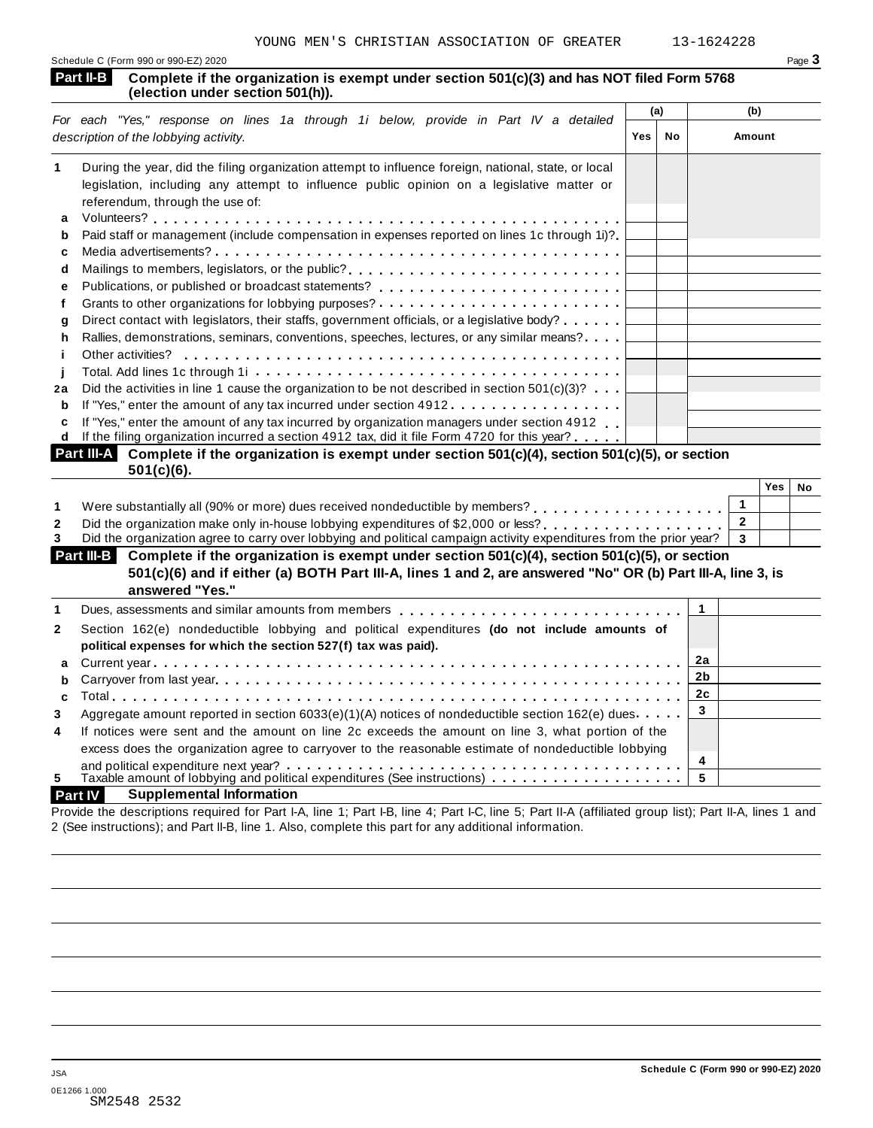| Schedule C (Form 990 or 990-EZ) 2020 | Page $\mathbf{\dot{5}}$ |
|--------------------------------------|-------------------------|
|                                      |                         |

#### **Complete if the organization is exempt under section 501(c)(3) and has NOT filed Form 5768 (election under section 501(h)). Part II-B**

| For each "Yes," response on lines 1a through 1i below, provide in Part IV a detailed                                            | Amount |
|---------------------------------------------------------------------------------------------------------------------------------|--------|
| <b>Yes</b><br>description of the lobbying activity.<br>No                                                                       |        |
| 1<br>During the year, did the filing organization attempt to influence foreign, national, state, or local                       |        |
| legislation, including any attempt to influence public opinion on a legislative matter or                                       |        |
| referendum, through the use of:                                                                                                 |        |
| a                                                                                                                               |        |
| Paid staff or management (include compensation in expenses reported on lines 1c through 1i)?<br>b                               |        |
| c                                                                                                                               |        |
| Mailings to members, legislators, or the public?<br>d                                                                           |        |
| е                                                                                                                               |        |
| Grants to other organizations for lobbying purposes?                                                                            |        |
| Direct contact with legislators, their staffs, government officials, or a legislative body?<br>a                                |        |
| Rallies, demonstrations, seminars, conventions, speeches, lectures, or any similar means?<br>h                                  |        |
| Other activities?                                                                                                               |        |
|                                                                                                                                 |        |
| Did the activities in line 1 cause the organization to be not described in section $501(c)(3)$ ?<br>2a                          |        |
| If "Yes," enter the amount of any tax incurred under section 4912<br>b                                                          |        |
| If "Yes," enter the amount of any tax incurred by organization managers under section 4912<br>c                                 |        |
| If the filing organization incurred a section 4912 tax, did it file Form 4720 for this year?<br>d                               |        |
| Part III-A<br>Complete if the organization is exempt under section 501(c)(4), section 501(c)(5), or section<br><b>FA41-1101</b> |        |

|              | $\mathbf{D}$ if the contract the annount of any tax incurred under section 49.12 $\ldots$ . The contract of $\mathbf{D}$ |              |     |    |
|--------------|--------------------------------------------------------------------------------------------------------------------------|--------------|-----|----|
|              | c If "Yes," enter the amount of any tax incurred by organization managers under section 4912                             |              |     |    |
| d            | If the filing organization incurred a section 4912 tax, did it file Form 4720 for this year?                             |              |     |    |
|              | Part III-A Complete if the organization is exempt under section 501(c)(4), section 501(c)(5), or section                 |              |     |    |
|              | $501(c)(6)$ .                                                                                                            |              |     |    |
|              |                                                                                                                          |              | Yes | No |
|              | Were substantially all (90% or more) dues received nondeductible by members?                                             |              |     |    |
| $\mathbf{2}$ | Did the organization make only in-house lobbying expenditures of \$2,000 or less?                                        | $\mathbf{2}$ |     |    |
|              | Did the organization agree to carry over lobbying and political campaign activity expenditures from the prior year?      | - 3          |     |    |
|              | <b>Part III.</b> Complete if the examization is exampt under section $E(1/\sqrt{d})$ section $E(1/\sqrt{d})$ or section  |              |     |    |

|              | The proportionally all (50 % of Hiote) dues received Horitaguacupie by Hierinoers $\ell_1, \ldots, \ell_{n+1}, \ldots, \ell_{n+1}$ |  |  |
|--------------|------------------------------------------------------------------------------------------------------------------------------------|--|--|
| $\mathbf{2}$ | Did the organization make only in-house lobbying expenditures of \$2,000 or less? $\ldots \ldots \ldots \ldots$                    |  |  |
| 3            | Did the organization agree to carry over lobbying and political campaign activity expenditures from the prior year?   3            |  |  |
|              | Part III-B Complete if the organization is exempt under section 501(c)(4), section 501(c)(5), or section                           |  |  |
|              |                                                                                                                                    |  |  |
|              | 501(c)(6) and if either (a) BOTH Part III-A, lines 1 and 2, are answered "No" OR (b) Part III-A, line 3, is                        |  |  |
|              | answered "Yes."                                                                                                                    |  |  |
|              | Dues, assessments and similar amounts from members $\ldots$ , , , , , , , , 1                                                      |  |  |
| $\mathbf{2}$ | Section 162(e) nondeductible lobbying and political expenditures (do not include amounts of                                        |  |  |

|              | <u>a anibiaca n'ena ardameacran na avanibe anaor adacian ao ifall ili adaman ao ifallali ar adacian</u><br>501(c)(6) and if either (a) BOTH Part III-A, lines 1 and 2, are answered "No" OR (b) Part III-A, line 3, is<br>answered "Yes." |    |
|--------------|-------------------------------------------------------------------------------------------------------------------------------------------------------------------------------------------------------------------------------------------|----|
|              | Dues, assessments and similar amounts from members $\ldots$ , , , , , , , , $\downarrow$                                                                                                                                                  |    |
| $\mathbf{2}$ | Section 162(e) nondeductible lobbying and political expenditures (do not include amounts of<br>political expenses for which the section 527(f) tax was paid).                                                                             |    |
|              |                                                                                                                                                                                                                                           | 2a |
|              |                                                                                                                                                                                                                                           | 2b |
| $\mathbf{c}$ |                                                                                                                                                                                                                                           | 2c |
| 3            | Aggregate amount reported in section 6033(e)(1)(A) notices of nondeductible section 162(e) dues.                                                                                                                                          | 3  |
| 4            | If notices were sent and the amount on line 2c exceeds the amount on line 3, what portion of the<br>excess does the organization agree to carryover to the reasonable estimate of nondeductible lobbying                                  |    |
|              |                                                                                                                                                                                                                                           | 4  |
| 5            |                                                                                                                                                                                                                                           | 5  |
|              | <b>Supplemental Information</b><br><b>Part IV</b>                                                                                                                                                                                         |    |
|              | i a i se strokim an an do an do an an an amar man an a i                                                                                                                                                                                  |    |

Provide the descriptions required for Part I-A, line 1; Part I-B, line 4; Part I-C, line 5; Part II-A (affiliated group list); Part II-A, lines 1 and 2 (See instructions); and Part II-B, line 1. Also, complete this part for any additional information.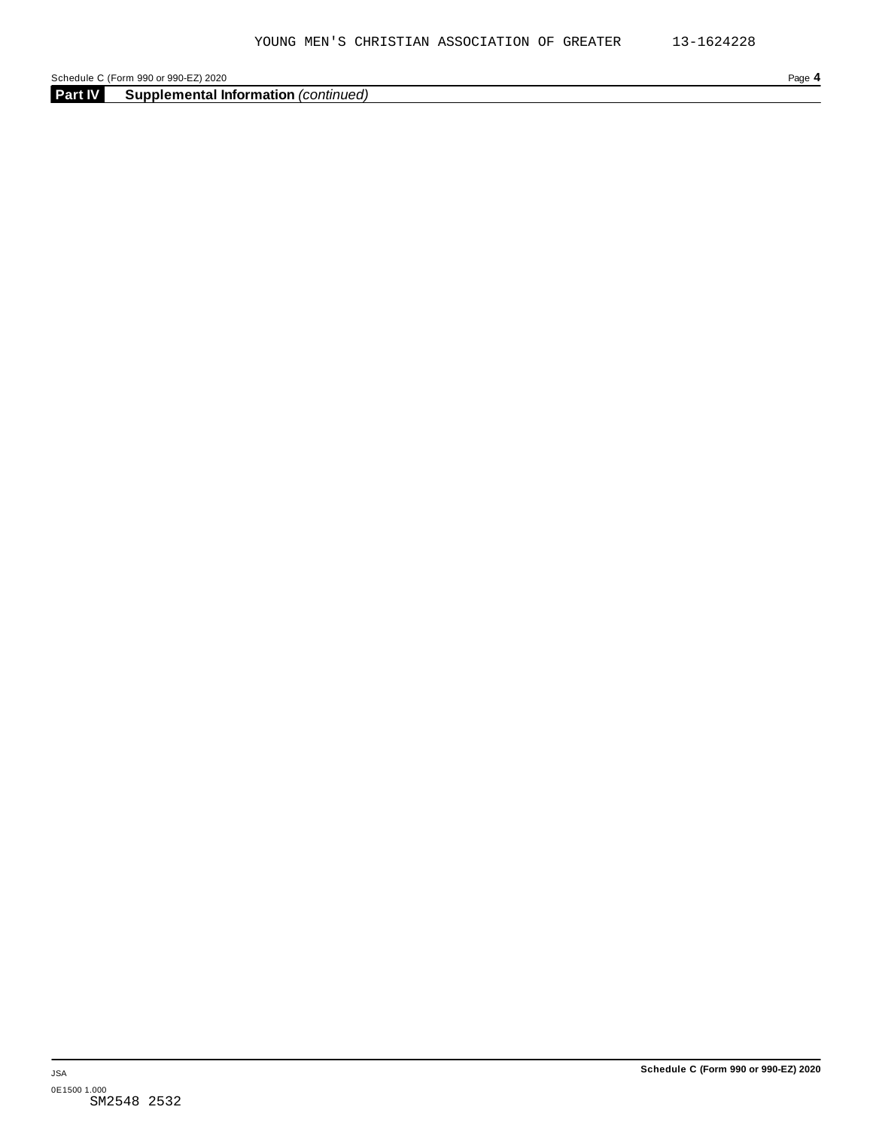**Part IV Supplemental Information** *(continued)*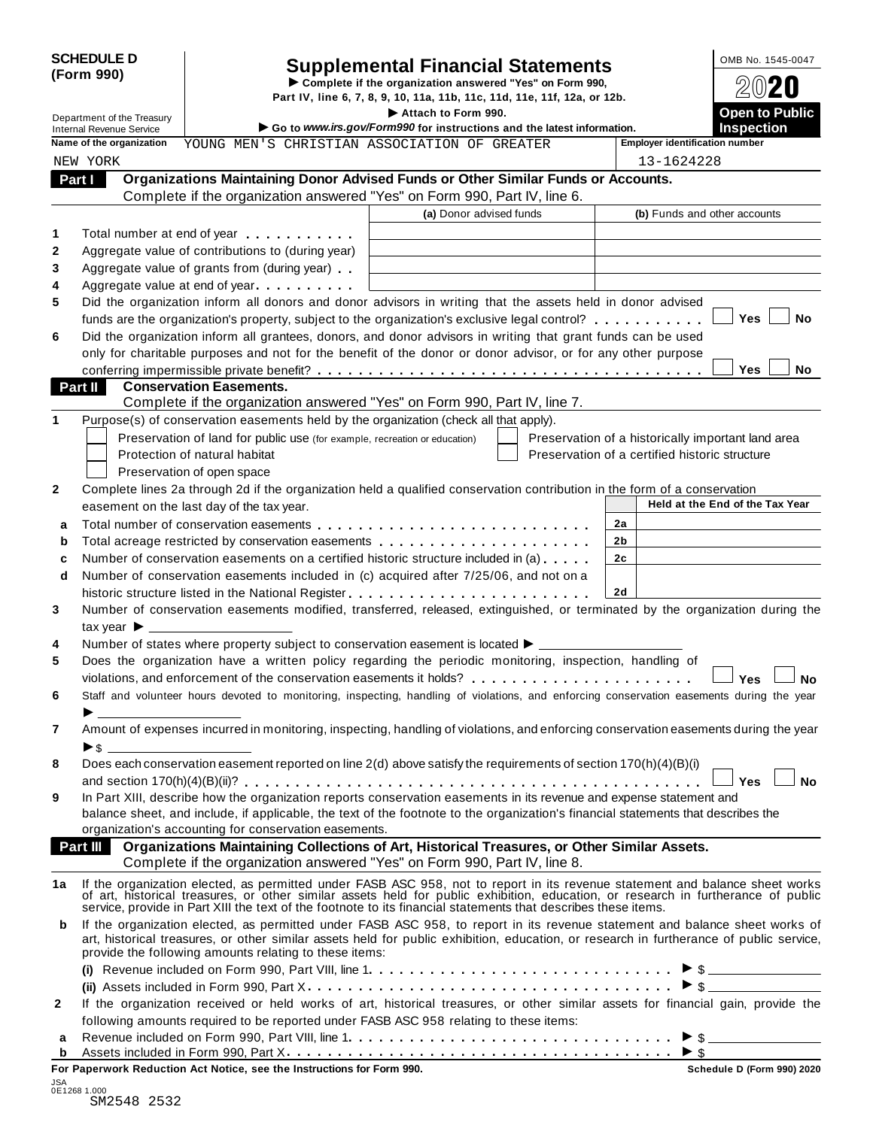|            | <b>SCHEDULE D</b> |
|------------|-------------------|
| (Form 990) |                   |

# **Supplemental Financial Statements** <br> **Complete if the organization answered "Yes" on Form 990,**  $\bigcirc$  **Complete if the organization answered "Yes" on Form 990,**

Part IV, line 6, 7, 8, 9, 10, 11a, 11b, 11c, 11d, 11e, 11f, 12a, or 12b.

Part IV, line 6, 7, 8, 9, 10, 11a, 11b, 11c, 11d, 11e, 11f, 12a, or 12b.<br> **Department of the Treasury Open to Public Continues to Public and the Intervalse and the Intervalse information** Department of the Treasury **Constant Constant Constant Constant Constant Constant Constant Constant Constant Constant Constant Constant Constant Constant Constant Constant Constant Constant Constant Constant Constant Const Name of the organization** YOUNG MEN'S CHRISTIAN ASSOCIATION OF GREATER **Final proprime is a proprime of the organization number Organizations Maintaining Donor Advised Funds or Other Similar Funds or Accounts.** Complete if the organization answered "Yes" on Form 990, Part IV, line 6.  **Part I (a)** Donor advised funds **(b)** Funds and other accounts **1 2 3 4 5 6** Total number at end of year Aggregate value of contributions to (during year) Aggregate value of grants from (during year) Aggregate value at end of year EXT STERESTIAN<br>
Intaining Donor Adamization<br>
Intaining Donor Adamization<br>
Internation answere Adere<br>ere<br>ar) Did the organization inform all donors and donor advisors in writing that the assets held in donor advised funds are the organization's property, subject to the organization's exclusive legal control? Fotal number at end of year.<br>Aggregate value of contributions to (during year)<br>Aggregate value of grants from (during year)<br>Did the organization inform all donors and donor advisors in writing that the assets held in donor Did the organization inform all grantees, donors, and donor advisors in writing that grant funds can be used only for charitable purposes and not for the benefit of the donor or donor advisor, or for any other purpose Aggregate value of grants from (during year)<br>
Did the organization inform all donors and donor advisors in writing that the assets held in donor advised<br>
funds are the organization's property, subject to the organization's **Conservation Easements.** Complete if the organization answered "Yes" on Form 990, Part IV, line 7.  **Part II 1** Purpose(s) of conservation easements held by the organization (check all that apply). Preservation of land for public use (for example, recreation or education) Protection of natural habitat Preservation of open space Preservation of a historically important land area Preservation of a certified historic structure **2** Complete lines 2a through 2d if the organization held a qualified conservation contribution in the form of a conservation easement on the last day of the tax year. **Held at the End of the Tax Year Held at the End of the Tax Year 2a 2b 2c 2d a** Total number of conservation easements **b** Total acreage restricted by conservation easements **c** Number of conservation easements on a certified historic structure included in (a) **d** Number of conservation easements included in (c) acquired after 7/25/06, and not on a m m m m m m m m m m m m m m m m m m m m m m m m m m m m m m m m m m m m m m m m m m m m m m m m m m m m m Number of conservation easements included in (c) acquired after 7/25/06, and not on a Following the structure list day of the tax year.<br> **a** Total number of conservation easements<br> **b** Total acreage restricted by conservation easements<br> **c** Number of conservation easements on a certified historic structure **4 5 6 7 8 9** Number of conservation easements modified, transferred, released, extinguished, or terminated by the organization during the tax vear  $\blacktriangleright$ Number of states where property subject to conservation easement is located  $\blacktriangleright$ Does the organization have a written policy regarding the periodic monitoring, inspection, handling of Number of conservation easements included in (c) acquired arter 7/25/06, and not on a<br>historic structure listed in the National Register<br>Number of conservation easements modified, transferred, released, extinguished, or te Staff and volunteer hours devoted to monitoring, inspecting, handling of violations, and enforcing conservation easements during the year<br>  $\blacktriangleright$ Amount of expenses incurred in monitoring, inspecting, handling of violations, and enforcing conservation easements during the year  $\triangleright$  s Does each conservation easement reported on line 2(d) above satisfy the requirements of section 170(h)(4)(B)(i) and section 170(h)(4)(B)(ii)?<br>
and section 170(h)(4)(B)(ii)?<br>
and section 170(h)(4)(B)(iii)?<br>
and section 170(h)(4)(B)(iii)?<br>
and section 170(h)(4)(B)(iii)?<br>
and section 170(h)(4)(B)(iii)?<br>
and section 170(h)(4)(B)(iii)?<br> In Part XIII, describe how the organization reports conservation easements in its revenue and expense statement and balance sheet, and include, if applicable, the text of the footnote to the organization's financial statements that describes the organization's accounting for conservation easements. **Organizations Maintaining Collections of Art, Historical Treasures, or Other Similar Assets.** Complete if the organization answered "Yes" on Form 990, Part IV, line 8.  **Part III**  1a If the organization elected, as permitted under FASB ASC 958, not to report in its revenue statement and balance sheet works<br>of art, historical treasures, or other similar assets held for public exhibition, education, o service, provide in Part XIII the text of the footnote to its financial statements that describes these items. **b** If the organization elected, as permitted under FASB ASC 958, to report in its revenue statement and balance sheet works of art, historical treasures, or other similar assets held for public exhibition, education, or research in furtherance of public service, provide the following amounts relating to these items: **(i)** I Revenue included on Form 990, Part VIII, line 1 **(ii)** Assets included in Form 990, Part X SB ASC 958, not to report in its revenue statement and balas held for public exhibition, education, or research in further to its financial statements that describes these items.<br>ASB ASC 958, to report in its revenue stat m m m m m m m m m m m m m m m m m m m m m m m m m m m m m m m m m m m m <sup>I</sup> \$ **2** If the organization received or held works of art, historical treasures, or other similar assets for financial gain, provide the following amounts required to be reported under FASB ASC 958 relating to these items: **<sup>a</sup>** Revenue included on Form 990, Part VIII, line 1 I Assets included in Form 990, Part X held for public exhibition, education, or research in furtherance of<br>  $\frac{1}{2}$ <br>  $\frac{1}{2}$ <br>  $\frac{1}{2}$ <br>  $\frac{1}{2}$ <br>  $\frac{1}{2}$ <br>  $\frac{1}{2}$ <br>  $\frac{1}{2}$ <br>  $\frac{1}{2}$ <br>  $\frac{1}{2}$ <br>  $\frac{1}{2}$ <br>  $\frac{1}{2}$ <br>  $\frac{1}{2}$ <br>  $\frac{1}{2}$ <br>  $\frac{1}{2}$ **<sup>b</sup>** m m m m m m m m m m m m m m m m m m m m m m m m m m m m m m m m m m m m m m <sup>I</sup> \$ NEW YORK 13-1624228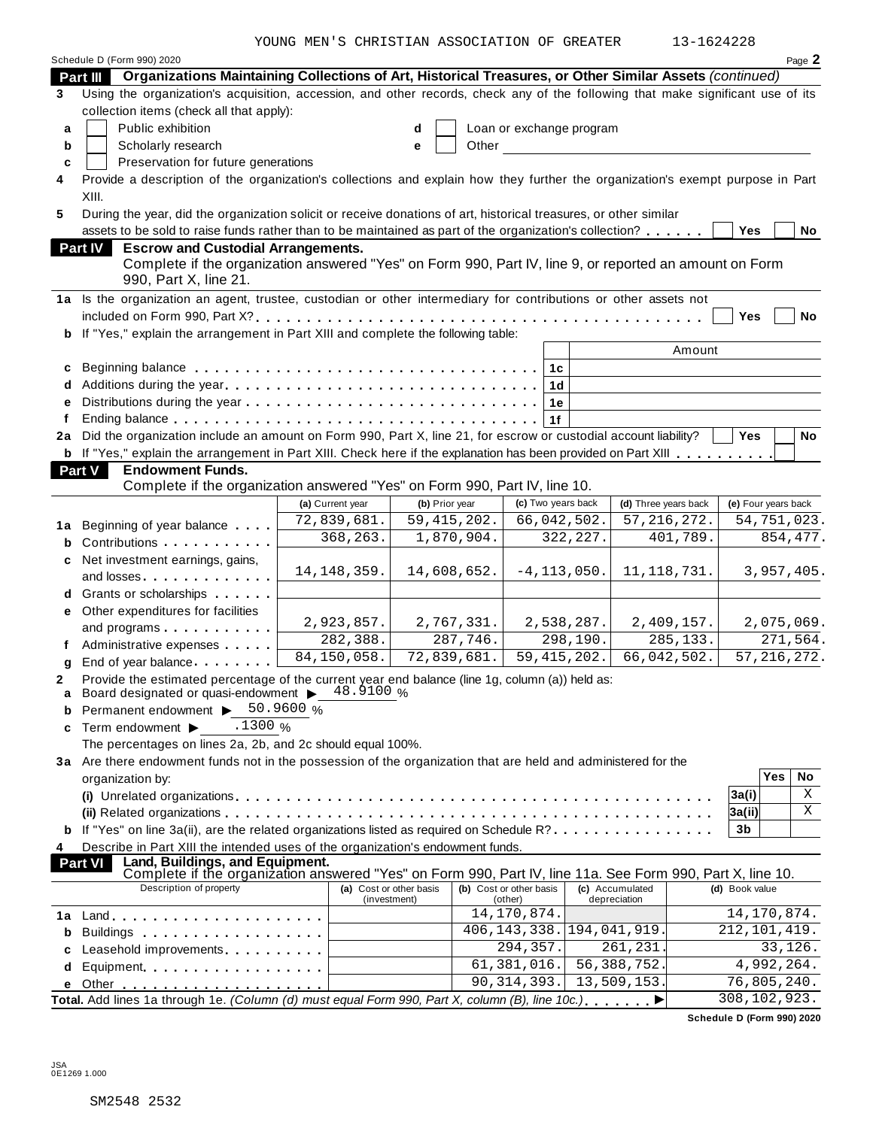YOUNG MEN'S CHRISTIAN ASSOCIATION OF GREATER 13-1624228

|    | Schedule D (Form 990) 2020                                                                                                      |                                         |                |                                    |                                 | Page 2              |
|----|---------------------------------------------------------------------------------------------------------------------------------|-----------------------------------------|----------------|------------------------------------|---------------------------------|---------------------|
|    | Organizations Maintaining Collections of Art, Historical Treasures, or Other Similar Assets (continued)<br>Part III             |                                         |                |                                    |                                 |                     |
| 3  | Using the organization's acquisition, accession, and other records, check any of the following that make significant use of its |                                         |                |                                    |                                 |                     |
|    | collection items (check all that apply):                                                                                        |                                         |                |                                    |                                 |                     |
| a  | Public exhibition                                                                                                               |                                         | d              | Loan or exchange program           |                                 |                     |
| b  | Scholarly research                                                                                                              |                                         | Other<br>е     |                                    |                                 |                     |
| c  | Preservation for future generations                                                                                             |                                         |                |                                    |                                 |                     |
| 4  | Provide a description of the organization's collections and explain how they further the organization's exempt purpose in Part  |                                         |                |                                    |                                 |                     |
|    | XIII.                                                                                                                           |                                         |                |                                    |                                 |                     |
| 5  | During the year, did the organization solicit or receive donations of art, historical treasures, or other similar               |                                         |                |                                    |                                 |                     |
|    | assets to be sold to raise funds rather than to be maintained as part of the organization's collection?                         |                                         |                |                                    |                                 | Yes<br>No           |
|    | <b>Part IV</b><br><b>Escrow and Custodial Arrangements.</b>                                                                     |                                         |                |                                    |                                 |                     |
|    | Complete if the organization answered "Yes" on Form 990, Part IV, line 9, or reported an amount on Form                         |                                         |                |                                    |                                 |                     |
|    | 990, Part X, line 21.                                                                                                           |                                         |                |                                    |                                 |                     |
|    | 1a Is the organization an agent, trustee, custodian or other intermediary for contributions or other assets not                 |                                         |                |                                    |                                 |                     |
|    |                                                                                                                                 |                                         |                |                                    |                                 | <b>Yes</b><br>No    |
| b  | If "Yes," explain the arrangement in Part XIII and complete the following table:                                                |                                         |                |                                    |                                 |                     |
|    |                                                                                                                                 |                                         |                |                                    | Amount                          |                     |
| c  |                                                                                                                                 |                                         |                | 1 <sub>c</sub>                     |                                 |                     |
|    |                                                                                                                                 |                                         |                | 1 <sub>d</sub>                     |                                 |                     |
| е  |                                                                                                                                 |                                         |                | 1e                                 |                                 |                     |
|    |                                                                                                                                 |                                         |                | 1f                                 |                                 |                     |
| 2a | Did the organization include an amount on Form 990, Part X, line 21, for escrow or custodial account liability?                 |                                         |                |                                    |                                 | <b>Yes</b><br>No    |
|    | <b>b</b> If "Yes," explain the arrangement in Part XIII. Check here if the explanation has been provided on Part XIII           |                                         |                |                                    |                                 |                     |
|    | Part V<br><b>Endowment Funds.</b><br>Complete if the organization answered "Yes" on Form 990, Part IV, line 10.                 |                                         |                |                                    |                                 |                     |
|    |                                                                                                                                 | (a) Current year                        | (b) Prior year | (c) Two years back                 | (d) Three years back            | (e) Four years back |
|    |                                                                                                                                 | 72,839,681.                             | 59, 415, 202.  | 66,042,502.                        | 57, 216, 272.                   | 54,751,023.         |
| 1а | Beginning of year balance                                                                                                       | 368,263.                                | 1,870,904.     | 322, 227.                          | 401,789.                        | 854,477.            |
| b  | Contributions <b>Contributions</b>                                                                                              |                                         |                |                                    |                                 |                     |
| c  | Net investment earnings, gains,                                                                                                 | 14, 148, 359.                           | 14,608,652.    | $-4, 113, 050.$                    | 11, 118, 731.                   | 3,957,405.          |
|    | and losses experiences and losses                                                                                               |                                         |                |                                    |                                 |                     |
|    | Grants or scholarships                                                                                                          |                                         |                |                                    |                                 |                     |
| е  | Other expenditures for facilities                                                                                               | 2,923,857.                              | 2,767,331.     | 2,538,287.                         | 2,409,157.                      | 2,075,069.          |
|    | and programs                                                                                                                    | 282,388.                                | 287,746.       | 298,190.                           | 285, 133.                       | 271,564.            |
|    | Administrative expenses                                                                                                         | 84,150,058.                             | 72,839,681.    | 59, 415, 202.                      | 66,042,502.                     | 57, 216, 272.       |
| q  | End of year balance                                                                                                             |                                         |                |                                    |                                 |                     |
| 2  | Provide the estimated percentage of the current year end balance (line 1g, column (a)) held as:                                 |                                         |                |                                    |                                 |                     |
| a  | Board designated or quasi-endowment $\triangleright$ 48.9100 %<br>Permanent endowment ▶ 50.9600 %                               |                                         |                |                                    |                                 |                     |
| b  | .1300%<br>Term endowment ▶                                                                                                      |                                         |                |                                    |                                 |                     |
| c  | The percentages on lines 2a, 2b, and 2c should equal 100%.                                                                      |                                         |                |                                    |                                 |                     |
|    | 3a Are there endowment funds not in the possession of the organization that are held and administered for the                   |                                         |                |                                    |                                 |                     |
|    | organization by:                                                                                                                |                                         |                |                                    |                                 | Yes<br>No           |
|    |                                                                                                                                 |                                         |                |                                    |                                 | Χ<br>3a(i)          |
|    |                                                                                                                                 |                                         |                |                                    |                                 | X<br>3a(ii)         |
| b  | If "Yes" on line 3a(ii), are the related organizations listed as required on Schedule R?                                        |                                         |                |                                    |                                 | 3b                  |
| 4  | Describe in Part XIII the intended uses of the organization's endowment funds.                                                  |                                         |                |                                    |                                 |                     |
|    | Land, Buildings, and Equipment.<br><b>Part VI</b>                                                                               |                                         |                |                                    |                                 |                     |
|    | Complete if the organization answered "Yes" on Form 990, Part IV, line 11a. See Form 990, Part X, line 10.                      |                                         |                |                                    |                                 |                     |
|    | Description of property                                                                                                         | (a) Cost or other basis<br>(investment) |                | (b) Cost or other basis<br>(other) | (c) Accumulated<br>depreciation | (d) Book value      |
| 1a |                                                                                                                                 |                                         |                | 14, 170, 874.                      |                                 | 14, 170, 874.       |
| b  | Buildings                                                                                                                       |                                         |                | 406, 143, 338.                     | 194,041,919.                    | 212, 101, 419.      |
| c  | Leasehold improvements <b>Leasehold</b> improvements                                                                            |                                         |                | 294,357.                           | 261,231.                        | 33,126.             |
| d  | Equipment experience and the set of the set of the set of the set of the set of the set of the set of the set o                 |                                         |                | 61, 381, 016.                      | 56, 388, 752.                   | 4,992,264.          |
| е  |                                                                                                                                 |                                         |                | 90, 314, 393.                      | 13,509,153.                     | 76,805,240.         |
|    |                                                                                                                                 |                                         |                |                                    |                                 |                     |
|    | Total. Add lines 1a through 1e. (Column (d) must equal Form 990, Part X, column (B), line 10c.)                                 |                                         |                |                                    | ▶                               | 308,102,923.        |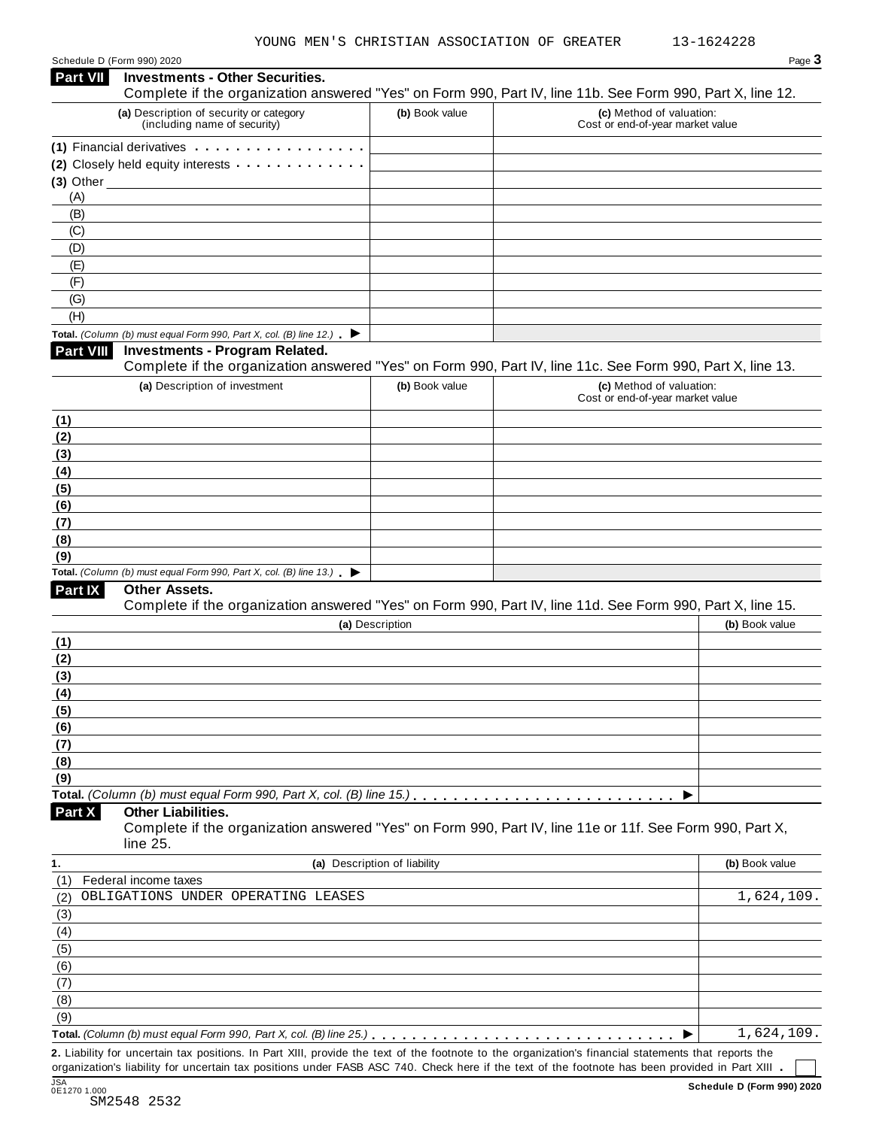| Schedule D (Form 990) 2020 |  |  |
|----------------------------|--|--|
|                            |  |  |

| <b>Part VII</b>         | <b>Investments - Other Securities.</b><br>Complete if the organization answered "Yes" on Form 990, Part IV, line 11b. See Form 990, Part X, line 12.                                                                                               |                              |                                                              |                |
|-------------------------|----------------------------------------------------------------------------------------------------------------------------------------------------------------------------------------------------------------------------------------------------|------------------------------|--------------------------------------------------------------|----------------|
|                         | (a) Description of security or category                                                                                                                                                                                                            | (b) Book value               | (c) Method of valuation:                                     |                |
|                         | (including name of security)                                                                                                                                                                                                                       |                              | Cost or end-of-year market value                             |                |
|                         | (1) Financial derivatives                                                                                                                                                                                                                          |                              |                                                              |                |
|                         | (2) Closely held equity interests <b>contained</b> and <b>contained</b> and <b>contained</b> and <b>contained a</b> contained a contained a contained a contained a contained a contained a contained a contained a contained a contained a contai |                              |                                                              |                |
| $(3)$ Other $\_$<br>(A) |                                                                                                                                                                                                                                                    |                              |                                                              |                |
| (B)                     |                                                                                                                                                                                                                                                    |                              |                                                              |                |
| (C)                     |                                                                                                                                                                                                                                                    |                              |                                                              |                |
| (D)                     |                                                                                                                                                                                                                                                    |                              |                                                              |                |
| (E)                     |                                                                                                                                                                                                                                                    |                              |                                                              |                |
| (F)                     |                                                                                                                                                                                                                                                    |                              |                                                              |                |
| (G)<br>(H)              |                                                                                                                                                                                                                                                    |                              |                                                              |                |
|                         | Total. (Column (b) must equal Form 990, Part X, col. (B) line 12.) $\blacktriangleright$                                                                                                                                                           |                              |                                                              |                |
| <b>Part VIII</b>        | <b>Investments - Program Related.</b>                                                                                                                                                                                                              |                              |                                                              |                |
|                         | Complete if the organization answered "Yes" on Form 990, Part IV, line 11c. See Form 990, Part X, line 13.                                                                                                                                         |                              |                                                              |                |
|                         | (a) Description of investment                                                                                                                                                                                                                      | (b) Book value               | (c) Method of valuation:<br>Cost or end-of-year market value |                |
| (1)                     |                                                                                                                                                                                                                                                    |                              |                                                              |                |
| (2)                     |                                                                                                                                                                                                                                                    |                              |                                                              |                |
| (3)                     |                                                                                                                                                                                                                                                    |                              |                                                              |                |
| (4)                     |                                                                                                                                                                                                                                                    |                              |                                                              |                |
| (5)                     |                                                                                                                                                                                                                                                    |                              |                                                              |                |
| (6)<br>(7)              |                                                                                                                                                                                                                                                    |                              |                                                              |                |
| (8)                     |                                                                                                                                                                                                                                                    |                              |                                                              |                |
| (9)                     |                                                                                                                                                                                                                                                    |                              |                                                              |                |
|                         | Total. (Column (b) must equal Form 990, Part X, col. (B) line 13.) $\blacktriangleright$                                                                                                                                                           |                              |                                                              |                |
| <b>Part IX</b>          | Other Assets.                                                                                                                                                                                                                                      |                              |                                                              |                |
|                         | Complete if the organization answered "Yes" on Form 990, Part IV, line 11d. See Form 990, Part X, line 15.                                                                                                                                         | (a) Description              |                                                              | (b) Book value |
| (1)                     |                                                                                                                                                                                                                                                    |                              |                                                              |                |
| (2)                     |                                                                                                                                                                                                                                                    |                              |                                                              |                |
| (3)                     |                                                                                                                                                                                                                                                    |                              |                                                              |                |
| (4)                     |                                                                                                                                                                                                                                                    |                              |                                                              |                |
| (5)                     |                                                                                                                                                                                                                                                    |                              |                                                              |                |
| (6)                     |                                                                                                                                                                                                                                                    |                              |                                                              |                |
| (7)                     |                                                                                                                                                                                                                                                    |                              |                                                              |                |
| (8)                     |                                                                                                                                                                                                                                                    |                              |                                                              |                |
| (9)                     |                                                                                                                                                                                                                                                    |                              |                                                              |                |
| Part X                  | <b>Other Liabilities.</b><br>Complete if the organization answered "Yes" on Form 990, Part IV, line 11e or 11f. See Form 990, Part X,                                                                                                              |                              |                                                              |                |
| 1.                      | line 25.                                                                                                                                                                                                                                           |                              |                                                              |                |
| (1)                     | Federal income taxes                                                                                                                                                                                                                               | (a) Description of liability |                                                              | (b) Book value |
| (2)                     | OBLIGATIONS UNDER OPERATING LEASES                                                                                                                                                                                                                 |                              |                                                              | 1,624,109      |
| (3)                     |                                                                                                                                                                                                                                                    |                              |                                                              |                |
| (4)                     |                                                                                                                                                                                                                                                    |                              |                                                              |                |
| (5)                     |                                                                                                                                                                                                                                                    |                              |                                                              |                |
|                         |                                                                                                                                                                                                                                                    |                              |                                                              |                |
|                         |                                                                                                                                                                                                                                                    |                              |                                                              |                |
| (6)<br>(7)              |                                                                                                                                                                                                                                                    |                              |                                                              |                |
| (8)                     |                                                                                                                                                                                                                                                    |                              |                                                              |                |
| (9)                     |                                                                                                                                                                                                                                                    |                              |                                                              | 1,624,109.     |

organization's liability for uncertain tax positions under FASB ASC 740. Check here if the text of the footnote has been provided in Part XIII .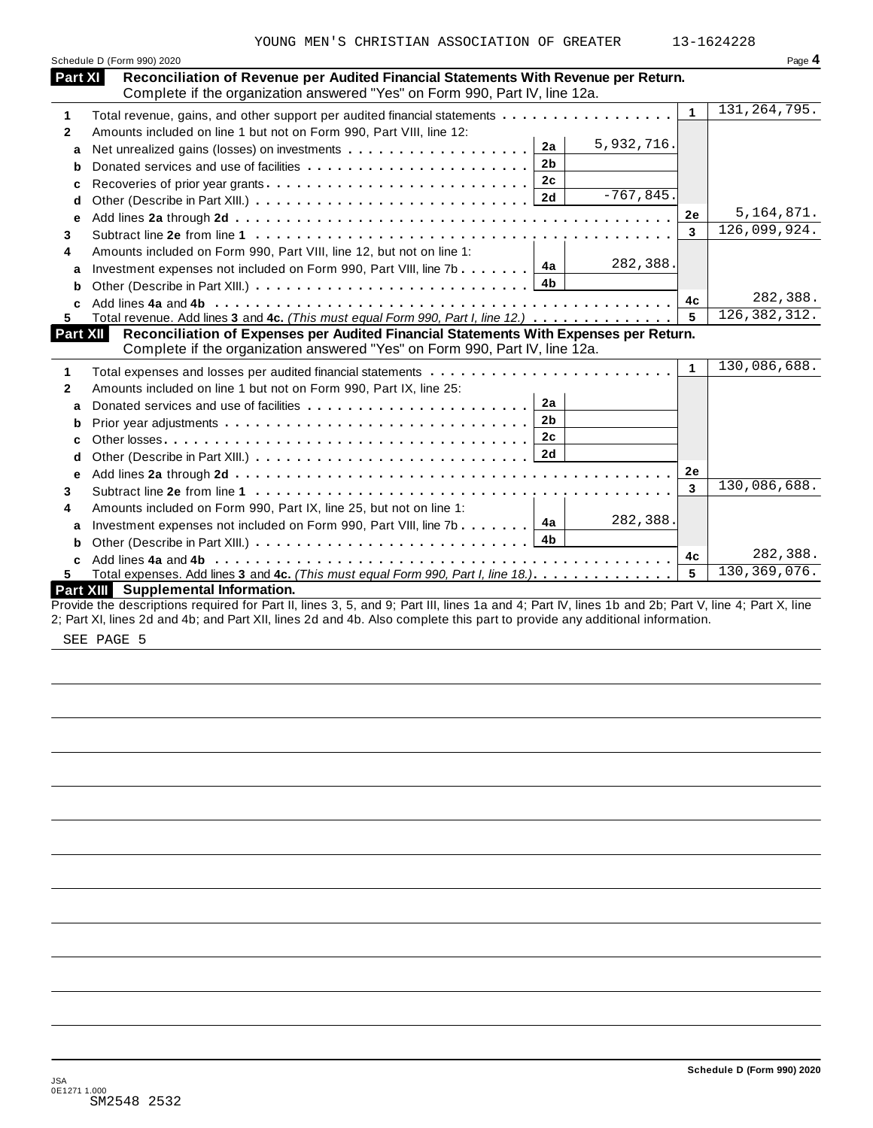|                | YOUNG MEN'S CHRISTIAN ASSOCIATION OF GREATER                                                                                                                       |              | 13-1624228     |
|----------------|--------------------------------------------------------------------------------------------------------------------------------------------------------------------|--------------|----------------|
|                | Schedule D (Form 990) 2020                                                                                                                                         |              | Page 4         |
| <b>Part XI</b> | Reconciliation of Revenue per Audited Financial Statements With Revenue per Return.<br>Complete if the organization answered "Yes" on Form 990, Part IV, line 12a. |              |                |
| 1              | Total revenue, gains, and other support per audited financial statements                                                                                           | $\mathbf{1}$ | 131, 264, 795. |
| $\mathbf{2}$   | Amounts included on line 1 but not on Form 990, Part VIII, line 12:                                                                                                |              |                |
| a              | 5,932,716.<br>2a                                                                                                                                                   |              |                |
| b              | 2 <sub>b</sub><br>Donated services and use of facilities                                                                                                           |              |                |
| c              | 2c                                                                                                                                                                 |              |                |
| d              | $-767,845.$<br>2d                                                                                                                                                  |              |                |
| е              |                                                                                                                                                                    | 2e           | 5, 164, 871.   |
| 3              |                                                                                                                                                                    | 3            | 126,099,924.   |
| 4              | Amounts included on Form 990, Part VIII, line 12, but not on line 1:                                                                                               |              |                |
| a              | 282,388.<br>4a<br>Investment expenses not included on Form 990, Part VIII, line 7b                                                                                 |              |                |
| b              | 4b                                                                                                                                                                 |              |                |
|                |                                                                                                                                                                    | 4c           | 282,388.       |
| 5.             | Total revenue. Add lines 3 and 4c. (This must equal Form 990, Part I, line 12.)                                                                                    | 5            | 126, 382, 312. |
| Part XII       | Reconciliation of Expenses per Audited Financial Statements With Expenses per Return.                                                                              |              |                |
|                | Complete if the organization answered "Yes" on Form 990, Part IV, line 12a.                                                                                        |              |                |
| 1              | Total expenses and losses per audited financial statements                                                                                                         | $\mathbf{1}$ | 130,086,688.   |
| $\mathbf{2}$   | Amounts included on line 1 but not on Form 990, Part IX, line 25:                                                                                                  |              |                |
| a              | 2a                                                                                                                                                                 |              |                |
| b              | 2 <sub>b</sub>                                                                                                                                                     |              |                |
| c              | 2 <sub>c</sub>                                                                                                                                                     |              |                |
| d              | 2d                                                                                                                                                                 |              |                |
| e              |                                                                                                                                                                    | 2e           |                |
| 3              |                                                                                                                                                                    | 3            | 130,086,688.   |
| 4              | Amounts included on Form 990, Part IX, line 25, but not on line 1:                                                                                                 |              |                |
| a              | 282,388.<br>4a<br>Investment expenses not included on Form 990, Part VIII, line 7b                                                                                 |              |                |
| b              | 4 <sub>b</sub>                                                                                                                                                     |              |                |
| c              |                                                                                                                                                                    | 4c           | 282,388.       |
|                | Total expenses. Add lines 3 and 4c. (This must equal Form 990, Part I, line 18.).                                                                                  | 5            | 130, 369, 076. |
|                | Part XIII Supplemental Information.                                                                                                                                |              |                |
|                | Provide the descriptions required for Part II, lines 3, 5, and 9; Part III, lines 1a and 4; Part IV, lines 1b and 2b; Part V, line 4; Part X, line                 |              |                |

2; Part XI, lines 2d and 4b; and Part XII, lines 2d and 4b. Also complete this part to provide any additional information.

SEE PAGE 5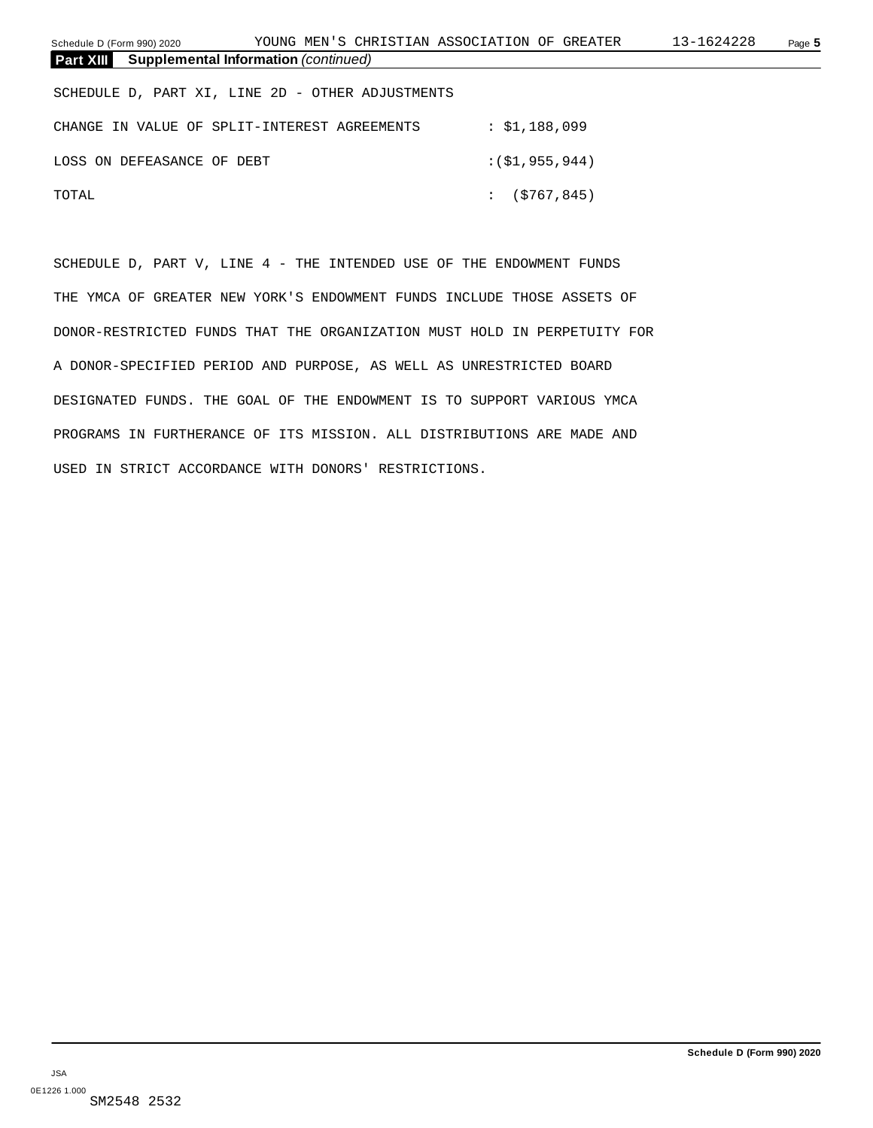Schedule D (Form 990) 2020 Page **5** YOUNG MEN'S CHRISTIAN ASSOCIATION OF GREATER 13-1624228

| <b>Supplemental Information</b> (continued)<br><b>Part XIII</b> |               |
|-----------------------------------------------------------------|---------------|
| SCHEDULE D, PART XI, LINE 2D - OTHER ADJUSTMENTS                |               |
| CHANGE IN VALUE OF SPLIT-INTEREST AGREEMENTS                    | : \$1,188,099 |
| LOSS ON DEFEASANCE OF DEBT                                      | :(51,955,944) |
| TOTAL                                                           | : (5767, 845) |

SCHEDULE D, PART V, LINE 4 - THE INTENDED USE OF THE ENDOWMENT FUNDS THE YMCA OF GREATER NEW YORK'S ENDOWMENT FUNDS INCLUDE THOSE ASSETS OF DONOR-RESTRICTED FUNDS THAT THE ORGANIZATION MUST HOLD IN PERPETUITY FOR A DONOR-SPECIFIED PERIOD AND PURPOSE, AS WELL AS UNRESTRICTED BOARD DESIGNATED FUNDS. THE GOAL OF THE ENDOWMENT IS TO SUPPORT VARIOUS YMCA PROGRAMS IN FURTHERANCE OF ITS MISSION. ALL DISTRIBUTIONS ARE MADE AND USED IN STRICT ACCORDANCE WITH DONORS' RESTRICTIONS.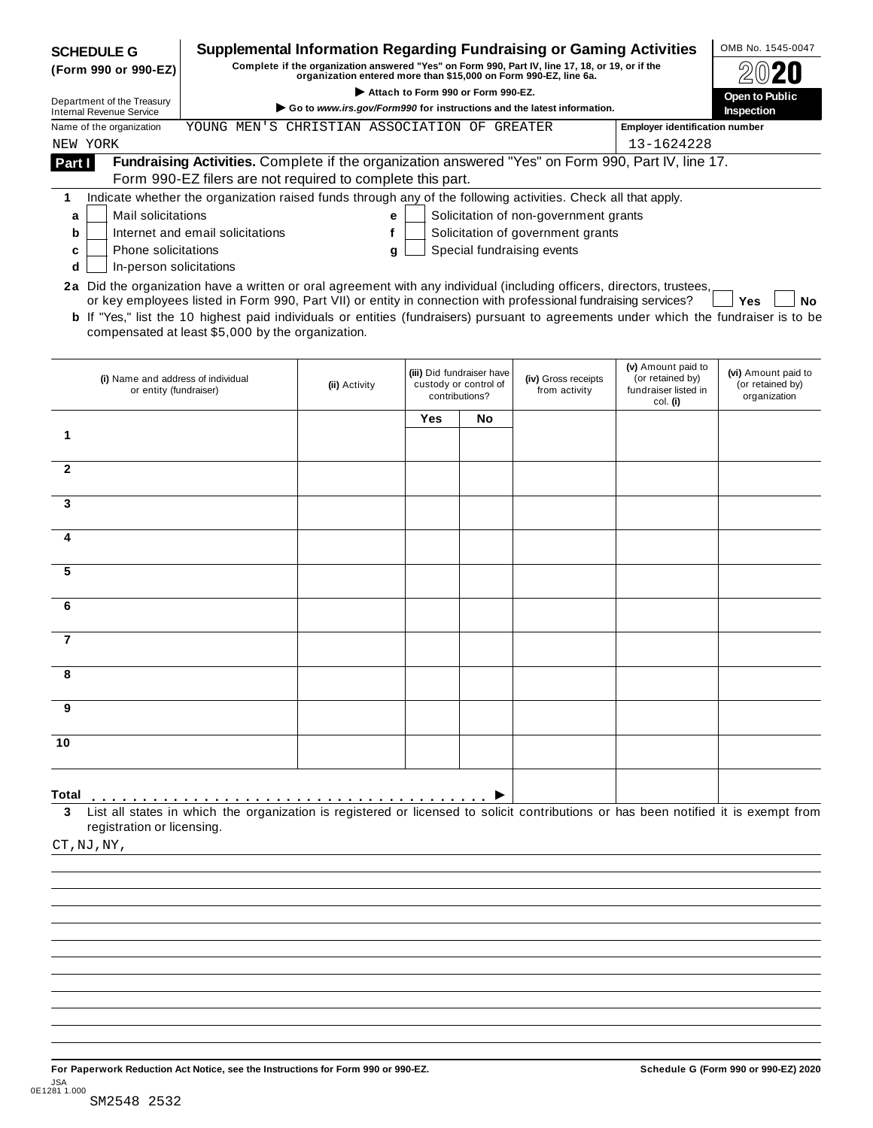| <b>SCHEDULE G</b>                                                                                                      |                                                                                                                                                                                                                                                                                                                     | <b>Supplemental Information Regarding Fundraising or Gaming Activities</b>                                                                                          |                                    |                                                                      |                                       |                                                                            | OMB No. 1545-0047                                       |
|------------------------------------------------------------------------------------------------------------------------|---------------------------------------------------------------------------------------------------------------------------------------------------------------------------------------------------------------------------------------------------------------------------------------------------------------------|---------------------------------------------------------------------------------------------------------------------------------------------------------------------|------------------------------------|----------------------------------------------------------------------|---------------------------------------|----------------------------------------------------------------------------|---------------------------------------------------------|
| (Form 990 or 990-EZ)                                                                                                   |                                                                                                                                                                                                                                                                                                                     | Complete if the organization answered "Yes" on Form 990, Part IV, line 17, 18, or 19, or if the<br>organization entered more than \$15,000 on Form 990-EZ, line 6a. |                                    |                                                                      |                                       |                                                                            |                                                         |
| Department of the Treasury                                                                                             |                                                                                                                                                                                                                                                                                                                     |                                                                                                                                                                     | Attach to Form 990 or Form 990-EZ. |                                                                      |                                       |                                                                            | Open to Public                                          |
| <b>Internal Revenue Service</b>                                                                                        |                                                                                                                                                                                                                                                                                                                     | Go to www.irs.gov/Form990 for instructions and the latest information.                                                                                              |                                    |                                                                      |                                       |                                                                            | <b>Inspection</b>                                       |
| Name of the organization                                                                                               | YOUNG MEN'S CHRISTIAN ASSOCIATION OF GREATER                                                                                                                                                                                                                                                                        |                                                                                                                                                                     |                                    |                                                                      |                                       | <b>Employer identification number</b><br>13-1624228                        |                                                         |
| NEW YORK                                                                                                               | Fundraising Activities. Complete if the organization answered "Yes" on Form 990, Part IV, line 17.                                                                                                                                                                                                                  |                                                                                                                                                                     |                                    |                                                                      |                                       |                                                                            |                                                         |
| Part I                                                                                                                 | Form 990-EZ filers are not required to complete this part.                                                                                                                                                                                                                                                          |                                                                                                                                                                     |                                    |                                                                      |                                       |                                                                            |                                                         |
| 1                                                                                                                      | Indicate whether the organization raised funds through any of the following activities. Check all that apply.                                                                                                                                                                                                       |                                                                                                                                                                     |                                    |                                                                      |                                       |                                                                            |                                                         |
| <b>Mail solicitations</b><br>a                                                                                         |                                                                                                                                                                                                                                                                                                                     | е                                                                                                                                                                   |                                    |                                                                      | Solicitation of non-government grants |                                                                            |                                                         |
| b                                                                                                                      | Internet and email solicitations                                                                                                                                                                                                                                                                                    | f                                                                                                                                                                   |                                    |                                                                      | Solicitation of government grants     |                                                                            |                                                         |
| Phone solicitations<br>c                                                                                               |                                                                                                                                                                                                                                                                                                                     | g                                                                                                                                                                   |                                    |                                                                      | Special fundraising events            |                                                                            |                                                         |
| In-person solicitations<br>d                                                                                           |                                                                                                                                                                                                                                                                                                                     |                                                                                                                                                                     |                                    |                                                                      |                                       |                                                                            |                                                         |
| 2a Did the organization have a written or oral agreement with any individual (including officers, directors, trustees, | or key employees listed in Form 990, Part VII) or entity in connection with professional fundraising services?<br><b>b</b> If "Yes," list the 10 highest paid individuals or entities (fundraisers) pursuant to agreements under which the fundraiser is to be<br>compensated at least \$5,000 by the organization. |                                                                                                                                                                     |                                    |                                                                      |                                       |                                                                            | No<br>Yes                                               |
| (i) Name and address of individual<br>or entity (fundraiser)                                                           |                                                                                                                                                                                                                                                                                                                     | (ii) Activity                                                                                                                                                       |                                    | (iii) Did fundraiser have<br>custody or control of<br>contributions? | (iv) Gross receipts<br>from activity  | (v) Amount paid to<br>(or retained by)<br>fundraiser listed in<br>col. (i) | (vi) Amount paid to<br>(or retained by)<br>organization |
|                                                                                                                        |                                                                                                                                                                                                                                                                                                                     |                                                                                                                                                                     | Yes                                | No                                                                   |                                       |                                                                            |                                                         |
| 1                                                                                                                      |                                                                                                                                                                                                                                                                                                                     |                                                                                                                                                                     |                                    |                                                                      |                                       |                                                                            |                                                         |
| $\mathbf{2}$                                                                                                           |                                                                                                                                                                                                                                                                                                                     |                                                                                                                                                                     |                                    |                                                                      |                                       |                                                                            |                                                         |
| 3                                                                                                                      |                                                                                                                                                                                                                                                                                                                     |                                                                                                                                                                     |                                    |                                                                      |                                       |                                                                            |                                                         |
| 4                                                                                                                      |                                                                                                                                                                                                                                                                                                                     |                                                                                                                                                                     |                                    |                                                                      |                                       |                                                                            |                                                         |
| 5                                                                                                                      |                                                                                                                                                                                                                                                                                                                     |                                                                                                                                                                     |                                    |                                                                      |                                       |                                                                            |                                                         |
| 6                                                                                                                      |                                                                                                                                                                                                                                                                                                                     |                                                                                                                                                                     |                                    |                                                                      |                                       |                                                                            |                                                         |
|                                                                                                                        |                                                                                                                                                                                                                                                                                                                     |                                                                                                                                                                     |                                    |                                                                      |                                       |                                                                            |                                                         |
| $\overline{7}$                                                                                                         |                                                                                                                                                                                                                                                                                                                     |                                                                                                                                                                     |                                    |                                                                      |                                       |                                                                            |                                                         |
|                                                                                                                        |                                                                                                                                                                                                                                                                                                                     |                                                                                                                                                                     |                                    |                                                                      |                                       |                                                                            |                                                         |
| 9                                                                                                                      |                                                                                                                                                                                                                                                                                                                     |                                                                                                                                                                     |                                    |                                                                      |                                       |                                                                            |                                                         |
| 10                                                                                                                     |                                                                                                                                                                                                                                                                                                                     |                                                                                                                                                                     |                                    |                                                                      |                                       |                                                                            |                                                         |
| Total                                                                                                                  |                                                                                                                                                                                                                                                                                                                     |                                                                                                                                                                     |                                    |                                                                      |                                       |                                                                            |                                                         |
| 3<br>registration or licensing.                                                                                        | List all states in which the organization is registered or licensed to solicit contributions or has been notified it is exempt from                                                                                                                                                                                 |                                                                                                                                                                     |                                    |                                                                      |                                       |                                                                            |                                                         |
| $CT$ , NJ, NY,                                                                                                         |                                                                                                                                                                                                                                                                                                                     |                                                                                                                                                                     |                                    |                                                                      |                                       |                                                                            |                                                         |
|                                                                                                                        |                                                                                                                                                                                                                                                                                                                     |                                                                                                                                                                     |                                    |                                                                      |                                       |                                                                            |                                                         |
|                                                                                                                        |                                                                                                                                                                                                                                                                                                                     |                                                                                                                                                                     |                                    |                                                                      |                                       |                                                                            |                                                         |

**For Paperwork Reduction Act Notice, see the Instructions for Form 990 or 990-EZ. Schedule G (Form 990 or 990-EZ) 2020** JSA 0E1281 1.000 SM2548 2532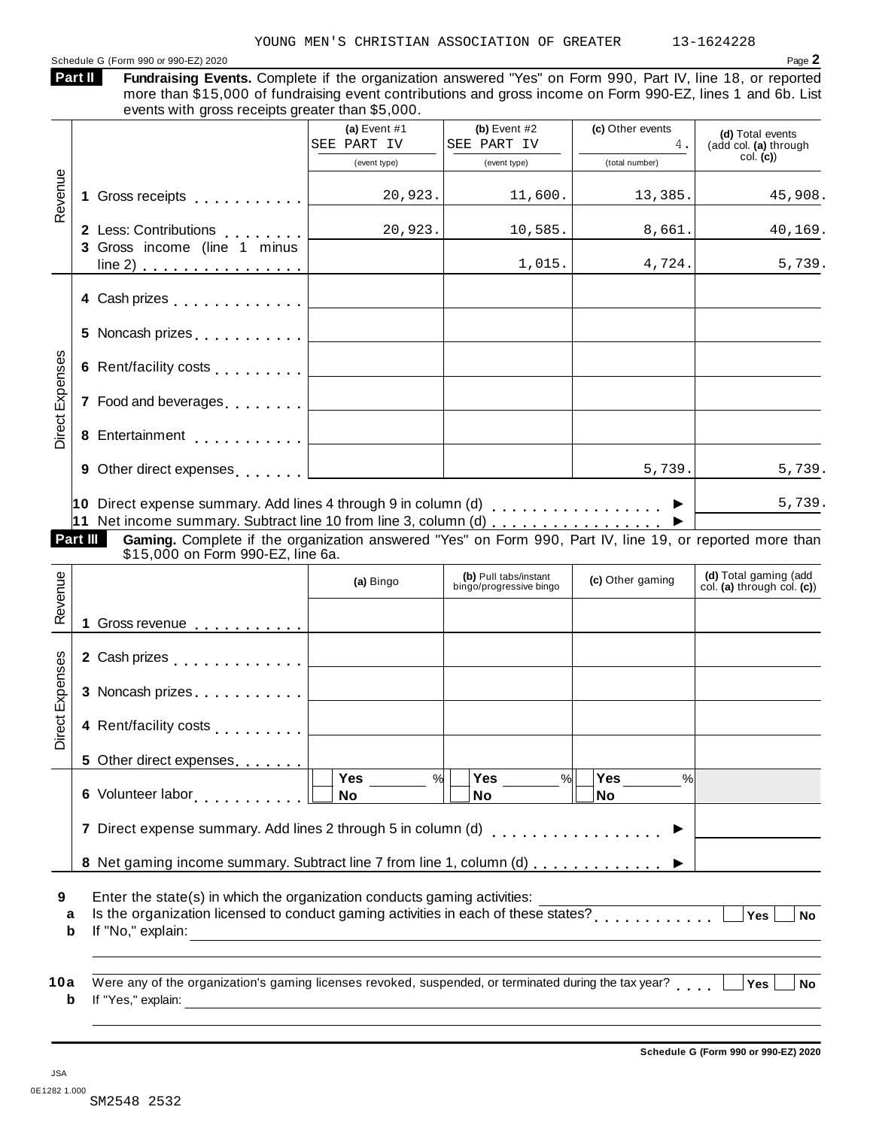### Schedule G (Form 990 or 990-EZ) 2020 Page **2**

| <b>Part II</b> | Fundraising Events. Complete if the organization answered "Yes" on Form 990, Part IV, line 18, or reported  |
|----------------|-------------------------------------------------------------------------------------------------------------|
|                | more than \$15,000 of fundraising event contributions and gross income on Form 990-EZ, lines 1 and 6b. List |
|                | events with gross receipts greater than \$5,000.                                                            |

|                              |                                                                                                                                                                                                                                | (a) Event $#1$<br>SEE PART IV                                                          | (b) Event $#2$<br>SEE PART IV                    | (c) Other events<br>4. | (d) Total events<br>(add col. (a) through           |
|------------------------------|--------------------------------------------------------------------------------------------------------------------------------------------------------------------------------------------------------------------------------|----------------------------------------------------------------------------------------|--------------------------------------------------|------------------------|-----------------------------------------------------|
|                              |                                                                                                                                                                                                                                | (event type)                                                                           | (event type)                                     | (total number)         | col. (c)                                            |
| Revenue                      |                                                                                                                                                                                                                                | 20,923.                                                                                | 11,600.                                          | 13,385.                | 45,908.                                             |
|                              | 2 Less: Contributions [1, 1, 1, 1, 1, 1]<br>3 Gross income (line 1 minus                                                                                                                                                       | 20,923.                                                                                | 10,585.                                          | 8,661.                 | 40,169.                                             |
|                              | $line 2)$                                                                                                                                                                                                                      |                                                                                        | 1,015.                                           | 4,724.                 | 5,739.                                              |
|                              |                                                                                                                                                                                                                                |                                                                                        |                                                  |                        |                                                     |
|                              |                                                                                                                                                                                                                                |                                                                                        |                                                  |                        |                                                     |
|                              |                                                                                                                                                                                                                                |                                                                                        |                                                  |                        |                                                     |
|                              | 7 Food and beverages equal to the set of the set of the set of the set of the set of the set of the set of the set of the set of the set of the set of the set of the set of the set of the set of the set of the set of the s |                                                                                        |                                                  |                        |                                                     |
| <b>Direct Expenses</b>       |                                                                                                                                                                                                                                |                                                                                        |                                                  |                        |                                                     |
|                              |                                                                                                                                                                                                                                |                                                                                        |                                                  | 5,739.                 | 5,739.                                              |
|                              | 10 Direct expense summary. Add lines 4 through 9 in column (d) $\ldots \ldots \ldots \ldots$                                                                                                                                   |                                                                                        |                                                  |                        | 5,739.                                              |
|                              |                                                                                                                                                                                                                                |                                                                                        |                                                  |                        |                                                     |
|                              | Part III<br>Gaming. Complete if the organization answered "Yes" on Form 990, Part IV, line 19, or reported more than<br>\$15,000 on Form 990-EZ, line 6a.                                                                      |                                                                                        |                                                  |                        |                                                     |
|                              |                                                                                                                                                                                                                                | (a) Bingo                                                                              | (b) Pull tabs/instant<br>bingo/progressive bingo | (c) Other gaming       | (d) Total gaming (add<br>col. (a) through col. (c)) |
|                              | 1 Gross revenue                                                                                                                                                                                                                |                                                                                        |                                                  |                        |                                                     |
|                              |                                                                                                                                                                                                                                |                                                                                        |                                                  |                        |                                                     |
|                              |                                                                                                                                                                                                                                |                                                                                        |                                                  |                        |                                                     |
| Revenue<br>ect Expenses<br>ā | 4 Rent/facility costs                                                                                                                                                                                                          |                                                                                        |                                                  |                        |                                                     |
|                              | 5 Other direct expenses                                                                                                                                                                                                        |                                                                                        |                                                  |                        |                                                     |
|                              | 6 Volunteer labor <b>6 Volunteer</b> labor                                                                                                                                                                                     | Yes<br>%<br><b>No</b>                                                                  | <b>Yes</b><br>%<br><b>No</b>                     | Yes<br>%<br><b>No</b>  |                                                     |
|                              | 7 Direct expense summary. Add lines 2 through 5 in column (d)                                                                                                                                                                  |                                                                                        |                                                  |                        |                                                     |
|                              | 8 Net gaming income summary. Subtract line 7 from line 1, column (d)                                                                                                                                                           |                                                                                        |                                                  |                        |                                                     |
| а<br>b                       | Enter the state(s) in which the organization conducts gaming activities:<br>Is the organization licensed to conduct gaming activities in each of these states?<br>If "No," explain:                                            | <u> 1989 - Johann Stein, mars an deus an deus Amerikaanse komme en de Fryske komme</u> |                                                  |                        | Yes<br><b>No</b>                                    |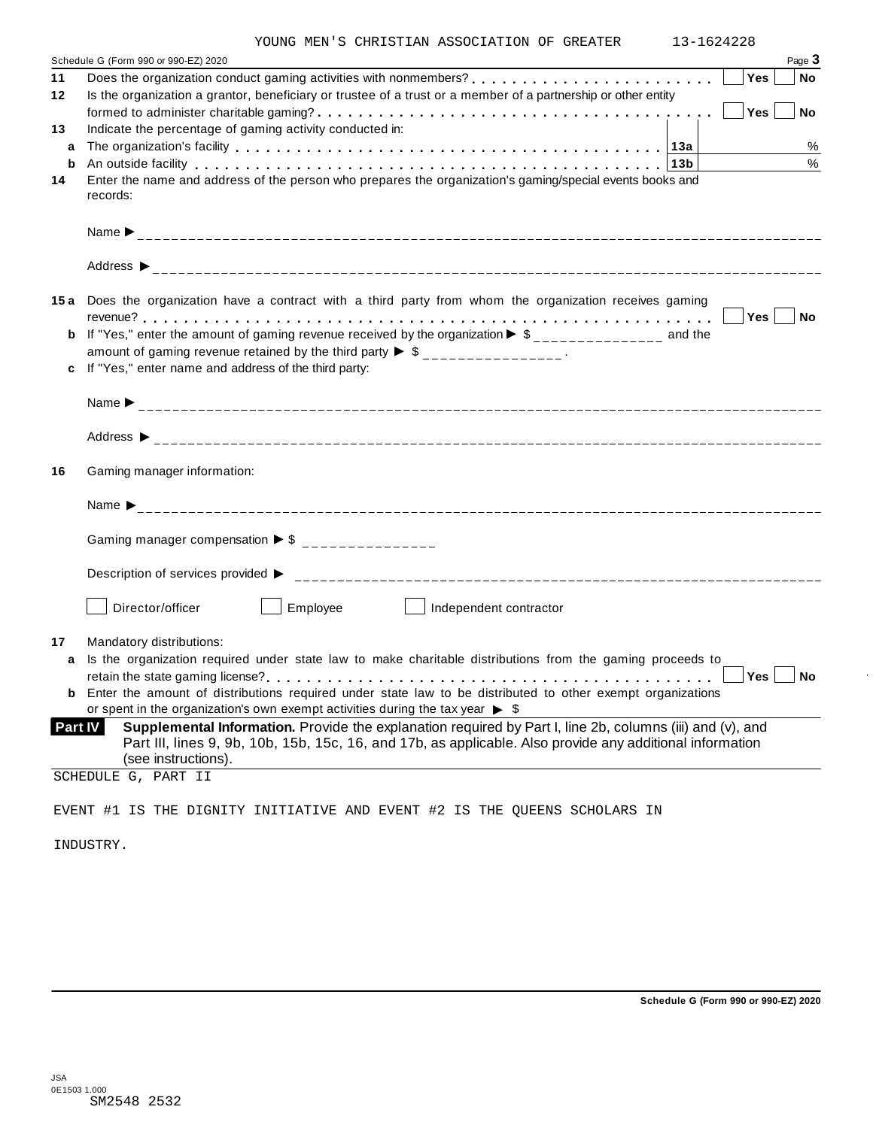|  |  |  | YOUNG MEN'S CHRISTIAN ASSOCIATION OF GREATER |  | $13 - 162$ |
|--|--|--|----------------------------------------------|--|------------|
|--|--|--|----------------------------------------------|--|------------|

|                | YOUNG MEN'S CHRISTIAN ASSOCIATION OF GREATER                                                                                                                                                                                   | 13-1624228 |               |
|----------------|--------------------------------------------------------------------------------------------------------------------------------------------------------------------------------------------------------------------------------|------------|---------------|
|                | Schedule G (Form 990 or 990-EZ) 2020                                                                                                                                                                                           | Yes        | Page 3        |
| 11<br>12       | Is the organization a grantor, beneficiary or trustee of a trust or a member of a partnership or other entity                                                                                                                  |            | No            |
|                |                                                                                                                                                                                                                                | Yes        | <b>No</b>     |
| 13             | Indicate the percentage of gaming activity conducted in:                                                                                                                                                                       |            |               |
| a              |                                                                                                                                                                                                                                |            | %             |
| b              | An outside facility enterpretence in the series of the series of the series of the series of the series of the series of the series of the series of the series of the series of the series of the series of the series of the |            | $\frac{0}{0}$ |
| 14             | Enter the name and address of the person who prepares the organization's gaming/special events books and<br>records:                                                                                                           |            |               |
|                |                                                                                                                                                                                                                                |            |               |
|                |                                                                                                                                                                                                                                |            |               |
|                | 15a Does the organization have a contract with a third party from whom the organization receives gaming                                                                                                                        |            |               |
|                |                                                                                                                                                                                                                                |            |               |
|                | <b>b</b> If "Yes," enter the amount of gaming revenue received by the organization $\triangleright$ \$______________ and the                                                                                                   |            |               |
|                | amount of gaming revenue retained by the third party $\triangleright$ \$ _______________.                                                                                                                                      |            |               |
|                | c If "Yes," enter name and address of the third party:                                                                                                                                                                         |            |               |
|                |                                                                                                                                                                                                                                |            |               |
|                |                                                                                                                                                                                                                                |            |               |
| 16             | Gaming manager information:                                                                                                                                                                                                    |            |               |
|                |                                                                                                                                                                                                                                |            |               |
|                | Gaming manager compensation $\triangleright$ \$ _______________                                                                                                                                                                |            |               |
|                |                                                                                                                                                                                                                                |            |               |
|                | Director/officer<br>Employee<br>Independent contractor                                                                                                                                                                         |            |               |
| 17             | Mandatory distributions:                                                                                                                                                                                                       |            |               |
|                | a Is the organization required under state law to make charitable distributions from the gaming proceeds to                                                                                                                    |            |               |
|                |                                                                                                                                                                                                                                | <b>Yes</b> | No            |
|                | <b>b</b> Enter the amount of distributions required under state law to be distributed to other exempt organizations                                                                                                            |            |               |
| <b>Part IV</b> | or spent in the organization's own exempt activities during the tax year $\triangleright$ \$<br>Supplemental Information. Provide the explanation required by Part I, line 2b, columns (iii) and (v), and                      |            |               |
|                | Part III, lines 9, 9b, 10b, 15b, 15c, 16, and 17b, as applicable. Also provide any additional information<br>(see instructions).                                                                                               |            |               |
|                | SCHEDULE G, PART II                                                                                                                                                                                                            |            |               |
|                |                                                                                                                                                                                                                                |            |               |
|                | EVENT #1 IS THE DIGNITY INITIATIVE AND EVENT #2 IS THE QUEENS SCHOLARS IN                                                                                                                                                      |            |               |

INDUSTRY.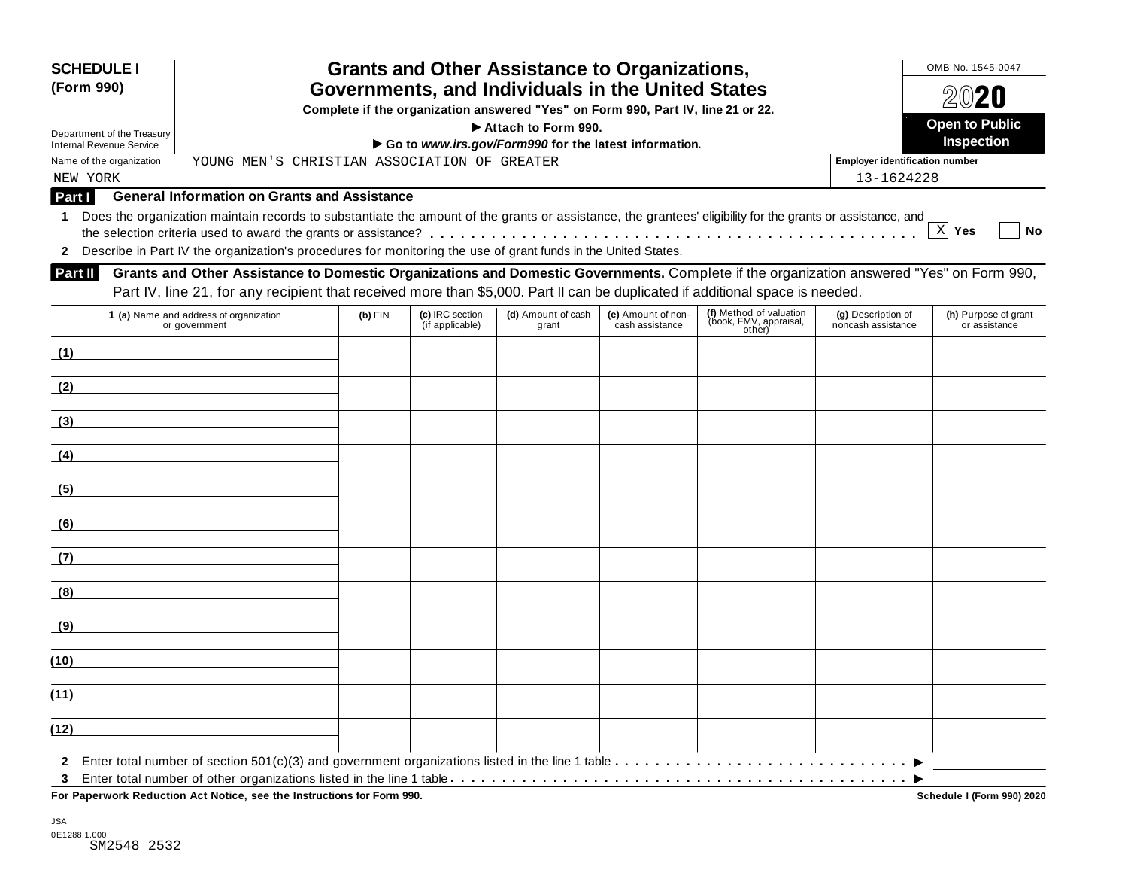| <b>SCHEDULE I</b><br>(Form 990)                               | <b>Grants and Other Assistance to Organizations,</b><br>Governments, and Individuals in the United States<br>Complete if the organization answered "Yes" on Form 990, Part IV, line 21 or 22.<br>Attach to Form 990.                                                        |                                                       |                                    |                             |                                       |                                                             |                                          |                                       |  |  |  |  |
|---------------------------------------------------------------|-----------------------------------------------------------------------------------------------------------------------------------------------------------------------------------------------------------------------------------------------------------------------------|-------------------------------------------------------|------------------------------------|-----------------------------|---------------------------------------|-------------------------------------------------------------|------------------------------------------|---------------------------------------|--|--|--|--|
| Department of the Treasury<br><b>Internal Revenue Service</b> |                                                                                                                                                                                                                                                                             | Go to www.irs.gov/Form990 for the latest information. |                                    |                             |                                       |                                                             |                                          |                                       |  |  |  |  |
| Name of the organization                                      | YOUNG MEN'S CHRISTIAN ASSOCIATION OF GREATER                                                                                                                                                                                                                                |                                                       |                                    |                             |                                       |                                                             | <b>Employer identification number</b>    |                                       |  |  |  |  |
| NEW YORK                                                      |                                                                                                                                                                                                                                                                             |                                                       |                                    |                             |                                       |                                                             | 13-1624228                               |                                       |  |  |  |  |
| Part I                                                        | <b>General Information on Grants and Assistance</b>                                                                                                                                                                                                                         |                                                       |                                    |                             |                                       |                                                             |                                          |                                       |  |  |  |  |
| 1<br>$\mathbf{2}$                                             | Does the organization maintain records to substantiate the amount of the grants or assistance, the grantees' eligibility for the grants or assistance, and<br>Describe in Part IV the organization's procedures for monitoring the use of grant funds in the United States. |                                                       |                                    |                             |                                       |                                                             |                                          | X Yes<br><b>No</b>                    |  |  |  |  |
| <b>Part II</b>                                                | Grants and Other Assistance to Domestic Organizations and Domestic Governments. Complete if the organization answered "Yes" on Form 990,<br>Part IV, line 21, for any recipient that received more than \$5,000. Part II can be duplicated if additional space is needed.   |                                                       |                                    |                             |                                       |                                                             |                                          |                                       |  |  |  |  |
|                                                               | 1 (a) Name and address of organization<br>or government                                                                                                                                                                                                                     | $(b)$ EIN                                             | (c) IRC section<br>(if applicable) | (d) Amount of cash<br>grant | (e) Amount of non-<br>cash assistance | (f) Method of valuation<br>(book, FMV, appraisal,<br>other) | (g) Description of<br>noncash assistance | (h) Purpose of grant<br>or assistance |  |  |  |  |
|                                                               | (1)                                                                                                                                                                                                                                                                         |                                                       |                                    |                             |                                       |                                                             |                                          |                                       |  |  |  |  |
| (2)                                                           |                                                                                                                                                                                                                                                                             |                                                       |                                    |                             |                                       |                                                             |                                          |                                       |  |  |  |  |
| (3)                                                           |                                                                                                                                                                                                                                                                             |                                                       |                                    |                             |                                       |                                                             |                                          |                                       |  |  |  |  |
| (4)                                                           |                                                                                                                                                                                                                                                                             |                                                       |                                    |                             |                                       |                                                             |                                          |                                       |  |  |  |  |
| (5)                                                           |                                                                                                                                                                                                                                                                             |                                                       |                                    |                             |                                       |                                                             |                                          |                                       |  |  |  |  |
| (6)                                                           |                                                                                                                                                                                                                                                                             |                                                       |                                    |                             |                                       |                                                             |                                          |                                       |  |  |  |  |
| (7)                                                           |                                                                                                                                                                                                                                                                             |                                                       |                                    |                             |                                       |                                                             |                                          |                                       |  |  |  |  |
| (8)                                                           |                                                                                                                                                                                                                                                                             |                                                       |                                    |                             |                                       |                                                             |                                          |                                       |  |  |  |  |
| (9)                                                           |                                                                                                                                                                                                                                                                             |                                                       |                                    |                             |                                       |                                                             |                                          |                                       |  |  |  |  |
| (10)                                                          |                                                                                                                                                                                                                                                                             |                                                       |                                    |                             |                                       |                                                             |                                          |                                       |  |  |  |  |
| (11)                                                          |                                                                                                                                                                                                                                                                             |                                                       |                                    |                             |                                       |                                                             |                                          |                                       |  |  |  |  |
| (12)                                                          |                                                                                                                                                                                                                                                                             |                                                       |                                    |                             |                                       |                                                             |                                          |                                       |  |  |  |  |
| 3                                                             | For Paperwork Reduction Act Notice, see the Instructions for Form 990.                                                                                                                                                                                                      |                                                       |                                    |                             |                                       |                                                             |                                          | Schedule I (Form 990) 2020            |  |  |  |  |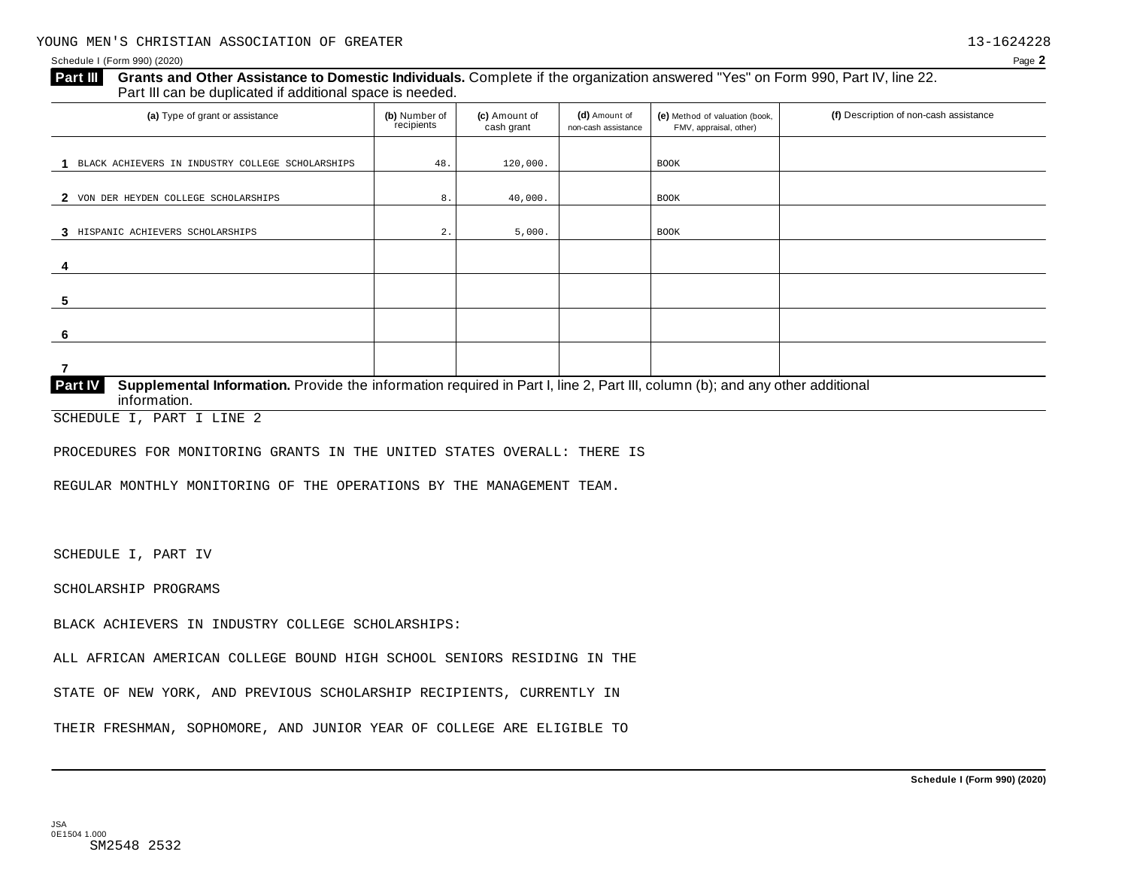#### **Grants and Other Assistance to Domestic Individuals.** Complete if the organization answered "Yes" on Form 990, Part IV, line 22. Part III can be duplicated if additional space is needed. **Part III**

| (a) Type of grant or assistance                                                                                                                                | (b) Number of<br>recipients | (c) Amount of<br>cash grant | (d) Amount of<br>non-cash assistance | (e) Method of valuation (book,<br>FMV, appraisal, other) | (f) Description of non-cash assistance |
|----------------------------------------------------------------------------------------------------------------------------------------------------------------|-----------------------------|-----------------------------|--------------------------------------|----------------------------------------------------------|----------------------------------------|
| BLACK ACHIEVERS IN INDUSTRY COLLEGE SCHOLARSHIPS                                                                                                               | 48.                         | 120,000.                    |                                      | <b>BOOK</b>                                              |                                        |
|                                                                                                                                                                |                             |                             |                                      |                                                          |                                        |
| 2 VON DER HEYDEN COLLEGE SCHOLARSHIPS                                                                                                                          | 8.                          | 40,000.                     |                                      | BOOK                                                     |                                        |
| 3 HISPANIC ACHIEVERS SCHOLARSHIPS                                                                                                                              | $2$ .                       | 5,000.                      |                                      | <b>BOOK</b>                                              |                                        |
|                                                                                                                                                                |                             |                             |                                      |                                                          |                                        |
| -5                                                                                                                                                             |                             |                             |                                      |                                                          |                                        |
| 6                                                                                                                                                              |                             |                             |                                      |                                                          |                                        |
|                                                                                                                                                                |                             |                             |                                      |                                                          |                                        |
| <b>Part IV</b><br>Supplemental Information. Provide the information required in Part I, line 2, Part III, column (b); and any other additional<br>information. |                             |                             |                                      |                                                          |                                        |

SCHEDULE I, PART I LINE 2

PROCEDURES FOR MONITORING GRANTS IN THE UNITED STATES OVERALL: THERE IS

REGULAR MONTHLY MONITORING OF THE OPERATIONS BY THE MANAGEMENT TEAM.

SCHEDULE I, PART IV

SCHOLARSHIP PROGRAMS

BLACK ACHIEVERS IN INDUSTRY COLLEGE SCHOLARSHIPS:

ALL AFRICAN AMERICAN COLLEGE BOUND HIGH SCHOOL SENIORS RESIDING IN THE

STATE OF NEW YORK, AND PREVIOUS SCHOLARSHIP RECIPIENTS, CURRENTLY IN

THEIR FRESHMAN, SOPHOMORE, AND JUNIOR YEAR OF COLLEGE ARE ELIGIBLE TO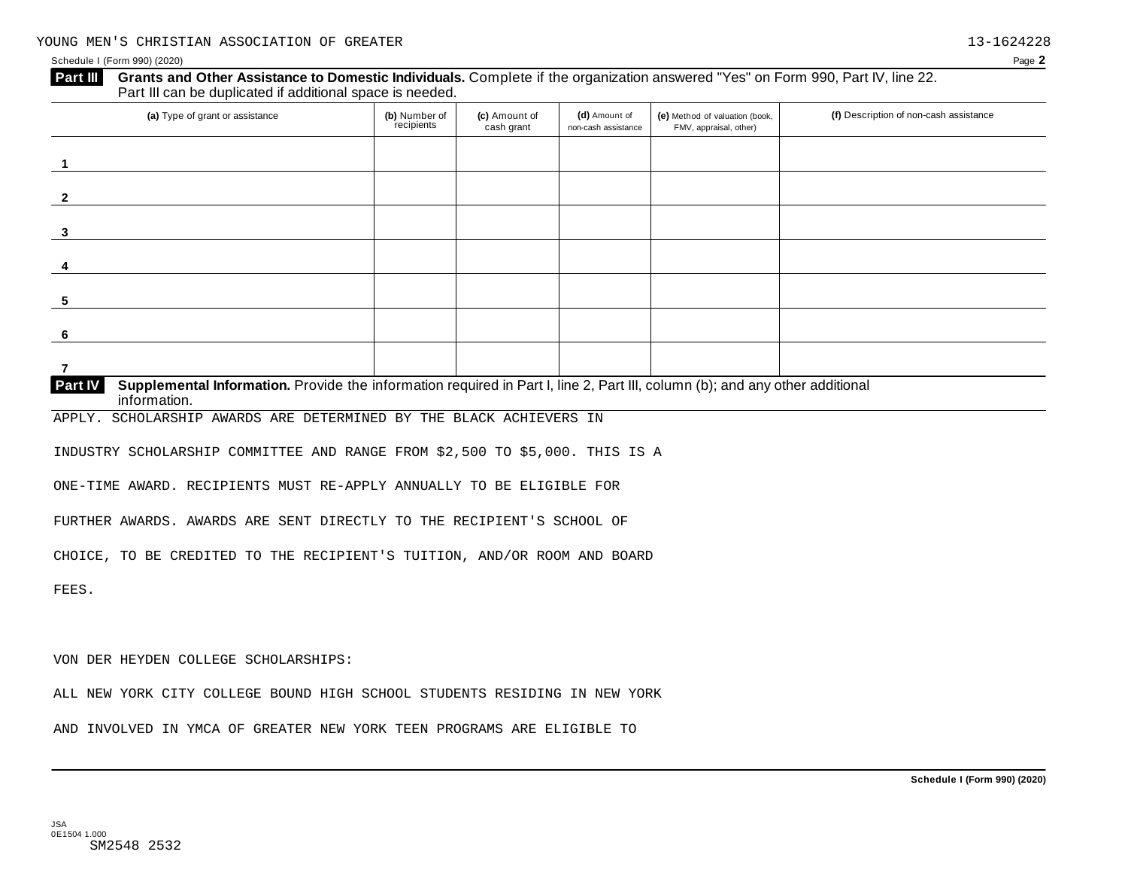| (a) Type of grant or assistance                                                                                                                                     | (b) Number of<br>recipients | (c) Amount of<br>cash grant | (d) Amount of<br>non-cash assistance | (e) Method of valuation (book,<br>FMV, appraisal, other) | (f) Description of non-cash assistance |
|---------------------------------------------------------------------------------------------------------------------------------------------------------------------|-----------------------------|-----------------------------|--------------------------------------|----------------------------------------------------------|----------------------------------------|
|                                                                                                                                                                     |                             |                             |                                      |                                                          |                                        |
|                                                                                                                                                                     |                             |                             |                                      |                                                          |                                        |
| 3                                                                                                                                                                   |                             |                             |                                      |                                                          |                                        |
| 4                                                                                                                                                                   |                             |                             |                                      |                                                          |                                        |
| $\overline{\mathbf{5}}$                                                                                                                                             |                             |                             |                                      |                                                          |                                        |
| 6                                                                                                                                                                   |                             |                             |                                      |                                                          |                                        |
| 7<br>Supplemental Information. Provide the information required in Part I, line 2, Part III, column (b); and any other additional<br><b>Part IV</b><br>information. |                             |                             |                                      |                                                          |                                        |
| SCHOLARSHIP AWARDS ARE DETERMINED BY THE BLACK ACHIEVERS IN<br>APPLY.                                                                                               |                             |                             |                                      |                                                          |                                        |
| INDUSTRY SCHOLARSHIP COMMITTEE AND RANGE FROM \$2,500 TO \$5,000. THIS IS A                                                                                         |                             |                             |                                      |                                                          |                                        |
| ONE-TIME AWARD. RECIPIENTS MUST RE-APPLY ANNUALLY TO BE ELIGIBLE FOR                                                                                                |                             |                             |                                      |                                                          |                                        |
| FURTHER AWARDS. AWARDS ARE SENT DIRECTLY TO THE RECIPIENT'S SCHOOL OF                                                                                               |                             |                             |                                      |                                                          |                                        |
| CHOICE, TO BE CREDITED TO THE RECIPIENT'S TUITION, AND/OR ROOM AND BOARD                                                                                            |                             |                             |                                      |                                                          |                                        |
|                                                                                                                                                                     |                             |                             |                                      |                                                          |                                        |

VON DER HEYDEN COLLEGE SCHOLARSHIPS:

ALL NEW YORK CITY COLLEGE BOUND HIGH SCHOOL STUDENTS RESIDING IN NEW YORK

AND INVOLVED IN YMCA OF GREATER NEW YORK TEEN PROGRAMS ARE ELIGIBLE TO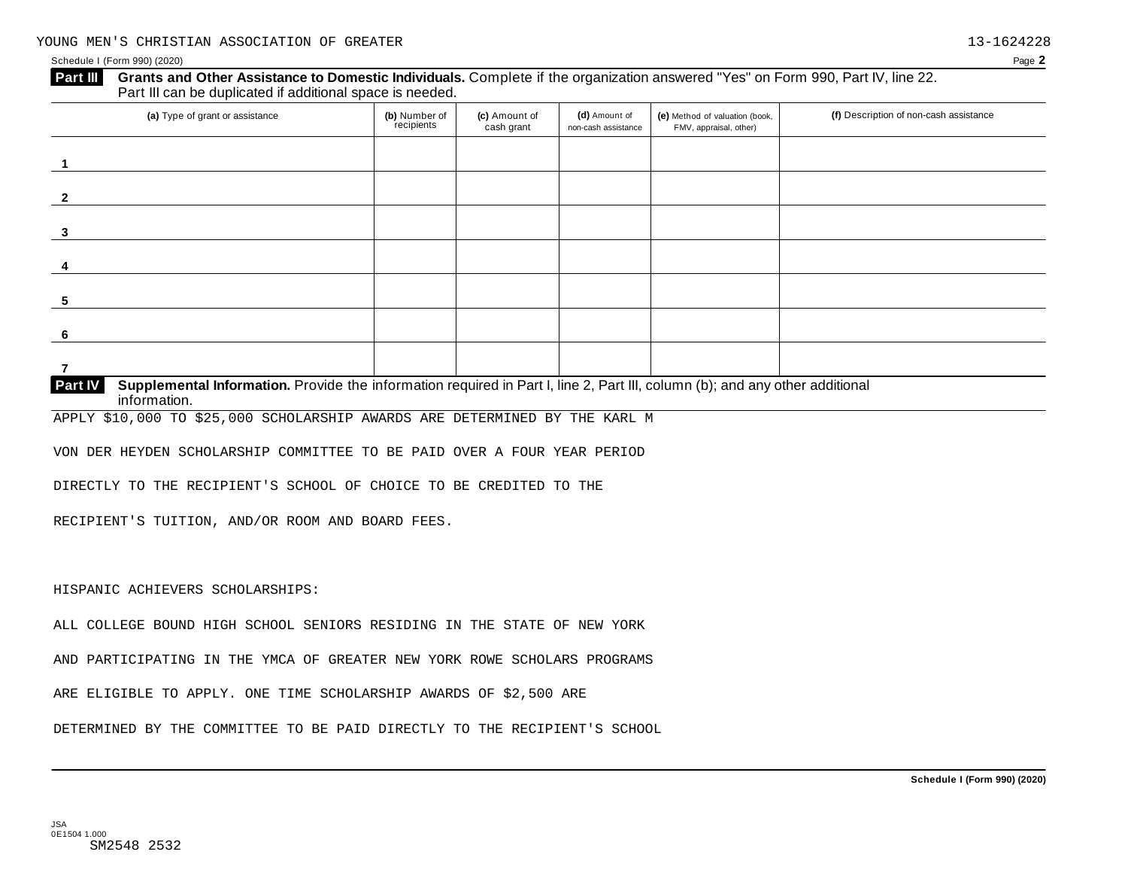#### **Grants and Other Assistance to Domestic Individuals.** Complete if the organization answered "Yes" on Form 990, Part IV, line 22. Part III can be duplicated if additional space is needed. **Part III**

| (a) Type of grant or assistance                                                                                                       | (b) Number of<br>recipients | (c) Amount of<br>cash grant | (d) Amount of<br>non-cash assistance | (e) Method of valuation (book,<br>FMV, appraisal, other) | (f) Description of non-cash assistance |
|---------------------------------------------------------------------------------------------------------------------------------------|-----------------------------|-----------------------------|--------------------------------------|----------------------------------------------------------|----------------------------------------|
|                                                                                                                                       |                             |                             |                                      |                                                          |                                        |
| $\overline{\mathbf{z}}$                                                                                                               |                             |                             |                                      |                                                          |                                        |
| 3                                                                                                                                     |                             |                             |                                      |                                                          |                                        |
| -4                                                                                                                                    |                             |                             |                                      |                                                          |                                        |
| 5                                                                                                                                     |                             |                             |                                      |                                                          |                                        |
| 6                                                                                                                                     |                             |                             |                                      |                                                          |                                        |
| 7                                                                                                                                     |                             |                             |                                      |                                                          |                                        |
| Dout IV<br>Supplemental Information, Dravide the information required in Dart Lline 2, Dart III, column (b); and any other additional |                             |                             |                                      |                                                          |                                        |

**Part IV** Supplemental Information. Provide the information required in Part I, line 2, Part III, column (b); and any other additional information.

APPLY \$10,000 TO \$25,000 SCHOLARSHIP AWARDS ARE DETERMINED BY THE KARL M

VON DER HEYDEN SCHOLARSHIP COMMITTEE TO BE PAID OVER A FOUR YEAR PERIOD

DIRECTLY TO THE RECIPIENT'S SCHOOL OF CHOICE TO BE CREDITED TO THE

RECIPIENT'S TUITION, AND/OR ROOM AND BOARD FEES.

HISPANIC ACHIEVERS SCHOLARSHIPS:

ALL COLLEGE BOUND HIGH SCHOOL SENIORS RESIDING IN THE STATE OF NEW YORK

AND PARTICIPATING IN THE YMCA OF GREATER NEW YORK ROWE SCHOLARS PROGRAMS

ARE ELIGIBLE TO APPLY. ONE TIME SCHOLARSHIP AWARDS OF \$2,500 ARE

DETERMINED BY THE COMMITTEE TO BE PAID DIRECTLY TO THE RECIPIENT'S SCHOOL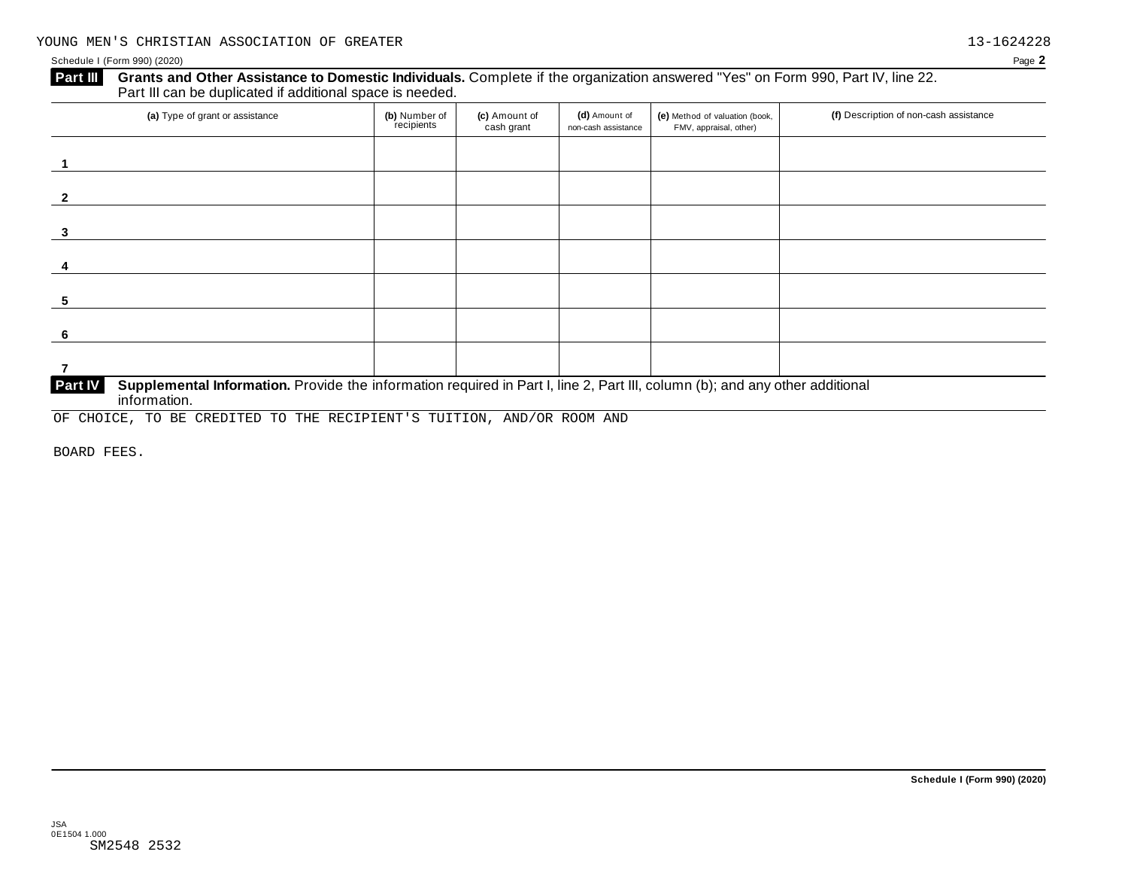#### **Grants and Other Assistance to Domestic Individuals.** Complete if the organization answered "Yes" on Form 990, Part IV, line 22. Part III can be duplicated if additional space is needed. **Part III**

| (a) Type of grant or assistance                                                                                                         | (b) Number of<br>recipients | (c) Amount of<br>cash grant | (d) Amount of<br>non-cash assistance | (e) Method of valuation (book,<br>FMV, appraisal, other) | (f) Description of non-cash assistance |  |  |  |  |  |
|-----------------------------------------------------------------------------------------------------------------------------------------|-----------------------------|-----------------------------|--------------------------------------|----------------------------------------------------------|----------------------------------------|--|--|--|--|--|
|                                                                                                                                         |                             |                             |                                      |                                                          |                                        |  |  |  |  |  |
|                                                                                                                                         |                             |                             |                                      |                                                          |                                        |  |  |  |  |  |
|                                                                                                                                         |                             |                             |                                      |                                                          |                                        |  |  |  |  |  |
|                                                                                                                                         |                             |                             |                                      |                                                          |                                        |  |  |  |  |  |
|                                                                                                                                         |                             |                             |                                      |                                                          |                                        |  |  |  |  |  |
| 3                                                                                                                                       |                             |                             |                                      |                                                          |                                        |  |  |  |  |  |
|                                                                                                                                         |                             |                             |                                      |                                                          |                                        |  |  |  |  |  |
|                                                                                                                                         |                             |                             |                                      |                                                          |                                        |  |  |  |  |  |
|                                                                                                                                         |                             |                             |                                      |                                                          |                                        |  |  |  |  |  |
| 5                                                                                                                                       |                             |                             |                                      |                                                          |                                        |  |  |  |  |  |
|                                                                                                                                         |                             |                             |                                      |                                                          |                                        |  |  |  |  |  |
| 6                                                                                                                                       |                             |                             |                                      |                                                          |                                        |  |  |  |  |  |
|                                                                                                                                         |                             |                             |                                      |                                                          |                                        |  |  |  |  |  |
|                                                                                                                                         |                             |                             |                                      |                                                          |                                        |  |  |  |  |  |
| Part IV<br>Supplemental Information. Provide the information required in Part I, line 2, Part III, column (b); and any other additional |                             |                             |                                      |                                                          |                                        |  |  |  |  |  |

#### information.

OF CHOICE, TO BE CREDITED TO THE RECIPIENT'S TUITION, AND/OR ROOM AND

BOARD FEES.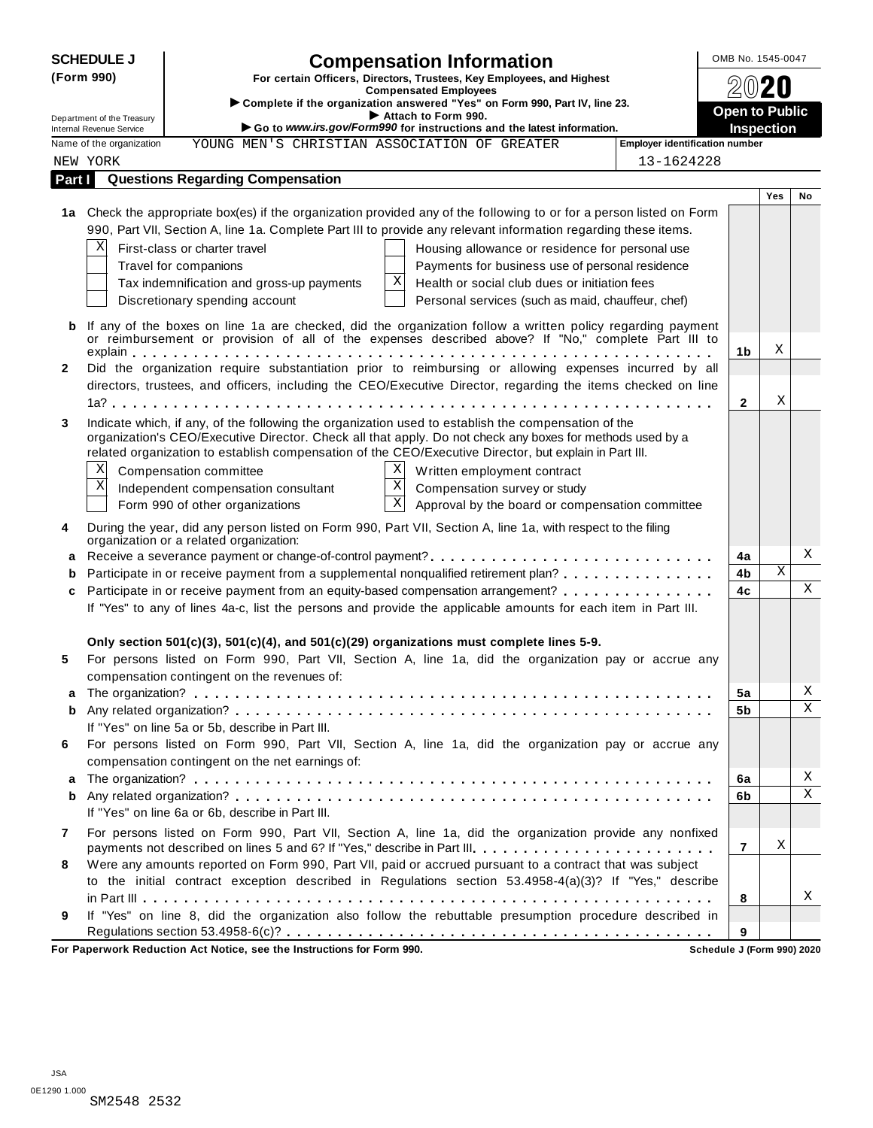| <b>SCHEDULE J</b>                                                                                                                | OMB No. 1545-0047                                                                                                                                                                                                                               |                                                                                                                                                                                                                                                                                                                                                                                                                                                                                                                                                                                                   |                            |     |             |  |
|----------------------------------------------------------------------------------------------------------------------------------|-------------------------------------------------------------------------------------------------------------------------------------------------------------------------------------------------------------------------------------------------|---------------------------------------------------------------------------------------------------------------------------------------------------------------------------------------------------------------------------------------------------------------------------------------------------------------------------------------------------------------------------------------------------------------------------------------------------------------------------------------------------------------------------------------------------------------------------------------------------|----------------------------|-----|-------------|--|
| (Form 990)                                                                                                                       | <b>Compensation Information</b><br>For certain Officers, Directors, Trustees, Key Employees, and Highest<br><b>Compensated Employees</b><br>> Complete if the organization answered "Yes" on Form 990, Part IV, line 23.<br>Attach to Form 990. | <b>Open to Public</b>                                                                                                                                                                                                                                                                                                                                                                                                                                                                                                                                                                             |                            |     |             |  |
| Department of the Treasury<br>Go to www.irs.gov/Form990 for instructions and the latest information.<br>Internal Revenue Service |                                                                                                                                                                                                                                                 |                                                                                                                                                                                                                                                                                                                                                                                                                                                                                                                                                                                                   |                            |     |             |  |
|                                                                                                                                  | Name of the organization                                                                                                                                                                                                                        | <b>Employer identification number</b><br>YOUNG MEN'S CHRISTIAN ASSOCIATION OF GREATER                                                                                                                                                                                                                                                                                                                                                                                                                                                                                                             |                            |     |             |  |
|                                                                                                                                  | NEW YORK                                                                                                                                                                                                                                        | 13-1624228                                                                                                                                                                                                                                                                                                                                                                                                                                                                                                                                                                                        |                            |     |             |  |
| Part I                                                                                                                           |                                                                                                                                                                                                                                                 | <b>Questions Regarding Compensation</b>                                                                                                                                                                                                                                                                                                                                                                                                                                                                                                                                                           |                            |     |             |  |
|                                                                                                                                  | X                                                                                                                                                                                                                                               | 1a Check the appropriate box(es) if the organization provided any of the following to or for a person listed on Form<br>990, Part VII, Section A, line 1a. Complete Part III to provide any relevant information regarding these items.<br>First-class or charter travel<br>Housing allowance or residence for personal use<br>Travel for companions<br>Payments for business use of personal residence<br>Χ<br>Health or social club dues or initiation fees<br>Tax indemnification and gross-up payments<br>Discretionary spending account<br>Personal services (such as maid, chauffeur, chef) |                            | Yes | No          |  |
|                                                                                                                                  |                                                                                                                                                                                                                                                 | If any of the boxes on line 1a are checked, did the organization follow a written policy regarding payment<br>or reimbursement or provision of all of the expenses described above? If "No," complete Part III to                                                                                                                                                                                                                                                                                                                                                                                 |                            |     |             |  |
|                                                                                                                                  |                                                                                                                                                                                                                                                 |                                                                                                                                                                                                                                                                                                                                                                                                                                                                                                                                                                                                   | 1b                         | Χ   |             |  |
| 2                                                                                                                                |                                                                                                                                                                                                                                                 | Did the organization require substantiation prior to reimbursing or allowing expenses incurred by all                                                                                                                                                                                                                                                                                                                                                                                                                                                                                             |                            |     |             |  |
|                                                                                                                                  |                                                                                                                                                                                                                                                 | directors, trustees, and officers, including the CEO/Executive Director, regarding the items checked on line                                                                                                                                                                                                                                                                                                                                                                                                                                                                                      | $\mathbf{2}$               | X   |             |  |
|                                                                                                                                  | Χ<br>Χ                                                                                                                                                                                                                                          | organization's CEO/Executive Director. Check all that apply. Do not check any boxes for methods used by a<br>related organization to establish compensation of the CEO/Executive Director, but explain in Part III.<br>X<br>Compensation committee<br>Written employment contract<br>$\mathbf X$<br>Compensation survey or study<br>Independent compensation consultant<br>$\mathbf X$<br>Approval by the board or compensation committee<br>Form 990 of other organizations                                                                                                                      |                            |     |             |  |
| 4                                                                                                                                |                                                                                                                                                                                                                                                 | During the year, did any person listed on Form 990, Part VII, Section A, line 1a, with respect to the filing<br>organization or a related organization:                                                                                                                                                                                                                                                                                                                                                                                                                                           |                            |     |             |  |
| a                                                                                                                                |                                                                                                                                                                                                                                                 |                                                                                                                                                                                                                                                                                                                                                                                                                                                                                                                                                                                                   | 4a                         |     | Χ           |  |
| b                                                                                                                                |                                                                                                                                                                                                                                                 | Participate in or receive payment from a supplemental nonqualified retirement plan?                                                                                                                                                                                                                                                                                                                                                                                                                                                                                                               | 4b                         | X   |             |  |
| c                                                                                                                                |                                                                                                                                                                                                                                                 | Participate in or receive payment from an equity-based compensation arrangement?<br>If "Yes" to any of lines 4a-c, list the persons and provide the applicable amounts for each item in Part III.                                                                                                                                                                                                                                                                                                                                                                                                 | 4c                         |     | $\mathbf X$ |  |
| 5                                                                                                                                |                                                                                                                                                                                                                                                 | Only section 501(c)(3), 501(c)(4), and 501(c)(29) organizations must complete lines 5-9.<br>For persons listed on Form 990, Part VII, Section A, line 1a, did the organization pay or accrue any<br>compensation contingent on the revenues of:                                                                                                                                                                                                                                                                                                                                                   |                            |     |             |  |
|                                                                                                                                  |                                                                                                                                                                                                                                                 |                                                                                                                                                                                                                                                                                                                                                                                                                                                                                                                                                                                                   | 5a                         |     | Χ           |  |
| b                                                                                                                                |                                                                                                                                                                                                                                                 | If "Yes" on line 5a or 5b, describe in Part III.                                                                                                                                                                                                                                                                                                                                                                                                                                                                                                                                                  | 5b                         |     | X           |  |
| 6                                                                                                                                |                                                                                                                                                                                                                                                 | For persons listed on Form 990, Part VII, Section A, line 1a, did the organization pay or accrue any<br>compensation contingent on the net earnings of:                                                                                                                                                                                                                                                                                                                                                                                                                                           |                            |     |             |  |
| a                                                                                                                                |                                                                                                                                                                                                                                                 |                                                                                                                                                                                                                                                                                                                                                                                                                                                                                                                                                                                                   | 6a                         |     | Χ           |  |
| b                                                                                                                                |                                                                                                                                                                                                                                                 | If "Yes" on line 6a or 6b, describe in Part III.                                                                                                                                                                                                                                                                                                                                                                                                                                                                                                                                                  | 6b                         |     | X           |  |
| 7                                                                                                                                |                                                                                                                                                                                                                                                 | For persons listed on Form 990, Part VII, Section A, line 1a, did the organization provide any nonfixed                                                                                                                                                                                                                                                                                                                                                                                                                                                                                           | $\overline{7}$             | Χ   |             |  |
| 8                                                                                                                                |                                                                                                                                                                                                                                                 | Were any amounts reported on Form 990, Part VII, paid or accrued pursuant to a contract that was subject<br>to the initial contract exception described in Regulations section 53.4958-4(a)(3)? If "Yes," describe                                                                                                                                                                                                                                                                                                                                                                                |                            |     |             |  |
| 9                                                                                                                                |                                                                                                                                                                                                                                                 | If "Yes" on line 8, did the organization also follow the rebuttable presumption procedure described in                                                                                                                                                                                                                                                                                                                                                                                                                                                                                            | 8                          |     | Χ           |  |
|                                                                                                                                  |                                                                                                                                                                                                                                                 |                                                                                                                                                                                                                                                                                                                                                                                                                                                                                                                                                                                                   | 9                          |     |             |  |
|                                                                                                                                  |                                                                                                                                                                                                                                                 | For Paperwork Reduction Act Notice, see the Instructions for Form 990.                                                                                                                                                                                                                                                                                                                                                                                                                                                                                                                            | Schedule J (Form 990) 2020 |     |             |  |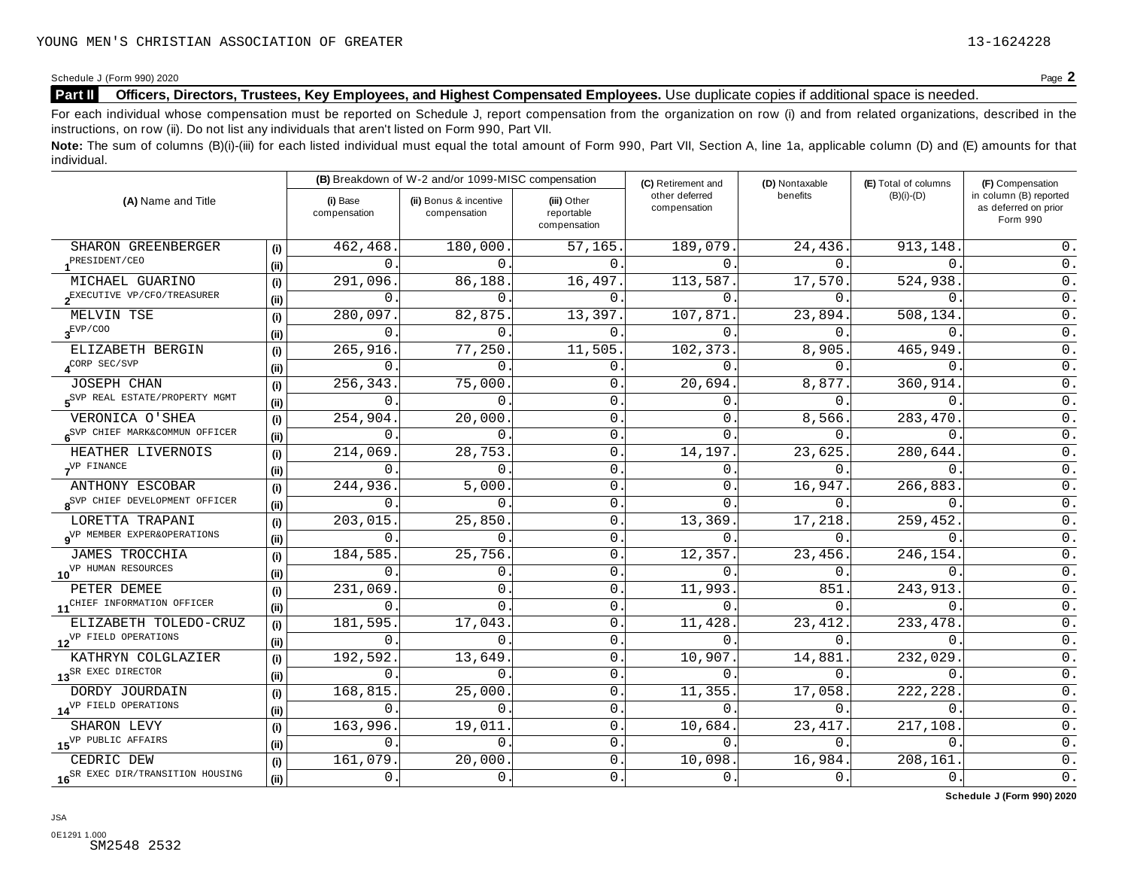### Part II Officers, Directors, Trustees, Key Employees, and Highest Compensated Employees. Use duplicate copies if additional space is needed.

For each individual whose compensation must be reported on Schedule J, report compensation from the organization on row (i) and from related organizations, described in the instructions, on row (ii). Do not list any individuals that aren't listed on Form 990, Part VII.

Note: The sum of columns (B)(i)-(iii) for each listed individual must equal the total amount of Form 990, Part VII, Section A, line 1a, applicable column (D) and (E) amounts for that individual.

| (A) Name and Title                                 |      |                          | (B) Breakdown of W-2 and/or 1099-MISC compensation<br>(C) Retirement and |                                           |                                | (D) Nontaxable         | (E) Total of columns | (F) Compensation                                           |
|----------------------------------------------------|------|--------------------------|--------------------------------------------------------------------------|-------------------------------------------|--------------------------------|------------------------|----------------------|------------------------------------------------------------|
|                                                    |      | (i) Base<br>compensation | (ii) Bonus & incentive<br>compensation                                   | (iii) Other<br>reportable<br>compensation | other deferred<br>compensation | benefits               | $(B)(i)-(D)$         | in column (B) reported<br>as deferred on prior<br>Form 990 |
| SHARON GREENBERGER                                 | (i)  | 462,468                  | 180,000                                                                  | 57,165.                                   | 189,079                        | 24,436.                | 913,148              | 0.                                                         |
| PRESIDENT/CEO                                      | (i)  | 0                        | $\mathbf{0}$ .                                                           | $\mathbf{0}$ .                            | $\Omega$                       | 0.                     | $\mathbf{0}$ .       | 0.                                                         |
| MICHAEL GUARINO                                    | (i)  | 291,096                  | 86,188                                                                   | 16,497                                    | 113,587                        | 17,570.                | 524,938              | 0.                                                         |
| 2EXECUTIVE VP/CFO/TREASURER                        | (ii) | $\Omega$                 | $\Omega$ .                                                               | $\Omega$ .                                | $\Omega$                       | $\Omega$ .             | $\Omega$             | 0.                                                         |
| MELVIN TSE                                         | (i)  | 280,097                  | 82,875                                                                   | 13,397                                    | 107,871                        | 23,894.                | 508,134.             | 0.                                                         |
| $\mathbf{3}^{\mathrm{EVP/COO}}$                    | (ii) | $\Omega$                 | $0$ .                                                                    | $\Omega$                                  | $\Omega$                       | 0.                     | $\Omega$             | 0.                                                         |
| ELIZABETH BERGIN                                   | (i)  | 265,916                  | 77,250                                                                   | 11,505                                    | 102,373                        | 8,905.                 | 465,949              | $0$ .                                                      |
| $4^{\text{CORP} \text{ SEC}/\text{SVP}}$           | (i)  | 0                        | $\mathbf{0}$ .                                                           | $\mathsf{O}$ .                            | $\Omega$                       | 0.                     | 0                    | $0$ .                                                      |
| JOSEPH CHAN                                        | (i)  | 256,343                  | 75,000                                                                   | $\mathsf{O}$ .                            | 20,694                         | 8,877.                 | 360,914              | 0.                                                         |
| S <sup>SVP</sup> REAL ESTATE/PROPERTY MGMT         | (ii) | 0                        | $\mathbf 0$ .                                                            | 0                                         | 0                              | 0.                     | $0$ .                | 0.                                                         |
| VERONICA O'SHEA                                    | (i)  | 254,904.                 | 20,000                                                                   | 0                                         | 0                              | 8,566.                 | 283,470              | $0$ .                                                      |
| 6 <sup>SVP</sup> CHIEF MARK&COMMUN OFFICER<br>(ii) |      | 0                        | 0.                                                                       | 0                                         | 0                              | 0.                     | $0$ .                | 0.                                                         |
| HEATHER LIVERNOIS                                  | (i)  | 214,069                  | 28,753.                                                                  | 0                                         | 14,197                         | 23,625.                | 280,644.             | 0.                                                         |
| $7^{VP$ FINANCE                                    |      | $\Omega$                 | $\Omega$ .                                                               | $\mathbf{0}$ .                            | $\Omega$                       | 0.                     | $\Omega$ .           | 0.                                                         |
| ANTHONY ESCOBAR                                    | (i)  | 244,936                  | 5,000.                                                                   | 0                                         | $\Omega$                       | 16,947.                | 266,883              | 0.                                                         |
| 8 <sup>SVP</sup> CHIEF DEVELOPMENT OFFICER         | (i)  | $\Omega$                 | $\Omega$ .                                                               | $\mathbf{0}$                              | $\Omega$                       | 0.                     | $\Omega$ .           | 0.                                                         |
| LORETTA TRAPANI                                    | (i)  | 203,015                  | 25,850                                                                   | $\mathsf{O}$                              | 13,369                         | 17,218.                | 259,452              | 0.                                                         |
| 9 <sup>VP</sup> MEMBER EXPER&OPERATIONS            | (ii) | $\Omega$                 | $0$ .                                                                    | $\mathsf{O}$ .                            | 0                              | 0.                     | $\Omega$             | 0.                                                         |
| JAMES TROCCHIA                                     | (i)  | 184,585                  | 25,756                                                                   | $\mathbf{0}$                              | 12,357                         | $\overline{23}$ , 456. | 246,154.             | $0$ .                                                      |
| 10 <sup>VP</sup> HUMAN RESOURCES                   | (i)  | $\Omega$                 | $\mathbf{0}$ .                                                           | $\mathbf{0}$                              | $\Omega$                       | 0.                     | $\Omega$             | $0$ .                                                      |
| PETER DEMEE                                        | (i)  | 231,069                  | $\mathbf 0$ .                                                            | $\mathsf{O}$ .                            | 11,993                         | 851.                   | 243,913              | 0.                                                         |
| 11 <sup>CHIEF</sup> INFORMATION OFFICER            | (i)  | $\mathbf{0}$ .           | $0$ .                                                                    | $\mathbf{0}$                              | $\Omega$                       | $0$ .                  | $\mathbf{0}$ .       | $0$ .                                                      |
| ELIZABETH TOLEDO-CRUZ                              | (i)  | 181,595                  | 17,043                                                                   | $\mathsf{O}$                              | 11,428                         | 23, 412.               | 233, 478             | $\overline{0}$ .                                           |
| 12 <sup>VP</sup> FIELD OPERATIONS                  | (i)  | 0                        | $\mathbf{0}$ .                                                           | 0                                         | $\Omega$                       | 0.                     | $\mathbf 0$ .        | 0.                                                         |
| KATHRYN COLGLAZIER                                 | (i)  | 192,592                  | 13,649                                                                   | $\mathbf{0}$ .                            | 10,907                         | 14,881.                | 232,029              | 0.                                                         |
| 13 <sup>SR</sup> EXEC DIRECTOR                     | (ii) | 0                        | $\mathbf 0$ .                                                            | $\mathsf{O}$ .                            | $\Omega$                       | 0.                     | $0$ .                | 0.                                                         |
| DORDY JOURDAIN                                     | (i)  | 168,815                  | 25,000                                                                   | $\mathsf{O}$                              | 11,355                         | 17,058.                | 222,228              | $0$ .                                                      |
| 14 <sup>VP</sup> FIELD OPERATIONS                  | (ii) | $\Omega$                 | $\mathsf{O}$ .                                                           | $\mathsf{O}$ .                            | $\Omega$                       | 0.                     | $\Omega$             | 0.                                                         |
| SHARON LEVY                                        | (i)  | 163,996                  | 19,011                                                                   | $\mathsf{O}$                              | 10,684                         | 23, 417.               | 217,108              | 0.                                                         |
| 15 <sup>VP</sup> PUBLIC AFFAIRS                    | (i)  | 0                        | $\mathsf{0}$ .                                                           | $\mathsf{O}$                              | 0                              | 0.                     | $\mathbf 0$ .        | $0$ .                                                      |
| CEDRIC DEW                                         | (i)  | 161,079                  | 20,000                                                                   | $\mathsf{O}$ .                            | 10,098                         | 16,984.                | 208,161              | $0$ .                                                      |
| 16 <sup>SR</sup> EXEC DIR/TRANSITION HOUSING       | (i)  | $\mathbf 0$ .            | 0.                                                                       | $\mathbf 0$ .                             | $\mathbf 0$ .                  | 0.                     | 0.                   | $\overline{0}$ .                                           |

**Schedule J (Form 990) 2020**

0E1291 1.000 SM2548 2532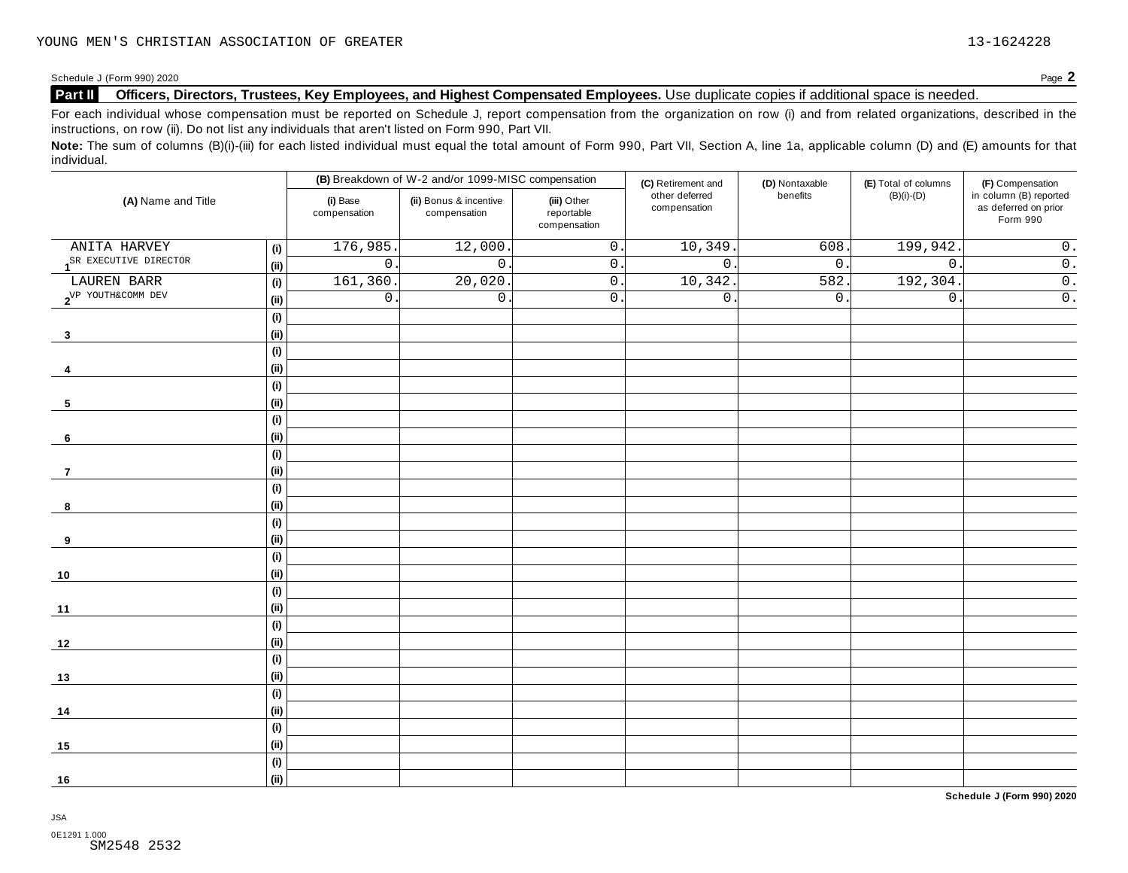### Part II Officers, Directors, Trustees, Key Employees, and Highest Compensated Employees. Use duplicate copies if additional space is needed.

For each individual whose compensation must be reported on Schedule J, report compensation from the organization on row (i) and from related organizations, described in the instructions, on row (ii). Do not list any individuals that aren't listed on Form 990, Part VII.

Note: The sum of columns (B)(i)-(iii) for each listed individual must equal the total amount of Form 990, Part VII, Section A, line 1a, applicable column (D) and (E) amounts for that individual.

| (B) Breakdown of W-2 and/or 1099-MISC compensation |                              | (C) Retirement and       | (D) Nontaxable                         | (E) Total of columns                      | (F) Compensation               |                  |                  |                                                            |
|----------------------------------------------------|------------------------------|--------------------------|----------------------------------------|-------------------------------------------|--------------------------------|------------------|------------------|------------------------------------------------------------|
| (A) Name and Title                                 |                              | (i) Base<br>compensation | (ii) Bonus & incentive<br>compensation | (iii) Other<br>reportable<br>compensation | other deferred<br>compensation | benefits         | $(B)(i)-(D)$     | in column (B) reported<br>as deferred on prior<br>Form 990 |
| ANITA HARVEY                                       | (i)                          | 176,985                  | 12,000                                 | $\overline{0}$ .                          | 10,349                         | 608              | 199,942          | $\overline{0}$ .                                           |
| 1 <sup>SR</sup> EXECUTIVE DIRECTOR                 | (i)                          | $\overline{0}$ .         | $\mathbf 0$ .                          | $\overline{0}$ .                          | $\overline{0}$                 | 0.               | $\overline{0}$ . | $\overline{\overline{\mathfrak{o}}}$ .                     |
| LAUREN BARR                                        | (i)                          | 161, 360                 | 20,020                                 | $\overline{0}$ .                          | 10,342                         | 582.             | 192,304.         | $\overline{0}$ .                                           |
| 2 <sup>VP</sup> YOUTH&COMM DEV                     | (i)                          | $\mathsf{O}\xspace$      | $\overline{0}$ .                       | $\overline{0}$ .                          | $0$ .                          | $\overline{0}$ . | $\mathsf{0}$ .   | $\overline{0}$ .                                           |
|                                                    | (i)                          |                          |                                        |                                           |                                |                  |                  |                                                            |
| $\mathbf{3}$                                       | (i)                          |                          |                                        |                                           |                                |                  |                  |                                                            |
|                                                    | (i)                          |                          |                                        |                                           |                                |                  |                  |                                                            |
| -4                                                 | (i)                          |                          |                                        |                                           |                                |                  |                  |                                                            |
|                                                    | (i)                          |                          |                                        |                                           |                                |                  |                  |                                                            |
| 5                                                  | (i)                          |                          |                                        |                                           |                                |                  |                  |                                                            |
|                                                    | (i)                          |                          |                                        |                                           |                                |                  |                  |                                                            |
| 6                                                  | (i)                          |                          |                                        |                                           |                                |                  |                  |                                                            |
|                                                    | (i)                          |                          |                                        |                                           |                                |                  |                  |                                                            |
| $\overline{7}$                                     | (i)                          |                          |                                        |                                           |                                |                  |                  |                                                            |
|                                                    | (i)                          |                          |                                        |                                           |                                |                  |                  |                                                            |
| 8                                                  | (i)                          |                          |                                        |                                           |                                |                  |                  |                                                            |
|                                                    | (i)                          |                          |                                        |                                           |                                |                  |                  |                                                            |
| 9                                                  | (i)                          |                          |                                        |                                           |                                |                  |                  |                                                            |
|                                                    | (i)                          |                          |                                        |                                           |                                |                  |                  |                                                            |
| 10                                                 | (i)                          |                          |                                        |                                           |                                |                  |                  |                                                            |
|                                                    | (i)                          |                          |                                        |                                           |                                |                  |                  |                                                            |
| 11                                                 | (ii)                         |                          |                                        |                                           |                                |                  |                  |                                                            |
|                                                    | $\qquad \qquad \textbf{(i)}$ |                          |                                        |                                           |                                |                  |                  |                                                            |
| 12                                                 | (i)                          |                          |                                        |                                           |                                |                  |                  |                                                            |
|                                                    | $\qquad \qquad \textbf{(i)}$ |                          |                                        |                                           |                                |                  |                  |                                                            |
| 13                                                 | (i)                          |                          |                                        |                                           |                                |                  |                  |                                                            |
|                                                    | (i)                          |                          |                                        |                                           |                                |                  |                  |                                                            |
| 14                                                 | (ii)                         |                          |                                        |                                           |                                |                  |                  |                                                            |
|                                                    | (i)                          |                          |                                        |                                           |                                |                  |                  |                                                            |
| 15                                                 | (i)                          |                          |                                        |                                           |                                |                  |                  |                                                            |
|                                                    | (i)                          |                          |                                        |                                           |                                |                  |                  |                                                            |
| 16                                                 | (i)                          |                          |                                        |                                           |                                |                  |                  |                                                            |

**Schedule J (Form 990) 2020**

JSA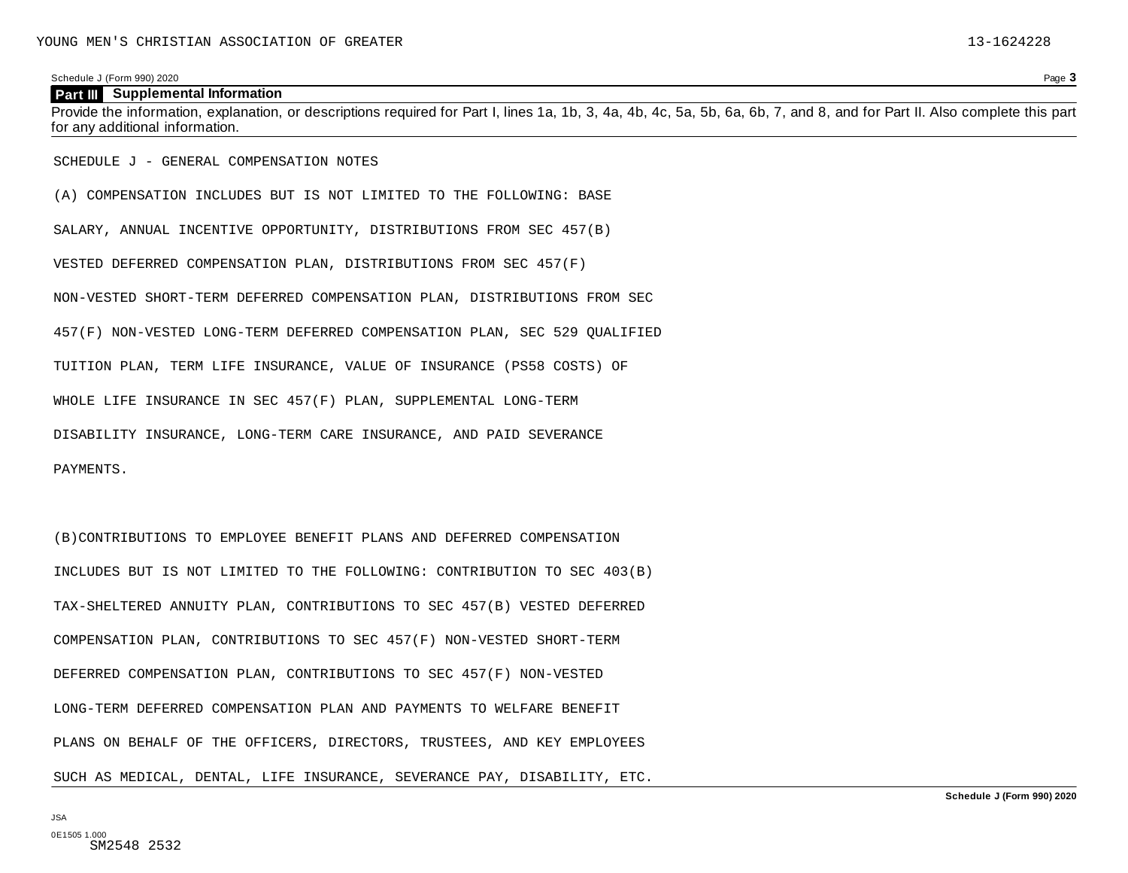#### **Part III** Supplemental Information

Provide the information, explanation, or descriptions required for Part I, lines 1a, 1b, 3, 4a, 4b, 4c, 5a, 5b, 6a, 6b, 7, and 8, and for Part II. Also complete this part for any additional information.

SCHEDULE J - GENERAL COMPENSATION NOTES

(A) COMPENSATION INCLUDES BUT IS NOT LIMITED TO THE FOLLOWING: BASE SALARY, ANNUAL INCENTIVE OPPORTUNITY, DISTRIBUTIONS FROM SEC 457(B) VESTED DEFERRED COMPENSATION PLAN, DISTRIBUTIONS FROM SEC 457(F) NON-VESTED SHORT-TERM DEFERRED COMPENSATION PLAN, DISTRIBUTIONS FROM SEC 457(F) NON-VESTED LONG-TERM DEFERRED COMPENSATION PLAN, SEC 529 QUALIFIED TUITION PLAN, TERM LIFE INSURANCE, VALUE OF INSURANCE (PS58 COSTS) OF WHOLE LIFE INSURANCE IN SEC 457(F) PLAN, SUPPLEMENTAL LONG-TERM DISABILITY INSURANCE, LONG-TERM CARE INSURANCE, AND PAID SEVERANCE PAYMENTS.

(B)CONTRIBUTIONS TO EMPLOYEE BENEFIT PLANS AND DEFERRED COMPENSATION INCLUDES BUT IS NOT LIMITED TO THE FOLLOWING: CONTRIBUTION TO SEC 403(B) TAX-SHELTERED ANNUITY PLAN, CONTRIBUTIONS TO SEC 457(B) VESTED DEFERRED COMPENSATION PLAN, CONTRIBUTIONS TO SEC 457(F) NON-VESTED SHORT-TERM DEFERRED COMPENSATION PLAN, CONTRIBUTIONS TO SEC 457(F) NON-VESTED LONG-TERM DEFERRED COMPENSATION PLAN AND PAYMENTS TO WELFARE BENEFIT PLANS ON BEHALF OF THE OFFICERS, DIRECTORS, TRUSTEES, AND KEY EMPLOYEES SUCH AS MEDICAL, DENTAL, LIFE INSURANCE, SEVERANCE PAY, DISABILITY, ETC.

JSA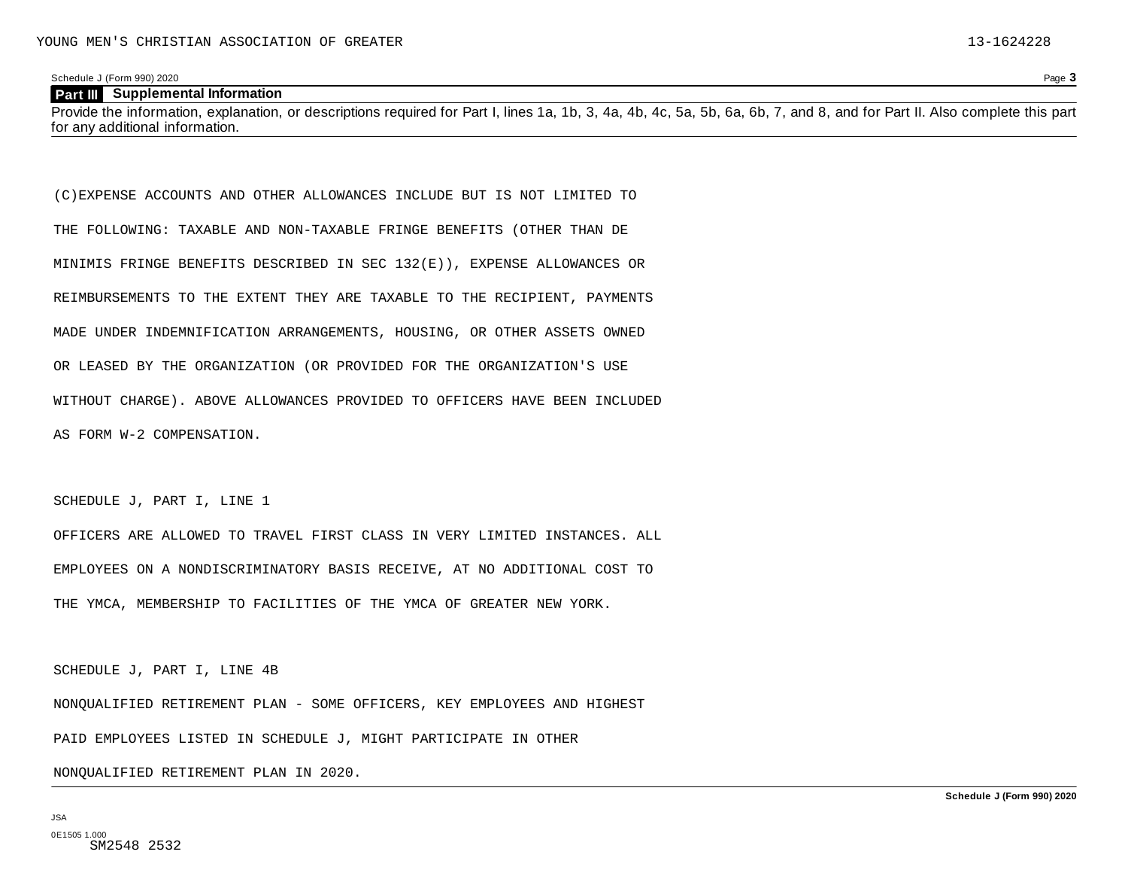#### **Part III** Supplemental Information

Provide the information, explanation, or descriptions required for Part I, lines 1a, 1b, 3, 4a, 4b, 4c, 5a, 5b, 6a, 6b, 7, and 8, and for Part II. Also complete this part for any additional information.

(C)EXPENSE ACCOUNTS AND OTHER ALLOWANCES INCLUDE BUT IS NOT LIMITED TO THE FOLLOWING: TAXABLE AND NON-TAXABLE FRINGE BENEFITS (OTHER THAN DE MINIMIS FRINGE BENEFITS DESCRIBED IN SEC 132(E)), EXPENSE ALLOWANCES OR REIMBURSEMENTS TO THE EXTENT THEY ARE TAXABLE TO THE RECIPIENT, PAYMENTS MADE UNDER INDEMNIFICATION ARRANGEMENTS, HOUSING, OR OTHER ASSETS OWNED OR LEASED BY THE ORGANIZATION (OR PROVIDED FOR THE ORGANIZATION'S USE WITHOUT CHARGE). ABOVE ALLOWANCES PROVIDED TO OFFICERS HAVE BEEN INCLUDED AS FORM W-2 COMPENSATION.

SCHEDULE J, PART I, LINE 1

OFFICERS ARE ALLOWED TO TRAVEL FIRST CLASS IN VERY LIMITED INSTANCES. ALL EMPLOYEES ON A NONDISCRIMINATORY BASIS RECEIVE, AT NO ADDITIONAL COST TO THE YMCA, MEMBERSHIP TO FACILITIES OF THE YMCA OF GREATER NEW YORK.

SCHEDULE J, PART I, LINE 4B

NONQUALIFIED RETIREMENT PLAN - SOME OFFICERS, KEY EMPLOYEES AND HIGHEST

PAID EMPLOYEES LISTED IN SCHEDULE J, MIGHT PARTICIPATE IN OTHER

NONQUALIFIED RETIREMENT PLAN IN 2020.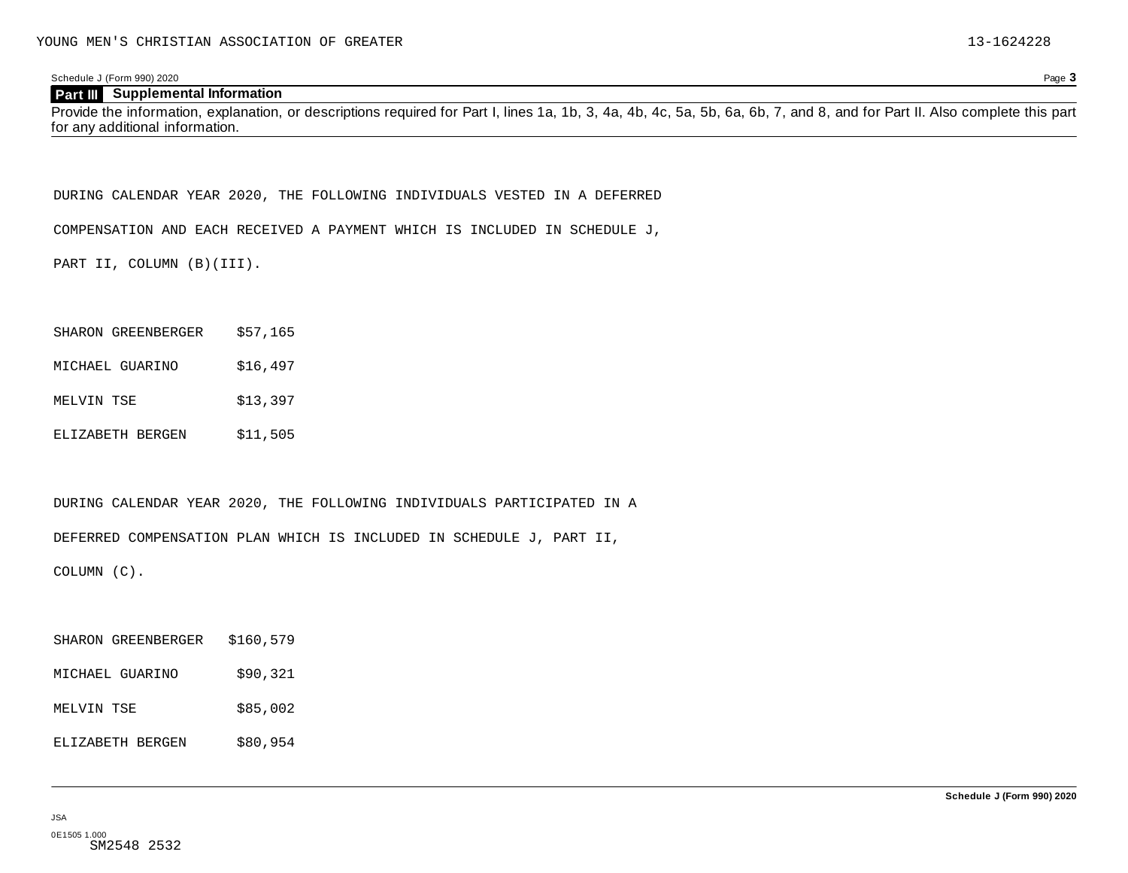#### **Part III** Supplemental Information

Provide the information, explanation, or descriptions required for Part I, lines 1a, 1b, 3, 4a, 4b, 4c, 5a, 5b, 6a, 6b, 7, and 8, and for Part II. Also complete this part for any additional information.

DURING CALENDAR YEAR 2020, THE FOLLOWING INDIVIDUALS VESTED IN A DEFERRED

COMPENSATION AND EACH RECEIVED A PAYMENT WHICH IS INCLUDED IN SCHEDULE J,

PART II, COLUMN (B)(III).

|  | SHARON GREENBERGER | \$57,165 |
|--|--------------------|----------|
|--|--------------------|----------|

- MICHAEL GUARINO \$16,497
- MELVIN TSE \$13,397
- ELIZABETH BERGEN \$11,505

DURING CALENDAR YEAR 2020, THE FOLLOWING INDIVIDUALS PARTICIPATED IN A

DEFERRED COMPENSATION PLAN WHICH IS INCLUDED IN SCHEDULE J, PART II,

COLUMN (C).

| SHARON GREENBERGER | \$160,579 |
|--------------------|-----------|
| MICHAEL GUARINO    | \$90,321  |
| MELVIN TSE         | \$85,002  |
| ELIZABETH BERGEN   | \$80,954  |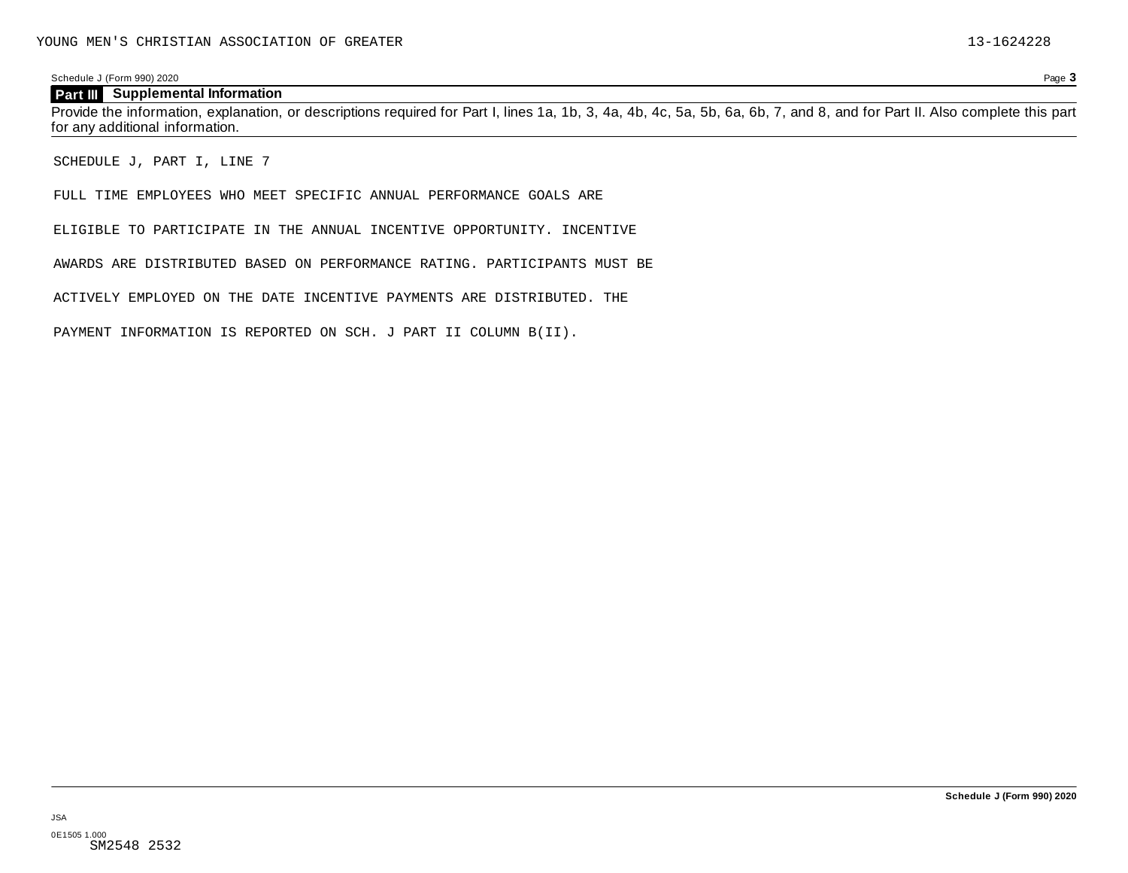#### **Part III** Supplemental Information

Provide the information, explanation, or descriptions required for Part I, lines 1a, 1b, 3, 4a, 4b, 4c, 5a, 5b, 6a, 6b, 7, and 8, and for Part II. Also complete this part for any additional information.

SCHEDULE J, PART I, LINE 7

FULL TIME EMPLOYEES WHO MEET SPECIFIC ANNUAL PERFORMANCE GOALS ARE

ELIGIBLE TO PARTICIPATE IN THE ANNUAL INCENTIVE OPPORTUNITY. INCENTIVE

AWARDS ARE DISTRIBUTED BASED ON PERFORMANCE RATING. PARTICIPANTS MUST BE

ACTIVELY EMPLOYED ON THE DATE INCENTIVE PAYMENTS ARE DISTRIBUTED. THE

PAYMENT INFORMATION IS REPORTED ON SCH. J PART II COLUMN B(II).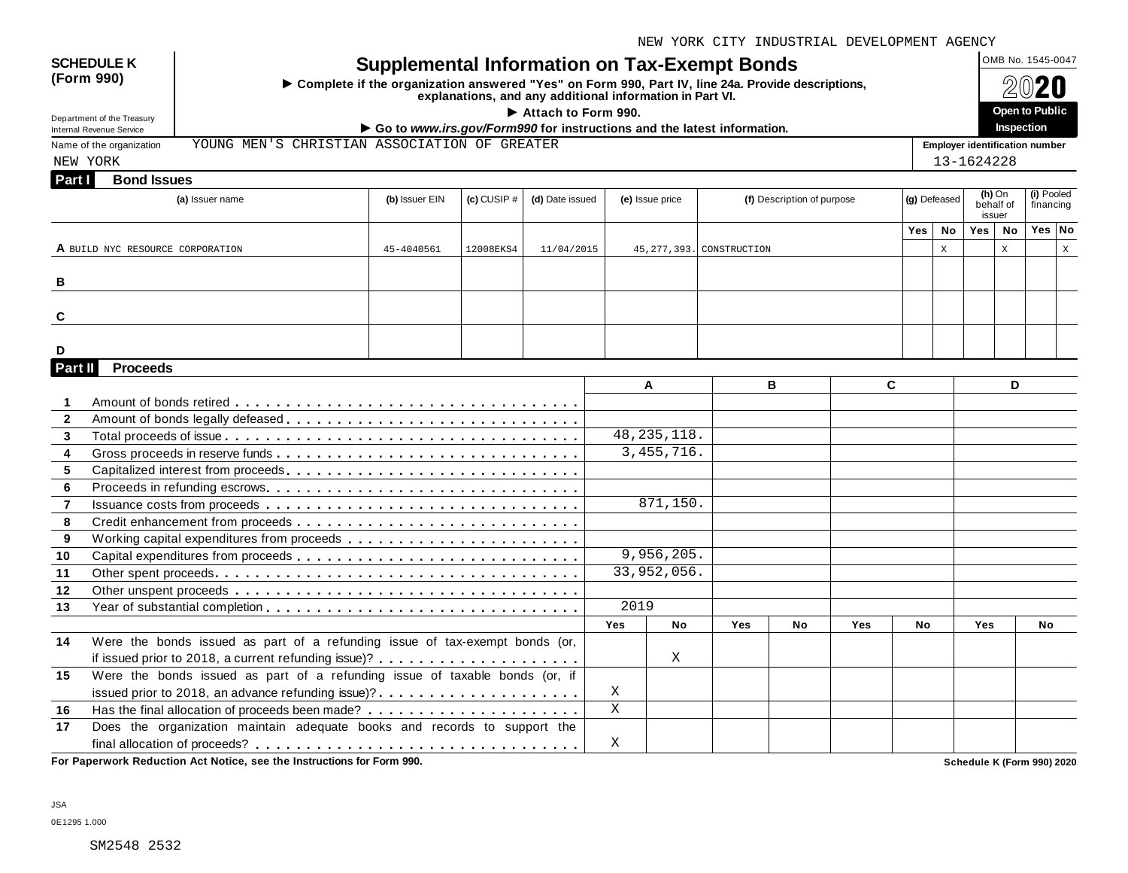NEW YORK CITY INDUSTRIAL DEVELOPMENT AGENCY

| <b>SCHEDULE K</b><br>(Form 990)<br>Department of the Treasury | <b>Supplemental Information on Tax-Exempt Bonds</b><br>Complete if the organization answered "Yes" on Form 990, Part IV, line 24a. Provide descriptions,<br>explanations, and any additional information in Part VI.<br>Attach to Form 990.<br>Go to www.irs.gov/Form990 for instructions and the latest information.<br>YOUNG MEN'S CHRISTIAN ASSOCIATION OF GREATER |                 |           |                 |                         |                            |                            |              |                                 |     |                                       |            |             | OMB No. 1545-0047<br>Open to Public |   |  |  |
|---------------------------------------------------------------|-----------------------------------------------------------------------------------------------------------------------------------------------------------------------------------------------------------------------------------------------------------------------------------------------------------------------------------------------------------------------|-----------------|-----------|-----------------|-------------------------|----------------------------|----------------------------|--------------|---------------------------------|-----|---------------------------------------|------------|-------------|-------------------------------------|---|--|--|
| <b>Internal Revenue Service</b>                               |                                                                                                                                                                                                                                                                                                                                                                       |                 |           |                 |                         |                            |                            |              |                                 |     |                                       |            |             | Inspection                          |   |  |  |
| Name of the organization                                      |                                                                                                                                                                                                                                                                                                                                                                       |                 |           |                 |                         |                            |                            |              |                                 |     | <b>Employer identification number</b> |            |             |                                     |   |  |  |
| NEW YORK                                                      |                                                                                                                                                                                                                                                                                                                                                                       |                 |           |                 |                         |                            |                            |              |                                 |     | 13-1624228                            |            |             |                                     |   |  |  |
| <b>Bond Issues</b><br>Part I                                  |                                                                                                                                                                                                                                                                                                                                                                       |                 |           |                 |                         |                            |                            |              |                                 |     |                                       |            |             |                                     |   |  |  |
|                                                               | (a) Issuer name                                                                                                                                                                                                                                                                                                                                                       | (d) Date issued |           | (e) Issue price |                         | (f) Description of purpose |                            | (g) Defeased | $(h)$ On<br>behalf of<br>issuer |     | (i) Pooled<br>financing               |            |             |                                     |   |  |  |
|                                                               |                                                                                                                                                                                                                                                                                                                                                                       |                 |           |                 |                         |                            |                            |              |                                 | Yes | <b>No</b>                             | Yes        | No          | Yes No                              |   |  |  |
| A BUILD NYC RESOURCE CORPORATION                              |                                                                                                                                                                                                                                                                                                                                                                       | 45-4040561      | 12008EKS4 | 11/04/2015      |                         |                            | 45, 277, 393. CONSTRUCTION |              |                                 |     | $\mathbf X$                           |            | $\mathbf X$ |                                     | X |  |  |
|                                                               |                                                                                                                                                                                                                                                                                                                                                                       |                 |           |                 |                         |                            |                            |              |                                 |     |                                       |            |             |                                     |   |  |  |
| В                                                             |                                                                                                                                                                                                                                                                                                                                                                       |                 |           |                 |                         |                            |                            |              |                                 |     |                                       |            |             |                                     |   |  |  |
|                                                               |                                                                                                                                                                                                                                                                                                                                                                       |                 |           |                 |                         |                            |                            |              |                                 |     |                                       |            |             |                                     |   |  |  |
| C                                                             |                                                                                                                                                                                                                                                                                                                                                                       |                 |           |                 |                         |                            |                            |              |                                 |     |                                       |            |             |                                     |   |  |  |
|                                                               |                                                                                                                                                                                                                                                                                                                                                                       |                 |           |                 |                         |                            |                            |              |                                 |     |                                       |            |             |                                     |   |  |  |
| D                                                             |                                                                                                                                                                                                                                                                                                                                                                       |                 |           |                 |                         |                            |                            |              |                                 |     |                                       |            |             |                                     |   |  |  |
| <b>Proceeds</b><br>Part II                                    |                                                                                                                                                                                                                                                                                                                                                                       |                 |           |                 |                         |                            |                            |              |                                 |     |                                       |            |             |                                     |   |  |  |
|                                                               |                                                                                                                                                                                                                                                                                                                                                                       |                 |           |                 |                         | A                          |                            | B            | C.                              |     |                                       |            | D           |                                     |   |  |  |
| $\mathbf{1}$                                                  |                                                                                                                                                                                                                                                                                                                                                                       |                 |           |                 |                         |                            |                            |              |                                 |     |                                       |            |             |                                     |   |  |  |
| $\mathbf{2}$                                                  | Amount of bonds legally defeased                                                                                                                                                                                                                                                                                                                                      |                 |           |                 |                         |                            |                            |              |                                 |     |                                       |            |             |                                     |   |  |  |
| 3                                                             |                                                                                                                                                                                                                                                                                                                                                                       |                 |           |                 |                         | 48, 235, 118.              |                            |              |                                 |     |                                       |            |             |                                     |   |  |  |
| $\overline{\mathbf{4}}$                                       |                                                                                                                                                                                                                                                                                                                                                                       |                 |           |                 |                         | 3,455,716.                 |                            |              |                                 |     |                                       |            |             |                                     |   |  |  |
| 5                                                             |                                                                                                                                                                                                                                                                                                                                                                       |                 |           |                 |                         |                            |                            |              |                                 |     |                                       |            |             |                                     |   |  |  |
| 6                                                             |                                                                                                                                                                                                                                                                                                                                                                       |                 |           |                 |                         |                            |                            |              |                                 |     |                                       |            |             |                                     |   |  |  |
| $\overline{7}$                                                |                                                                                                                                                                                                                                                                                                                                                                       |                 |           |                 |                         | 871,150.                   |                            |              |                                 |     |                                       |            |             |                                     |   |  |  |
| 8                                                             |                                                                                                                                                                                                                                                                                                                                                                       |                 |           |                 |                         |                            |                            |              |                                 |     |                                       |            |             |                                     |   |  |  |
| 9                                                             |                                                                                                                                                                                                                                                                                                                                                                       |                 |           |                 |                         |                            |                            |              |                                 |     |                                       |            |             |                                     |   |  |  |
| 10                                                            |                                                                                                                                                                                                                                                                                                                                                                       |                 |           |                 |                         | 9,956,205.                 |                            |              |                                 |     |                                       |            |             |                                     |   |  |  |
| 11                                                            |                                                                                                                                                                                                                                                                                                                                                                       |                 |           |                 |                         | 33,952,056.                |                            |              |                                 |     |                                       |            |             |                                     |   |  |  |
| 12                                                            |                                                                                                                                                                                                                                                                                                                                                                       |                 |           |                 |                         |                            |                            |              |                                 |     |                                       |            |             |                                     |   |  |  |
| 13                                                            |                                                                                                                                                                                                                                                                                                                                                                       |                 |           |                 | 2019                    |                            |                            |              |                                 |     |                                       |            |             |                                     |   |  |  |
|                                                               |                                                                                                                                                                                                                                                                                                                                                                       |                 |           |                 | <b>Yes</b>              | <b>No</b>                  | Yes                        | No           | Yes                             | No  |                                       | <b>Yes</b> |             | <b>No</b>                           |   |  |  |
| 14                                                            | Were the bonds issued as part of a refunding issue of tax-exempt bonds (or,                                                                                                                                                                                                                                                                                           |                 |           |                 |                         |                            |                            |              |                                 |     |                                       |            |             |                                     |   |  |  |
|                                                               |                                                                                                                                                                                                                                                                                                                                                                       |                 |           |                 |                         | X                          |                            |              |                                 |     |                                       |            |             |                                     |   |  |  |
| 15                                                            | Were the bonds issued as part of a refunding issue of taxable bonds (or, if                                                                                                                                                                                                                                                                                           |                 |           |                 |                         |                            |                            |              |                                 |     |                                       |            |             |                                     |   |  |  |
|                                                               | issued prior to 2018, an advance refunding issue)?                                                                                                                                                                                                                                                                                                                    |                 |           |                 | X                       |                            |                            |              |                                 |     |                                       |            |             |                                     |   |  |  |
| 16                                                            |                                                                                                                                                                                                                                                                                                                                                                       |                 |           |                 | $\overline{\mathbf{x}}$ |                            |                            |              |                                 |     |                                       |            |             |                                     |   |  |  |
| 17                                                            | Does the organization maintain adequate books and records to support the                                                                                                                                                                                                                                                                                              |                 |           |                 |                         |                            |                            |              |                                 |     |                                       |            |             |                                     |   |  |  |
|                                                               |                                                                                                                                                                                                                                                                                                                                                                       |                 |           |                 | X                       |                            |                            |              |                                 |     |                                       |            |             |                                     |   |  |  |
|                                                               |                                                                                                                                                                                                                                                                                                                                                                       |                 |           |                 |                         |                            |                            |              |                                 |     |                                       |            |             |                                     |   |  |  |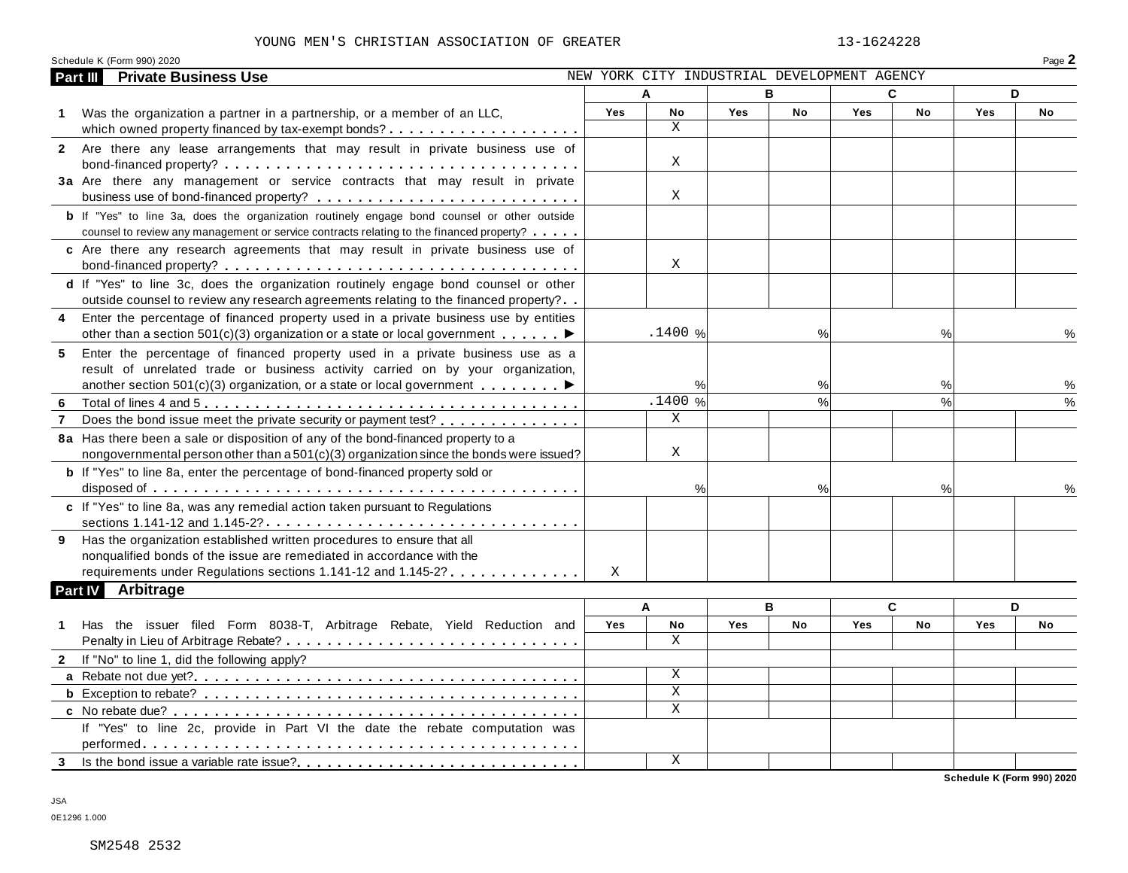#### YOUNG MEN'S CHRISTIAN ASSOCIATION OF GREATER 13-1624228

| YOUNG MEN'S CHRISTIAN ASSOCIATION OF GREATER                                                       |            |                                             |     |                 | 13-1624228 |           |            |        |
|----------------------------------------------------------------------------------------------------|------------|---------------------------------------------|-----|-----------------|------------|-----------|------------|--------|
| Schedule K (Form 990) 2020<br><b>Private Business Use</b><br>Part III                              |            | NEW YORK CITY INDUSTRIAL DEVELOPMENT AGENCY |     |                 |            |           |            | Page 2 |
|                                                                                                    |            | Α                                           |     | В               | C          |           |            | D      |
|                                                                                                    | <b>Yes</b> | No                                          | Yes | <b>No</b>       | <b>Yes</b> | <b>No</b> | <b>Yes</b> | No     |
| Was the organization a partner in a partnership, or a member of an LLC,<br>$\mathbf{1}$            |            | X                                           |     |                 |            |           |            |        |
| 2 Are there any lease arrangements that may result in private business use of                      |            |                                             |     |                 |            |           |            |        |
|                                                                                                    |            | X                                           |     |                 |            |           |            |        |
| 3a Are there any management or service contracts that may result in private                        |            |                                             |     |                 |            |           |            |        |
|                                                                                                    |            | X                                           |     |                 |            |           |            |        |
| <b>b</b> If "Yes" to line 3a, does the organization routinely engage bond counsel or other outside |            |                                             |     |                 |            |           |            |        |
| counsel to review any management or service contracts relating to the financed property?           |            |                                             |     |                 |            |           |            |        |
| c Are there any research agreements that may result in private business use of                     |            |                                             |     |                 |            |           |            |        |
|                                                                                                    |            | X                                           |     |                 |            |           |            |        |
| d If "Yes" to line 3c, does the organization routinely engage bond counsel or other                |            |                                             |     |                 |            |           |            |        |
| outside counsel to review any research agreements relating to the financed property?               |            |                                             |     |                 |            |           |            |        |
| Enter the percentage of financed property used in a private business use by entities<br>4          |            |                                             |     |                 |            |           |            |        |
| other than a section 501(c)(3) organization or a state or local government $\ldots \ldots$         |            | .1400 %                                     |     | %               |            | %         |            |        |
| Enter the percentage of financed property used in a private business use as a<br>5                 |            |                                             |     |                 |            |           |            |        |
| result of unrelated trade or business activity carried on by your organization,                    |            |                                             |     |                 |            |           |            |        |
| another section 501(c)(3) organization, or a state or local government $\ldots \ldots$             |            | %                                           |     | %               |            | %         |            | ℅      |
| 6                                                                                                  |            | .1400%                                      |     | $\overline{\%}$ |            | $\%$      |            | %      |
| Does the bond issue meet the private security or payment test?                                     |            | X                                           |     |                 |            |           |            |        |
| 8a Has there been a sale or disposition of any of the bond-financed property to a                  |            |                                             |     |                 |            |           |            |        |
| nongovernmental person other than $a\,501(c)(3)$ organization since the bonds were issued?         |            | Χ                                           |     |                 |            |           |            |        |
| <b>b</b> If "Yes" to line 8a, enter the percentage of bond-financed property sold or               |            |                                             |     |                 |            |           |            |        |
|                                                                                                    |            | %                                           |     | %               |            | %         |            | ℅      |
| c If "Yes" to line 8a, was any remedial action taken pursuant to Regulations                       |            |                                             |     |                 |            |           |            |        |
|                                                                                                    |            |                                             |     |                 |            |           |            |        |
| 9 Has the organization established written procedures to ensure that all                           |            |                                             |     |                 |            |           |            |        |
| nonqualified bonds of the issue are remediated in accordance with the                              |            |                                             |     |                 |            |           |            |        |
| requirements under Regulations sections 1.141-12 and 1.145-2?                                      | X          |                                             |     |                 |            |           |            |        |
| <b>Arbitrage</b><br><b>Part IV</b>                                                                 |            |                                             |     |                 |            |           |            |        |
|                                                                                                    |            | A                                           |     | в               |            | C         |            | D      |
| Has the issuer filed Form 8038-T, Arbitrage Rebate, Yield Reduction and                            | Yes        | No                                          | Yes | No              | <b>Yes</b> | No        | <b>Yes</b> | No     |
|                                                                                                    |            | X                                           |     |                 |            |           |            |        |
| 2 If "No" to line 1, did the following apply?                                                      |            |                                             |     |                 |            |           |            |        |
|                                                                                                    |            | X                                           |     |                 |            |           |            |        |
|                                                                                                    |            | X                                           |     |                 |            |           |            |        |
|                                                                                                    |            | X                                           |     |                 |            |           |            |        |
| If "Yes" to line 2c, provide in Part VI the date the rebate computation was                        |            |                                             |     |                 |            |           |            |        |
|                                                                                                    |            |                                             |     |                 |            |           |            |        |
|                                                                                                    |            | X                                           |     |                 |            |           |            |        |

JSA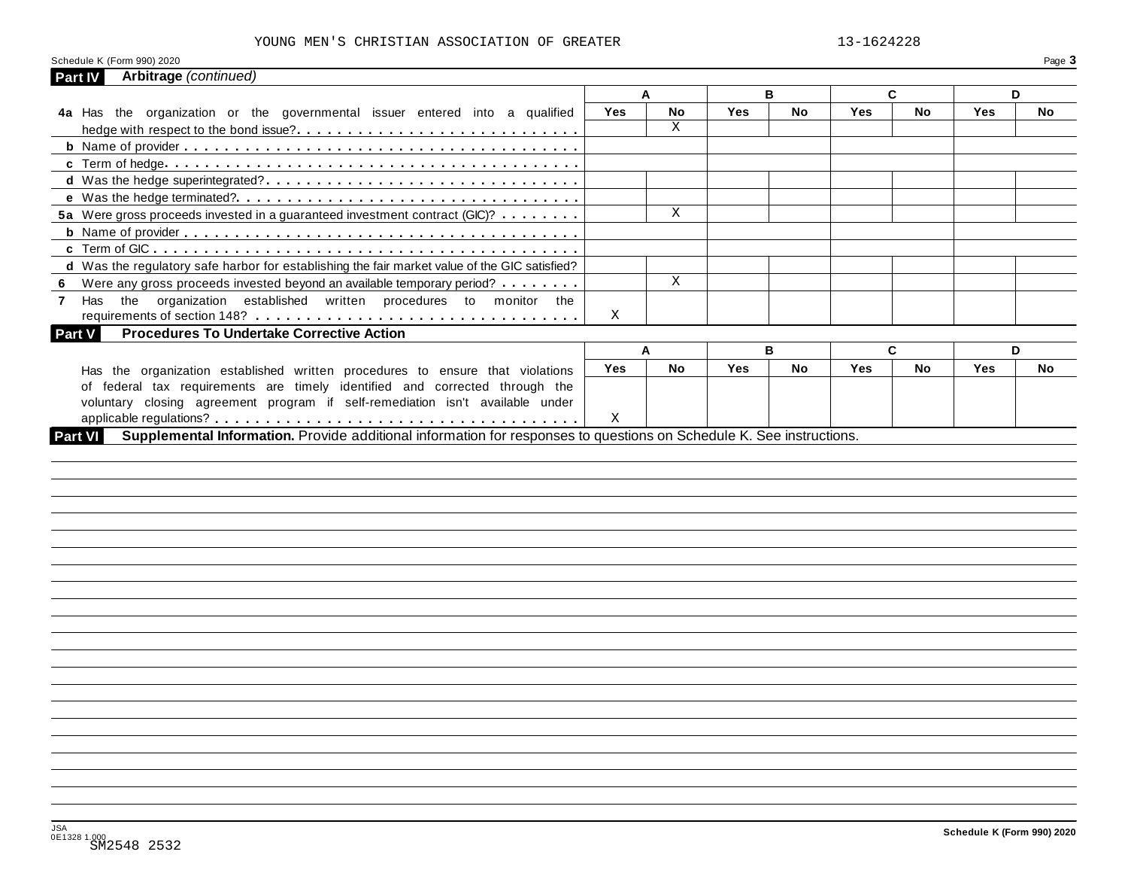#### YOUNG MEN'S CHRISTIAN ASSOCIATION OF GREATER 13-1624228

| Schedule K (Form 990) 2020                                                                    |     |              |            |     |            |    |            | Page 3 |
|-----------------------------------------------------------------------------------------------|-----|--------------|------------|-----|------------|----|------------|--------|
| Arbitrage (continued)<br>Part IV                                                              |     |              |            |     |            |    |            |        |
|                                                                                               |     | A            | в          |     |            | C. |            | D      |
| 4a Has the organization or the governmental issuer entered into a qualified                   | Yes | No           | <b>Yes</b> | No. | <b>Yes</b> | No | Yes        | No     |
|                                                                                               |     | X            |            |     |            |    |            |        |
|                                                                                               |     |              |            |     |            |    |            |        |
|                                                                                               |     |              |            |     |            |    |            |        |
|                                                                                               |     |              |            |     |            |    |            |        |
|                                                                                               |     |              |            |     |            |    |            |        |
| 5a Were gross proceeds invested in a guaranteed investment contract (GIC)?                    |     | X            |            |     |            |    |            |        |
|                                                                                               |     |              |            |     |            |    |            |        |
|                                                                                               |     |              |            |     |            |    |            |        |
| d Was the regulatory safe harbor for establishing the fair market value of the GIC satisfied? |     |              |            |     |            |    |            |        |
| Were any gross proceeds invested beyond an available temporary period?                        |     | $\mathbf{X}$ |            |     |            |    |            |        |
| Has the organization established written procedures to monitor the                            |     |              |            |     |            |    |            |        |
|                                                                                               | X   |              |            |     |            |    |            |        |
| <b>Procedures To Undertake Corrective Action</b><br>Part V                                    |     |              |            |     |            |    |            |        |
|                                                                                               |     | A            | в          |     |            | C  |            | D      |
| Has the organization established written procedures to ensure that violations                 | Yes | No           | <b>Yes</b> | No. | <b>Yes</b> | No | <b>Yes</b> | No     |
|                                                                                               |     |              |            |     |            |    |            |        |
|                                                                                               |     |              |            |     |            |    |            |        |
| of federal tax requirements are timely identified and corrected through the                   |     |              |            |     |            |    |            |        |
| voluntary closing agreement program if self-remediation isn't available under<br>Part VI      |     |              |            |     |            |    |            |        |
|                                                                                               |     |              |            |     |            |    |            |        |
|                                                                                               |     |              |            |     |            |    |            |        |
|                                                                                               |     |              |            |     |            |    |            |        |
|                                                                                               |     |              |            |     |            |    |            |        |
|                                                                                               |     |              |            |     |            |    |            |        |
|                                                                                               |     |              |            |     |            |    |            |        |
|                                                                                               |     |              |            |     |            |    |            |        |
|                                                                                               |     |              |            |     |            |    |            |        |
|                                                                                               |     |              |            |     |            |    |            |        |
|                                                                                               |     |              |            |     |            |    |            |        |
|                                                                                               |     |              |            |     |            |    |            |        |
|                                                                                               |     |              |            |     |            |    |            |        |
|                                                                                               |     |              |            |     |            |    |            |        |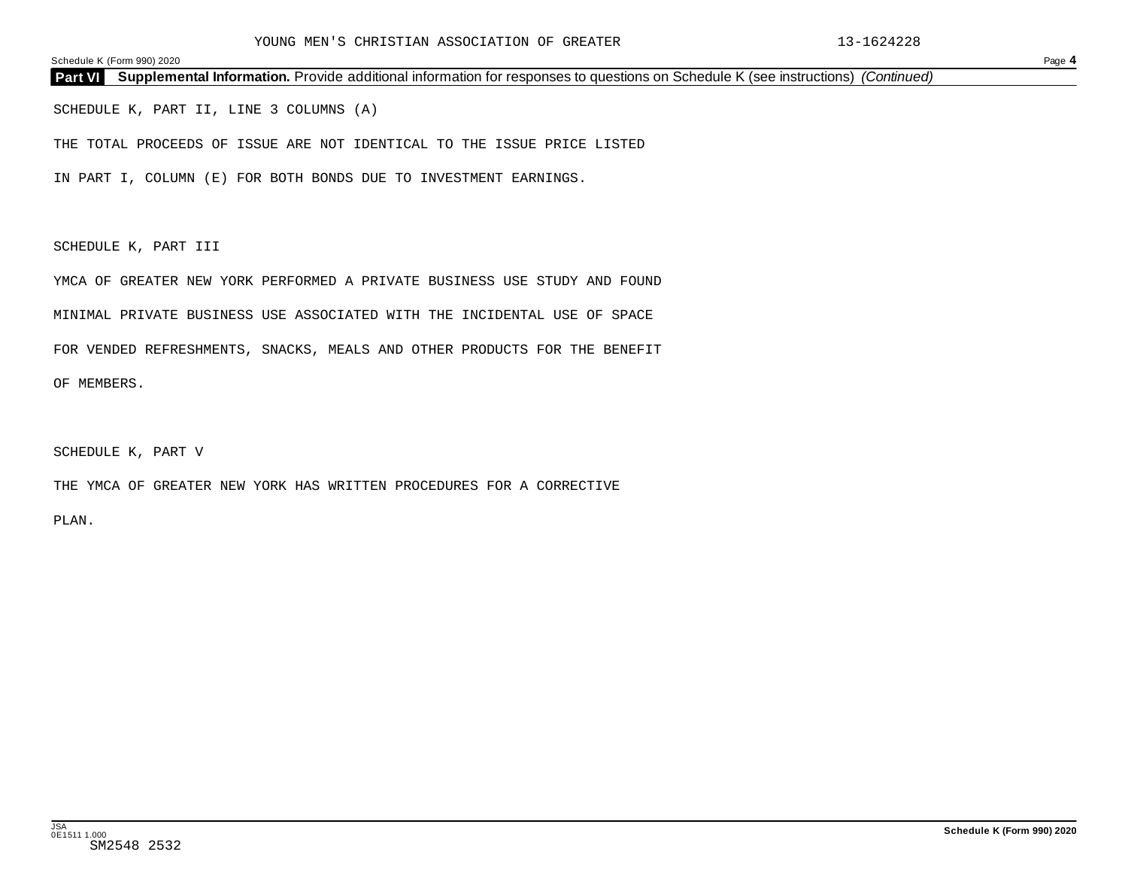**Part VI Supplemental Information.** Provide additional information for responses to questions on Schedule K (see instructions) *(Continued)*

SCHEDULE K, PART II, LINE 3 COLUMNS (A)

THE TOTAL PROCEEDS OF ISSUE ARE NOT IDENTICAL TO THE ISSUE PRICE LISTED

IN PART I, COLUMN (E) FOR BOTH BONDS DUE TO INVESTMENT EARNINGS.

SCHEDULE K, PART III

YMCA OF GREATER NEW YORK PERFORMED A PRIVATE BUSINESS USE STUDY AND FOUND

MINIMAL PRIVATE BUSINESS USE ASSOCIATED WITH THE INCIDENTAL USE OF SPACE

FOR VENDED REFRESHMENTS, SNACKS, MEALS AND OTHER PRODUCTS FOR THE BENEFIT

OF MEMBERS.

SCHEDULE K, PART V

THE YMCA OF GREATER NEW YORK HAS WRITTEN PROCEDURES FOR A CORRECTIVE

PLAN.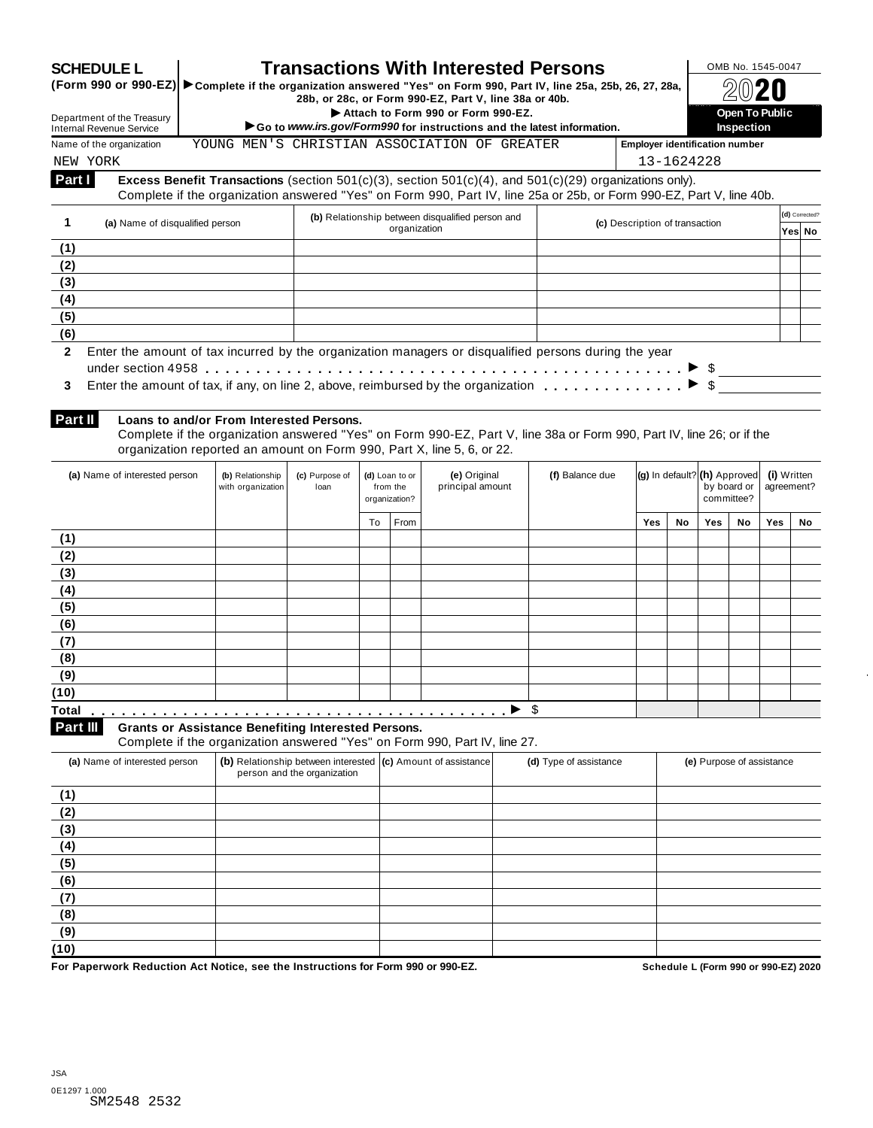| (Form 990 or 990-EZ) > Complete if the organization answered "Yes" on Form 990, Part IV, line 25a, 25b, 26, 27, 28a, |                                                                                                                                                                                                                                             |                                                                                       |    |                            |                                                                                             |  | <b>Transactions With Interested Persons</b>                            |                                |            |                              |                       |                           |             |
|----------------------------------------------------------------------------------------------------------------------|---------------------------------------------------------------------------------------------------------------------------------------------------------------------------------------------------------------------------------------------|---------------------------------------------------------------------------------------|----|----------------------------|---------------------------------------------------------------------------------------------|--|------------------------------------------------------------------------|--------------------------------|------------|------------------------------|-----------------------|---------------------------|-------------|
| Department of the Treasury                                                                                           |                                                                                                                                                                                                                                             |                                                                                       |    |                            | 28b, or 28c, or Form 990-EZ, Part V, line 38a or 40b.<br>Attach to Form 990 or Form 990-EZ. |  |                                                                        |                                |            |                              | <b>Open To Public</b> |                           |             |
| Internal Revenue Service                                                                                             |                                                                                                                                                                                                                                             |                                                                                       |    |                            |                                                                                             |  | Go to www.irs.gov/Form990 for instructions and the latest information. |                                |            |                              | Inspection            |                           |             |
| Name of the organization<br>NEW YORK                                                                                 |                                                                                                                                                                                                                                             | YOUNG MEN'S CHRISTIAN ASSOCIATION OF GREATER<br><b>Employer identification number</b> |    |                            |                                                                                             |  |                                                                        |                                | 13-1624228 |                              |                       |                           |             |
| Part I                                                                                                               | Excess Benefit Transactions (section $501(c)(3)$ , section $501(c)(4)$ , and $501(c)(29)$ organizations only).                                                                                                                              |                                                                                       |    |                            |                                                                                             |  |                                                                        |                                |            |                              |                       |                           |             |
|                                                                                                                      | Complete if the organization answered "Yes" on Form 990, Part IV, line 25a or 25b, or Form 990-EZ, Part V, line 40b.                                                                                                                        |                                                                                       |    |                            |                                                                                             |  |                                                                        |                                |            |                              |                       |                           |             |
| 1<br>(a) Name of disqualified person                                                                                 |                                                                                                                                                                                                                                             |                                                                                       |    | organization               | (b) Relationship between disqualified person and                                            |  |                                                                        | (c) Description of transaction |            |                              |                       | (d) Corrected?<br>Yes  No |             |
| (1)                                                                                                                  |                                                                                                                                                                                                                                             |                                                                                       |    |                            |                                                                                             |  |                                                                        |                                |            |                              |                       |                           |             |
| (2)                                                                                                                  |                                                                                                                                                                                                                                             |                                                                                       |    |                            |                                                                                             |  |                                                                        |                                |            |                              |                       |                           |             |
| (3)                                                                                                                  |                                                                                                                                                                                                                                             |                                                                                       |    |                            |                                                                                             |  |                                                                        |                                |            |                              |                       |                           |             |
| (4)<br>(5)                                                                                                           |                                                                                                                                                                                                                                             |                                                                                       |    |                            |                                                                                             |  |                                                                        |                                |            |                              |                       |                           |             |
| (6)                                                                                                                  |                                                                                                                                                                                                                                             |                                                                                       |    |                            |                                                                                             |  |                                                                        |                                |            |                              |                       |                           |             |
| 3<br>Part II                                                                                                         | Loans to and/or From Interested Persons.<br>Complete if the organization answered "Yes" on Form 990-EZ, Part V, line 38a or Form 990, Part IV, line 26; or if the<br>organization reported an amount on Form 990, Part X, line 5, 6, or 22. |                                                                                       |    |                            |                                                                                             |  |                                                                        |                                |            |                              |                       |                           |             |
| (a) Name of interested person                                                                                        | (b) Relationship<br>with organization                                                                                                                                                                                                       | (c) Purpose of<br>loan                                                                |    | (d) Loan to or<br>from the | (e) Original<br>principal amount                                                            |  | (f) Balance due                                                        |                                |            | (g) In default? (h) Approved | by board or           | agreement?                | (i) Written |
|                                                                                                                      |                                                                                                                                                                                                                                             |                                                                                       | To | organization?<br>From      |                                                                                             |  |                                                                        | Yes                            | No         | <b>Yes</b>                   | committee?<br>No      | Yes                       | No          |
| (1)                                                                                                                  |                                                                                                                                                                                                                                             |                                                                                       |    |                            |                                                                                             |  |                                                                        |                                |            |                              |                       |                           |             |
| (2)                                                                                                                  |                                                                                                                                                                                                                                             |                                                                                       |    |                            |                                                                                             |  |                                                                        |                                |            |                              |                       |                           |             |
| (3)                                                                                                                  |                                                                                                                                                                                                                                             |                                                                                       |    |                            |                                                                                             |  |                                                                        |                                |            |                              |                       |                           |             |
| (4)                                                                                                                  |                                                                                                                                                                                                                                             |                                                                                       |    |                            |                                                                                             |  |                                                                        |                                |            |                              |                       |                           |             |
| (5)                                                                                                                  |                                                                                                                                                                                                                                             |                                                                                       |    |                            |                                                                                             |  |                                                                        |                                |            |                              |                       |                           |             |
| (6)<br>(7)                                                                                                           |                                                                                                                                                                                                                                             |                                                                                       |    |                            |                                                                                             |  |                                                                        |                                |            |                              |                       |                           |             |
| (8)                                                                                                                  |                                                                                                                                                                                                                                             |                                                                                       |    |                            |                                                                                             |  |                                                                        |                                |            |                              |                       |                           |             |
| (9)                                                                                                                  |                                                                                                                                                                                                                                             |                                                                                       |    |                            |                                                                                             |  |                                                                        |                                |            |                              |                       |                           |             |
| (10)                                                                                                                 |                                                                                                                                                                                                                                             |                                                                                       |    |                            |                                                                                             |  |                                                                        |                                |            |                              |                       |                           |             |
| Total                                                                                                                |                                                                                                                                                                                                                                             |                                                                                       |    |                            |                                                                                             |  | - \$                                                                   |                                |            |                              |                       |                           |             |
| Part III                                                                                                             | <b>Grants or Assistance Benefiting Interested Persons.</b>                                                                                                                                                                                  |                                                                                       |    |                            |                                                                                             |  |                                                                        |                                |            |                              |                       |                           |             |
| (a) Name of interested person                                                                                        | Complete if the organization answered "Yes" on Form 990, Part IV, line 27.                                                                                                                                                                  |                                                                                       |    |                            | (b) Relationship between interested (c) Amount of assistance                                |  | (d) Type of assistance                                                 |                                |            | (e) Purpose of assistance    |                       |                           |             |
| (1)                                                                                                                  |                                                                                                                                                                                                                                             | person and the organization                                                           |    |                            |                                                                                             |  |                                                                        |                                |            |                              |                       |                           |             |
| (2)                                                                                                                  |                                                                                                                                                                                                                                             |                                                                                       |    |                            |                                                                                             |  |                                                                        |                                |            |                              |                       |                           |             |
| (3)                                                                                                                  |                                                                                                                                                                                                                                             |                                                                                       |    |                            |                                                                                             |  |                                                                        |                                |            |                              |                       |                           |             |
| (4)                                                                                                                  |                                                                                                                                                                                                                                             |                                                                                       |    |                            |                                                                                             |  |                                                                        |                                |            |                              |                       |                           |             |
| (5)                                                                                                                  |                                                                                                                                                                                                                                             |                                                                                       |    |                            |                                                                                             |  |                                                                        |                                |            |                              |                       |                           |             |
| (6)                                                                                                                  |                                                                                                                                                                                                                                             |                                                                                       |    |                            |                                                                                             |  |                                                                        |                                |            |                              |                       |                           |             |
|                                                                                                                      |                                                                                                                                                                                                                                             |                                                                                       |    |                            |                                                                                             |  |                                                                        |                                |            |                              |                       |                           |             |
|                                                                                                                      |                                                                                                                                                                                                                                             |                                                                                       |    |                            |                                                                                             |  |                                                                        |                                |            |                              |                       |                           |             |
| (7)<br>(8)                                                                                                           |                                                                                                                                                                                                                                             |                                                                                       |    |                            |                                                                                             |  |                                                                        |                                |            |                              |                       |                           |             |
| (9)<br>(10)                                                                                                          |                                                                                                                                                                                                                                             |                                                                                       |    |                            |                                                                                             |  |                                                                        |                                |            |                              |                       |                           |             |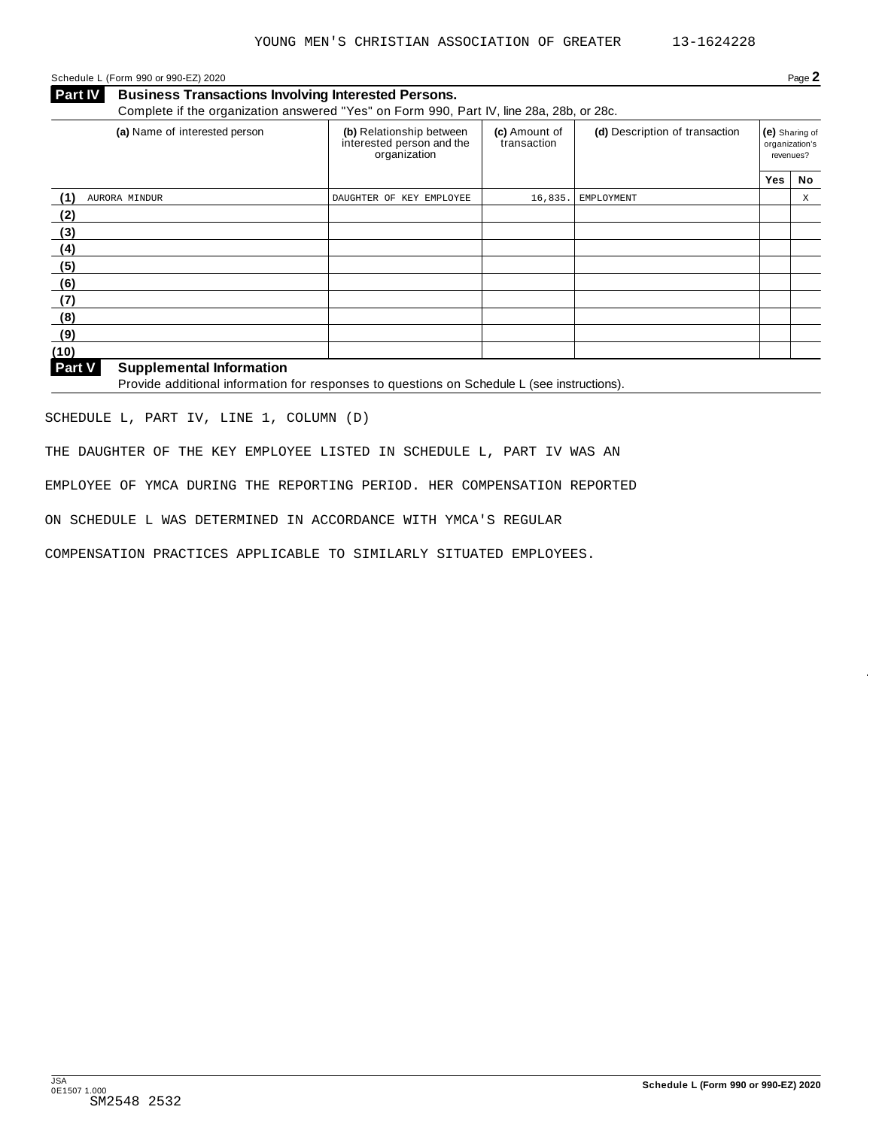#### Schedule L (Form 990 or 990-EZ) 2020 Page **2**

**Business Transactions Involving Interested Persons.** Complete if the organization answered "Yes" on Form 990, Part IV, line 28a, 28b, or 28c. **Part IV** 

| (a) Name of interested person | (b) Relationship between<br>interested person and the<br>organization | (c) Amount of<br>transaction | (d) Description of transaction | revenues? | (e) Sharing of<br>organization's |
|-------------------------------|-----------------------------------------------------------------------|------------------------------|--------------------------------|-----------|----------------------------------|
|                               |                                                                       |                              |                                | Yes       | No                               |
| (1)<br>AURORA MINDUR          | DAUGHTER OF KEY EMPLOYEE                                              | 16,835.                      | EMPLOYMENT                     |           | Χ                                |
| (2)                           |                                                                       |                              |                                |           |                                  |
| (3)                           |                                                                       |                              |                                |           |                                  |
| (4)                           |                                                                       |                              |                                |           |                                  |
| (5)                           |                                                                       |                              |                                |           |                                  |
| (6)                           |                                                                       |                              |                                |           |                                  |
| (7)                           |                                                                       |                              |                                |           |                                  |
| (8)                           |                                                                       |                              |                                |           |                                  |
| (9)                           |                                                                       |                              |                                |           |                                  |
| (10)                          |                                                                       |                              |                                |           |                                  |

**Supplemental Information Part V** 

Provide additional information for responses to questions on Schedule L (see instructions).

SCHEDULE L, PART IV, LINE 1, COLUMN (D)

THE DAUGHTER OF THE KEY EMPLOYEE LISTED IN SCHEDULE L, PART IV WAS AN

EMPLOYEE OF YMCA DURING THE REPORTING PERIOD. HER COMPENSATION REPORTED

ON SCHEDULE L WAS DETERMINED IN ACCORDANCE WITH YMCA'S REGULAR

COMPENSATION PRACTICES APPLICABLE TO SIMILARLY SITUATED EMPLOYEES.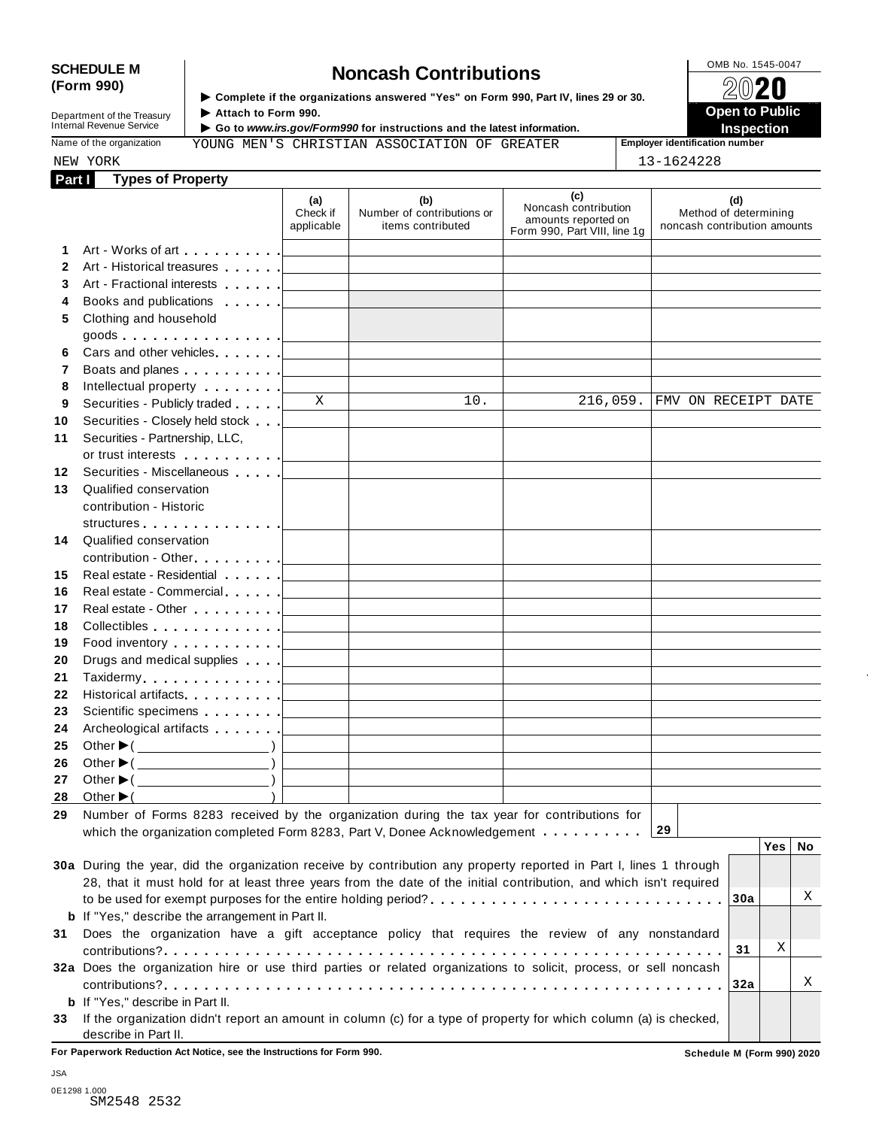# SCHEDULE M<br>
(Form 990) **Schedule is the organizations answered** "Yes" on Form 990, Part IV lines 29 or 30<br>  $\bigotimes_{\mathbb{R}} \mathbb{Q} \otimes \mathbb{Z}$

Department of the Treasury<br>
Internal Revenue Service<br>
Internal Revenue Service<br> **Internal Revenue Service**<br> **Co to www.irs.gov/Form** 

**Examplete if the organizations answered "Yes" on Form 990, Part IV, lines 29 or 30.** ★ Attach to Form 990.

 **Open to Public** 

NEW YORK 13-1624228

▶ Go to *www.irs.gov/Form990* for instructions and the latest information.<br>
Inspection in Inspection **Instruction Inspection Inspection Inspection Inspection** 

Name of the organization **Employer identification number** YOUNG MEN'S CHRISTIAN ASSOCIATION OF GREATER

| NEW YORK<br><b>Types of Property</b><br>Part I                                                                                                                                                                                 |                                   |                                                                                                                       |                                                                                    | 13-1624228                                                   |
|--------------------------------------------------------------------------------------------------------------------------------------------------------------------------------------------------------------------------------|-----------------------------------|-----------------------------------------------------------------------------------------------------------------------|------------------------------------------------------------------------------------|--------------------------------------------------------------|
|                                                                                                                                                                                                                                | (a)<br>Check if<br>applicable     | (b)<br>Number of contributions or<br>items contributed                                                                | (c)<br>Noncash contribution<br>amounts reported on<br>Form 990, Part VIII, line 1g | (d)<br>Method of determining<br>noncash contribution amounts |
| 1                                                                                                                                                                                                                              |                                   |                                                                                                                       |                                                                                    |                                                              |
| $\mathbf{2}$<br>Art - Historical treasures                                                                                                                                                                                     |                                   |                                                                                                                       |                                                                                    |                                                              |
| 3<br>Art - Fractional interests                                                                                                                                                                                                |                                   |                                                                                                                       |                                                                                    |                                                              |
| Books and publications<br>4                                                                                                                                                                                                    |                                   |                                                                                                                       |                                                                                    |                                                              |
| Clothing and household<br>5.                                                                                                                                                                                                   |                                   |                                                                                                                       |                                                                                    |                                                              |
| goods $\ldots \ldots \ldots \ldots \ldots$                                                                                                                                                                                     |                                   |                                                                                                                       |                                                                                    |                                                              |
| Cars and other vehicles<br>6                                                                                                                                                                                                   |                                   | the control of the control of the control of the control of the control of                                            |                                                                                    |                                                              |
| $\mathbf{7}$<br>Boats and planes <u>  _ _ _ _ _</u>                                                                                                                                                                            |                                   | the control of the control of the control of the control of the control of                                            |                                                                                    |                                                              |
| 8<br>Intellectual property [1,1,1,1,1,1]                                                                                                                                                                                       |                                   |                                                                                                                       |                                                                                    |                                                              |
| Securities - Publicly traded<br>9                                                                                                                                                                                              | $\overline{\mathbf{x}}$           | $\overline{10}$ .                                                                                                     | 216,059.                                                                           | FMV ON RECEIPT DATE                                          |
| Securities - Closely held stock                                                                                                                                                                                                |                                   |                                                                                                                       |                                                                                    |                                                              |
| Securities - Partnership, LLC,                                                                                                                                                                                                 |                                   |                                                                                                                       |                                                                                    |                                                              |
| 11                                                                                                                                                                                                                             |                                   |                                                                                                                       |                                                                                    |                                                              |
| Securities - Miscellaneous<br>12                                                                                                                                                                                               |                                   |                                                                                                                       |                                                                                    |                                                              |
| 13<br>Qualified conservation                                                                                                                                                                                                   |                                   |                                                                                                                       |                                                                                    |                                                              |
| contribution - Historic                                                                                                                                                                                                        |                                   |                                                                                                                       |                                                                                    |                                                              |
|                                                                                                                                                                                                                                |                                   |                                                                                                                       |                                                                                    |                                                              |
| structures [19]<br>Qualified conservation<br>14                                                                                                                                                                                |                                   |                                                                                                                       |                                                                                    |                                                              |
|                                                                                                                                                                                                                                |                                   |                                                                                                                       |                                                                                    |                                                              |
|                                                                                                                                                                                                                                |                                   |                                                                                                                       |                                                                                    |                                                              |
| Real estate - Residential                                                                                                                                                                                                      |                                   | the control of the control of the control of the control of the control of                                            |                                                                                    |                                                              |
| Real estate - Commercial                                                                                                                                                                                                       |                                   | <u> 1989 - John Harry Harry Harry Harry Harry Harry Harry Harry Harry Harry Harry Harry Harry Harry Harry Harry H</u> |                                                                                    |                                                              |
| Real estate - Other [19]                                                                                                                                                                                                       |                                   | <u> 1989 - John Harry Harry Harry Harry Harry Harry Harry Harry Harry Harry Harry Harry Harry Harry Harry Harry H</u> |                                                                                    |                                                              |
|                                                                                                                                                                                                                                |                                   |                                                                                                                       |                                                                                    |                                                              |
| Food inventory entering the state of the state of the state of the state of the state of the state of the state of the state of the state of the state of the state of the state of the state of the state of the state of the |                                   |                                                                                                                       |                                                                                    |                                                              |
| Drugs and medical supplies                                                                                                                                                                                                     |                                   | <u> 1989 - John Harry Harry Harry Harry Harry Harry Harry Harry Harry Harry Harry Harry Harry Harry Harry Harry H</u> |                                                                                    |                                                              |
|                                                                                                                                                                                                                                |                                   |                                                                                                                       |                                                                                    |                                                              |
| Historical artifacts.                                                                                                                                                                                                          |                                   | <u> 1989 - John Harry Harry Harry Harry Harry Harry Harry Harry Harry Harry Harry Harry Harry Harry Harry Harry H</u> |                                                                                    |                                                              |
|                                                                                                                                                                                                                                |                                   |                                                                                                                       |                                                                                    |                                                              |
| Archeological artifacts [                                                                                                                                                                                                      | <b>Contract Contract Contract</b> | the control of the control of the control of the control of the control of                                            |                                                                                    |                                                              |
| Other $\blacktriangleright$ ( $\_\_\_\_\_\_\_\_$ )                                                                                                                                                                             |                                   |                                                                                                                       |                                                                                    |                                                              |
| Other $\blacktriangleright$ ( $\_\_\_\_\_\_\_\_\_$ )                                                                                                                                                                           |                                   |                                                                                                                       |                                                                                    |                                                              |
| Other $\blacktriangleright$ (                                                                                                                                                                                                  |                                   |                                                                                                                       |                                                                                    |                                                              |
| Other $\blacktriangleright$                                                                                                                                                                                                    |                                   |                                                                                                                       |                                                                                    |                                                              |
| Number of Forms 8283 received by the organization during the tax year for contributions for                                                                                                                                    |                                   |                                                                                                                       |                                                                                    |                                                              |
| which the organization completed Form 8283, Part V, Donee Acknowledgement                                                                                                                                                      |                                   |                                                                                                                       |                                                                                    | 29                                                           |
|                                                                                                                                                                                                                                |                                   |                                                                                                                       |                                                                                    | Yes   No                                                     |
| 30a During the year, did the organization receive by contribution any property reported in Part I, lines 1 through                                                                                                             |                                   |                                                                                                                       |                                                                                    |                                                              |
| 28, that it must hold for at least three years from the date of the initial contribution, and which isn't required                                                                                                             |                                   |                                                                                                                       |                                                                                    |                                                              |
|                                                                                                                                                                                                                                |                                   |                                                                                                                       |                                                                                    | Χ<br>30a                                                     |
| <b>b</b> If "Yes," describe the arrangement in Part II.                                                                                                                                                                        |                                   |                                                                                                                       |                                                                                    |                                                              |
| Does the organization have a gift acceptance policy that requires the review of any nonstandard<br>31                                                                                                                          |                                   |                                                                                                                       |                                                                                    |                                                              |
|                                                                                                                                                                                                                                |                                   |                                                                                                                       |                                                                                    | Χ<br>31                                                      |
| 32a Does the organization hire or use third parties or related organizations to solicit, process, or sell noncash                                                                                                              |                                   |                                                                                                                       |                                                                                    |                                                              |
|                                                                                                                                                                                                                                |                                   |                                                                                                                       |                                                                                    | Χ<br>32a                                                     |
| <b>b</b> If "Yes," describe in Part II.                                                                                                                                                                                        |                                   |                                                                                                                       |                                                                                    |                                                              |
| If the organization didn't report an amount in column (c) for a type of property for which column (a) is checked,                                                                                                              |                                   |                                                                                                                       |                                                                                    |                                                              |
| 33<br>describe in Part II.                                                                                                                                                                                                     |                                   |                                                                                                                       |                                                                                    |                                                              |

**For Paperwork Reduction Act Notice, see the Instructions for Form 990. Schedule M (Form 990) 2020**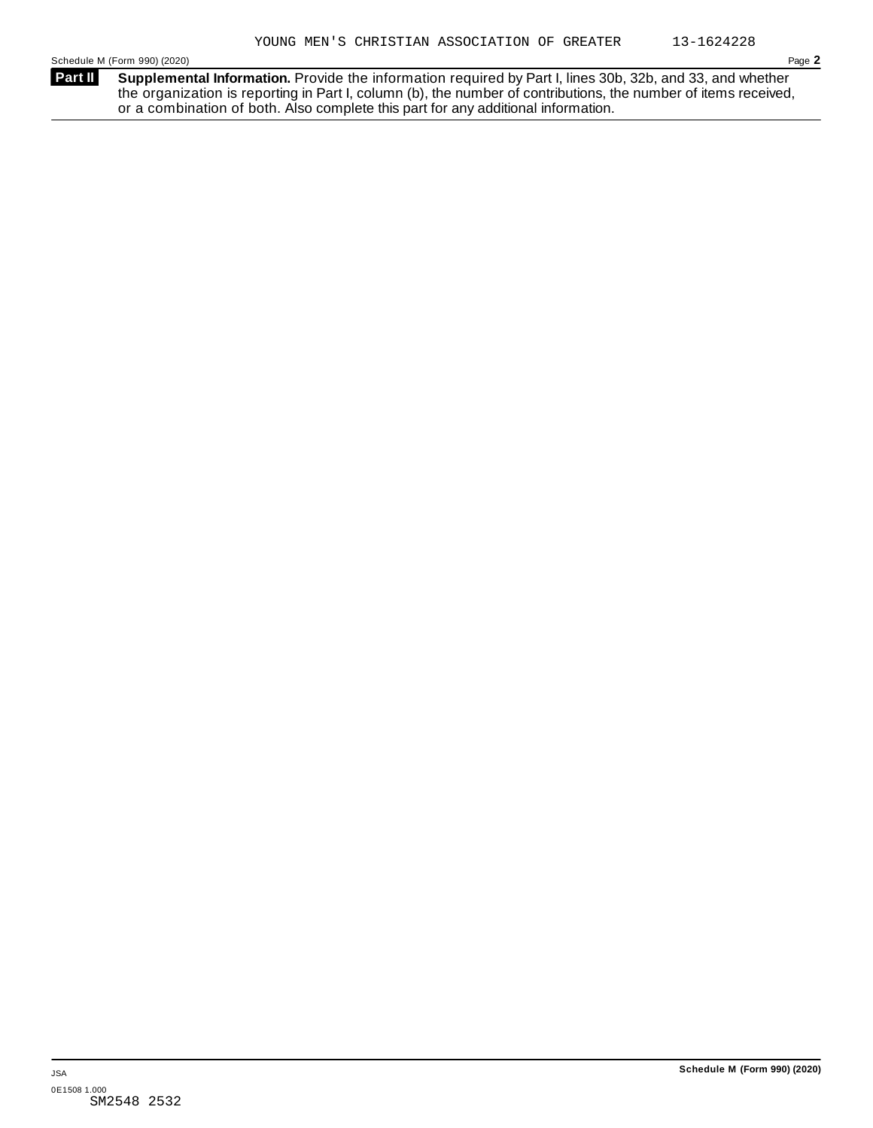**Supplemental Information.** Provide the information required by Part I, lines 30b, 32b, and 33, and whether the organization is reporting in Part I, column (b), the number of contributions, the number of items received, or a combination of both. Also complete this part for any additional information. **Part II**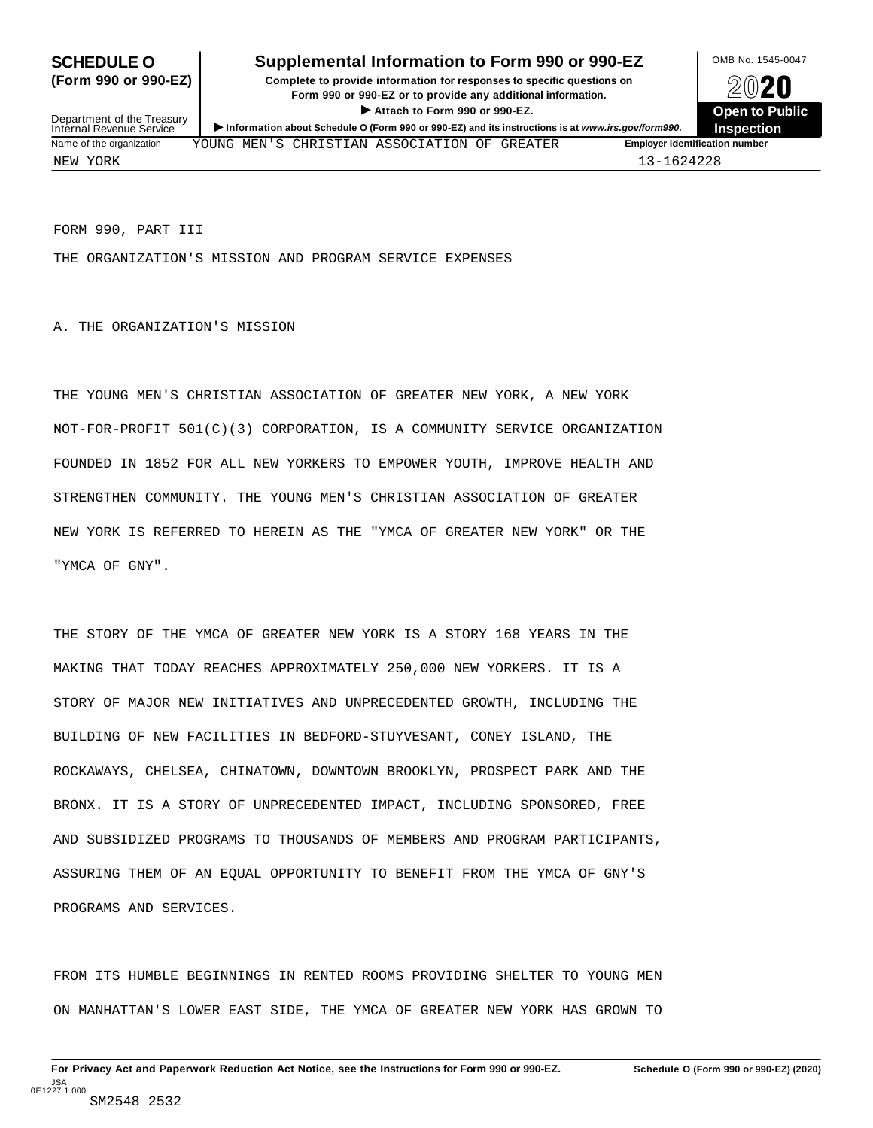### **SCHEDULE O** Supplemental Information to Form 990 or 990-EZ MB No. 1545-0047

**(Form 990 or 990-EZ) Complete to provide information for responses to specific questions on** plete to provide information for responses to specific questions on  $\sim$  20 $\sim$ 20 $\sim$ **ISONET ATTACH THE CONSERVANCE CONSERVANCE CONSERVANCE CONSERVANCE CONSERVANCE CONSERVANCE CONSERVANCE CONSERVANCE CONSERVANCE CONSERVANCE CONSERVANCE CONSERVANCE CONSERVANCE CONSERVANCE CONSERVANCE CONSERVANCE CONSERVANC** 



Department of the Treasury<br>Internal Revenue Service **Information about Schedule O (Form 990 or 990-EZ)** and its instructions is at *www.irs.gov/form990.* Inspection<br>Internal Revenue Service **Inspection** Name of the organization **MEN'S CHRISTIAN ASSOCIATION OF GREATER Final organization number** NEW YORK 13-1624228

FORM 990, PART III

THE ORGANIZATION'S MISSION AND PROGRAM SERVICE EXPENSES

A. THE ORGANIZATION'S MISSION

THE YOUNG MEN'S CHRISTIAN ASSOCIATION OF GREATER NEW YORK, A NEW YORK NOT-FOR-PROFIT 501(C)(3) CORPORATION, IS A COMMUNITY SERVICE ORGANIZATION FOUNDED IN 1852 FOR ALL NEW YORKERS TO EMPOWER YOUTH, IMPROVE HEALTH AND STRENGTHEN COMMUNITY. THE YOUNG MEN'S CHRISTIAN ASSOCIATION OF GREATER NEW YORK IS REFERRED TO HEREIN AS THE "YMCA OF GREATER NEW YORK" OR THE "YMCA OF GNY".

THE STORY OF THE YMCA OF GREATER NEW YORK IS A STORY 168 YEARS IN THE MAKING THAT TODAY REACHES APPROXIMATELY 250,000 NEW YORKERS. IT IS A STORY OF MAJOR NEW INITIATIVES AND UNPRECEDENTED GROWTH, INCLUDING THE BUILDING OF NEW FACILITIES IN BEDFORD-STUYVESANT, CONEY ISLAND, THE ROCKAWAYS, CHELSEA, CHINATOWN, DOWNTOWN BROOKLYN, PROSPECT PARK AND THE BRONX. IT IS A STORY OF UNPRECEDENTED IMPACT, INCLUDING SPONSORED, FREE AND SUBSIDIZED PROGRAMS TO THOUSANDS OF MEMBERS AND PROGRAM PARTICIPANTS, ASSURING THEM OF AN EQUAL OPPORTUNITY TO BENEFIT FROM THE YMCA OF GNY'S PROGRAMS AND SERVICES.

FROM ITS HUMBLE BEGINNINGS IN RENTED ROOMS PROVIDING SHELTER TO YOUNG MEN ON MANHATTAN'S LOWER EAST SIDE, THE YMCA OF GREATER NEW YORK HAS GROWN TO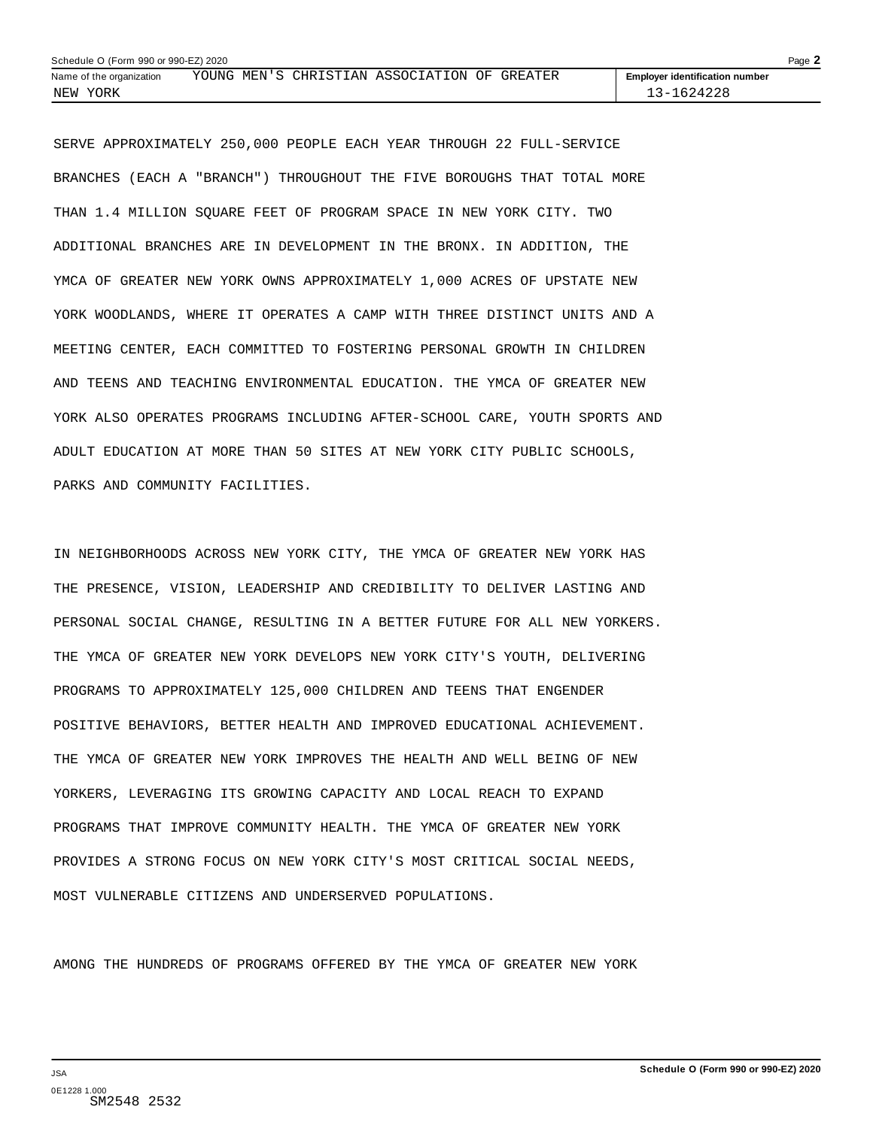| Schedule O (Form 990 or 990-EZ) 2020<br>Page $\blacktriangle$ |  |  |                                              |  |  |  |                                       |  |
|---------------------------------------------------------------|--|--|----------------------------------------------|--|--|--|---------------------------------------|--|
| Name of the organization                                      |  |  | YOUNG MEN'S CHRISTIAN ASSOCIATION OF GREATER |  |  |  | <b>Employer identification number</b> |  |
| NEW YORK                                                      |  |  |                                              |  |  |  | 13-1624228                            |  |

SERVE APPROXIMATELY 250,000 PEOPLE EACH YEAR THROUGH 22 FULL-SERVICE BRANCHES (EACH A "BRANCH") THROUGHOUT THE FIVE BOROUGHS THAT TOTAL MORE THAN 1.4 MILLION SQUARE FEET OF PROGRAM SPACE IN NEW YORK CITY. TWO ADDITIONAL BRANCHES ARE IN DEVELOPMENT IN THE BRONX. IN ADDITION, THE YMCA OF GREATER NEW YORK OWNS APPROXIMATELY 1,000 ACRES OF UPSTATE NEW YORK WOODLANDS, WHERE IT OPERATES A CAMP WITH THREE DISTINCT UNITS AND A MEETING CENTER, EACH COMMITTED TO FOSTERING PERSONAL GROWTH IN CHILDREN AND TEENS AND TEACHING ENVIRONMENTAL EDUCATION. THE YMCA OF GREATER NEW YORK ALSO OPERATES PROGRAMS INCLUDING AFTER-SCHOOL CARE, YOUTH SPORTS AND ADULT EDUCATION AT MORE THAN 50 SITES AT NEW YORK CITY PUBLIC SCHOOLS, PARKS AND COMMUNITY FACILITIES.

IN NEIGHBORHOODS ACROSS NEW YORK CITY, THE YMCA OF GREATER NEW YORK HAS THE PRESENCE, VISION, LEADERSHIP AND CREDIBILITY TO DELIVER LASTING AND PERSONAL SOCIAL CHANGE, RESULTING IN A BETTER FUTURE FOR ALL NEW YORKERS. THE YMCA OF GREATER NEW YORK DEVELOPS NEW YORK CITY'S YOUTH, DELIVERING PROGRAMS TO APPROXIMATELY 125,000 CHILDREN AND TEENS THAT ENGENDER POSITIVE BEHAVIORS, BETTER HEALTH AND IMPROVED EDUCATIONAL ACHIEVEMENT. THE YMCA OF GREATER NEW YORK IMPROVES THE HEALTH AND WELL BEING OF NEW YORKERS, LEVERAGING ITS GROWING CAPACITY AND LOCAL REACH TO EXPAND PROGRAMS THAT IMPROVE COMMUNITY HEALTH. THE YMCA OF GREATER NEW YORK PROVIDES A STRONG FOCUS ON NEW YORK CITY'S MOST CRITICAL SOCIAL NEEDS, MOST VULNERABLE CITIZENS AND UNDERSERVED POPULATIONS.

AMONG THE HUNDREDS OF PROGRAMS OFFERED BY THE YMCA OF GREATER NEW YORK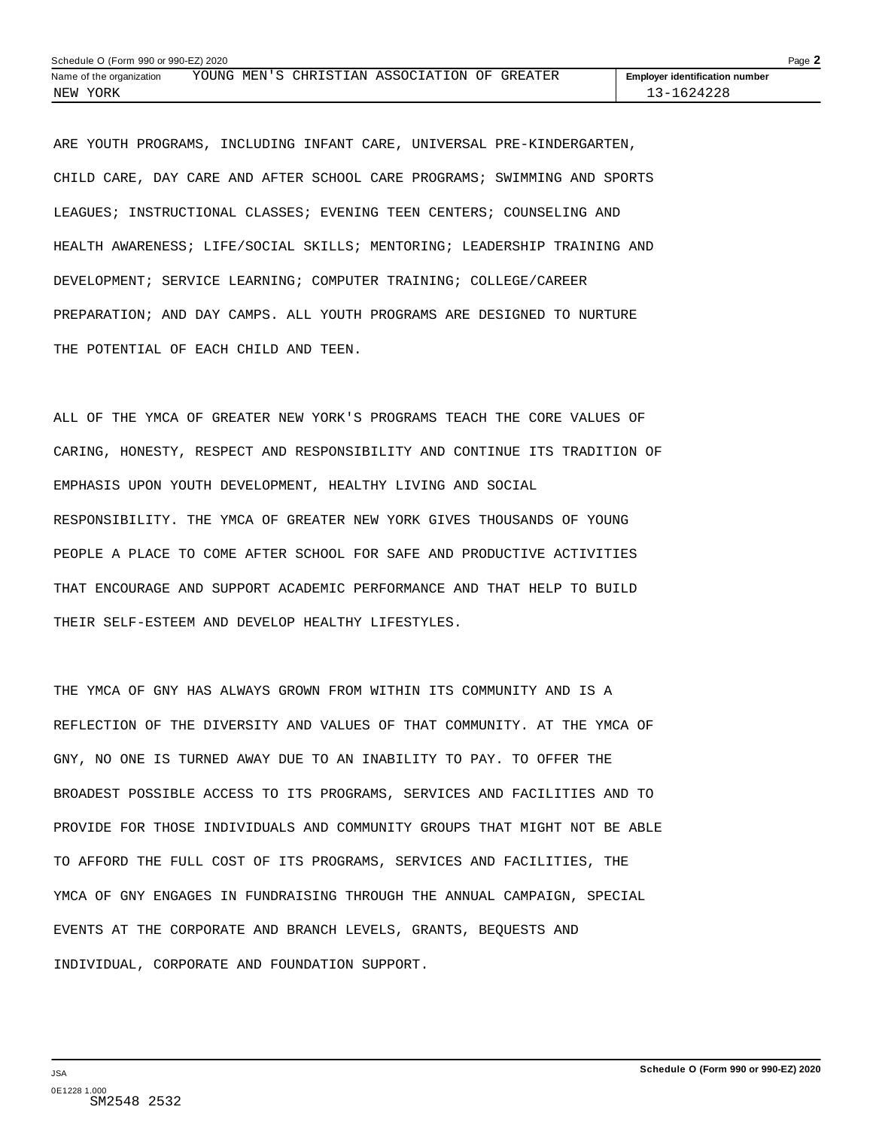| Schedule O (Form 990 or 990-EZ) 2020<br>Page $\blacktriangle$ |  |  |                                              |  |  |                                       |  |
|---------------------------------------------------------------|--|--|----------------------------------------------|--|--|---------------------------------------|--|
| Name of the organization                                      |  |  | YOUNG MEN'S CHRISTIAN ASSOCIATION OF GREATER |  |  | <b>Employer identification number</b> |  |
| YORK<br>NEW                                                   |  |  |                                              |  |  | 1624228                               |  |

ARE YOUTH PROGRAMS, INCLUDING INFANT CARE, UNIVERSAL PRE-KINDERGARTEN, CHILD CARE, DAY CARE AND AFTER SCHOOL CARE PROGRAMS; SWIMMING AND SPORTS LEAGUES; INSTRUCTIONAL CLASSES; EVENING TEEN CENTERS; COUNSELING AND HEALTH AWARENESS; LIFE/SOCIAL SKILLS; MENTORING; LEADERSHIP TRAINING AND DEVELOPMENT; SERVICE LEARNING; COMPUTER TRAINING; COLLEGE/CAREER PREPARATION; AND DAY CAMPS. ALL YOUTH PROGRAMS ARE DESIGNED TO NURTURE THE POTENTIAL OF EACH CHILD AND TEEN.

ALL OF THE YMCA OF GREATER NEW YORK'S PROGRAMS TEACH THE CORE VALUES OF CARING, HONESTY, RESPECT AND RESPONSIBILITY AND CONTINUE ITS TRADITION OF EMPHASIS UPON YOUTH DEVELOPMENT, HEALTHY LIVING AND SOCIAL RESPONSIBILITY. THE YMCA OF GREATER NEW YORK GIVES THOUSANDS OF YOUNG PEOPLE A PLACE TO COME AFTER SCHOOL FOR SAFE AND PRODUCTIVE ACTIVITIES THAT ENCOURAGE AND SUPPORT ACADEMIC PERFORMANCE AND THAT HELP TO BUILD THEIR SELF-ESTEEM AND DEVELOP HEALTHY LIFESTYLES.

THE YMCA OF GNY HAS ALWAYS GROWN FROM WITHIN ITS COMMUNITY AND IS A REFLECTION OF THE DIVERSITY AND VALUES OF THAT COMMUNITY. AT THE YMCA OF GNY, NO ONE IS TURNED AWAY DUE TO AN INABILITY TO PAY. TO OFFER THE BROADEST POSSIBLE ACCESS TO ITS PROGRAMS, SERVICES AND FACILITIES AND TO PROVIDE FOR THOSE INDIVIDUALS AND COMMUNITY GROUPS THAT MIGHT NOT BE ABLE TO AFFORD THE FULL COST OF ITS PROGRAMS, SERVICES AND FACILITIES, THE YMCA OF GNY ENGAGES IN FUNDRAISING THROUGH THE ANNUAL CAMPAIGN, SPECIAL EVENTS AT THE CORPORATE AND BRANCH LEVELS, GRANTS, BEQUESTS AND INDIVIDUAL, CORPORATE AND FOUNDATION SUPPORT.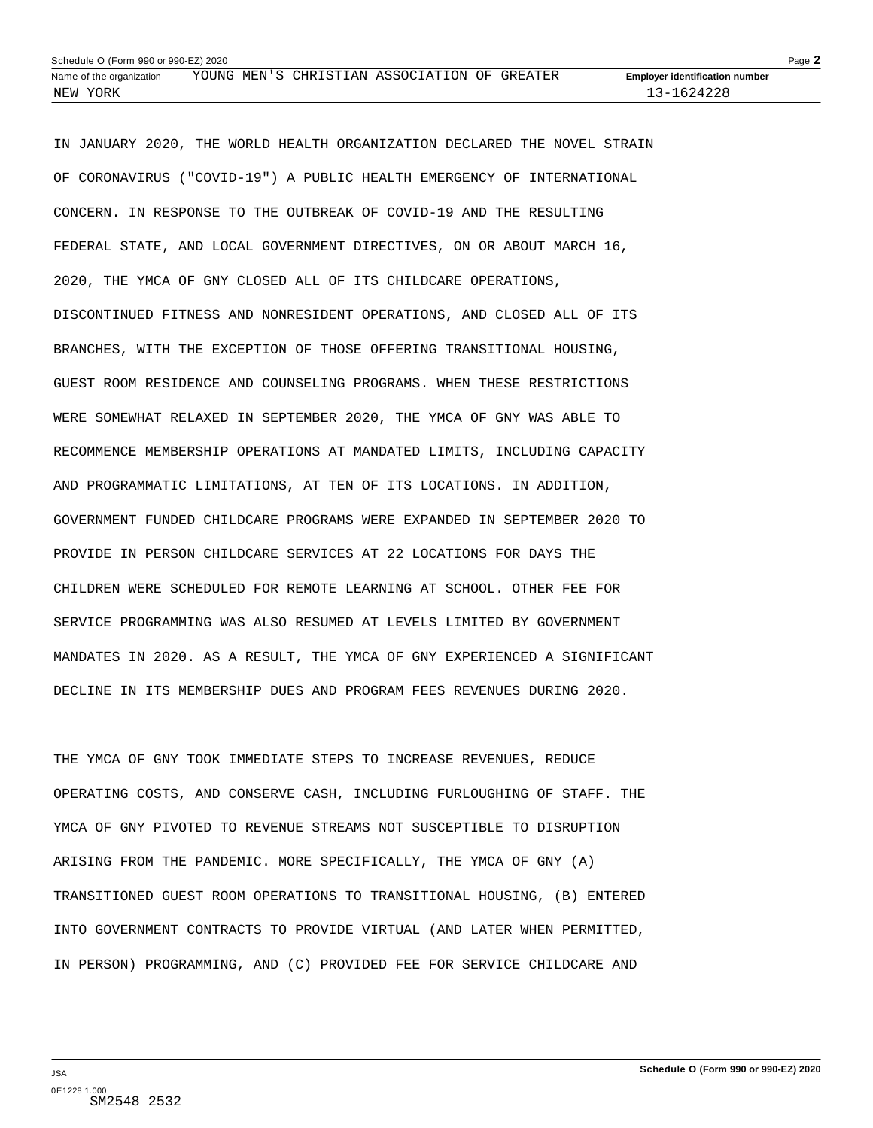| Page $\blacktriangle$<br>Schedule O (Form 990 or 990-EZ) 2020 |                                              |  |  |  |  |  |                                       |  |
|---------------------------------------------------------------|----------------------------------------------|--|--|--|--|--|---------------------------------------|--|
| Name of the organization                                      | YOUNG MEN'S CHRISTIAN ASSOCIATION OF GREATER |  |  |  |  |  | <b>Employer identification number</b> |  |
| YORK<br>NEW                                                   |                                              |  |  |  |  |  | 624228<br>$3 - 1$                     |  |

IN JANUARY 2020, THE WORLD HEALTH ORGANIZATION DECLARED THE NOVEL STRAIN OF CORONAVIRUS ("COVID-19") A PUBLIC HEALTH EMERGENCY OF INTERNATIONAL CONCERN. IN RESPONSE TO THE OUTBREAK OF COVID-19 AND THE RESULTING FEDERAL STATE, AND LOCAL GOVERNMENT DIRECTIVES, ON OR ABOUT MARCH 16, 2020, THE YMCA OF GNY CLOSED ALL OF ITS CHILDCARE OPERATIONS, DISCONTINUED FITNESS AND NONRESIDENT OPERATIONS, AND CLOSED ALL OF ITS BRANCHES, WITH THE EXCEPTION OF THOSE OFFERING TRANSITIONAL HOUSING, GUEST ROOM RESIDENCE AND COUNSELING PROGRAMS. WHEN THESE RESTRICTIONS WERE SOMEWHAT RELAXED IN SEPTEMBER 2020, THE YMCA OF GNY WAS ABLE TO RECOMMENCE MEMBERSHIP OPERATIONS AT MANDATED LIMITS, INCLUDING CAPACITY AND PROGRAMMATIC LIMITATIONS, AT TEN OF ITS LOCATIONS. IN ADDITION, GOVERNMENT FUNDED CHILDCARE PROGRAMS WERE EXPANDED IN SEPTEMBER 2020 TO PROVIDE IN PERSON CHILDCARE SERVICES AT 22 LOCATIONS FOR DAYS THE CHILDREN WERE SCHEDULED FOR REMOTE LEARNING AT SCHOOL. OTHER FEE FOR SERVICE PROGRAMMING WAS ALSO RESUMED AT LEVELS LIMITED BY GOVERNMENT MANDATES IN 2020. AS A RESULT, THE YMCA OF GNY EXPERIENCED A SIGNIFICANT DECLINE IN ITS MEMBERSHIP DUES AND PROGRAM FEES REVENUES DURING 2020.

THE YMCA OF GNY TOOK IMMEDIATE STEPS TO INCREASE REVENUES, REDUCE OPERATING COSTS, AND CONSERVE CASH, INCLUDING FURLOUGHING OF STAFF. THE YMCA OF GNY PIVOTED TO REVENUE STREAMS NOT SUSCEPTIBLE TO DISRUPTION ARISING FROM THE PANDEMIC. MORE SPECIFICALLY, THE YMCA OF GNY (A) TRANSITIONED GUEST ROOM OPERATIONS TO TRANSITIONAL HOUSING, (B) ENTERED INTO GOVERNMENT CONTRACTS TO PROVIDE VIRTUAL (AND LATER WHEN PERMITTED, IN PERSON) PROGRAMMING, AND (C) PROVIDED FEE FOR SERVICE CHILDCARE AND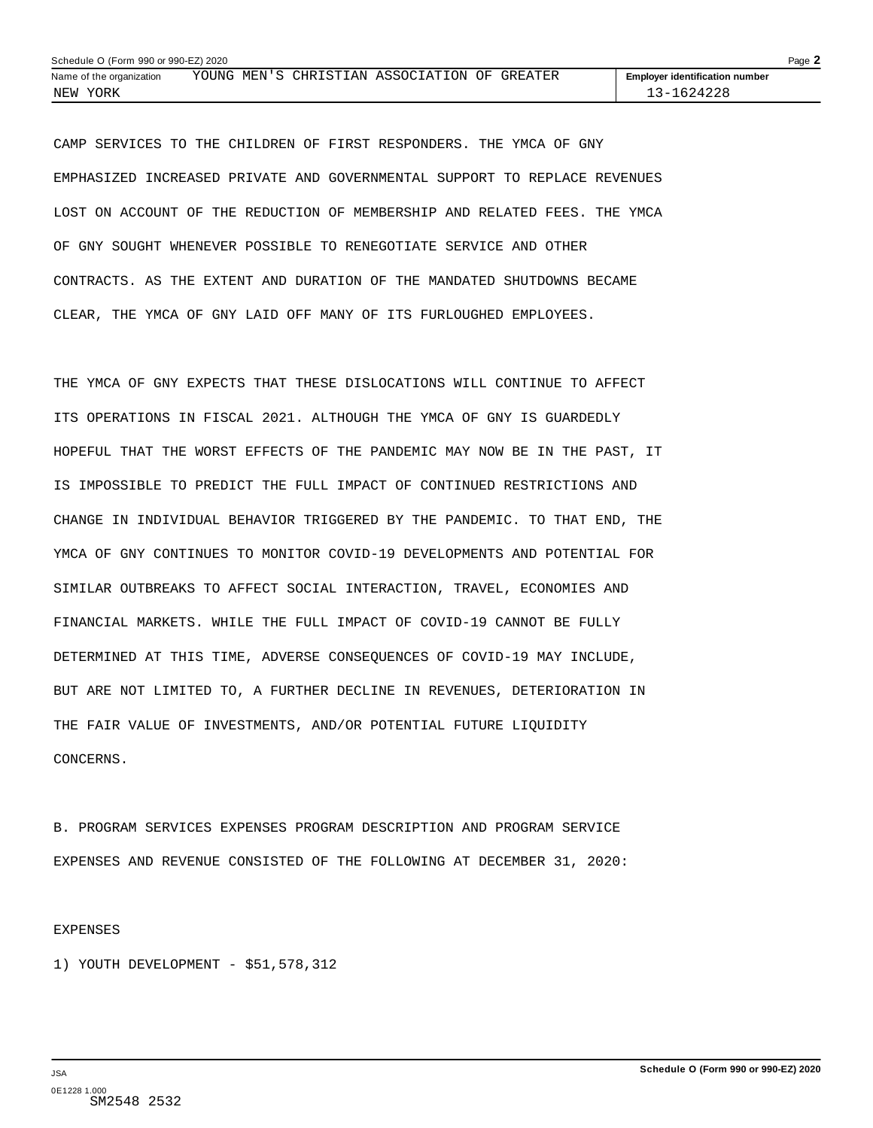| Page $\blacktriangle$<br>Schedule O (Form 990 or 990-EZ) 2020 |  |  |  |                                              |  |  |                                       |  |  |
|---------------------------------------------------------------|--|--|--|----------------------------------------------|--|--|---------------------------------------|--|--|
| Name of the organization                                      |  |  |  | YOUNG MEN'S CHRISTIAN ASSOCIATION OF GREATER |  |  | <b>Employer identification number</b> |  |  |
| NEW YORK                                                      |  |  |  |                                              |  |  | 13-1624228                            |  |  |

CAMP SERVICES TO THE CHILDREN OF FIRST RESPONDERS. THE YMCA OF GNY EMPHASIZED INCREASED PRIVATE AND GOVERNMENTAL SUPPORT TO REPLACE REVENUES LOST ON ACCOUNT OF THE REDUCTION OF MEMBERSHIP AND RELATED FEES. THE YMCA OF GNY SOUGHT WHENEVER POSSIBLE TO RENEGOTIATE SERVICE AND OTHER CONTRACTS. AS THE EXTENT AND DURATION OF THE MANDATED SHUTDOWNS BECAME CLEAR, THE YMCA OF GNY LAID OFF MANY OF ITS FURLOUGHED EMPLOYEES.

THE YMCA OF GNY EXPECTS THAT THESE DISLOCATIONS WILL CONTINUE TO AFFECT ITS OPERATIONS IN FISCAL 2021. ALTHOUGH THE YMCA OF GNY IS GUARDEDLY HOPEFUL THAT THE WORST EFFECTS OF THE PANDEMIC MAY NOW BE IN THE PAST, IT IS IMPOSSIBLE TO PREDICT THE FULL IMPACT OF CONTINUED RESTRICTIONS AND CHANGE IN INDIVIDUAL BEHAVIOR TRIGGERED BY THE PANDEMIC. TO THAT END, THE YMCA OF GNY CONTINUES TO MONITOR COVID-19 DEVELOPMENTS AND POTENTIAL FOR SIMILAR OUTBREAKS TO AFFECT SOCIAL INTERACTION, TRAVEL, ECONOMIES AND FINANCIAL MARKETS. WHILE THE FULL IMPACT OF COVID-19 CANNOT BE FULLY DETERMINED AT THIS TIME, ADVERSE CONSEQUENCES OF COVID-19 MAY INCLUDE, BUT ARE NOT LIMITED TO, A FURTHER DECLINE IN REVENUES, DETERIORATION IN THE FAIR VALUE OF INVESTMENTS, AND/OR POTENTIAL FUTURE LIQUIDITY CONCERNS.

B. PROGRAM SERVICES EXPENSES PROGRAM DESCRIPTION AND PROGRAM SERVICE EXPENSES AND REVENUE CONSISTED OF THE FOLLOWING AT DECEMBER 31, 2020:

EXPENSES

1) YOUTH DEVELOPMENT - \$51,578,312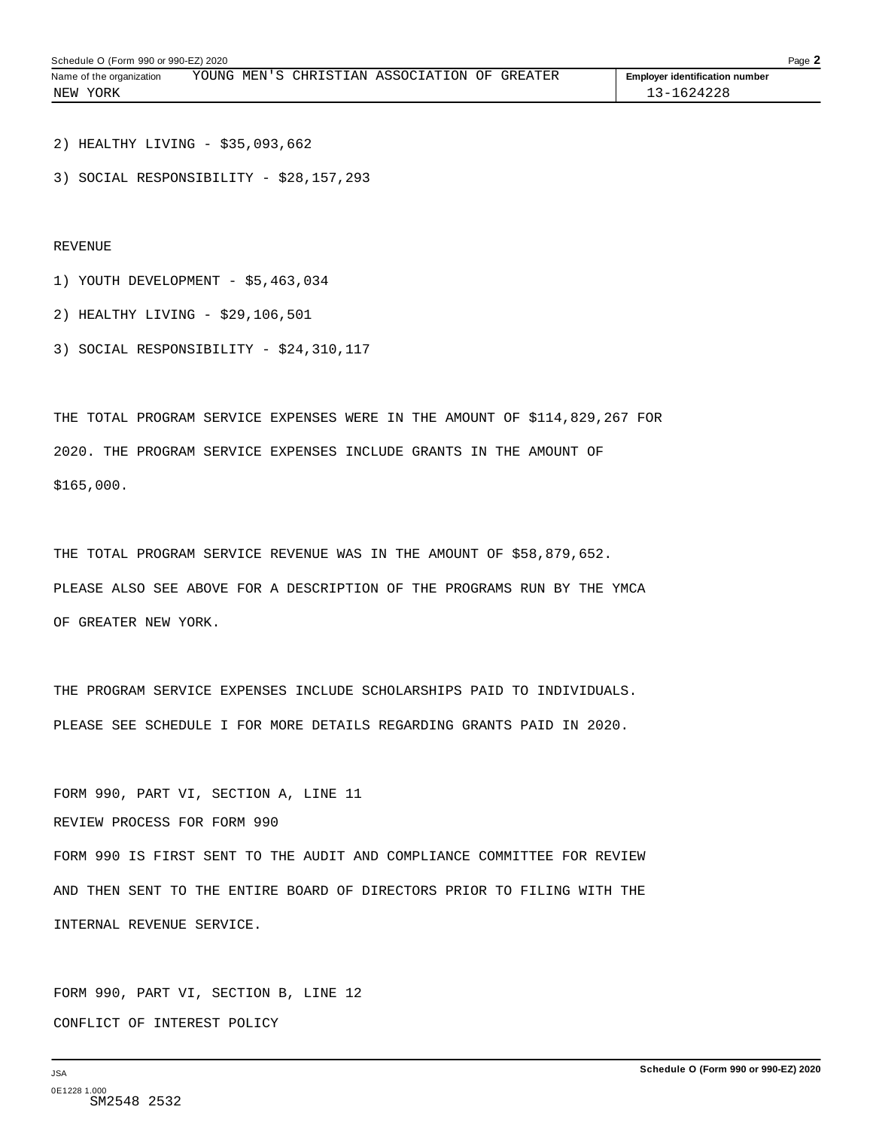| Schedule O (Form 990 or 990-EZ) 2020<br>Page $\blacktriangle$ |  |  |  |                                              |  |  |                                       |  |
|---------------------------------------------------------------|--|--|--|----------------------------------------------|--|--|---------------------------------------|--|
| Name of the organization                                      |  |  |  | YOUNG MEN'S CHRISTIAN ASSOCIATION OF GREATER |  |  | <b>Employer identification number</b> |  |
| NEW YORK                                                      |  |  |  |                                              |  |  | 13-1624228                            |  |

2) HEALTHY LIVING - \$35,093,662

3) SOCIAL RESPONSIBILITY - \$28,157,293

REVENUE

- 1) YOUTH DEVELOPMENT \$5,463,034
- 2) HEALTHY LIVING \$29,106,501
- 3) SOCIAL RESPONSIBILITY \$24,310,117

THE TOTAL PROGRAM SERVICE EXPENSES WERE IN THE AMOUNT OF \$114,829,267 FOR 2020. THE PROGRAM SERVICE EXPENSES INCLUDE GRANTS IN THE AMOUNT OF \$165,000.

THE TOTAL PROGRAM SERVICE REVENUE WAS IN THE AMOUNT OF \$58,879,652. PLEASE ALSO SEE ABOVE FOR A DESCRIPTION OF THE PROGRAMS RUN BY THE YMCA OF GREATER NEW YORK.

THE PROGRAM SERVICE EXPENSES INCLUDE SCHOLARSHIPS PAID TO INDIVIDUALS. PLEASE SEE SCHEDULE I FOR MORE DETAILS REGARDING GRANTS PAID IN 2020.

FORM 990, PART VI, SECTION A, LINE 11

REVIEW PROCESS FOR FORM 990

FORM 990 IS FIRST SENT TO THE AUDIT AND COMPLIANCE COMMITTEE FOR REVIEW AND THEN SENT TO THE ENTIRE BOARD OF DIRECTORS PRIOR TO FILING WITH THE INTERNAL REVENUE SERVICE.

FORM 990, PART VI, SECTION B, LINE 12 CONFLICT OF INTEREST POLICY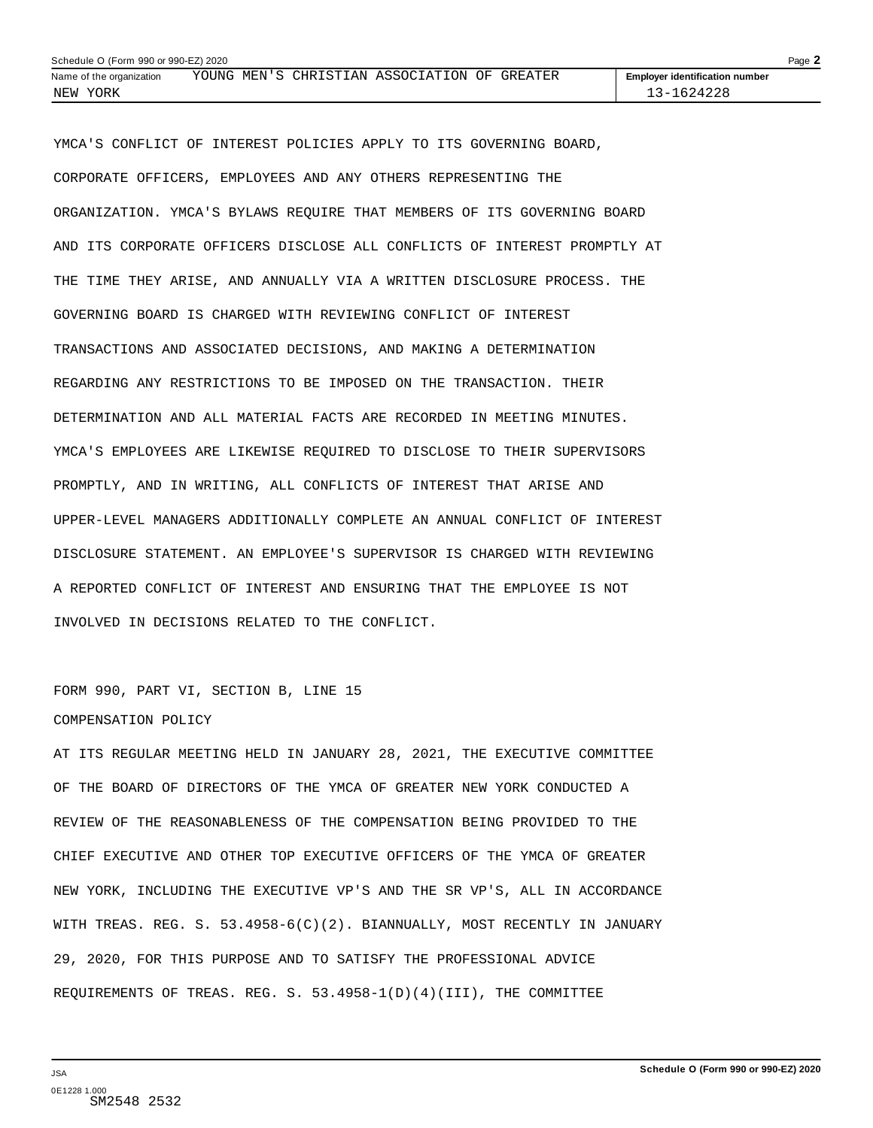| Page 2<br>Schedule O (Form 990 or 990-EZ) 2020 |  |  |  |                                              |  |  |                                       |  |
|------------------------------------------------|--|--|--|----------------------------------------------|--|--|---------------------------------------|--|
| Name of the organization                       |  |  |  | YOUNG MEN'S CHRISTIAN ASSOCIATION OF GREATER |  |  | <b>Employer identification number</b> |  |
| NEW YORK                                       |  |  |  |                                              |  |  | 13-1624228                            |  |

YMCA'S CONFLICT OF INTEREST POLICIES APPLY TO ITS GOVERNING BOARD, CORPORATE OFFICERS, EMPLOYEES AND ANY OTHERS REPRESENTING THE ORGANIZATION. YMCA'S BYLAWS REQUIRE THAT MEMBERS OF ITS GOVERNING BOARD AND ITS CORPORATE OFFICERS DISCLOSE ALL CONFLICTS OF INTEREST PROMPTLY AT THE TIME THEY ARISE, AND ANNUALLY VIA A WRITTEN DISCLOSURE PROCESS. THE GOVERNING BOARD IS CHARGED WITH REVIEWING CONFLICT OF INTEREST TRANSACTIONS AND ASSOCIATED DECISIONS, AND MAKING A DETERMINATION REGARDING ANY RESTRICTIONS TO BE IMPOSED ON THE TRANSACTION. THEIR DETERMINATION AND ALL MATERIAL FACTS ARE RECORDED IN MEETING MINUTES. YMCA'S EMPLOYEES ARE LIKEWISE REQUIRED TO DISCLOSE TO THEIR SUPERVISORS PROMPTLY, AND IN WRITING, ALL CONFLICTS OF INTEREST THAT ARISE AND UPPER-LEVEL MANAGERS ADDITIONALLY COMPLETE AN ANNUAL CONFLICT OF INTEREST DISCLOSURE STATEMENT. AN EMPLOYEE'S SUPERVISOR IS CHARGED WITH REVIEWING A REPORTED CONFLICT OF INTEREST AND ENSURING THAT THE EMPLOYEE IS NOT INVOLVED IN DECISIONS RELATED TO THE CONFLICT.

### FORM 990, PART VI, SECTION B, LINE 15 COMPENSATION POLICY

AT ITS REGULAR MEETING HELD IN JANUARY 28, 2021, THE EXECUTIVE COMMITTEE OF THE BOARD OF DIRECTORS OF THE YMCA OF GREATER NEW YORK CONDUCTED A REVIEW OF THE REASONABLENESS OF THE COMPENSATION BEING PROVIDED TO THE CHIEF EXECUTIVE AND OTHER TOP EXECUTIVE OFFICERS OF THE YMCA OF GREATER NEW YORK, INCLUDING THE EXECUTIVE VP'S AND THE SR VP'S, ALL IN ACCORDANCE WITH TREAS. REG. S. 53.4958-6(C)(2). BIANNUALLY, MOST RECENTLY IN JANUARY 29, 2020, FOR THIS PURPOSE AND TO SATISFY THE PROFESSIONAL ADVICE REQUIREMENTS OF TREAS. REG. S. 53.4958-1(D)(4)(III), THE COMMITTEE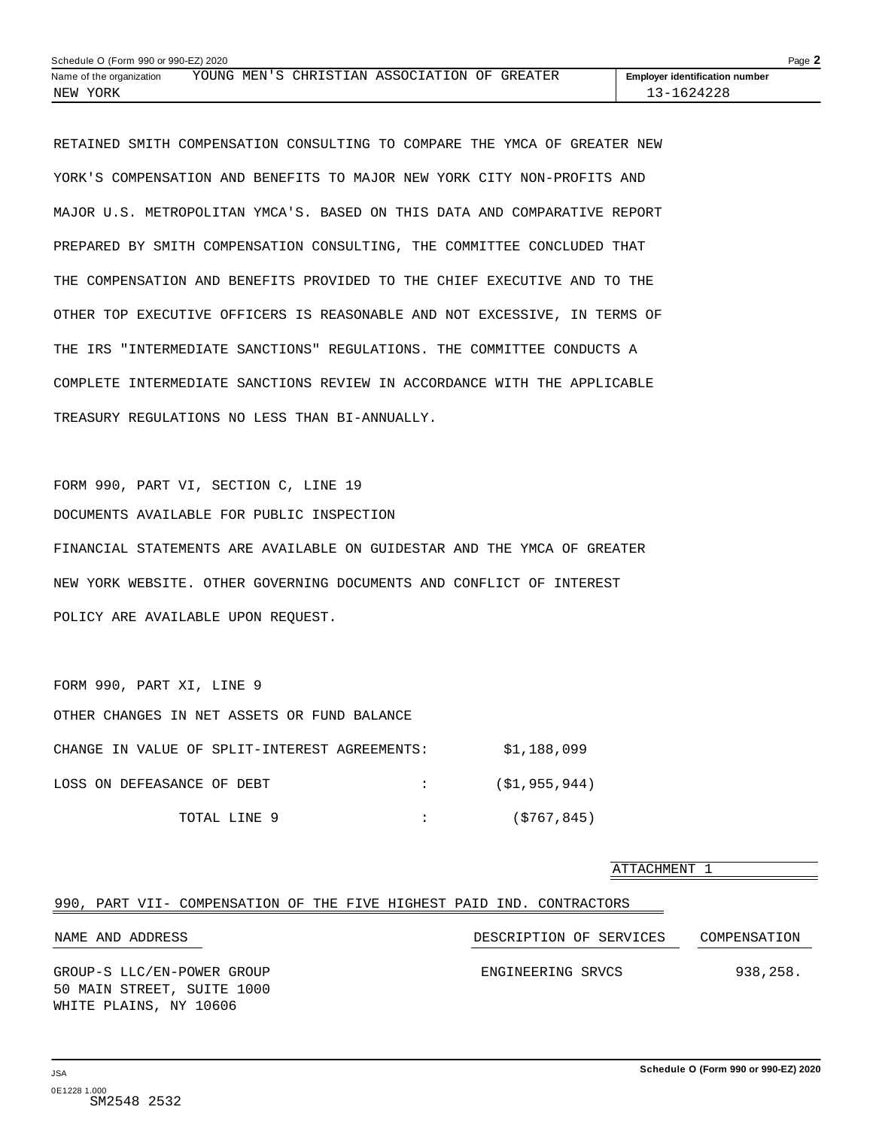<span id="page-62-0"></span>

| Schedule O (Form 990 or 990-EZ) 2020 |  |                                              |  |                                       | Page $\blacktriangle$ |
|--------------------------------------|--|----------------------------------------------|--|---------------------------------------|-----------------------|
| Name of the organization             |  | YOUNG MEN'S CHRISTIAN ASSOCIATION OF GREATER |  | <b>Employer identification number</b> |                       |
| NEW YORK                             |  |                                              |  | 13-1624228                            |                       |

RETAINED SMITH COMPENSATION CONSULTING TO COMPARE THE YMCA OF GREATER NEW YORK'S COMPENSATION AND BENEFITS TO MAJOR NEW YORK CITY NON-PROFITS AND MAJOR U.S. METROPOLITAN YMCA'S. BASED ON THIS DATA AND COMPARATIVE REPORT PREPARED BY SMITH COMPENSATION CONSULTING, THE COMMITTEE CONCLUDED THAT THE COMPENSATION AND BENEFITS PROVIDED TO THE CHIEF EXECUTIVE AND TO THE OTHER TOP EXECUTIVE OFFICERS IS REASONABLE AND NOT EXCESSIVE, IN TERMS OF THE IRS "INTERMEDIATE SANCTIONS" REGULATIONS. THE COMMITTEE CONDUCTS A COMPLETE INTERMEDIATE SANCTIONS REVIEW IN ACCORDANCE WITH THE APPLICABLE TREASURY REGULATIONS NO LESS THAN BI-ANNUALLY.

FORM 990, PART VI, SECTION C, LINE 19 DOCUMENTS AVAILABLE FOR PUBLIC INSPECTION FINANCIAL STATEMENTS ARE AVAILABLE ON GUIDESTAR AND THE YMCA OF GREATER NEW YORK WEBSITE. OTHER GOVERNING DOCUMENTS AND CONFLICT OF INTEREST POLICY ARE AVAILABLE UPON REQUEST.

| FORM 990, PART XI, LINE 9                     |               |
|-----------------------------------------------|---------------|
| OTHER CHANGES IN NET ASSETS OR FUND BALANCE   |               |
| CHANGE IN VALUE OF SPLIT-INTEREST AGREEMENTS: | \$1,188,099   |
| LOSS ON DEFEASANCE OF DEBT                    | (\$1,955,944) |
| TOTAL LINE 9                                  | (S767, 845)   |

|                                                                       |                         | ATTACHMENT 1 |
|-----------------------------------------------------------------------|-------------------------|--------------|
| 990, PART VII- COMPENSATION OF THE FIVE HIGHEST PAID IND. CONTRACTORS |                         |              |
| NAME AND ADDRESS                                                      | DESCRIPTION OF SERVICES | COMPENSATION |
| GROUP-S LLC/EN-POWER GROUP<br>50 MAIN STREET, SUITE 1000              | ENGINEERING SRVCS       | 938,258.     |
| WHITE PLAINS, NY 10606                                                |                         |              |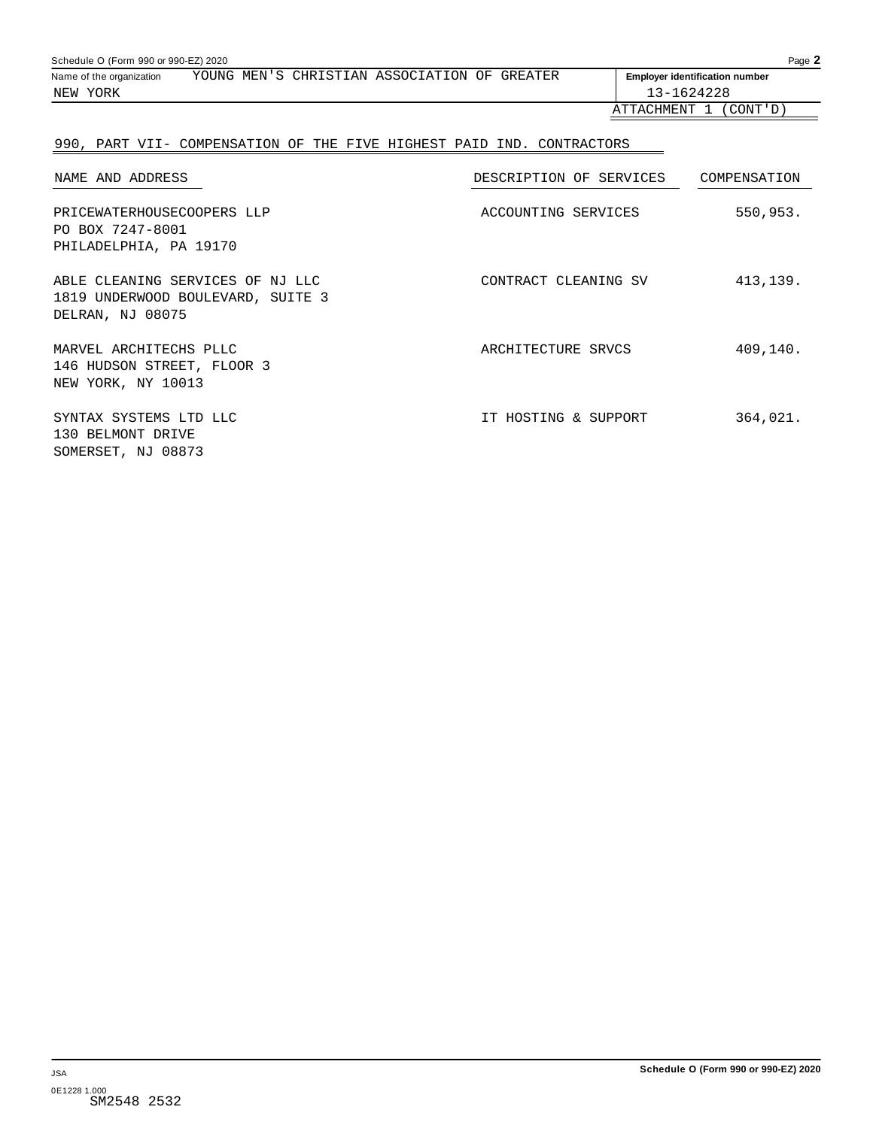| Page 2<br>Schedule O (Form 990 or 990-EZ) 2020 |  |  |                                              |  |  |                                       |  |  |  |
|------------------------------------------------|--|--|----------------------------------------------|--|--|---------------------------------------|--|--|--|
| Name of the organization                       |  |  | YOUNG MEN'S CHRISTIAN ASSOCIATION OF GREATER |  |  | <b>Employer identification number</b> |  |  |  |
| NEW YORK                                       |  |  |                                              |  |  | 13-1624228                            |  |  |  |
|                                                |  |  |                                              |  |  | ATTACHMENT 1<br>(CONT'D)              |  |  |  |
|                                                |  |  |                                              |  |  |                                       |  |  |  |

### 990, PART VII- COMPENSATION OF THE FIVE HIGHEST PAID IND. CONTRACTORS

| NAME AND ADDRESS                                                                          | DESCRIPTION OF SERVICES | COMPENSATION |
|-------------------------------------------------------------------------------------------|-------------------------|--------------|
| PRICEWATERHOUSECOOPERS LLP<br>PO BOX 7247-8001<br>PHILADELPHIA, PA 19170                  | ACCOUNTING SERVICES     | 550,953.     |
| ABLE CLEANING SERVICES OF NJ LLC<br>1819 UNDERWOOD BOULEVARD, SUITE 3<br>DELRAN, NJ 08075 | CONTRACT CLEANING SV    | 413,139.     |
| MARVEL ARCHITECHS PLLC<br>146 HUDSON STREET, FLOOR 3<br>NEW YORK, NY 10013                | ARCHITECTURE SRVCS      | 409,140.     |
| SYNTAX SYSTEMS LTD LLC<br>130 BELMONT DRIVE<br>SOMERSET, NJ 08873                         | IT HOSTING & SUPPORT    | 364,021.     |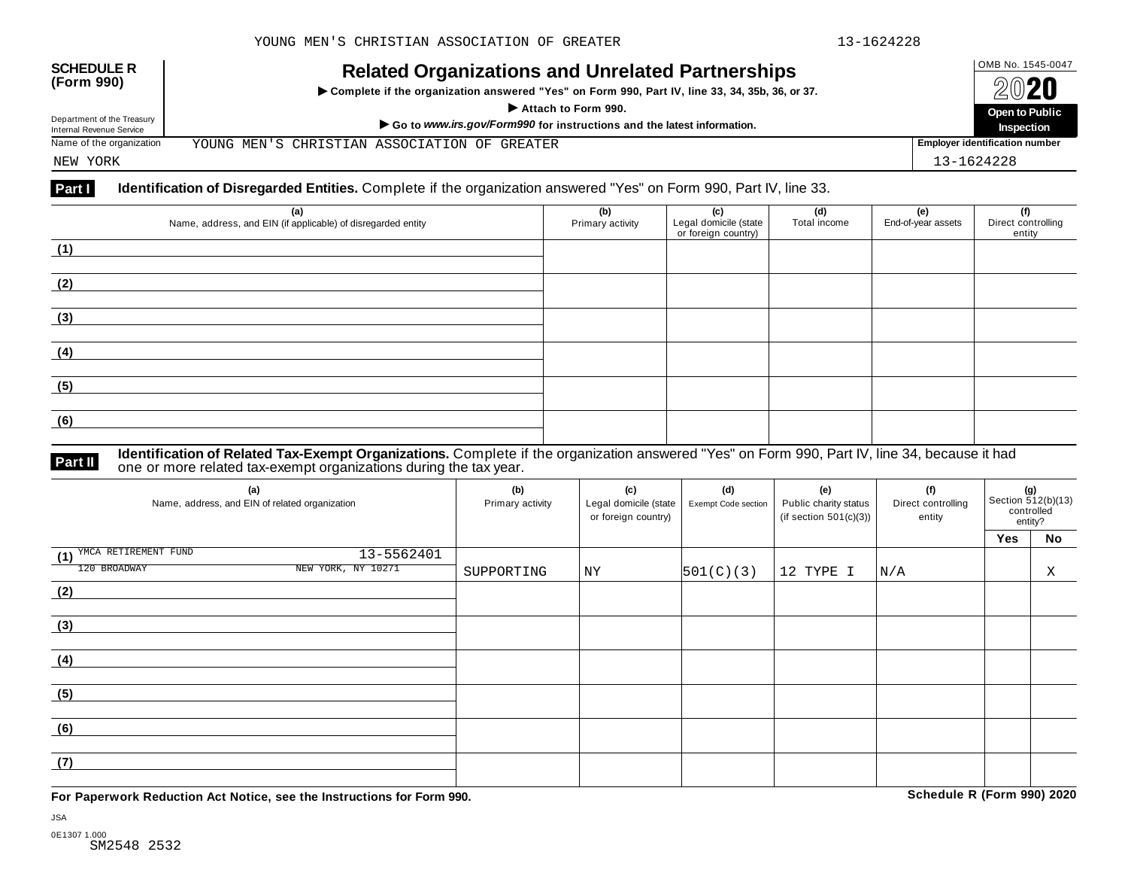

NEW YORK 13-1624228

#### **Part I** Identification of Disregarded Entities. Complete if the organization answered "Yes" on Form 990, Part IV, line 33.

| (a)<br>Name, address, and EIN (if applicable) of disregarded entity | (b)<br>Primary activity | (c)<br>Legal domicile (state<br>or foreign country) | (d)<br>Total income | (e)<br>End-of-year assets | (f)<br>Direct controlling<br>entity |
|---------------------------------------------------------------------|-------------------------|-----------------------------------------------------|---------------------|---------------------------|-------------------------------------|
| (1)                                                                 |                         |                                                     |                     |                           |                                     |
| (2)                                                                 |                         |                                                     |                     |                           |                                     |
| (3)                                                                 |                         |                                                     |                     |                           |                                     |
| (4)                                                                 |                         |                                                     |                     |                           |                                     |
| (5)                                                                 |                         |                                                     |                     |                           |                                     |
| (6)                                                                 |                         |                                                     |                     |                           |                                     |

#### **Identification of Related Tax-Exempt Organizations.** Complete if the organization answered "Yes" on Form 990, Part IV, line 34, because it had **Part II one or more related tax-exempt organizations during the tax year. Part II one or more related tax-exempt organizations during the tax year.**

| (a)<br>Name, address, and EIN of related organization |                    | (b)<br>Primary activity | (c)<br>Legal domicile (state<br>or foreign country) | (d)<br>Exempt Code section | (e)<br>Public charity status<br>(if section $501(c)(3)$ ) | (f)<br>Direct controlling<br>entity | $(g)$<br>Section 512(b)(13)<br>controlled<br>entity? |    |  |
|-------------------------------------------------------|--------------------|-------------------------|-----------------------------------------------------|----------------------------|-----------------------------------------------------------|-------------------------------------|------------------------------------------------------|----|--|
|                                                       |                    |                         |                                                     |                            |                                                           |                                     | Yes                                                  | No |  |
| (1) YMCA RETIREMENT FUND                              | 13-5562401         |                         |                                                     |                            |                                                           |                                     |                                                      |    |  |
| 120 BROADWAY                                          | NEW YORK, NY 10271 | SUPPORTING              | ΝY                                                  | 501(C)(3)                  | 12 TYPE I                                                 | N/A                                 |                                                      | X  |  |
| (2)                                                   |                    |                         |                                                     |                            |                                                           |                                     |                                                      |    |  |
|                                                       |                    |                         |                                                     |                            |                                                           |                                     |                                                      |    |  |
| (3)                                                   |                    |                         |                                                     |                            |                                                           |                                     |                                                      |    |  |
|                                                       |                    |                         |                                                     |                            |                                                           |                                     |                                                      |    |  |
| (4)                                                   |                    |                         |                                                     |                            |                                                           |                                     |                                                      |    |  |
|                                                       |                    |                         |                                                     |                            |                                                           |                                     |                                                      |    |  |
| (5)                                                   |                    |                         |                                                     |                            |                                                           |                                     |                                                      |    |  |
|                                                       |                    |                         |                                                     |                            |                                                           |                                     |                                                      |    |  |
| (6)                                                   |                    |                         |                                                     |                            |                                                           |                                     |                                                      |    |  |
|                                                       |                    |                         |                                                     |                            |                                                           |                                     |                                                      |    |  |
| (7)                                                   |                    |                         |                                                     |                            |                                                           |                                     |                                                      |    |  |
|                                                       |                    |                         |                                                     |                            |                                                           |                                     |                                                      |    |  |

**For Paperwork Reduction Act Notice, see the Instructions for Form 990. Schedule R (Form 990) 2020**

JSA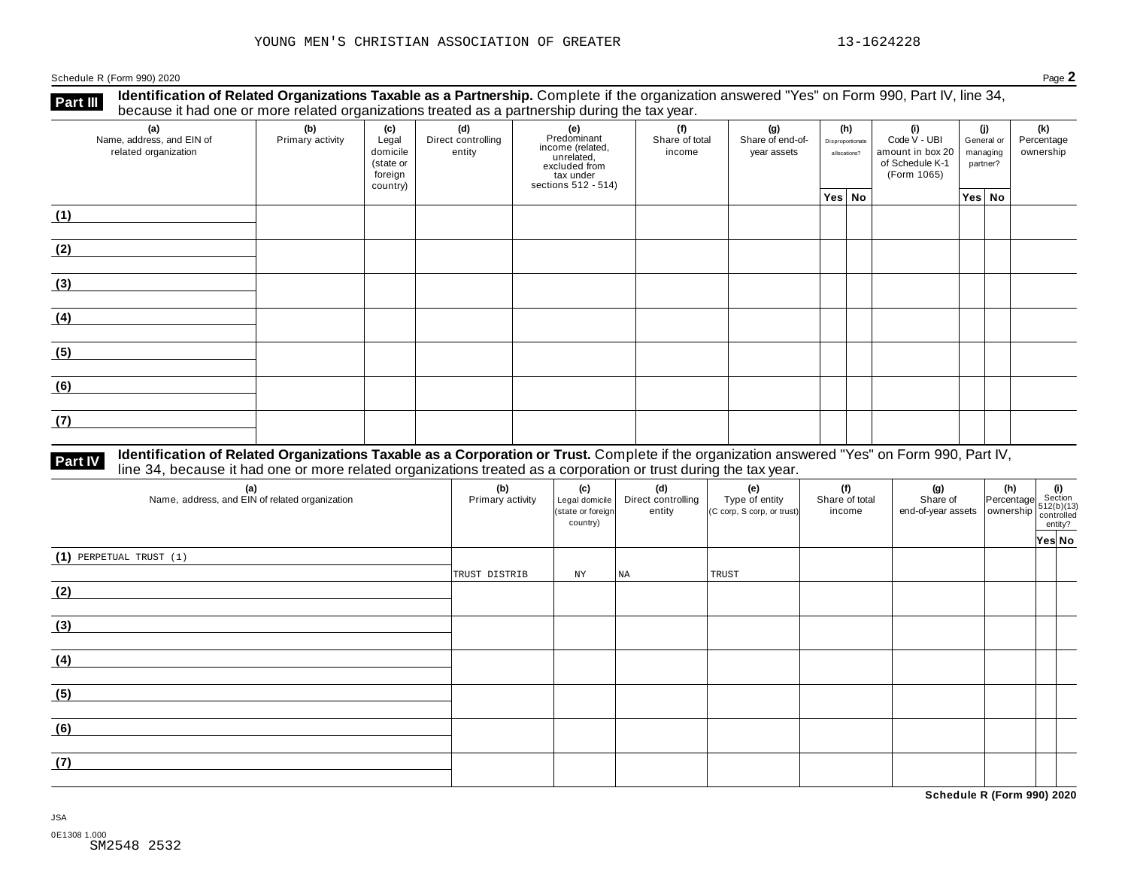**Identification of Related Organizations Taxable as a Partnership.** Complete if the organization answered "Yes" on Form 990, Part IV, line 34, **because it had one or more related organizations Taxable as a Partnership.** Complete it the organizations treated organizations treated as a partnership during the tax year.

| (a)<br>Name, address, and EIN of<br>related organization | ັ<br>(b)<br>Primary activity | (c)<br>Legal<br>domicile<br>(state or<br>foreign<br>country) | (d)<br>Direct controlling<br>entity | ັ<br>(e)<br>Predominant<br>income (related,<br>unrelated,<br>excluded from<br>$\frac{3}{10}$ tax under<br>sections 512 - 514) | (f)<br>Share of total<br>income | (g)<br>Share of end-of-<br>year assets | (h)<br>Disproportionate<br>allocations? | (i)<br>Code V - UBI<br>amount in box 20<br>of Schedule K-1<br>(Form 1065) | (j)<br>General or<br>managing<br>partner? | (k)<br>Percentage<br>ownership |
|----------------------------------------------------------|------------------------------|--------------------------------------------------------------|-------------------------------------|-------------------------------------------------------------------------------------------------------------------------------|---------------------------------|----------------------------------------|-----------------------------------------|---------------------------------------------------------------------------|-------------------------------------------|--------------------------------|
|                                                          |                              |                                                              |                                     |                                                                                                                               |                                 |                                        | Yes No                                  |                                                                           | Yes No                                    |                                |
| (1)                                                      |                              |                                                              |                                     |                                                                                                                               |                                 |                                        |                                         |                                                                           |                                           |                                |
| (2)                                                      |                              |                                                              |                                     |                                                                                                                               |                                 |                                        |                                         |                                                                           |                                           |                                |
| (3)                                                      |                              |                                                              |                                     |                                                                                                                               |                                 |                                        |                                         |                                                                           |                                           |                                |
| (4)                                                      |                              |                                                              |                                     |                                                                                                                               |                                 |                                        |                                         |                                                                           |                                           |                                |
| (5)                                                      |                              |                                                              |                                     |                                                                                                                               |                                 |                                        |                                         |                                                                           |                                           |                                |
| (6)                                                      |                              |                                                              |                                     |                                                                                                                               |                                 |                                        |                                         |                                                                           |                                           |                                |
| (7)                                                      |                              |                                                              |                                     |                                                                                                                               |                                 |                                        |                                         |                                                                           |                                           |                                |

# **Part IV** Identification of Related Organizations Taxable as a Corporation or Trust. Complete if the organization answered "Yes" on Form 990, Part IV,<br>line 34, because it had one or more related organizations treated as a

| (a)<br>Name, address, and EIN of related organization | (b)<br>Primary activity | (c)<br>Legal domicile<br>(state or foreign<br>country) | (d)<br>Direct controlling<br>entity | (e)<br>Type of entity<br>(C corp, S corp, or trust) | (f)<br>Share of total<br>income | $\left  \begin{array}{c} \text{~on are of} \\ \text{~ond-of-year assets} \end{array} \right  \begin{array}{c} \textbf{(h)} \\ \text{inertuge} \\ \text{over assets} \end{array} \begin{array}{c} \textbf{(i)} \\ \textbf{(j)} \\ \text{512(b)(13)} \\ \text{controlled} \\ \text{entity?} \\ \text{unity?} \end{array}$ |  |
|-------------------------------------------------------|-------------------------|--------------------------------------------------------|-------------------------------------|-----------------------------------------------------|---------------------------------|-------------------------------------------------------------------------------------------------------------------------------------------------------------------------------------------------------------------------------------------------------------------------------------------------------------------------|--|
| $(1)$ PERPETUAL TRUST $(1)$                           | TRUST DISTRIB           | NY                                                     | NA                                  | TRUST                                               |                                 |                                                                                                                                                                                                                                                                                                                         |  |
| (2)                                                   |                         |                                                        |                                     |                                                     |                                 |                                                                                                                                                                                                                                                                                                                         |  |
| (3)                                                   |                         |                                                        |                                     |                                                     |                                 |                                                                                                                                                                                                                                                                                                                         |  |
| (4)                                                   |                         |                                                        |                                     |                                                     |                                 |                                                                                                                                                                                                                                                                                                                         |  |
| (5)                                                   |                         |                                                        |                                     |                                                     |                                 |                                                                                                                                                                                                                                                                                                                         |  |
| (6)                                                   |                         |                                                        |                                     |                                                     |                                 |                                                                                                                                                                                                                                                                                                                         |  |
| (7)                                                   |                         |                                                        |                                     |                                                     |                                 |                                                                                                                                                                                                                                                                                                                         |  |

**Schedule R (Form 990) 2020**

JSA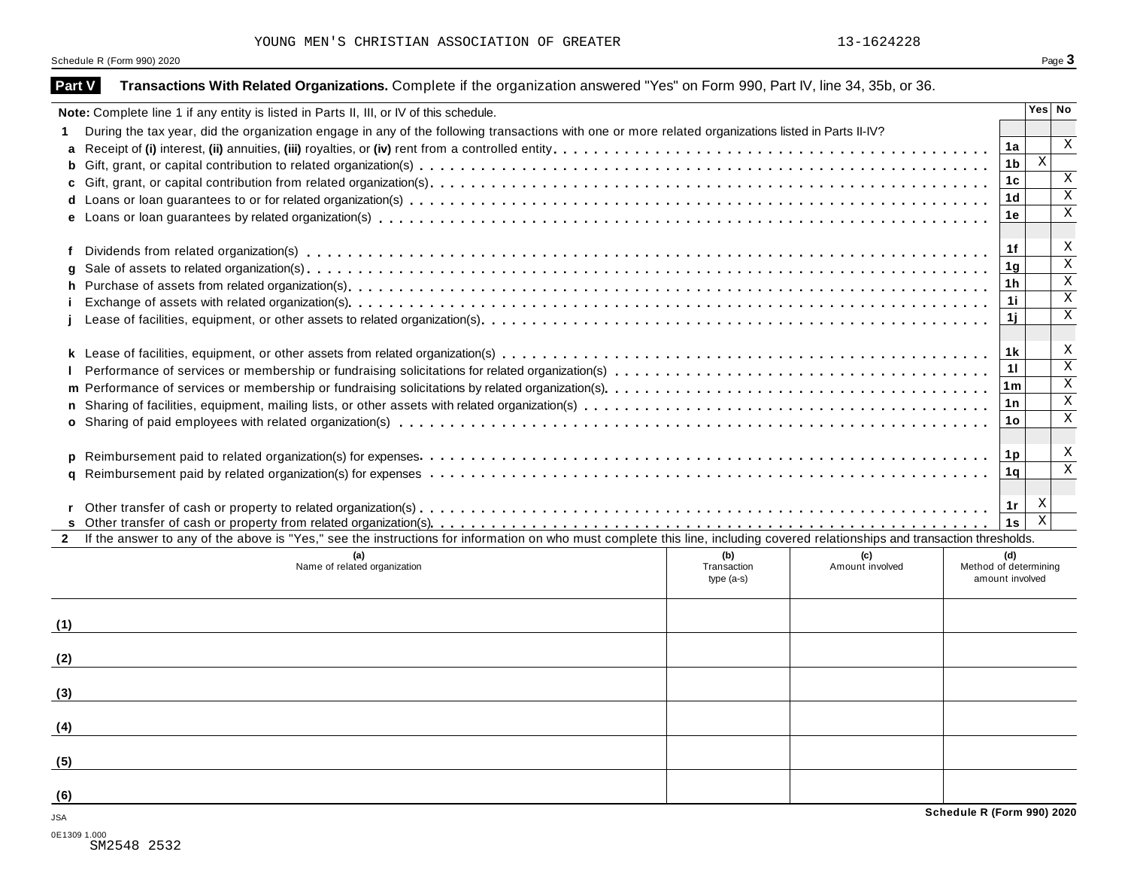YOUNG MEN'S CHRISTIAN ASSOCIATION OF GREATER 13-1624228

|               | Schedule R (Form 990) 2020                                                                                                                                                   |                                   |                        |                            |                        | Page 3                  |  |  |  |  |  |
|---------------|------------------------------------------------------------------------------------------------------------------------------------------------------------------------------|-----------------------------------|------------------------|----------------------------|------------------------|-------------------------|--|--|--|--|--|
| <b>Part V</b> | Transactions With Related Organizations. Complete if the organization answered "Yes" on Form 990, Part IV, line 34, 35b, or 36.                                              |                                   |                        |                            |                        |                         |  |  |  |  |  |
|               | Note: Complete line 1 if any entity is listed in Parts II, III, or IV of this schedule.                                                                                      |                                   |                        |                            |                        | Yes No                  |  |  |  |  |  |
|               | During the tax year, did the organization engage in any of the following transactions with one or more related organizations listed in Parts II-IV?                          |                                   |                        |                            |                        |                         |  |  |  |  |  |
| a             |                                                                                                                                                                              |                                   |                        |                            | 1a                     | Χ                       |  |  |  |  |  |
|               |                                                                                                                                                                              |                                   |                        |                            | 1 <sub>b</sub>         | $\,$ X                  |  |  |  |  |  |
|               |                                                                                                                                                                              |                                   |                        |                            | 1c                     | X                       |  |  |  |  |  |
|               |                                                                                                                                                                              |                                   |                        |                            | 1 <sub>d</sub>         | $\mathbf X$             |  |  |  |  |  |
|               |                                                                                                                                                                              |                                   |                        |                            | 1е                     | $\mathbf X$             |  |  |  |  |  |
| f             |                                                                                                                                                                              |                                   |                        |                            | 1f                     | X                       |  |  |  |  |  |
|               |                                                                                                                                                                              |                                   |                        |                            | 1 <sub>g</sub>         | $\mathbf X$             |  |  |  |  |  |
|               |                                                                                                                                                                              |                                   |                        |                            | 1h                     | $\mathbf X$             |  |  |  |  |  |
|               |                                                                                                                                                                              |                                   |                        |                            | 1i                     | $\mathbf X$             |  |  |  |  |  |
|               |                                                                                                                                                                              |                                   |                        |                            | 1j                     | X                       |  |  |  |  |  |
|               |                                                                                                                                                                              |                                   |                        |                            | 1 k                    | X                       |  |  |  |  |  |
|               | 11                                                                                                                                                                           |                                   |                        |                            |                        |                         |  |  |  |  |  |
|               | 1 <sub>m</sub>                                                                                                                                                               |                                   |                        |                            |                        |                         |  |  |  |  |  |
|               |                                                                                                                                                                              |                                   |                        |                            | 1n                     | X                       |  |  |  |  |  |
|               |                                                                                                                                                                              |                                   |                        |                            | 1o                     | Χ                       |  |  |  |  |  |
|               |                                                                                                                                                                              |                                   |                        |                            |                        |                         |  |  |  |  |  |
|               |                                                                                                                                                                              |                                   |                        |                            | 1 p                    | X                       |  |  |  |  |  |
|               |                                                                                                                                                                              |                                   |                        |                            | 1q                     | $\mathbf X$             |  |  |  |  |  |
|               |                                                                                                                                                                              |                                   |                        |                            |                        |                         |  |  |  |  |  |
|               |                                                                                                                                                                              |                                   |                        |                            | 1r                     | X                       |  |  |  |  |  |
|               |                                                                                                                                                                              |                                   |                        |                            | 1s                     | $\overline{\mathbf{x}}$ |  |  |  |  |  |
| $\mathbf{2}$  | If the answer to any of the above is "Yes," see the instructions for information on who must complete this line, including covered relationships and transaction thresholds. |                                   |                        |                            |                        |                         |  |  |  |  |  |
|               | Name of related organization                                                                                                                                                 | (b)<br>Transaction<br>$type(a-s)$ | (c)<br>Amount involved | Method of determining      | (d)<br>amount involved |                         |  |  |  |  |  |
| (1)           |                                                                                                                                                                              |                                   |                        |                            |                        |                         |  |  |  |  |  |
| (2)           |                                                                                                                                                                              |                                   |                        |                            |                        |                         |  |  |  |  |  |
|               |                                                                                                                                                                              |                                   |                        |                            |                        |                         |  |  |  |  |  |
| (3)           |                                                                                                                                                                              |                                   |                        |                            |                        |                         |  |  |  |  |  |
| (4)           |                                                                                                                                                                              |                                   |                        |                            |                        |                         |  |  |  |  |  |
| (5)           |                                                                                                                                                                              |                                   |                        |                            |                        |                         |  |  |  |  |  |
| (6)           |                                                                                                                                                                              |                                   |                        |                            |                        |                         |  |  |  |  |  |
| JSA           |                                                                                                                                                                              |                                   |                        | Schedule R (Form 990) 2020 |                        |                         |  |  |  |  |  |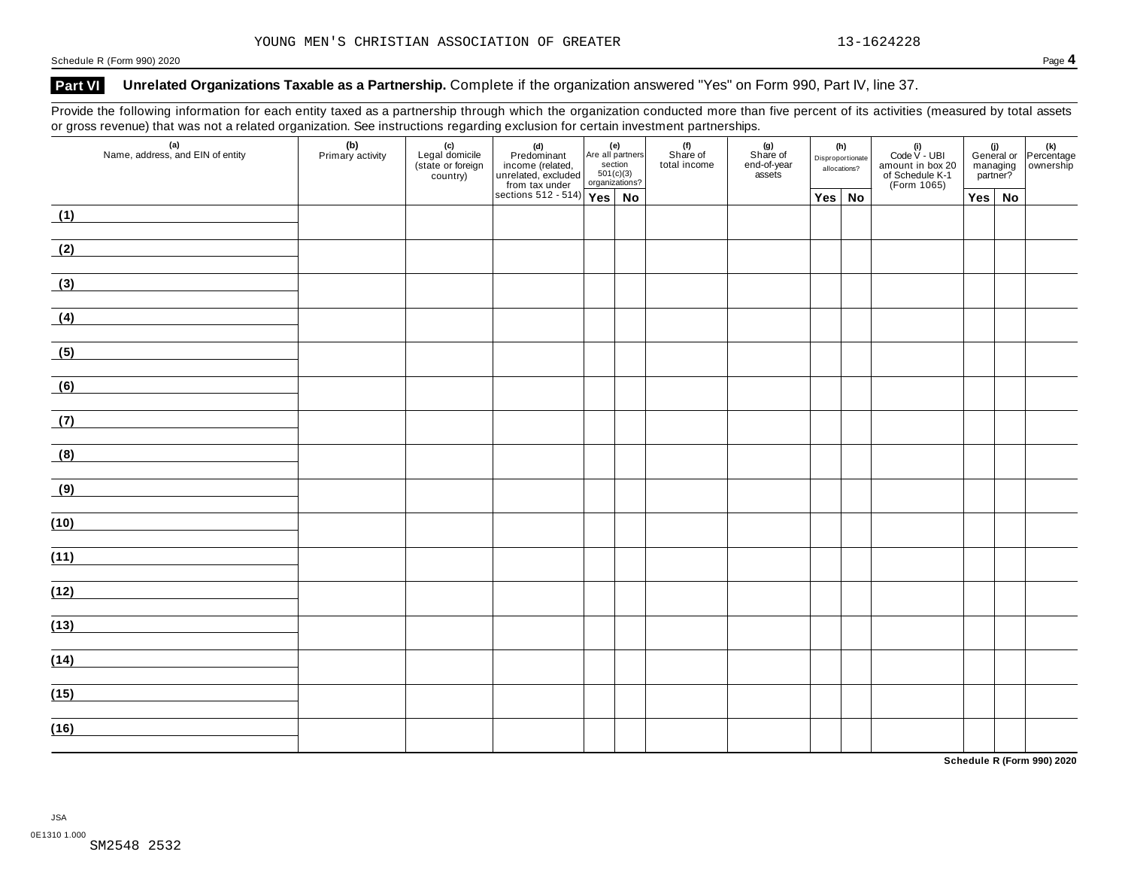### Part VI Unrelated Organizations Taxable as a Partnership. Complete if the organization answered "Yes" on Form 990, Part IV, line 37.

Provide the following information for each entity taxed as a partnership through which the organization conducted more than five percent of its activities (measured by total assets or gross revenue) that was not a related organization. See instructions regarding exclusion for certain investment partnerships.

| $\tilde{}$<br>$\sim$<br>(a)<br>Name, address, and EIN of entity | (b)<br>Primary activity | (c)<br>Legal domicile<br>(state or foreign<br>country) | (d)<br>Predominant<br>income (related, and all particulared, excluded<br>unrelated, excluded 501(c)<br>from tax under organizat<br>sections 512 - 514)<br>Yes | section<br>501(c)(3)<br>organizations? | Are all partners | (f)<br>Share of<br>total income | (g)<br>Share of<br>end-of-year<br>assets | (h)<br>Disproportionate<br>allocations? | (i)<br>Code $V$ - UBI<br>amount in box 20<br>of Schedule K-1<br>(Form 1065) |               | managing<br>partner? | (i)<br>General or Percentage<br>managing ownership |
|-----------------------------------------------------------------|-------------------------|--------------------------------------------------------|---------------------------------------------------------------------------------------------------------------------------------------------------------------|----------------------------------------|------------------|---------------------------------|------------------------------------------|-----------------------------------------|-----------------------------------------------------------------------------|---------------|----------------------|----------------------------------------------------|
|                                                                 |                         |                                                        |                                                                                                                                                               |                                        | No               |                                 |                                          | $Yes \mid No$                           |                                                                             | $Yes \mid No$ |                      |                                                    |
| (1)                                                             |                         |                                                        |                                                                                                                                                               |                                        |                  |                                 |                                          |                                         |                                                                             |               |                      |                                                    |
| (2)                                                             |                         |                                                        |                                                                                                                                                               |                                        |                  |                                 |                                          |                                         |                                                                             |               |                      |                                                    |
| (3)                                                             |                         |                                                        |                                                                                                                                                               |                                        |                  |                                 |                                          |                                         |                                                                             |               |                      |                                                    |
| (4)                                                             |                         |                                                        |                                                                                                                                                               |                                        |                  |                                 |                                          |                                         |                                                                             |               |                      |                                                    |
| (5)                                                             |                         |                                                        |                                                                                                                                                               |                                        |                  |                                 |                                          |                                         |                                                                             |               |                      |                                                    |
| (6)                                                             |                         |                                                        |                                                                                                                                                               |                                        |                  |                                 |                                          |                                         |                                                                             |               |                      |                                                    |
| (7)<br><u> 1989 - Jan Barbara (</u>                             |                         |                                                        |                                                                                                                                                               |                                        |                  |                                 |                                          |                                         |                                                                             |               |                      |                                                    |
| (8)                                                             |                         |                                                        |                                                                                                                                                               |                                        |                  |                                 |                                          |                                         |                                                                             |               |                      |                                                    |
| (9)                                                             |                         |                                                        |                                                                                                                                                               |                                        |                  |                                 |                                          |                                         |                                                                             |               |                      |                                                    |
| (10)                                                            |                         |                                                        |                                                                                                                                                               |                                        |                  |                                 |                                          |                                         |                                                                             |               |                      |                                                    |
| (11)                                                            |                         |                                                        |                                                                                                                                                               |                                        |                  |                                 |                                          |                                         |                                                                             |               |                      |                                                    |
| (12)                                                            |                         |                                                        |                                                                                                                                                               |                                        |                  |                                 |                                          |                                         |                                                                             |               |                      |                                                    |
|                                                                 |                         |                                                        |                                                                                                                                                               |                                        |                  |                                 |                                          |                                         |                                                                             |               |                      |                                                    |
| (13)                                                            |                         |                                                        |                                                                                                                                                               |                                        |                  |                                 |                                          |                                         |                                                                             |               |                      |                                                    |
| (14)                                                            |                         |                                                        |                                                                                                                                                               |                                        |                  |                                 |                                          |                                         |                                                                             |               |                      |                                                    |
| (15)                                                            |                         |                                                        |                                                                                                                                                               |                                        |                  |                                 |                                          |                                         |                                                                             |               |                      |                                                    |
| (16)                                                            |                         |                                                        |                                                                                                                                                               |                                        |                  |                                 |                                          |                                         |                                                                             |               |                      |                                                    |

**Schedule R (Form 990) 2020**